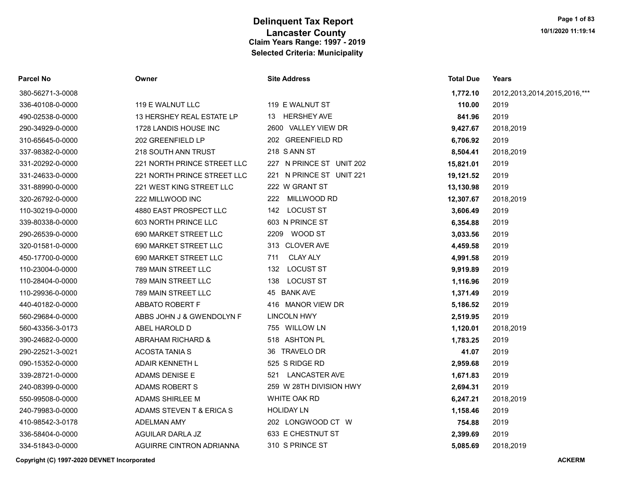| Parcel No        | Owner                       | <b>Site Address</b>      | <b>Total Due</b> | Years                             |
|------------------|-----------------------------|--------------------------|------------------|-----------------------------------|
| 380-56271-3-0008 |                             |                          | 1,772.10         | 2012, 2013, 2014, 2015, 2016, *** |
| 336-40108-0-0000 | 119 E WALNUT LLC            | 119 E WALNUT ST          | 110.00           | 2019                              |
| 490-02538-0-0000 | 13 HERSHEY REAL ESTATE LP   | 13 HERSHEY AVE           | 841.96           | 2019                              |
| 290-34929-0-0000 | 1728 LANDIS HOUSE INC       | 2600 VALLEY VIEW DR      | 9,427.67         | 2018,2019                         |
| 310-65645-0-0000 | 202 GREENFIELD LP           | 202 GREENFIELD RD        | 6,706.92         | 2019                              |
| 337-98382-0-0000 | 218 SOUTH ANN TRUST         | 218 S ANN ST             | 8,504.41         | 2018,2019                         |
| 331-20292-0-0000 | 221 NORTH PRINCE STREET LLC | 227 N PRINCE ST UNIT 202 | 15,821.01        | 2019                              |
| 331-24633-0-0000 | 221 NORTH PRINCE STREET LLC | 221 N PRINCE ST UNIT 221 | 19,121.52        | 2019                              |
| 331-88990-0-0000 | 221 WEST KING STREET LLC    | 222 W GRANT ST           | 13,130.98        | 2019                              |
| 320-26792-0-0000 | 222 MILLWOOD INC            | MILLWOOD RD<br>222       | 12,307.67        | 2018,2019                         |
| 110-30219-0-0000 | 4880 EAST PROSPECT LLC      | 142 LOCUST ST            | 3,606.49         | 2019                              |
| 339-80338-0-0000 | 603 NORTH PRINCE LLC        | 603 N PRINCE ST          | 6,354.88         | 2019                              |
| 290-26539-0-0000 | 690 MARKET STREET LLC       | 2209 WOOD ST             | 3,033.56         | 2019                              |
| 320-01581-0-0000 | 690 MARKET STREET LLC       | 313 CLOVER AVE           | 4,459.58         | 2019                              |
| 450-17700-0-0000 | 690 MARKET STREET LLC       | <b>CLAY ALY</b><br>711   | 4,991.58         | 2019                              |
| 110-23004-0-0000 | 789 MAIN STREET LLC         | <b>LOCUST ST</b><br>132  | 9,919.89         | 2019                              |
| 110-28404-0-0000 | 789 MAIN STREET LLC         | 138 LOCUST ST            | 1,116.96         | 2019                              |
| 110-29936-0-0000 | 789 MAIN STREET LLC         | 45 BANK AVE              | 1,371.49         | 2019                              |
| 440-40182-0-0000 | ABBATO ROBERT F             | 416 MANOR VIEW DR        | 5,186.52         | 2019                              |
| 560-29684-0-0000 | ABBS JOHN J & GWENDOLYN F   | LINCOLN HWY              | 2,519.95         | 2019                              |
| 560-43356-3-0173 | ABEL HAROLD D               | 755 WILLOW LN            | 1,120.01         | 2018,2019                         |
| 390-24682-0-0000 | ABRAHAM RICHARD &           | 518 ASHTON PL            | 1,783.25         | 2019                              |
| 290-22521-3-0021 | <b>ACOSTA TANIA S</b>       | 36 TRAVELO DR            | 41.07            | 2019                              |
| 090-15352-0-0000 | <b>ADAIR KENNETH L</b>      | 525 S RIDGE RD           | 2,959.68         | 2019                              |
| 339-28721-0-0000 | ADAMS DENISE E              | 521 LANCASTER AVE        | 1,671.83         | 2019                              |
| 240-08399-0-0000 | <b>ADAMS ROBERT S</b>       | 259 W 28TH DIVISION HWY  | 2,694.31         | 2019                              |
| 550-99508-0-0000 | ADAMS SHIRLEE M             | WHITE OAK RD             | 6,247.21         | 2018,2019                         |
| 240-79983-0-0000 | ADAMS STEVEN T & ERICA S    | <b>HOLIDAY LN</b>        | 1,158.46         | 2019                              |
| 410-98542-3-0178 | ADELMAN AMY                 | 202 LONGWOOD CT W        | 754.88           | 2019                              |
| 336-58404-0-0000 | AGUILAR DARLA JZ            | 633 E CHESTNUT ST        | 2,399.69         | 2019                              |
| 334-51843-0-0000 | AGUIRRE CINTRON ADRIANNA    | 310 S PRINCE ST          | 5,085.69         | 2018,2019                         |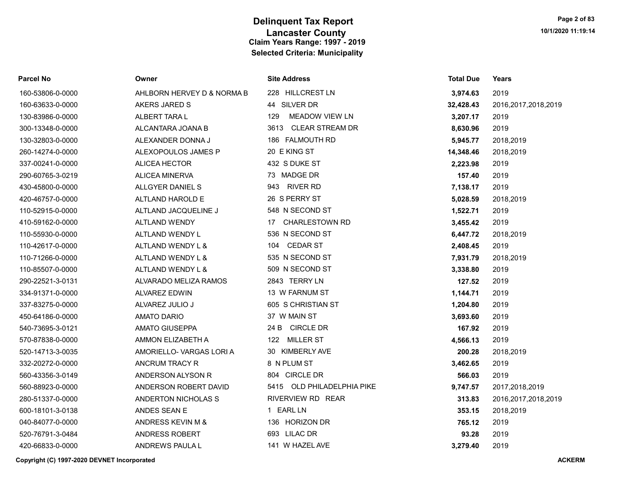| <b>Parcel No</b> | Owner                      | <b>Site Address</b>            | <b>Total Due</b> | Years                  |
|------------------|----------------------------|--------------------------------|------------------|------------------------|
| 160-53806-0-0000 | AHLBORN HERVEY D & NORMA B | 228 HILLCREST LN               | 3,974.63         | 2019                   |
| 160-63633-0-0000 | AKERS JARED S              | 44 SILVER DR                   | 32,428.43        | 2016, 2017, 2018, 2019 |
| 130-83986-0-0000 | ALBERT TARA L              | 129<br><b>MEADOW VIEW LN</b>   | 3,207.17         | 2019                   |
| 300-13348-0-0000 | ALCANTARA JOANA B          | <b>CLEAR STREAM DR</b><br>3613 | 8,630.96         | 2019                   |
| 130-32803-0-0000 | ALEXANDER DONNA J          | 186 FALMOUTH RD                | 5,945.77         | 2018,2019              |
| 260-14274-0-0000 | ALEXOPOULOS JAMES P        | 20 E KING ST                   | 14,348.46        | 2018,2019              |
| 337-00241-0-0000 | ALICEA HECTOR              | 432 S DUKE ST                  | 2,223.98         | 2019                   |
| 290-60765-3-0219 | <b>ALICEA MINERVA</b>      | 73 MADGE DR                    | 157.40           | 2019                   |
| 430-45800-0-0000 | ALLGYER DANIEL S           | 943 RIVER RD                   | 7,138.17         | 2019                   |
| 420-46757-0-0000 | ALTLAND HAROLD E           | 26 S PERRY ST                  | 5,028.59         | 2018,2019              |
| 110-52915-0-0000 | ALTLAND JACQUELINE J       | 548 N SECOND ST                | 1,522.71         | 2019                   |
| 410-59162-0-0000 | ALTLAND WENDY              | <b>CHARLESTOWN RD</b><br>17    | 3,455.42         | 2019                   |
| 110-55930-0-0000 | ALTLAND WENDY L            | 536 N SECOND ST                | 6,447.72         | 2018,2019              |
| 110-42617-0-0000 | ALTLAND WENDY L &          | <b>CEDAR ST</b><br>104         | 2,408.45         | 2019                   |
| 110-71266-0-0000 | ALTLAND WENDY L &          | 535 N SECOND ST                | 7,931.79         | 2018,2019              |
| 110-85507-0-0000 | ALTLAND WENDY L &          | 509 N SECOND ST                | 3,338.80         | 2019                   |
| 290-22521-3-0131 | ALVARADO MELIZA RAMOS      | 2843 TERRY LN                  | 127.52           | 2019                   |
| 334-91371-0-0000 | <b>ALVAREZ EDWIN</b>       | 13 W FARNUM ST                 | 1,144.71         | 2019                   |
| 337-83275-0-0000 | ALVAREZ JULIO J            | 605 S CHRISTIAN ST             | 1,204.80         | 2019                   |
| 450-64186-0-0000 | <b>AMATO DARIO</b>         | 37 W MAIN ST                   | 3,693.60         | 2019                   |
| 540-73695-3-0121 | <b>AMATO GIUSEPPA</b>      | 24 B CIRCLE DR                 | 167.92           | 2019                   |
| 570-87838-0-0000 | AMMON ELIZABETH A          | 122 MILLER ST                  | 4,566.13         | 2019                   |
| 520-14713-3-0035 | AMORIELLO- VARGAS LORI A   | 30 KIMBERLY AVE                | 200.28           | 2018,2019              |
| 332-20272-0-0000 | <b>ANCRUM TRACY R</b>      | 8 N PLUM ST                    | 3,462.65         | 2019                   |
| 560-43356-3-0149 | ANDERSON ALYSON R          | 804 CIRCLE DR                  | 566.03           | 2019                   |
| 560-88923-0-0000 | ANDERSON ROBERT DAVID      | 5415 OLD PHILADELPHIA PIKE     | 9,747.57         | 2017,2018,2019         |
| 280-51337-0-0000 | ANDERTON NICHOLAS S        | RIVERVIEW RD REAR              | 313.83           | 2016, 2017, 2018, 2019 |
| 600-18101-3-0138 | ANDES SEAN E               | 1 EARL LN                      | 353.15           | 2018,2019              |
| 040-84077-0-0000 | ANDRESS KEVIN M &          | 136 HORIZON DR                 | 765.12           | 2019                   |
| 520-76791-3-0484 | ANDRESS ROBERT             | 693 LILAC DR                   | 93.28            | 2019                   |
| 420-66833-0-0000 | ANDREWS PAULA L            | 141 W HAZEL AVE                | 3,279.40         | 2019                   |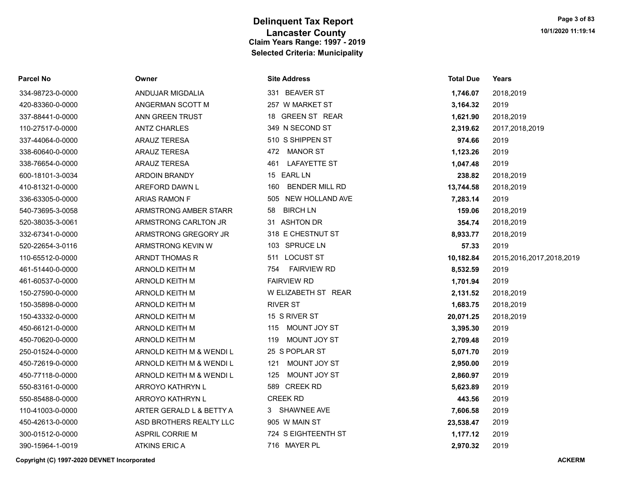| Parcel No |  |
|-----------|--|
|-----------|--|

|  | ite Address |  |
|--|-------------|--|
|--|-------------|--|

| 334-98723-0-0000 | ANDUJAR MIGDALIA         | 331 BEAVER ST             | 1,746.07  | 2018,2019 |
|------------------|--------------------------|---------------------------|-----------|-----------|
| 420-83360-0-0000 | ANGERMAN SCOTT M         | 257 W MARKET ST           | 3,164.32  | 2019      |
| 337-88441-0-0000 | ANN GREEN TRUST          | 18 GREEN ST REAR          | 1,621.90  | 2018,2019 |
| 110-27517-0-0000 | <b>ANTZ CHARLES</b>      | 349 N SECOND ST           | 2,319.62  | 2017,2018 |
| 337-44064-0-0000 | <b>ARAUZ TERESA</b>      | 510 S SHIPPEN ST          | 974.66    | 2019      |
| 338-60640-0-0000 | ARAUZ TERESA             | 472 MANOR ST              | 1,123.26  | 2019      |
| 338-76654-0-0000 | <b>ARAUZ TERESA</b>      | 461 LAFAYETTE ST          | 1,047.48  | 2019      |
| 600-18101-3-0034 | ARDOIN BRANDY            | 15 EARL LN                | 238.82    | 2018,2019 |
| 410-81321-0-0000 | AREFORD DAWN L           | 160 BENDER MILL RD        | 13,744.58 | 2018,2019 |
| 336-63305-0-0000 | <b>ARIAS RAMON F</b>     | 505 NEW HOLLAND AVE       | 7,283.14  | 2019      |
| 540-73695-3-0058 | ARMSTRONG AMBER STARR    | 58 BIRCH LN               | 159.06    | 2018,2019 |
| 520-38035-3-0061 | ARMSTRONG CARLTON JR     | 31 ASHTON DR              | 354.74    | 2018,2019 |
| 332-67341-0-0000 | ARMSTRONG GREGORY JR     | 318 E CHESTNUT ST         | 8,933.77  | 2018,2019 |
| 520-22654-3-0116 | ARMSTRONG KEVIN W        | 103 SPRUCE LN             | 57.33     | 2019      |
| 110-65512-0-0000 | ARNDT THOMAS R           | 511 LOCUST ST             | 10,182.84 | 2015,2016 |
| 461-51440-0-0000 | ARNOLD KEITH M           | <b>FAIRVIEW RD</b><br>754 | 8,532.59  | 2019      |
| 461-60537-0-0000 | ARNOLD KEITH M           | <b>FAIRVIEW RD</b>        | 1,701.94  | 2019      |
| 150-27590-0-0000 | <b>ARNOLD KEITH M</b>    | W ELIZABETH ST REAR       | 2,131.52  | 2018,2019 |
| 150-35898-0-0000 | ARNOLD KEITH M           | <b>RIVER ST</b>           | 1,683.75  | 2018,2019 |
| 150-43332-0-0000 | ARNOLD KEITH M           | 15 S RIVER ST             | 20,071.25 | 2018,2019 |
| 450-66121-0-0000 | ARNOLD KEITH M           | 115 MOUNT JOY ST          | 3,395.30  | 2019      |
| 450-70620-0-0000 | ARNOLD KEITH M           | 119 MOUNT JOY ST          | 2,709.48  | 2019      |
| 250-01524-0-0000 | ARNOLD KEITH M & WENDI L | 25 S POPLAR ST            | 5,071.70  | 2019      |
| 450-72619-0-0000 | ARNOLD KEITH M & WENDI L | 121 MOUNT JOY ST          | 2,950.00  | 2019      |
| 450-77118-0-0000 | ARNOLD KEITH M & WENDI L | 125 MOUNT JOY ST          | 2,860.97  | 2019      |
| 550-83161-0-0000 | ARROYO KATHRYN L         | 589 CREEK RD              | 5,623.89  | 2019      |
| 550-85488-0-0000 | ARROYO KATHRYN L         | <b>CREEK RD</b>           | 443.56    | 2019      |
| 110-41003-0-0000 | ARTER GERALD L & BETTY A | 3 SHAWNEE AVE             | 7,606.58  | 2019      |
| 450-42613-0-0000 | ASD BROTHERS REALTY LLC  | 905 W MAIN ST             | 23,538.47 | 2019      |
| 300-01512-0-0000 | <b>ASPRIL CORRIE M</b>   | 724 S EIGHTEENTH ST       | 1,177.12  | 2019      |
| 390-15964-1-0019 | <b>ATKINS ERIC A</b>     | 716 MAYER PL              | 2,970.32  | 2019      |
|                  |                          |                           |           |           |

| Parcel No        | Owner                    | <b>Site Address</b>          | <b>Total Due</b> | Years                    |
|------------------|--------------------------|------------------------------|------------------|--------------------------|
| 334-98723-0-0000 | ANDUJAR MIGDALIA         | 331 BEAVER ST                | 1,746.07         | 2018,2019                |
| 420-83360-0-0000 | ANGERMAN SCOTT M         | 257 W MARKET ST              | 3,164.32         | 2019                     |
| 337-88441-0-0000 | ANN GREEN TRUST          | 18 GREEN ST REAR             | 1,621.90         | 2018,2019                |
| 110-27517-0-0000 | <b>ANTZ CHARLES</b>      | 349 N SECOND ST              | 2,319.62         | 2017,2018,2019           |
| 337-44064-0-0000 | <b>ARAUZ TERESA</b>      | 510 S SHIPPEN ST             | 974.66           | 2019                     |
| 338-60640-0-0000 | <b>ARAUZ TERESA</b>      | 472 MANOR ST                 | 1,123.26         | 2019                     |
| 338-76654-0-0000 | <b>ARAUZ TERESA</b>      | <b>LAFAYETTE ST</b><br>461   | 1,047.48         | 2019                     |
| 600-18101-3-0034 | <b>ARDOIN BRANDY</b>     | 15 EARL LN                   | 238.82           | 2018,2019                |
| 410-81321-0-0000 | AREFORD DAWN L           | <b>BENDER MILL RD</b><br>160 | 13,744.58        | 2018,2019                |
| 336-63305-0-0000 | <b>ARIAS RAMON F</b>     | 505 NEW HOLLAND AVE          | 7,283.14         | 2019                     |
| 540-73695-3-0058 | ARMSTRONG AMBER STARR    | 58<br><b>BIRCH LN</b>        | 159.06           | 2018,2019                |
| 520-38035-3-0061 | ARMSTRONG CARLTON JR     | 31 ASHTON DR                 | 354.74           | 2018,2019                |
| 332-67341-0-0000 | ARMSTRONG GREGORY JR     | 318 E CHESTNUT ST            | 8,933.77         | 2018,2019                |
| 520-22654-3-0116 | ARMSTRONG KEVIN W        | 103 SPRUCE LN                | 57.33            | 2019                     |
| 110-65512-0-0000 | ARNDT THOMAS R           | 511 LOCUST ST                | 10,182.84        | 2015,2016,2017,2018,2019 |
| 461-51440-0-0000 | ARNOLD KEITH M           | <b>FAIRVIEW RD</b><br>754    | 8,532.59         | 2019                     |
| 461-60537-0-0000 | ARNOLD KEITH M           | <b>FAIRVIEW RD</b>           | 1,701.94         | 2019                     |
| 150-27590-0-0000 | ARNOLD KEITH M           | W ELIZABETH ST REAR          | 2,131.52         | 2018,2019                |
| 150-35898-0-0000 | ARNOLD KEITH M           | <b>RIVER ST</b>              | 1,683.75         | 2018,2019                |
| 150-43332-0-0000 | ARNOLD KEITH M           | 15 S RIVER ST                | 20,071.25        | 2018,2019                |
| 450-66121-0-0000 | ARNOLD KEITH M           | 115 MOUNT JOY ST             | 3,395.30         | 2019                     |
| 450-70620-0-0000 | ARNOLD KEITH M           | MOUNT JOY ST<br>119          | 2,709.48         | 2019                     |
| 250-01524-0-0000 | ARNOLD KEITH M & WENDIL  | 25 S POPLAR ST               | 5,071.70         | 2019                     |
| 450-72619-0-0000 | ARNOLD KEITH M & WENDI L | MOUNT JOY ST<br>121          | 2,950.00         | 2019                     |
| 450-77118-0-0000 | ARNOLD KEITH M & WENDI L | 125<br>MOUNT JOY ST          | 2,860.97         | 2019                     |
| 550-83161-0-0000 | ARROYO KATHRYN L         | 589 CREEK RD                 | 5,623.89         | 2019                     |
| 550-85488-0-0000 | ARROYO KATHRYN L         | <b>CREEK RD</b>              | 443.56           | 2019                     |
| 110-41003-0-0000 | ARTER GERALD L & BETTY A | 3 SHAWNEE AVE                | 7,606.58         | 2019                     |
| 450-42613-0-0000 | ASD BROTHERS REALTY LLC  | 905 W MAIN ST                | 23,538.47        | 2019                     |
| 300-01512-0-0000 | <b>ASPRIL CORRIE M</b>   | 724 S EIGHTEENTH ST          | 1,177.12         | 2019                     |
| 390-15964-1-0019 | ATKINS ERIC A            | 716 MAYER PL                 | 2,970.32         | 2019                     |
|                  |                          |                              |                  |                          |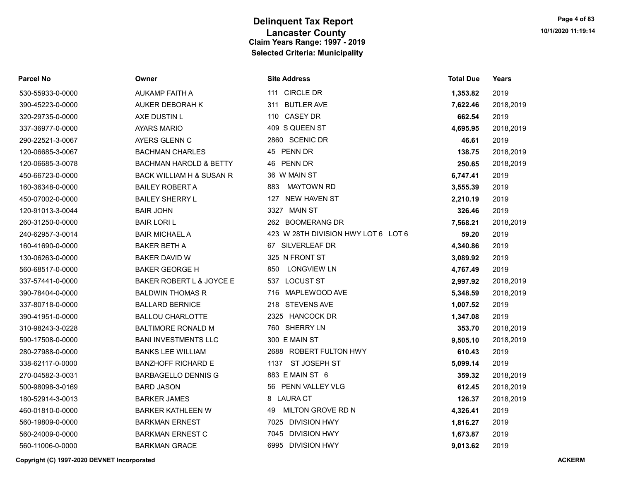| Parcel No        | Owner                             | <b>Site Address</b>                 | <b>Total Due</b> | Years     |
|------------------|-----------------------------------|-------------------------------------|------------------|-----------|
| 530-55933-0-0000 | AUKAMP FAITH A                    | 111 CIRCLE DR                       | 1,353.82         | 2019      |
| 390-45223-0-0000 | <b>AUKER DEBORAH K</b>            | 311 BUTLER AVE                      | 7,622.46         | 2018,2019 |
| 320-29735-0-0000 | AXE DUSTIN L                      | <b>CASEY DR</b><br>110              | 662.54           | 2019      |
| 337-36977-0-0000 | <b>AYARS MARIO</b>                | 409 S QUEEN ST                      | 4,695.95         | 2018,2019 |
| 290-22521-3-0067 | AYERS GLENN C                     | 2860 SCENIC DR                      | 46.61            | 2019      |
| 120-06685-3-0067 | <b>BACHMAN CHARLES</b>            | 45 PENN DR                          | 138.75           | 2018,2019 |
| 120-06685-3-0078 | <b>BACHMAN HAROLD &amp; BETTY</b> | 46 PENN DR                          | 250.65           | 2018,2019 |
| 450-66723-0-0000 | BACK WILLIAM H & SUSAN R          | 36 W MAIN ST                        | 6,747.41         | 2019      |
| 160-36348-0-0000 | <b>BAILEY ROBERT A</b>            | <b>MAYTOWN RD</b><br>883            | 3,555.39         | 2019      |
| 450-07002-0-0000 | <b>BAILEY SHERRY L</b>            | 127 NEW HAVEN ST                    | 2,210.19         | 2019      |
| 120-91013-3-0044 | <b>BAIR JOHN</b>                  | 3327 MAIN ST                        | 326.46           | 2019      |
| 260-31250-0-0000 | <b>BAIR LORI L</b>                | 262 BOOMERANG DR                    | 7,568.21         | 2018,2019 |
| 240-62957-3-0014 | <b>BAIR MICHAEL A</b>             | 423 W 28TH DIVISION HWY LOT 6 LOT 6 | 59.20            | 2019      |
| 160-41690-0-0000 | <b>BAKER BETH A</b>               | 67 SILVERLEAF DR                    | 4,340.86         | 2019      |
| 130-06263-0-0000 | <b>BAKER DAVID W</b>              | 325 N FRONT ST                      | 3,089.92         | 2019      |
| 560-68517-0-0000 | <b>BAKER GEORGE H</b>             | LONGVIEW LN<br>850                  | 4,767.49         | 2019      |
| 337-57441-0-0000 | BAKER ROBERT L & JOYCE E          | 537 LOCUST ST                       | 2,997.92         | 2018,2019 |
| 390-78404-0-0000 | <b>BALDWIN THOMAS R</b>           | MAPLEWOOD AVE<br>716                | 5,348.59         | 2018,2019 |
| 337-80718-0-0000 | <b>BALLARD BERNICE</b>            | 218 STEVENS AVE                     | 1,007.52         | 2019      |
| 390-41951-0-0000 | <b>BALLOU CHARLOTTE</b>           | 2325 HANCOCK DR                     | 1,347.08         | 2019      |
| 310-98243-3-0228 | <b>BALTIMORE RONALD M</b>         | 760 SHERRY LN                       | 353.70           | 2018,2019 |
| 590-17508-0-0000 | <b>BANI INVESTMENTS LLC</b>       | 300 E MAIN ST                       | 9,505.10         | 2018,2019 |
| 280-27988-0-0000 | <b>BANKS LEE WILLIAM</b>          | 2688 ROBERT FULTON HWY              | 610.43           | 2019      |
| 338-62117-0-0000 | <b>BANZHOFF RICHARD E</b>         | ST JOSEPH ST<br>1137                | 5,099.14         | 2019      |
| 270-04582-3-0031 | <b>BARBAGELLO DENNIS G</b>        | 883 E MAIN ST 6                     | 359.32           | 2018,2019 |
| 500-98098-3-0169 | <b>BARD JASON</b>                 | 56 PENN VALLEY VLG                  | 612.45           | 2018,2019 |
| 180-52914-3-0013 | <b>BARKER JAMES</b>               | 8 LAURA CT                          | 126.37           | 2018,2019 |
| 460-01810-0-0000 | <b>BARKER KATHLEEN W</b>          | MILTON GROVE RD N<br>49             | 4,326.41         | 2019      |
| 560-19809-0-0000 | <b>BARKMAN ERNEST</b>             | 7025 DIVISION HWY                   | 1,816.27         | 2019      |
| 560-24009-0-0000 | <b>BARKMAN ERNEST C</b>           | 7045 DIVISION HWY                   | 1,673.87         | 2019      |
| 560-11006-0-0000 | <b>BARKMAN GRACE</b>              | 6995 DIVISION HWY                   | 9,013.62         | 2019      |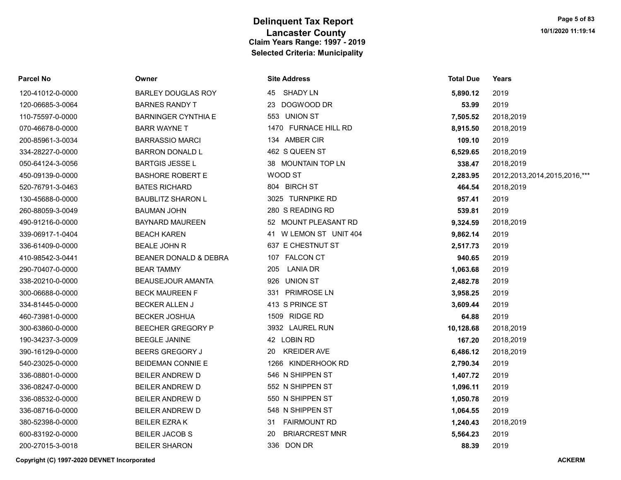| <b>Parcel No</b> | Owner                      | <b>Site Address</b>         | <b>Total Due</b> | Years                             |
|------------------|----------------------------|-----------------------------|------------------|-----------------------------------|
| 120-41012-0-0000 | <b>BARLEY DOUGLAS ROY</b>  | 45 SHADY LN                 | 5,890.12         | 2019                              |
| 120-06685-3-0064 | <b>BARNES RANDY T</b>      | DOGWOOD DR<br>23            | 53.99            | 2019                              |
| 110-75597-0-0000 | <b>BARNINGER CYNTHIA E</b> | 553 UNION ST                | 7,505.52         | 2018,2019                         |
| 070-46678-0-0000 | <b>BARR WAYNE T</b>        | 1470 FURNACE HILL RD        | 8,915.50         | 2018,2019                         |
| 200-85961-3-0034 | <b>BARRASSIO MARCI</b>     | 134 AMBER CIR               | 109.10           | 2019                              |
| 334-28227-0-0000 | <b>BARRON DONALD L</b>     | 462 S QUEEN ST              | 6,529.65         | 2018,2019                         |
| 050-64124-3-0056 | <b>BARTGIS JESSE L</b>     | 38 MOUNTAIN TOP LN          | 338.47           | 2018,2019                         |
| 450-09139-0-0000 | <b>BASHORE ROBERT E</b>    | WOOD ST                     | 2,283.95         | 2012, 2013, 2014, 2015, 2016, *** |
| 520-76791-3-0463 | <b>BATES RICHARD</b>       | 804 BIRCH ST                | 464.54           | 2018,2019                         |
| 130-45688-0-0000 | <b>BAUBLITZ SHARON L</b>   | 3025 TURNPIKE RD            | 957.41           | 2019                              |
| 260-88059-3-0049 | <b>BAUMAN JOHN</b>         | 280 S READING RD            | 539.81           | 2019                              |
| 490-91216-0-0000 | <b>BAYNARD MAUREEN</b>     | 52 MOUNT PLEASANT RD        | 9,324.59         | 2018,2019                         |
| 339-06917-1-0404 | <b>BEACH KAREN</b>         | 41 W LEMON ST UNIT 404      | 9,862.14         | 2019                              |
| 336-61409-0-0000 | <b>BEALE JOHN R</b>        | 637 E CHESTNUT ST           | 2,517.73         | 2019                              |
| 410-98542-3-0441 | BEANER DONALD & DEBRA      | 107 FALCON CT               | 940.65           | 2019                              |
| 290-70407-0-0000 | <b>BEAR TAMMY</b>          | <b>LANIA DR</b><br>205      | 1,063.68         | 2019                              |
| 338-20210-0-0000 | <b>BEAUSEJOUR AMANTA</b>   | 926 UNION ST                | 2,482.78         | 2019                              |
| 300-06688-0-0000 | <b>BECK MAUREEN F</b>      | 331 PRIMROSE LN             | 3,958.25         | 2019                              |
| 334-81445-0-0000 | <b>BECKER ALLEN J</b>      | 413 S PRINCE ST             | 3,609.44         | 2019                              |
| 460-73981-0-0000 | <b>BECKER JOSHUA</b>       | 1509 RIDGE RD               | 64.88            | 2019                              |
| 300-63860-0-0000 | <b>BEECHER GREGORY P</b>   | 3932 LAUREL RUN             | 10,128.68        | 2018,2019                         |
| 190-34237-3-0009 | <b>BEEGLE JANINE</b>       | 42 LOBIN RD                 | 167.20           | 2018,2019                         |
| 390-16129-0-0000 | BEERS GREGORY J            | <b>KREIDER AVE</b><br>20    | 6,486.12         | 2018,2019                         |
| 540-23025-0-0000 | <b>BEIDEMAN CONNIE E</b>   | 1266 KINDERHOOK RD          | 2,790.34         | 2019                              |
| 336-08801-0-0000 | <b>BEILER ANDREW D</b>     | 546 N SHIPPEN ST            | 1,407.72         | 2019                              |
| 336-08247-0-0000 | <b>BEILER ANDREW D</b>     | 552 N SHIPPEN ST            | 1,096.11         | 2019                              |
| 336-08532-0-0000 | <b>BEILER ANDREW D</b>     | 550 N SHIPPEN ST            | 1,050.78         | 2019                              |
| 336-08716-0-0000 | <b>BEILER ANDREW D</b>     | 548 N SHIPPEN ST            | 1,064.55         | 2019                              |
| 380-52398-0-0000 | <b>BEILER EZRAK</b>        | 31 FAIRMOUNT RD             | 1,240.43         | 2018,2019                         |
| 600-83192-0-0000 | <b>BEILER JACOB S</b>      | <b>BRIARCREST MNR</b><br>20 | 5,564.23         | 2019                              |
| 200-27015-3-0018 | <b>BEILER SHARON</b>       | 336 DON DR                  | 88.39            | 2019                              |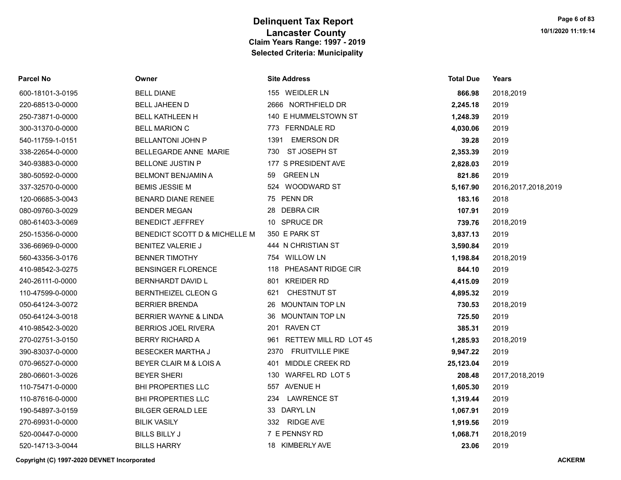| <b>Parcel No</b> | Owner                         | <b>Site Address</b>            | <b>Total Due</b> | Years                  |
|------------------|-------------------------------|--------------------------------|------------------|------------------------|
| 600-18101-3-0195 | <b>BELL DIANE</b>             | 155 WEIDLER LN                 | 866.98           | 2018,2019              |
| 220-68513-0-0000 | <b>BELL JAHEEN D</b>          | 2666 NORTHFIELD DR             | 2,245.18         | 2019                   |
| 250-73871-0-0000 | <b>BELL KATHLEEN H</b>        | 140 E HUMMELSTOWN ST           | 1,248.39         | 2019                   |
| 300-31370-0-0000 | <b>BELL MARION C</b>          | 773 FERNDALE RD                | 4,030.06         | 2019                   |
| 540-11759-1-0151 | <b>BELLANTONI JOHN P</b>      | <b>EMERSON DR</b><br>1391      | 39.28            | 2019                   |
| 338-22654-0-0000 | BELLEGARDE ANNE MARIE         | ST JOSEPH ST<br>730            | 2,353.39         | 2019                   |
| 340-93883-0-0000 | <b>BELLONE JUSTIN P</b>       | 177 S PRESIDENT AVE            | 2,828.03         | 2019                   |
| 380-50592-0-0000 | <b>BELMONT BENJAMIN A</b>     | <b>GREEN LN</b><br>59          | 821.86           | 2019                   |
| 337-32570-0-0000 | <b>BEMIS JESSIE M</b>         | 524 WOODWARD ST                | 5,167.90         | 2016, 2017, 2018, 2019 |
| 120-06685-3-0043 | <b>BENARD DIANE RENEE</b>     | 75 PENN DR                     | 183.16           | 2018                   |
| 080-09760-3-0029 | <b>BENDER MEGAN</b>           | 28 DEBRACIR                    | 107.91           | 2019                   |
| 080-61403-3-0069 | <b>BENEDICT JEFFREY</b>       | 10 SPRUCE DR                   | 739.76           | 2018,2019              |
| 250-15356-0-0000 | BENEDICT SCOTT D & MICHELLE M | 350 E PARK ST                  | 3,837.13         | 2019                   |
| 336-66969-0-0000 | <b>BENITEZ VALERIE J</b>      | 444 N CHRISTIAN ST             | 3,590.84         | 2019                   |
| 560-43356-3-0176 | <b>BENNER TIMOTHY</b>         | 754 WILLOW LN                  | 1,198.84         | 2018,2019              |
| 410-98542-3-0275 | <b>BENSINGER FLORENCE</b>     | 118 PHEASANT RIDGE CIR         | 844.10           | 2019                   |
| 240-26111-0-0000 | BERNHARDT DAVID L             | 801 KREIDER RD                 | 4,415.09         | 2019                   |
| 110-47599-0-0000 | <b>BERNTHEIZEL CLEON G</b>    | 621<br><b>CHESTNUT ST</b>      | 4,895.32         | 2019                   |
| 050-64124-3-0072 | <b>BERRIER BRENDA</b>         | 26 MOUNTAIN TOP LN             | 730.53           | 2018,2019              |
| 050-64124-3-0018 | BERRIER WAYNE & LINDA         | 36 MOUNTAIN TOP LN             | 725.50           | 2019                   |
| 410-98542-3-0020 | <b>BERRIOS JOEL RIVERA</b>    | 201 RAVEN CT                   | 385.31           | 2019                   |
| 270-02751-3-0150 | <b>BERRY RICHARD A</b>        | RETTEW MILL RD LOT 45<br>961   | 1,285.93         | 2018,2019              |
| 390-83037-0-0000 | <b>BESECKER MARTHA J</b>      | <b>FRUITVILLE PIKE</b><br>2370 | 9,947.22         | 2019                   |
| 070-96527-0-0000 | BEYER CLAIR M & LOIS A        | 401 MIDDLE CREEK RD            | 25,123.04        | 2019                   |
| 280-06601-3-0026 | <b>BEYER SHERI</b>            | 130 WARFEL RD LOT 5            | 208.48           | 2017,2018,2019         |
| 110-75471-0-0000 | <b>BHI PROPERTIES LLC</b>     | 557 AVENUE H                   | 1,605.30         | 2019                   |
| 110-87616-0-0000 | <b>BHI PROPERTIES LLC</b>     | <b>LAWRENCE ST</b><br>234      | 1,319.44         | 2019                   |
| 190-54897-3-0159 | <b>BILGER GERALD LEE</b>      | 33 DARYL LN                    | 1,067.91         | 2019                   |
| 270-69931-0-0000 | <b>BILIK VASILY</b>           | 332 RIDGE AVE                  | 1,919.56         | 2019                   |
| 520-00447-0-0000 | <b>BILLS BILLY J</b>          | 7 E PENNSY RD                  | 1,068.71         | 2018,2019              |
| 520-14713-3-0044 | <b>BILLS HARRY</b>            | 18 KIMBERLY AVE                | 23.06            | 2019                   |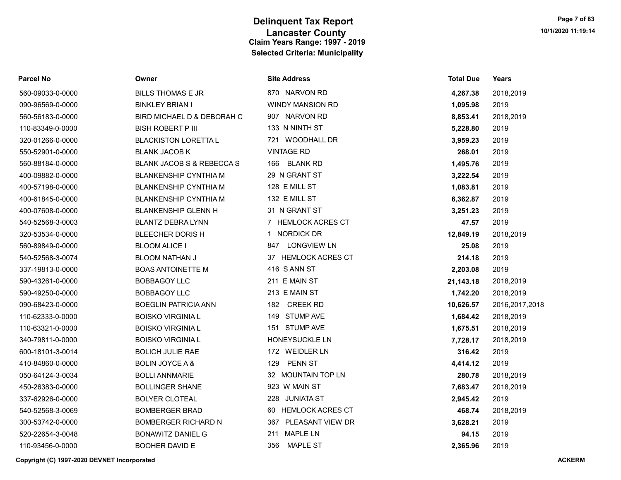| <b>Parcel No</b> | Owner                                | <b>Site Address</b>     | Total Due | Years          |
|------------------|--------------------------------------|-------------------------|-----------|----------------|
| 560-09033-0-0000 | <b>BILLS THOMAS E JR</b>             | 870 NARVON RD           | 4,267.38  | 2018,2019      |
| 090-96569-0-0000 | <b>BINKLEY BRIAN I</b>               | <b>WINDY MANSION RD</b> | 1,095.98  | 2019           |
| 560-56183-0-0000 | BIRD MICHAEL D & DEBORAH C           | 907 NARVON RD           | 8,853.41  | 2018,2019      |
| 110-83349-0-0000 | <b>BISH ROBERT P III</b>             | 133 N NINTH ST          | 5,228.80  | 2019           |
| 320-01266-0-0000 | <b>BLACKISTON LORETTA L</b>          | 721 WOODHALL DR         | 3,959.23  | 2019           |
| 550-52901-0-0000 | <b>BLANK JACOB K</b>                 | <b>VINTAGE RD</b>       | 268.01    | 2019           |
| 560-88184-0-0000 | <b>BLANK JACOB S &amp; REBECCA S</b> | 166 BLANK RD            | 1,495.76  | 2019           |
| 400-09882-0-0000 | <b>BLANKENSHIP CYNTHIA M</b>         | 29 N GRANT ST           | 3,222.54  | 2019           |
| 400-57198-0-0000 | <b>BLANKENSHIP CYNTHIA M</b>         | 128 E MILL ST           | 1,083.81  | 2019           |
| 400-61845-0-0000 | <b>BLANKENSHIP CYNTHIA M</b>         | 132 E MILL ST           | 6,362.87  | 2019           |
| 400-07608-0-0000 | <b>BLANKENSHIP GLENN H</b>           | 31 N GRANT ST           | 3,251.23  | 2019           |
| 540-52568-3-0003 | <b>BLANTZ DEBRA LYNN</b>             | 7 HEMLOCK ACRES CT      | 47.57     | 2019           |
| 320-53534-0-0000 | BLEECHER DORIS H                     | 1 NORDICK DR            | 12,849.19 | 2018,2019      |
| 560-89849-0-0000 | <b>BLOOM ALICE I</b>                 | 847 LONGVIEW LN         | 25.08     | 2019           |
| 540-52568-3-0074 | <b>BLOOM NATHAN J</b>                | 37 HEMLOCK ACRES CT     | 214.18    | 2019           |
| 337-19813-0-0000 | <b>BOAS ANTOINETTE M</b>             | 416 S ANN ST            | 2,203.08  | 2019           |
| 590-43261-0-0000 | <b>BOBBAGOY LLC</b>                  | 211 E MAIN ST           | 21,143.18 | 2018,2019      |
| 590-49250-0-0000 | <b>BOBBAGOY LLC</b>                  | 213 E MAIN ST           | 1,742.20  | 2018,2019      |
| 090-68423-0-0000 | <b>BOEGLIN PATRICIA ANN</b>          | 182 CREEK RD            | 10,626.57 | 2016,2017,2018 |
| 110-62333-0-0000 | <b>BOISKO VIRGINIA L</b>             | 149 STUMP AVE           | 1,684.42  | 2018,2019      |
| 110-63321-0-0000 | <b>BOISKO VIRGINIA L</b>             | 151 STUMP AVE           | 1,675.51  | 2018,2019      |
| 340-79811-0-0000 | <b>BOISKO VIRGINIA L</b>             | HONEYSUCKLE LN          | 7,728.17  | 2018,2019      |
| 600-18101-3-0014 | <b>BOLICH JULIE RAE</b>              | 172 WEIDLER LN          | 316.42    | 2019           |
| 410-84860-0-0000 | <b>BOLIN JOYCE A &amp;</b>           | PENN ST<br>129          | 4,414.12  | 2019           |
| 050-64124-3-0034 | <b>BOLLI ANNMARIE</b>                | 32 MOUNTAIN TOP LN      | 280.78    | 2018,2019      |
| 450-26383-0-0000 | <b>BOLLINGER SHANE</b>               | 923 W MAIN ST           | 7,683.47  | 2018,2019      |
| 337-62926-0-0000 | <b>BOLYER CLOTEAL</b>                | 228 JUNIATA ST          | 2,945.42  | 2019           |
| 540-52568-3-0069 | <b>BOMBERGER BRAD</b>                | 60 HEMLOCK ACRES CT     | 468.74    | 2018,2019      |
| 300-53742-0-0000 | <b>BOMBERGER RICHARD N</b>           | 367 PLEASANT VIEW DR    | 3,628.21  | 2019           |
| 520-22654-3-0048 | <b>BONAWITZ DANIEL G</b>             | <b>MAPLE LN</b><br>211  | 94.15     | 2019           |
| 110-93456-0-0000 | <b>BOOHER DAVID E</b>                | <b>MAPLE ST</b><br>356  | 2.365.96  | 2019           |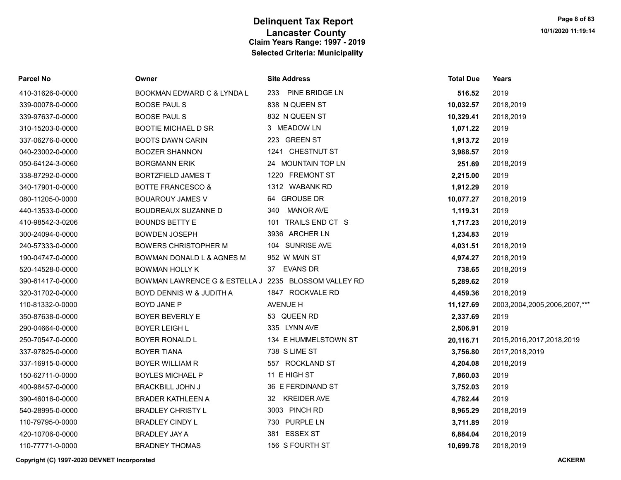| Parcel No        | Owner                                                | <b>Site Address</b>     | <b>Total Due</b> | <b>Years</b>                 |
|------------------|------------------------------------------------------|-------------------------|------------------|------------------------------|
| 410-31626-0-0000 | BOOKMAN EDWARD C & LYNDA L                           | 233 PINE BRIDGE LN      | 516.52           | 2019                         |
| 339-00078-0-0000 | <b>BOOSE PAUL S</b>                                  | 838 N QUEEN ST          | 10,032.57        | 2018,2019                    |
| 339-97637-0-0000 | <b>BOOSE PAUL S</b>                                  | 832 N QUEEN ST          | 10,329.41        | 2018,2019                    |
| 310-15203-0-0000 | <b>BOOTIE MICHAEL D SR</b>                           | 3 MEADOW LN             | 1,071.22         | 2019                         |
| 337-06276-0-0000 | <b>BOOTS DAWN CARIN</b>                              | 223 GREEN ST            | 1,913.72         | 2019                         |
| 040-23002-0-0000 | <b>BOOZER SHANNON</b>                                | 1241 CHESTNUT ST        | 3,988.57         | 2019                         |
| 050-64124-3-0060 | <b>BORGMANN ERIK</b>                                 | 24 MOUNTAIN TOP LN      | 251.69           | 2018,2019                    |
| 338-87292-0-0000 | <b>BORTZFIELD JAMES T</b>                            | 1220 FREMONT ST         | 2,215.00         | 2019                         |
| 340-17901-0-0000 | <b>BOTTE FRANCESCO &amp;</b>                         | 1312 WABANK RD          | 1,912.29         | 2019                         |
| 080-11205-0-0000 | <b>BOUAROUY JAMES V</b>                              | 64 GROUSE DR            | 10,077.27        | 2018,2019                    |
| 440-13533-0-0000 | <b>BOUDREAUX SUZANNE D</b>                           | <b>MANOR AVE</b><br>340 | 1,119.31         | 2019                         |
| 410-98542-3-0206 | <b>BOUNDS BETTY E</b>                                | 101 TRAILS END CT S     | 1,717.23         | 2018,2019                    |
| 300-24094-0-0000 | <b>BOWDEN JOSEPH</b>                                 | 3936 ARCHER LN          | 1,234.83         | 2019                         |
| 240-57333-0-0000 | <b>BOWERS CHRISTOPHER M</b>                          | 104 SUNRISE AVE         | 4,031.51         | 2018,2019                    |
| 190-04747-0-0000 | BOWMAN DONALD L & AGNES M                            | 952 W MAIN ST           | 4,974.27         | 2018,2019                    |
| 520-14528-0-0000 | <b>BOWMAN HOLLY K</b>                                | 37 EVANS DR             | 738.65           | 2018,2019                    |
| 390-61417-0-0000 | BOWMAN LAWRENCE G & ESTELLA J 2235 BLOSSOM VALLEY RD |                         | 5,289.62         | 2019                         |
| 320-31702-0-0000 | BOYD DENNIS W & JUDITH A                             | 1847 ROCKVALE RD        | 4,459.36         | 2018,2019                    |
| 110-81332-0-0000 | <b>BOYD JANE P</b>                                   | AVENUE H                | 11,127.69        | 2003,2004,2005,2006,2007,*** |
| 350-87638-0-0000 | <b>BOYER BEVERLY E</b>                               | 53 QUEEN RD             | 2,337.69         | 2019                         |
| 290-04664-0-0000 | <b>BOYER LEIGH L</b>                                 | 335 LYNN AVE            | 2,506.91         | 2019                         |
| 250-70547-0-0000 | BOYER RONALD L                                       | 134 E HUMMELSTOWN ST    | 20,116.71        | 2015, 2016, 2017, 2018, 2019 |
| 337-97825-0-0000 | <b>BOYER TIANA</b>                                   | 738 S LIME ST           | 3,756.80         | 2017,2018,2019               |
| 337-16915-0-0000 | <b>BOYER WILLIAM R</b>                               | 557 ROCKLAND ST         | 4,204.08         | 2018,2019                    |
| 150-62711-0-0000 | <b>BOYLES MICHAEL P</b>                              | 11 E HIGH ST            | 7,860.03         | 2019                         |
| 400-98457-0-0000 | <b>BRACKBILL JOHN J</b>                              | 36 E FERDINAND ST       | 3,752.03         | 2019                         |
| 390-46016-0-0000 | <b>BRADER KATHLEEN A</b>                             | 32 KREIDER AVE          | 4,782.44         | 2019                         |
| 540-28995-0-0000 | <b>BRADLEY CHRISTY L</b>                             | 3003 PINCH RD           | 8,965.29         | 2018,2019                    |
| 110-79795-0-0000 | <b>BRADLEY CINDY L</b>                               | 730 PURPLE LN           | 3,711.89         | 2019                         |
| 420-10706-0-0000 | <b>BRADLEY JAY A</b>                                 | 381 ESSEX ST            | 6,884.04         | 2018,2019                    |
| 110-77771-0-0000 | <b>BRADNEY THOMAS</b>                                | 156 S FOURTH ST         | 10,699.78        | 2018,2019                    |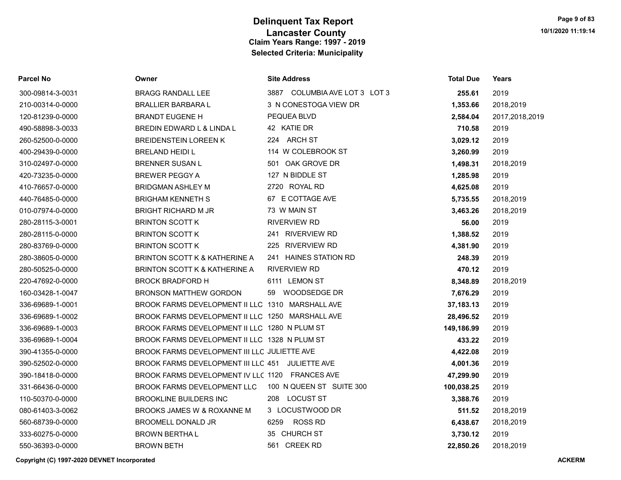| <b>Parcel No</b> | Owner                                            | <b>Site Address</b>           | <b>Total Due</b> | Years          |
|------------------|--------------------------------------------------|-------------------------------|------------------|----------------|
| 300-09814-3-0031 | <b>BRAGG RANDALL LEE</b>                         | 3887 COLUMBIA AVE LOT 3 LOT 3 | 255.61           | 2019           |
| 210-00314-0-0000 | <b>BRALLIER BARBARA L</b>                        | 3 N CONESTOGA VIEW DR         | 1,353.66         | 2018,2019      |
| 120-81239-0-0000 | <b>BRANDT EUGENE H</b>                           | PEQUEA BLVD                   | 2,584.04         | 2017,2018,2019 |
| 490-58898-3-0033 | BREDIN EDWARD L & LINDA L                        | 42 KATIE DR                   | 710.58           | 2019           |
| 260-52500-0-0000 | <b>BREIDENSTEIN LOREEN K</b>                     | 224 ARCH ST                   | 3,029.12         | 2019           |
| 400-29439-0-0000 | <b>BRELAND HEIDI L</b>                           | 114 W COLEBROOK ST            | 3,260.99         | 2019           |
| 310-02497-0-0000 | <b>BRENNER SUSAN L</b>                           | 501 OAK GROVE DR              | 1,498.31         | 2018,2019      |
| 420-73235-0-0000 | <b>BREWER PEGGY A</b>                            | 127 N BIDDLE ST               | 1,285.98         | 2019           |
| 410-76657-0-0000 | <b>BRIDGMAN ASHLEY M</b>                         | 2720 ROYAL RD                 | 4,625.08         | 2019           |
| 440-76485-0-0000 | <b>BRIGHAM KENNETH S</b>                         | 67 E COTTAGE AVE              | 5,735.55         | 2018,2019      |
| 010-07974-0-0000 | <b>BRIGHT RICHARD M JR</b>                       | 73 W MAIN ST                  | 3,463.26         | 2018,2019      |
| 280-28115-3-0001 | <b>BRINTON SCOTT K</b>                           | RIVERVIEW RD                  | 56.00            | 2019           |
| 280-28115-0-0000 | <b>BRINTON SCOTT K</b>                           | 241 RIVERVIEW RD              | 1,388.52         | 2019           |
| 280-83769-0-0000 | <b>BRINTON SCOTT K</b>                           | 225 RIVERVIEW RD              | 4,381.90         | 2019           |
| 280-38605-0-0000 | <b>BRINTON SCOTT K &amp; KATHERINE A</b>         | 241 HAINES STATION RD         | 248.39           | 2019           |
| 280-50525-0-0000 | BRINTON SCOTT K & KATHERINE A                    | <b>RIVERVIEW RD</b>           | 470.12           | 2019           |
| 220-47692-0-0000 | <b>BROCK BRADFORD H</b>                          | 6111 LEMON ST                 | 8,348.89         | 2018,2019      |
| 160-03428-1-0047 | <b>BRONSON MATTHEW GORDON</b>                    | WOODSEDGE DR<br>59            | 7,676.29         | 2019           |
| 336-69689-1-0001 | BROOK FARMS DEVELOPMENT II LLC 1310 MARSHALL AVE |                               | 37,183.13        | 2019           |
| 336-69689-1-0002 | BROOK FARMS DEVELOPMENT II LLC 1250 MARSHALL AVE |                               | 28,496.52        | 2019           |
| 336-69689-1-0003 | BROOK FARMS DEVELOPMENT II LLC 1280 N PLUM ST    |                               | 149,186.99       | 2019           |
| 336-69689-1-0004 | BROOK FARMS DEVELOPMENT II LLC 1328 N PLUM ST    |                               | 433.22           | 2019           |
| 390-41355-0-0000 | BROOK FARMS DEVELOPMENT III LLC JULIETTE AVE     |                               | 4,422.08         | 2019           |
| 390-52502-0-0000 | BROOK FARMS DEVELOPMENT III LLC 451 JULIETTE AVE |                               | 4,001.36         | 2019           |
| 390-18418-0-0000 | BROOK FARMS DEVELOPMENT IV LLC 1120 FRANCES AVE  |                               | 47,299.90        | 2019           |
| 331-66436-0-0000 | BROOK FARMS DEVELOPMENT LLC                      | 100 N QUEEN ST SUITE 300      | 100,038.25       | 2019           |
| 110-50370-0-0000 | <b>BROOKLINE BUILDERS INC</b>                    | 208 LOCUST ST                 | 3,388.76         | 2019           |
| 080-61403-3-0062 | BROOKS JAMES W & ROXANNE M                       | 3 LOCUSTWOOD DR               | 511.52           | 2018,2019      |
| 560-68739-0-0000 | BROOMELL DONALD JR                               | <b>ROSS RD</b><br>6259        | 6,438.67         | 2018,2019      |
| 333-60275-0-0000 | <b>BROWN BERTHAL</b>                             | 35 CHURCH ST                  | 3,730.12         | 2019           |
| 550-36393-0-0000 | <b>BROWN BETH</b>                                | 561 CREEK RD                  | 22.850.26        | 2018.2019      |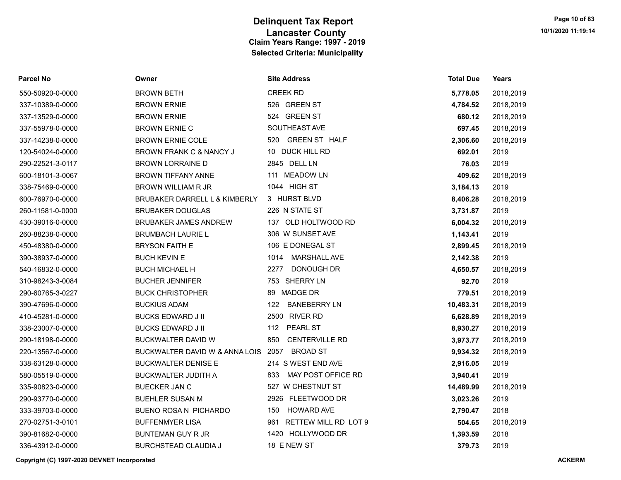| <b>Parcel No</b> | Owner                          | <b>Site Address</b>          | <b>Total Due</b> | Years     |
|------------------|--------------------------------|------------------------------|------------------|-----------|
| 550-50920-0-0000 | <b>BROWN BETH</b>              | <b>CREEK RD</b>              | 5,778.05         | 2018,2019 |
| 337-10389-0-0000 | <b>BROWN ERNIE</b>             | 526 GREEN ST                 | 4,784.52         | 2018,2019 |
| 337-13529-0-0000 | <b>BROWN ERNIE</b>             | 524 GREEN ST                 | 680.12           | 2018,2019 |
| 337-55978-0-0000 | <b>BROWN ERNIE C</b>           | SOUTHEAST AVE                | 697.45           | 2018,2019 |
| 337-14238-0-0000 | <b>BROWN ERNIE COLE</b>        | 520 GREEN ST HALF            | 2,306.60         | 2018,2019 |
| 120-54024-0-0000 | BROWN FRANK C & NANCY J        | 10 DUCK HILL RD              | 692.01           | 2019      |
| 290-22521-3-0117 | <b>BROWN LORRAINE D</b>        | 2845 DELL LN                 | 76.03            | 2019      |
| 600-18101-3-0067 | <b>BROWN TIFFANY ANNE</b>      | 111 MEADOW LN                | 409.62           | 2018,2019 |
| 338-75469-0-0000 | <b>BROWN WILLIAM R JR</b>      | 1044 HIGH ST                 | 3,184.13         | 2019      |
| 600-76970-0-0000 | BRUBAKER DARRELL L & KIMBERLY  | 3 HURST BLVD                 | 8,406.28         | 2018,2019 |
| 260-11581-0-0000 | <b>BRUBAKER DOUGLAS</b>        | 226 N STATE ST               | 3,731.87         | 2019      |
| 430-39016-0-0000 | <b>BRUBAKER JAMES ANDREW</b>   | 137 OLD HOLTWOOD RD          | 6,004.32         | 2018,2019 |
| 260-88238-0-0000 | <b>BRUMBACH LAURIE L</b>       | 306 W SUNSET AVE             | 1,143.41         | 2019      |
| 450-48380-0-0000 | <b>BRYSON FAITH E</b>          | 106 E DONEGAL ST             | 2,899.45         | 2018,2019 |
| 390-38937-0-0000 | <b>BUCH KEVIN E</b>            | <b>MARSHALL AVE</b><br>1014  | 2,142.38         | 2019      |
| 540-16832-0-0000 | <b>BUCH MICHAEL H</b>          | <b>DONOUGH DR</b><br>2277    | 4,650.57         | 2018,2019 |
| 310-98243-3-0084 | <b>BUCHER JENNIFER</b>         | 753 SHERRY LN                | 92.70            | 2019      |
| 290-60765-3-0227 | <b>BUCK CHRISTOPHER</b>        | 89 MADGE DR                  | 779.51           | 2018,2019 |
| 390-47696-0-0000 | <b>BUCKIUS ADAM</b>            | <b>BANEBERRY LN</b><br>122   | 10,483.31        | 2018,2019 |
| 410-45281-0-0000 | <b>BUCKS EDWARD J II</b>       | 2500 RIVER RD                | 6,628.89         | 2018,2019 |
| 338-23007-0-0000 | <b>BUCKS EDWARD J II</b>       | <b>PEARL ST</b><br>112       | 8,930.27         | 2018,2019 |
| 290-18198-0-0000 | <b>BUCKWALTER DAVID W</b>      | 850<br><b>CENTERVILLE RD</b> | 3,973.77         | 2018,2019 |
| 220-13567-0-0000 | BUCKWALTER DAVID W & ANNA LOIS | <b>BROAD ST</b><br>2057      | 9,934.32         | 2018,2019 |
| 338-63128-0-0000 | <b>BUCKWALTER DENISE E</b>     | 214 S WEST END AVE           | 2,916.05         | 2019      |
| 580-05519-0-0000 | <b>BUCKWALTER JUDITH A</b>     | MAY POST OFFICE RD<br>833    | 3,940.41         | 2019      |
| 335-90823-0-0000 | <b>BUECKER JAN C</b>           | 527 W CHESTNUT ST            | 14,489.99        | 2018,2019 |
| 290-93770-0-0000 | <b>BUEHLER SUSAN M</b>         | 2926 FLEETWOOD DR            | 3,023.26         | 2019      |
| 333-39703-0-0000 | BUENO ROSA N PICHARDO          | 150<br><b>HOWARD AVE</b>     | 2,790.47         | 2018      |
| 270-02751-3-0101 | <b>BUFFENMYER LISA</b>         | 961 RETTEW MILL RD LOT 9     | 504.65           | 2018,2019 |
| 390-81682-0-0000 | <b>BUNTEMAN GUY R JR</b>       | 1420 HOLLYWOOD DR            | 1,393.59         | 2018      |
| 336-43912-0-0000 | <b>BURCHSTEAD CLAUDIA J</b>    | 18 E NEW ST                  | 379.73           | 2019      |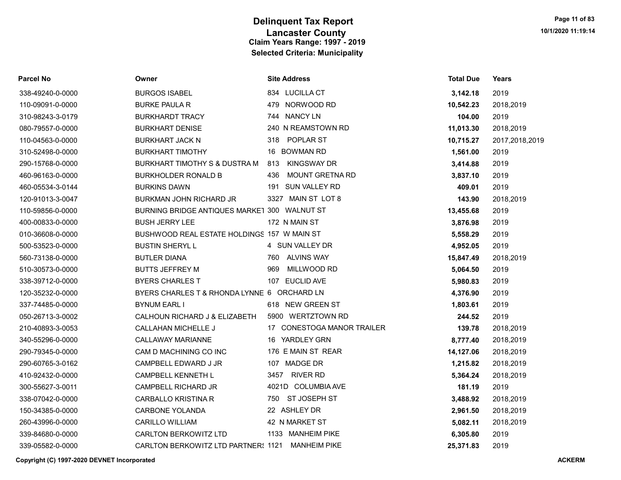| <b>Parcel No</b> | Owner                                            | <b>Site Address</b>           | <b>Total Due</b> | Years          |
|------------------|--------------------------------------------------|-------------------------------|------------------|----------------|
| 338-49240-0-0000 | <b>BURGOS ISABEL</b>                             | 834 LUCILLA CT                | 3,142.18         | 2019           |
| 110-09091-0-0000 | <b>BURKE PAULA R</b>                             | 479 NORWOOD RD                | 10,542.23        | 2018,2019      |
| 310-98243-3-0179 | <b>BURKHARDT TRACY</b>                           | 744 NANCY LN                  | 104.00           | 2019           |
| 080-79557-0-0000 | <b>BURKHART DENISE</b>                           | 240 N REAMSTOWN RD            | 11,013.30        | 2018,2019      |
| 110-04563-0-0000 | <b>BURKHART JACK N</b>                           | 318 POPLAR ST                 | 10,715.27        | 2017,2018,2019 |
| 310-52498-0-0000 | <b>BURKHART TIMOTHY</b>                          | 16 BOWMAN RD                  | 1,561.00         | 2019           |
| 290-15768-0-0000 | BURKHART TIMOTHY S & DUSTRA M                    | <b>KINGSWAY DR</b><br>813     | 3,414.88         | 2019           |
| 460-96163-0-0000 | <b>BURKHOLDER RONALD B</b>                       | <b>MOUNT GRETNA RD</b><br>436 | 3,837.10         | 2019           |
| 460-05534-3-0144 | <b>BURKINS DAWN</b>                              | SUN VALLEY RD<br>191          | 409.01           | 2019           |
| 120-91013-3-0047 | <b>BURKMAN JOHN RICHARD JR</b>                   | 3327 MAIN ST LOT 8            | 143.90           | 2018,2019      |
| 110-59856-0-0000 | BURNING BRIDGE ANTIQUES MARKET 300 WALNUT ST     |                               | 13,455.68        | 2019           |
| 400-00833-0-0000 | <b>BUSH JERRY LEE</b>                            | 172 N MAIN ST                 | 3,876.98         | 2019           |
| 010-36608-0-0000 | BUSHWOOD REAL ESTATE HOLDINGS 157 W MAIN ST      |                               | 5,558.29         | 2019           |
| 500-53523-0-0000 | <b>BUSTIN SHERYLL</b>                            | 4 SUN VALLEY DR               | 4,952.05         | 2019           |
| 560-73138-0-0000 | <b>BUTLER DIANA</b>                              | 760 ALVINS WAY                | 15,847.49        | 2018,2019      |
| 510-30573-0-0000 | <b>BUTTS JEFFREY M</b>                           | MILLWOOD RD<br>969            | 5,064.50         | 2019           |
| 338-39712-0-0000 | <b>BYERS CHARLES T</b>                           | 107 EUCLID AVE                | 5,980.83         | 2019           |
| 120-35232-0-0000 | BYERS CHARLES T & RHONDA LYNNE 6 ORCHARD LN      |                               | 4,376.90         | 2019           |
| 337-74485-0-0000 | <b>BYNUM EARL I</b>                              | 618 NEW GREEN ST              | 1,803.61         | 2019           |
| 050-26713-3-0002 | CALHOUN RICHARD J & ELIZABETH                    | 5900 WERTZTOWN RD             | 244.52           | 2019           |
| 210-40893-3-0053 | <b>CALLAHAN MICHELLE J</b>                       | 17 CONESTOGA MANOR TRAILER    | 139.78           | 2018,2019      |
| 340-55296-0-0000 | <b>CALLAWAY MARIANNE</b>                         | 16 YARDLEY GRN                | 8,777.40         | 2018,2019      |
| 290-79345-0-0000 | CAM D MACHINING CO INC                           | 176 E MAIN ST REAR            | 14,127.06        | 2018,2019      |
| 290-60765-3-0162 | CAMPBELL EDWARD J JR                             | 107 MADGE DR                  | 1,215.82         | 2018,2019      |
| 410-92432-0-0000 | CAMPBELL KENNETH L                               | 3457<br>RIVER RD              | 5,364.24         | 2018,2019      |
| 300-55627-3-0011 | <b>CAMPBELL RICHARD JR</b>                       | 4021D COLUMBIA AVE            | 181.19           | 2019           |
| 338-07042-0-0000 | <b>CARBALLO KRISTINA R</b>                       | 750 ST JOSEPH ST              | 3,488.92         | 2018,2019      |
| 150-34385-0-0000 | <b>CARBONE YOLANDA</b>                           | 22 ASHLEY DR                  | 2,961.50         | 2018,2019      |
| 260-43996-0-0000 | <b>CARILLO WILLIAM</b>                           | 42 N MARKET ST                | 5,082.11         | 2018,2019      |
| 339-84680-0-0000 | <b>CARLTON BERKOWITZ LTD</b>                     | 1133 MANHEIM PIKE             | 6,305.80         | 2019           |
| 339-05582-0-0000 | CARLTON BERKOWITZ LTD PARTNER: 1121 MANHEIM PIKE |                               | 25.371.83        | 2019           |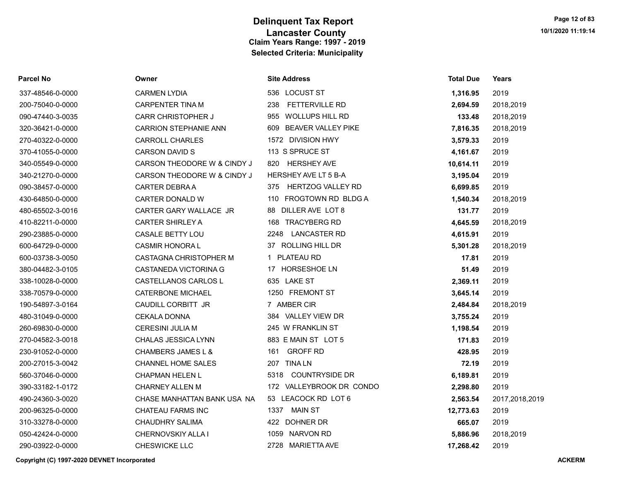| <b>Parcel No</b> | Owner                        | <b>Site Address</b>             | <b>Total Due</b> | Years          |
|------------------|------------------------------|---------------------------------|------------------|----------------|
| 337-48546-0-0000 | <b>CARMEN LYDIA</b>          | 536 LOCUST ST                   | 1,316.95         | 2019           |
| 200-75040-0-0000 | <b>CARPENTER TINA M</b>      | <b>FETTERVILLE RD</b><br>238    | 2,694.59         | 2018,2019      |
| 090-47440-3-0035 | <b>CARR CHRISTOPHER J</b>    | <b>WOLLUPS HILL RD</b><br>955   | 133.48           | 2018,2019      |
| 320-36421-0-0000 | <b>CARRION STEPHANIE ANN</b> | BEAVER VALLEY PIKE<br>609       | 7,816.35         | 2018,2019      |
| 270-40322-0-0000 | <b>CARROLL CHARLES</b>       | 1572 DIVISION HWY               | 3,579.33         | 2019           |
| 370-41055-0-0000 | <b>CARSON DAVID S</b>        | 113 S SPRUCE ST                 | 4,161.67         | 2019           |
| 340-05549-0-0000 | CARSON THEODORE W & CINDY J  | 820<br><b>HERSHEY AVE</b>       | 10,614.11        | 2019           |
| 340-21270-0-0000 | CARSON THEODORE W & CINDY J  | HERSHEY AVE LT 5 B-A            | 3,195.04         | 2019           |
| 090-38457-0-0000 | <b>CARTER DEBRAA</b>         | <b>HERTZOG VALLEY RD</b><br>375 | 6,699.85         | 2019           |
| 430-64850-0-0000 | <b>CARTER DONALD W</b>       | 110 FROGTOWN RD BLDG A          | 1,540.34         | 2018,2019      |
| 480-65502-3-0016 | CARTER GARY WALLACE JR       | 88 DILLER AVE LOT 8             | 131.77           | 2019           |
| 410-82211-0-0000 | <b>CARTER SHIRLEY A</b>      | 168 TRACYBERG RD                | 4,645.59         | 2018,2019      |
| 290-23885-0-0000 | CASALE BETTY LOU             | 2248 LANCASTER RD               | 4,615.91         | 2019           |
| 600-64729-0-0000 | <b>CASMIR HONORAL</b>        | 37 ROLLING HILL DR              | 5,301.28         | 2018,2019      |
| 600-03738-3-0050 | CASTAGNA CHRISTOPHER M       | 1 PLATEAU RD                    | 17.81            | 2019           |
| 380-04482-3-0105 | CASTANEDA VICTORINA G        | 17 HORSESHOE LN                 | 51.49            | 2019           |
| 338-10028-0-0000 | CASTELLANOS CARLOS L         | 635 LAKE ST                     | 2,369.11         | 2019           |
| 338-70579-0-0000 | <b>CATERBONE MICHAEL</b>     | 1250 FREMONT ST                 | 3,645.14         | 2019           |
| 190-54897-3-0164 | CAUDILL CORBITT JR           | 7 AMBER CIR                     | 2,484.84         | 2018,2019      |
| 480-31049-0-0000 | <b>CEKALA DONNA</b>          | 384 VALLEY VIEW DR              | 3,755.24         | 2019           |
| 260-69830-0-0000 | <b>CERESINI JULIA M</b>      | 245 W FRANKLIN ST               | 1,198.54         | 2019           |
| 270-04582-3-0018 | CHALAS JESSICA LYNN          | 883 E MAIN ST LOT 5             | 171.83           | 2019           |
| 230-91052-0-0000 | CHAMBERS JAMES L &           | 161 GROFF RD                    | 428.95           | 2019           |
| 200-27015-3-0042 | <b>CHANNEL HOME SALES</b>    | 207 TINA LN                     | 72.19            | 2019           |
| 560-37046-0-0000 | <b>CHAPMAN HELEN L</b>       | <b>COUNTRYSIDE DR</b><br>5318   | 6,189.81         | 2019           |
| 390-33182-1-0172 | <b>CHARNEY ALLEN M</b>       | 172 VALLEYBROOK DR CONDO        | 2,298.80         | 2019           |
| 490-24360-3-0020 | CHASE MANHATTAN BANK USA NA  | 53 LEACOCK RD LOT 6             | 2,563.54         | 2017,2018,2019 |
| 200-96325-0-0000 | <b>CHATEAU FARMS INC</b>     | <b>MAIN ST</b><br>1337          | 12,773.63        | 2019           |
| 310-33278-0-0000 | <b>CHAUDHRY SALIMA</b>       | 422 DOHNER DR                   | 665.07           | 2019           |
| 050-42424-0-0000 | CHERNOVSKIY ALLA I           | 1059 NARVON RD                  | 5,886.96         | 2018,2019      |
| 290-03922-0-0000 | CHESWICKE LLC                | 2728 MARIETTA AVE               | 17,268.42        | 2019           |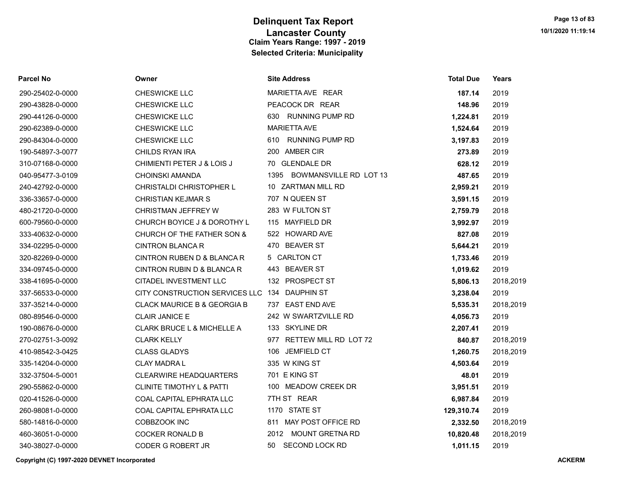| <b>Parcel No</b> | Owner                                         | <b>Site Address</b>         | <b>Total Due</b> | Years     |
|------------------|-----------------------------------------------|-----------------------------|------------------|-----------|
| 290-25402-0-0000 | CHESWICKE LLC                                 | MARIETTA AVE REAR           | 187.14           | 2019      |
| 290-43828-0-0000 | CHESWICKE LLC                                 | PEACOCK DR REAR             | 148.96           | 2019      |
| 290-44126-0-0000 | <b>CHESWICKE LLC</b>                          | 630 RUNNING PUMP RD         | 1,224.81         | 2019      |
| 290-62389-0-0000 | <b>CHESWICKE LLC</b>                          | <b>MARIETTA AVE</b>         | 1,524.64         | 2019      |
| 290-84304-0-0000 | CHESWICKE LLC                                 | 610 RUNNING PUMP RD         | 3,197.83         | 2019      |
| 190-54897-3-0077 | CHILDS RYAN IRA                               | 200 AMBER CIR               | 273.89           | 2019      |
| 310-07168-0-0000 | CHIMIENTI PETER J & LOIS J                    | 70 GLENDALE DR              | 628.12           | 2019      |
| 040-95477-3-0109 | <b>CHOINSKI AMANDA</b>                        | 1395 BOWMANSVILLE RD LOT 13 | 487.65           | 2019      |
| 240-42792-0-0000 | <b>CHRISTALDI CHRISTOPHER L</b>               | 10 ZARTMAN MILL RD          | 2,959.21         | 2019      |
| 336-33657-0-0000 | <b>CHRISTIAN KEJMAR S</b>                     | 707 N QUEEN ST              | 3,591.15         | 2019      |
| 480-21720-0-0000 | CHRISTMAN JEFFREY W                           | 283 W FULTON ST             | 2,759.79         | 2018      |
| 600-79560-0-0000 | CHURCH BOYICE J & DOROTHY L                   | 115 MAYFIELD DR             | 3,992.97         | 2019      |
| 333-40632-0-0000 | CHURCH OF THE FATHER SON &                    | 522 HOWARD AVE              | 827.08           | 2019      |
| 334-02295-0-0000 | <b>CINTRON BLANCA R</b>                       | 470 BEAVER ST               | 5,644.21         | 2019      |
| 320-82269-0-0000 | CINTRON RUBEN D & BLANCA R                    | 5 CARLTON CT                | 1,733.46         | 2019      |
| 334-09745-0-0000 | CINTRON RUBIN D & BLANCA R                    | 443 BEAVER ST               | 1,019.62         | 2019      |
| 338-41695-0-0000 | CITADEL INVESTMENT LLC                        | 132 PROSPECT ST             | 5,806.13         | 2018,2019 |
| 337-56533-0-0000 | CITY CONSTRUCTION SERVICES LLC 134 DAUPHIN ST |                             | 3,238.04         | 2019      |
| 337-35214-0-0000 | CLACK MAURICE B & GEORGIA B                   | 737 EAST END AVE            | 5,535.31         | 2018,2019 |
| 080-89546-0-0000 | <b>CLAIR JANICE E</b>                         | 242 W SWARTZVILLE RD        | 4,056.73         | 2019      |
| 190-08676-0-0000 | CLARK BRUCE L & MICHELLE A                    | 133 SKYLINE DR              | 2,207.41         | 2019      |
| 270-02751-3-0092 | <b>CLARK KELLY</b>                            | 977 RETTEW MILL RD LOT 72   | 840.87           | 2018,2019 |
| 410-98542-3-0425 | <b>CLASS GLADYS</b>                           | 106 JEMFIELD CT             | 1,260.75         | 2018,2019 |
| 335-14204-0-0000 | <b>CLAY MADRAL</b>                            | 335 W KING ST               | 4,503.64         | 2019      |
| 332-37504-5-0001 | <b>CLEARWIRE HEADQUARTERS</b>                 | 701 E KING ST               | 48.01            | 2019      |
| 290-55862-0-0000 | <b>CLINITE TIMOTHY L &amp; PATTI</b>          | 100 MEADOW CREEK DR         | 3,951.51         | 2019      |
| 020-41526-0-0000 | COAL CAPITAL EPHRATA LLC                      | 7TH ST REAR                 | 6,987.84         | 2019      |
| 260-98081-0-0000 | COAL CAPITAL EPHRATA LLC                      | 1170 STATE ST               | 129,310.74       | 2019      |
| 580-14816-0-0000 | COBBZOOK INC                                  | 811 MAY POST OFFICE RD      | 2,332.50         | 2018,2019 |
| 460-36051-0-0000 | <b>COCKER RONALD B</b>                        | 2012 MOUNT GRETNA RD        | 10,820.48        | 2018,2019 |
| 340-38027-0-0000 | <b>CODER G ROBERT JR</b>                      | SECOND LOCK RD<br>50        | 1.011.15         | 2019      |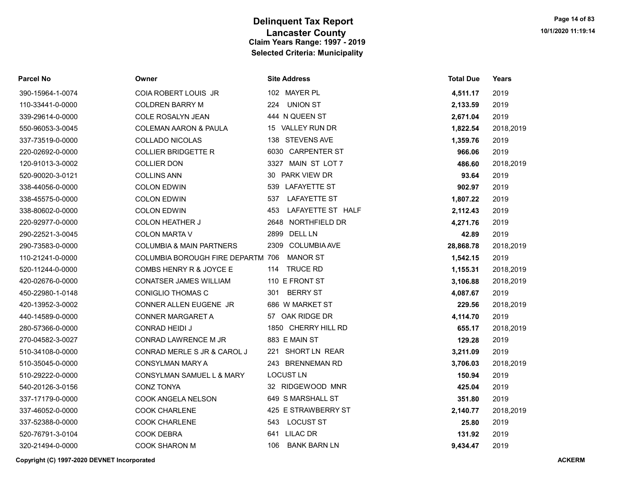| <b>Parcel No</b> | Owner                               | <b>Site Address</b>         | <b>Total Due</b> | Years     |
|------------------|-------------------------------------|-----------------------------|------------------|-----------|
| 390-15964-1-0074 | COIA ROBERT LOUIS JR                | 102 MAYER PL                | 4,511.17         | 2019      |
| 110-33441-0-0000 | <b>COLDREN BARRY M</b>              | <b>UNION ST</b><br>224      | 2,133.59         | 2019      |
| 339-29614-0-0000 | <b>COLE ROSALYN JEAN</b>            | 444 N QUEEN ST              | 2,671.04         | 2019      |
| 550-96053-3-0045 | <b>COLEMAN AARON &amp; PAULA</b>    | 15 VALLEY RUN DR            | 1,822.54         | 2018,2019 |
| 337-73519-0-0000 | COLLADO NICOLAS                     | 138 STEVENS AVE             | 1,359.76         | 2019      |
| 220-02692-0-0000 | <b>COLLIER BRIDGETTE R</b>          | 6030 CARPENTER ST           | 966.06           | 2019      |
| 120-91013-3-0002 | <b>COLLIER DON</b>                  | 3327 MAIN ST LOT 7          | 486.60           | 2018,2019 |
| 520-90020-3-0121 | <b>COLLINS ANN</b>                  | 30 PARK VIEW DR             | 93.64            | 2019      |
| 338-44056-0-0000 | <b>COLON EDWIN</b>                  | 539 LAFAYETTE ST            | 902.97           | 2019      |
| 338-45575-0-0000 | <b>COLON EDWIN</b>                  | 537<br>LAFAYETTE ST         | 1,807.22         | 2019      |
| 338-80602-0-0000 | <b>COLON EDWIN</b>                  | LAFAYETTE ST HALF<br>453    | 2,112.43         | 2019      |
| 220-92977-0-0000 | <b>COLON HEATHER J</b>              | 2648 NORTHFIELD DR          | 4,271.76         | 2019      |
| 290-22521-3-0045 | <b>COLON MARTA V</b>                | 2899<br><b>DELL LN</b>      | 42.89            | 2019      |
| 290-73583-0-0000 | <b>COLUMBIA &amp; MAIN PARTNERS</b> | <b>COLUMBIA AVE</b><br>2309 | 28,868.78        | 2018,2019 |
| 110-21241-0-0000 | COLUMBIA BOROUGH FIRE DEPARTM 706   | <b>MANOR ST</b>             | 1,542.15         | 2019      |
| 520-11244-0-0000 | COMBS HENRY R & JOYCE E             | <b>TRUCE RD</b><br>114      | 1,155.31         | 2018,2019 |
| 420-02676-0-0000 | <b>CONATSER JAMES WILLIAM</b>       | 110 E FRONT ST              | 3,106.88         | 2018,2019 |
| 450-22980-1-0148 | <b>CONIGLIO THOMAS C</b>            | <b>BERRY ST</b><br>301      | 4,087.67         | 2019      |
| 420-13952-3-0002 | CONNER ALLEN EUGENE JR              | 686 W MARKET ST             | 229.56           | 2018,2019 |
| 440-14589-0-0000 | <b>CONNER MARGARET A</b>            | 57 OAK RIDGE DR             | 4,114.70         | 2019      |
| 280-57366-0-0000 | <b>CONRAD HEIDI J</b>               | 1850 CHERRY HILL RD         | 655.17           | 2018,2019 |
| 270-04582-3-0027 | CONRAD LAWRENCE M JR                | 883 E MAIN ST               | 129.28           | 2019      |
| 510-34108-0-0000 | CONRAD MERLE S JR & CAROL J         | 221 SHORT LN REAR           | 3,211.09         | 2019      |
| 510-35045-0-0000 | <b>CONSYLMAN MARY A</b>             | 243 BRENNEMAN RD            | 3,706.03         | 2018,2019 |
| 510-29222-0-0000 | CONSYLMAN SAMUEL L & MARY           | <b>LOCUST LN</b>            | 150.94           | 2019      |
| 540-20126-3-0156 | <b>CONZ TONYA</b>                   | 32 RIDGEWOOD MNR            | 425.04           | 2019      |
| 337-17179-0-0000 | COOK ANGELA NELSON                  | 649 S MARSHALL ST           | 351.80           | 2019      |
| 337-46052-0-0000 | <b>COOK CHARLENE</b>                | 425 E STRAWBERRY ST         | 2,140.77         | 2018,2019 |
| 337-52388-0-0000 | <b>COOK CHARLENE</b>                | 543 LOCUST ST               | 25.80            | 2019      |
| 520-76791-3-0104 | <b>COOK DEBRA</b>                   | 641 LILAC DR                | 131.92           | 2019      |
| 320-21494-0-0000 | <b>COOK SHARON M</b>                | <b>BANK BARN LN</b><br>106  | 9.434.47         | 2019      |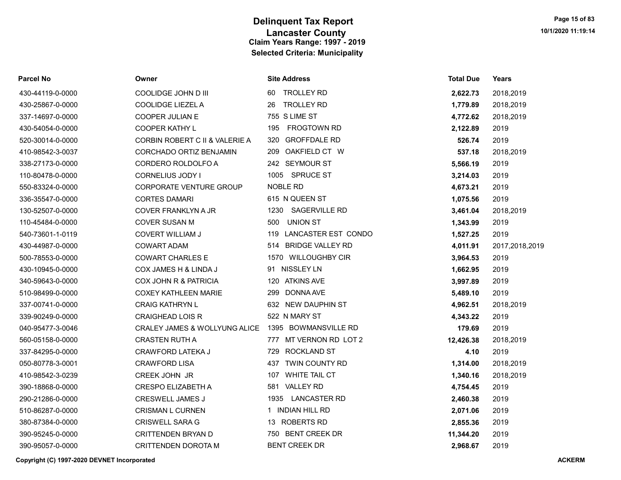| Parcel No        | Owner                          | <b>Site Address</b>            | <b>Total Due</b> | Years          |
|------------------|--------------------------------|--------------------------------|------------------|----------------|
| 430-44119-0-0000 | COOLIDGE JOHN D III            | <b>TROLLEY RD</b><br>60        | 2,622.73         | 2018,2019      |
| 430-25867-0-0000 | <b>COOLIDGE LIEZEL A</b>       | <b>TROLLEY RD</b><br>26        | 1,779.89         | 2018,2019      |
| 337-14697-0-0000 | <b>COOPER JULIAN E</b>         | 755 S LIME ST                  | 4,772.62         | 2018,2019      |
| 430-54054-0-0000 | <b>COOPER KATHY L</b>          | <b>FROGTOWN RD</b><br>195      | 2,122.89         | 2019           |
| 520-30014-0-0000 | CORBIN ROBERT C II & VALERIE A | <b>GROFFDALE RD</b><br>320     | 526.74           | 2019           |
| 410-98542-3-0037 | CORCHADO ORTIZ BENJAMIN        | OAKFIELD CT W<br>209           | 537.18           | 2018,2019      |
| 338-27173-0-0000 | CORDERO ROLDOLFO A             | 242 SEYMOUR ST                 | 5,566.19         | 2019           |
| 110-80478-0-0000 | CORNELIUS JODY I               | <b>SPRUCE ST</b><br>1005       | 3,214.03         | 2019           |
| 550-83324-0-0000 | <b>CORPORATE VENTURE GROUP</b> | <b>NOBLE RD</b>                | 4,673.21         | 2019           |
| 336-35547-0-0000 | <b>CORTES DAMARI</b>           | 615 N QUEEN ST                 | 1,075.56         | 2019           |
| 130-52507-0-0000 | <b>COVER FRANKLYN A JR</b>     | 1230<br>SAGERVILLE RD          | 3,461.04         | 2018,2019      |
| 110-45484-0-0000 | <b>COVER SUSAN M</b>           | <b>UNION ST</b><br>500         | 1,343.99         | 2019           |
| 540-73601-1-0119 | <b>COVERT WILLIAM J</b>        | LANCASTER EST CONDO<br>119     | 1,527.25         | 2019           |
| 430-44987-0-0000 | <b>COWART ADAM</b>             | <b>BRIDGE VALLEY RD</b><br>514 | 4,011.91         | 2017,2018,2019 |
| 500-78553-0-0000 | <b>COWART CHARLES E</b>        | 1570 WILLOUGHBY CIR            | 3,964.53         | 2019           |
| 430-10945-0-0000 | COX JAMES H & LINDA J          | 91 NISSLEY LN                  | 1,662.95         | 2019           |
| 340-59643-0-0000 | COX JOHN R & PATRICIA          | 120 ATKINS AVE                 | 3,997.89         | 2019           |
| 510-98499-0-0000 | <b>COXEY KATHLEEN MARIE</b>    | <b>DONNA AVE</b><br>299        | 5,489.10         | 2019           |
| 337-00741-0-0000 | <b>CRAIG KATHRYN L</b>         | 632 NEW DAUPHIN ST             | 4,962.51         | 2018,2019      |
| 339-90249-0-0000 | <b>CRAIGHEAD LOIS R</b>        | 522 N MARY ST                  | 4,343.22         | 2019           |
| 040-95477-3-0046 | CRALEY JAMES & WOLLYUNG ALICE  | 1395 BOWMANSVILLE RD           | 179.69           | 2019           |
| 560-05158-0-0000 | <b>CRASTEN RUTH A</b>          | MT VERNON RD LOT 2<br>777      | 12,426.38        | 2018,2019      |
| 337-84295-0-0000 | CRAWFORD LATEKA J              | <b>ROCKLAND ST</b><br>729      | 4.10             | 2019           |
| 050-80778-3-0001 | <b>CRAWFORD LISA</b>           | TWIN COUNTY RD<br>437          | 1,314.00         | 2018,2019      |
| 410-98542-3-0239 | <b>CREEK JOHN JR</b>           | <b>WHITE TAIL CT</b><br>107    | 1,340.16         | 2018,2019      |
| 390-18868-0-0000 | <b>CRESPO ELIZABETH A</b>      | 581 VALLEY RD                  | 4,754.45         | 2019           |
| 290-21286-0-0000 | <b>CRESWELL JAMES J</b>        | <b>LANCASTER RD</b><br>1935    | 2,460.38         | 2019           |
| 510-86287-0-0000 | <b>CRISMAN L CURNEN</b>        | 1 INDIAN HILL RD               | 2,071.06         | 2019           |
| 380-87384-0-0000 | <b>CRISWELL SARA G</b>         | 13 ROBERTS RD                  | 2,855.36         | 2019           |
| 390-95245-0-0000 | CRITTENDEN BRYAN D             | 750 BENT CREEK DR              | 11,344.20        | 2019           |
| 390-95057-0-0000 | <b>CRITTENDEN DOROTA M</b>     | <b>BENT CREEK DR</b>           | 2,968.67         | 2019           |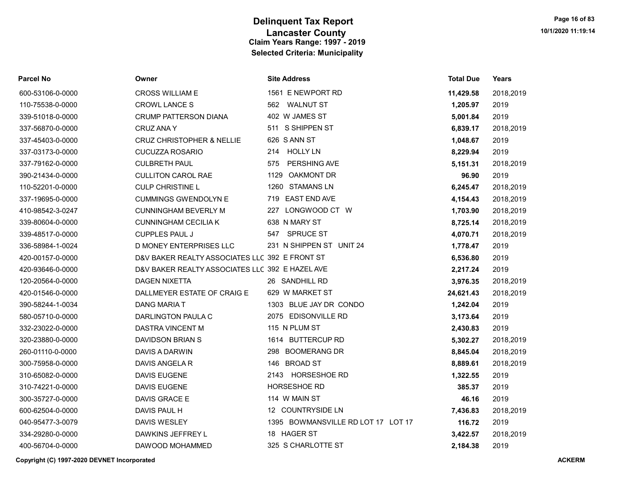| Parcel No        | Owner                                           | <b>Site Address</b>                | <b>Total Due</b> | <b>Years</b> |
|------------------|-------------------------------------------------|------------------------------------|------------------|--------------|
| 600-53106-0-0000 | <b>CROSS WILLIAM E</b>                          | 1561 E NEWPORT RD                  | 11,429.58        | 2018,2019    |
| 110-75538-0-0000 | <b>CROWL LANCE S</b>                            | 562 WALNUT ST                      | 1,205.97         | 2019         |
| 339-51018-0-0000 | <b>CRUMP PATTERSON DIANA</b>                    | 402 W JAMES ST                     | 5,001.84         | 2019         |
| 337-56870-0-0000 | CRUZ ANA Y                                      | 511 S SHIPPEN ST                   | 6,839.17         | 2018,2019    |
| 337-45403-0-0000 | <b>CRUZ CHRISTOPHER &amp; NELLIE</b>            | 626 S ANN ST                       | 1,048.67         | 2019         |
| 337-03173-0-0000 | <b>CUCUZZA ROSARIO</b>                          | <b>HOLLY LN</b><br>214             | 8,229.94         | 2019         |
| 337-79162-0-0000 | <b>CULBRETH PAUL</b>                            | <b>PERSHING AVE</b><br>575         | 5,151.31         | 2018,2019    |
| 390-21434-0-0000 | <b>CULLITON CAROL RAE</b>                       | <b>OAKMONT DR</b><br>1129          | 96.90            | 2019         |
| 110-52201-0-0000 | <b>CULP CHRISTINE L</b>                         | 1260 STAMANS LN                    | 6,245.47         | 2018,2019    |
| 337-19695-0-0000 | <b>CUMMINGS GWENDOLYN E</b>                     | 719 EAST END AVE                   | 4,154.43         | 2018,2019    |
| 410-98542-3-0247 | <b>CUNNINGHAM BEVERLY M</b>                     | 227 LONGWOOD CT W                  | 1,703.90         | 2018,2019    |
| 339-80604-0-0000 | <b>CUNNINGHAM CECILIA K</b>                     | 638 N MARY ST                      | 8,725.14         | 2018,2019    |
| 339-48517-0-0000 | <b>CUPPLES PAUL J</b>                           | 547 SPRUCE ST                      | 4,070.71         | 2018,2019    |
| 336-58984-1-0024 | D MONEY ENTERPRISES LLC                         | 231 N SHIPPEN ST UNIT 24           | 1,778.47         | 2019         |
| 420-00157-0-0000 | D&V BAKER REALTY ASSOCIATES LLC 392 E FRONT ST  |                                    | 6,536.80         | 2019         |
| 420-93646-0-0000 | D&V BAKER REALTY ASSOCIATES LLC 392 E HAZEL AVE |                                    | 2,217.24         | 2019         |
| 120-20564-0-0000 | <b>DAGEN NIXETTA</b>                            | 26 SANDHILL RD                     | 3,976.35         | 2018,2019    |
| 420-01546-0-0000 | DALLMEYER ESTATE OF CRAIG E                     | 629 W MARKET ST                    | 24,621.43        | 2018,2019    |
| 390-58244-1-0034 | <b>DANG MARIA T</b>                             | 1303 BLUE JAY DR CONDO             | 1,242.04         | 2019         |
| 580-05710-0-0000 | DARLINGTON PAULA C                              | 2075 EDISONVILLE RD                | 3,173.64         | 2019         |
| 332-23022-0-0000 | <b>DASTRA VINCENT M</b>                         | 115 N PLUM ST                      | 2,430.83         | 2019         |
| 320-23880-0-0000 | DAVIDSON BRIAN S                                | 1614 BUTTERCUP RD                  | 5,302.27         | 2018,2019    |
| 260-01110-0-0000 | DAVIS A DARWIN                                  | 298 BOOMERANG DR                   | 8,845.04         | 2018,2019    |
| 300-75958-0-0000 | DAVIS ANGELA R                                  | 146 BROAD ST                       | 8,889.61         | 2018,2019    |
| 310-65082-0-0000 | DAVIS EUGENE                                    | 2143 HORSESHOE RD                  | 1,322.55         | 2019         |
| 310-74221-0-0000 | DAVIS EUGENE                                    | HORSESHOE RD                       | 385.37           | 2019         |
| 300-35727-0-0000 | DAVIS GRACE E                                   | 114 W MAIN ST                      | 46.16            | 2019         |
| 600-62504-0-0000 | DAVIS PAUL H                                    | 12 COUNTRYSIDE LN                  | 7,436.83         | 2018,2019    |
| 040-95477-3-0079 | DAVIS WESLEY                                    | 1395 BOWMANSVILLE RD LOT 17 LOT 17 | 116.72           | 2019         |
| 334-29280-0-0000 | DAWKINS JEFFREY L                               | 18 HAGER ST                        | 3,422.57         | 2018,2019    |
| 400-56704-0-0000 | DAWOOD MOHAMMED                                 | 325 S CHARLOTTE ST                 | 2,184.38         | 2019         |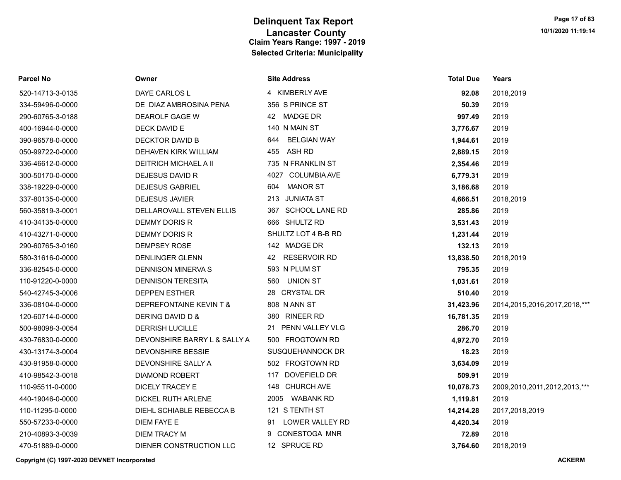| <b>Parcel No</b> | Owner                        | <b>Site Address</b>       | <b>Total Due</b> | Years                             |
|------------------|------------------------------|---------------------------|------------------|-----------------------------------|
| 520-14713-3-0135 | DAYE CARLOS L                | 4 KIMBERLY AVE            | 92.08            | 2018,2019                         |
| 334-59496-0-0000 | DE DIAZ AMBROSINA PENA       | 356 S PRINCE ST           | 50.39            | 2019                              |
| 290-60765-3-0188 | DEAROLF GAGE W               | 42 MADGE DR               | 997.49           | 2019                              |
| 400-16944-0-0000 | DECK DAVID E                 | 140 N MAIN ST             | 3,776.67         | 2019                              |
| 390-96578-0-0000 | DECKTOR DAVID B              | 644<br><b>BELGIAN WAY</b> | 1,944.61         | 2019                              |
| 050-99722-0-0000 | DEHAVEN KIRK WILLIAM         | 455<br>ASH RD             | 2,889.15         | 2019                              |
| 336-46612-0-0000 | <b>DEITRICH MICHAEL A II</b> | 735 N FRANKLIN ST         | 2,354.46         | 2019                              |
| 300-50170-0-0000 | DEJESUS DAVID R              | 4027 COLUMBIA AVE         | 6,779.31         | 2019                              |
| 338-19229-0-0000 | <b>DEJESUS GABRIEL</b>       | 604 MANOR ST              | 3,186.68         | 2019                              |
| 337-80135-0-0000 | <b>DEJESUS JAVIER</b>        | 213 JUNIATA ST            | 4,666.51         | 2018,2019                         |
| 560-35819-3-0001 | DELLAROVALL STEVEN ELLIS     | 367 SCHOOL LANE RD        | 285.86           | 2019                              |
| 410-34135-0-0000 | DEMMY DORIS R                | 666 SHULTZ RD             | 3,531.43         | 2019                              |
| 410-43271-0-0000 | DEMMY DORIS R                | SHULTZ LOT 4 B-B RD       | 1,231.44         | 2019                              |
| 290-60765-3-0160 | <b>DEMPSEY ROSE</b>          | 142 MADGE DR              | 132.13           | 2019                              |
| 580-31616-0-0000 | <b>DENLINGER GLENN</b>       | 42 RESERVOIR RD           | 13,838.50        | 2018,2019                         |
| 336-82545-0-0000 | DENNISON MINERVA S           | 593 N PLUM ST             | 795.35           | 2019                              |
| 110-91220-0-0000 | <b>DENNISON TERESITA</b>     | 560 UNION ST              | 1,031.61         | 2019                              |
| 540-42745-3-0006 | <b>DEPPEN ESTHER</b>         | 28 CRYSTAL DR             | 510.40           | 2019                              |
| 336-08104-0-0000 | DEPREFONTAINE KEVIN T &      | 808 N ANN ST              | 31,423.96        | 2014, 2015, 2016, 2017, 2018, *** |
| 120-60714-0-0000 | DERING DAVID D &             | 380 RINEER RD             | 16,781.35        | 2019                              |
| 500-98098-3-0054 | <b>DERRISH LUCILLE</b>       | 21 PENN VALLEY VLG        | 286.70           | 2019                              |
| 430-76830-0-0000 | DEVONSHIRE BARRY L & SALLY A | 500 FROGTOWN RD           | 4,972.70         | 2019                              |
| 430-13174-3-0004 | <b>DEVONSHIRE BESSIE</b>     | SUSQUEHANNOCK DR          | 18.23            | 2019                              |
| 430-91958-0-0000 | DEVONSHIRE SALLY A           | 502 FROGTOWN RD           | 3,634.09         | 2019                              |
| 410-98542-3-0018 | DIAMOND ROBERT               | DOVEFIELD DR<br>117       | 509.91           | 2019                              |
| 110-95511-0-0000 | DICELY TRACEY E              | 148 CHURCH AVE            | 10,078.73        | 2009,2010,2011,2012,2013,***      |
| 440-19046-0-0000 | DICKEL RUTH ARLENE           | 2005 WABANK RD            | 1,119.81         | 2019                              |
| 110-11295-0-0000 | DIEHL SCHIABLE REBECCA B     | 121 S TENTH ST            | 14,214.28        | 2017,2018,2019                    |
| 550-57233-0-0000 | DIEM FAYE E                  | LOWER VALLEY RD<br>91     | 4,420.34         | 2019                              |
| 210-40893-3-0039 | DIEM TRACY M                 | 9 CONESTOGA MNR           | 72.89            | 2018                              |
| 470-51889-0-0000 | DIENER CONSTRUCTION LLC      | 12 SPRUCE RD              | 3.764.60         | 2018.2019                         |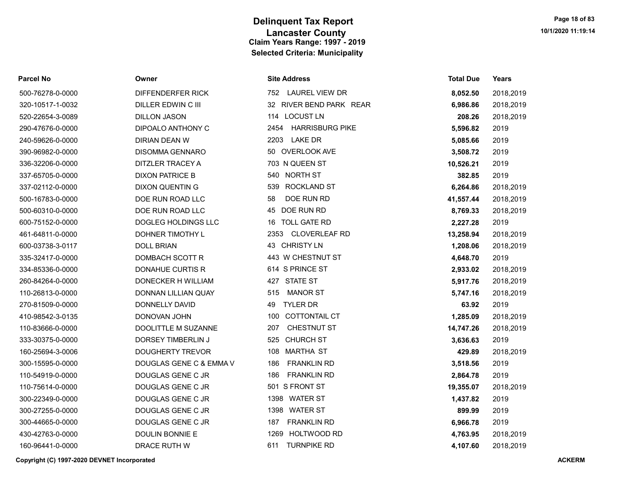| Parcel No        | Owner                   | <b>Site Address</b>          | <b>Total Due</b> | Years     |
|------------------|-------------------------|------------------------------|------------------|-----------|
| 500-76278-0-0000 | DIFFENDERFER RICK       | 752 LAUREL VIEW DR           | 8,052.50         | 2018,2019 |
| 320-10517-1-0032 | DILLER EDWIN C III      | 32 RIVER BEND PARK REAR      | 6,986.86         | 2018,2019 |
| 520-22654-3-0089 | <b>DILLON JASON</b>     | 114 LOCUST LN                | 208.26           | 2018,2019 |
| 290-47676-0-0000 | DIPOALO ANTHONY C       | 2454 HARRISBURG PIKE         | 5,596.82         | 2019      |
| 240-59626-0-0000 | <b>DIRIAN DEAN W</b>    | 2203 LAKE DR                 | 5,085.66         | 2019      |
| 390-96982-0-0000 | <b>DISOMMA GENNARO</b>  | 50 OVERLOOK AVE              | 3,508.72         | 2019      |
| 336-32206-0-0000 | DITZLER TRACEY A        | 703 N QUEEN ST               | 10,526.21        | 2019      |
| 337-65705-0-0000 | <b>DIXON PATRICE B</b>  | 540 NORTH ST                 | 382.85           | 2019      |
| 337-02112-0-0000 | <b>DIXON QUENTIN G</b>  | <b>ROCKLAND ST</b><br>539    | 6,264.86         | 2018,2019 |
| 500-16783-0-0000 | DOE RUN ROAD LLC        | DOE RUN RD<br>58             | 41,557.44        | 2018,2019 |
| 500-60310-0-0000 | DOE RUN ROAD LLC        | 45 DOE RUN RD                | 8,769.33         | 2018,2019 |
| 600-75152-0-0000 | DOGLEG HOLDINGS LLC     | <b>TOLL GATE RD</b><br>16    | 2,227.28         | 2019      |
| 461-64811-0-0000 | DOHNER TIMOTHY L        | 2353<br><b>CLOVERLEAF RD</b> | 13,258.94        | 2018,2019 |
| 600-03738-3-0117 | <b>DOLL BRIAN</b>       | 43 CHRISTY LN                | 1,208.06         | 2018,2019 |
| 335-32417-0-0000 | DOMBACH SCOTT R         | 443 W CHESTNUT ST            | 4,648.70         | 2019      |
| 334-85336-0-0000 | <b>DONAHUE CURTIS R</b> | 614 S PRINCE ST              | 2,933.02         | 2018,2019 |
| 260-84264-0-0000 | DONECKER H WILLIAM      | 427 STATE ST                 | 5,917.76         | 2018,2019 |
| 110-26813-0-0000 | DONNAN LILLIAN QUAY     | <b>MANOR ST</b><br>515       | 5,747.16         | 2018,2019 |
| 270-81509-0-0000 | DONNELLY DAVID          | <b>TYLER DR</b><br>49        | 63.92            | 2019      |
| 410-98542-3-0135 | DONOVAN JOHN            | COTTONTAIL CT<br>100         | 1,285.09         | 2018,2019 |
| 110-83666-0-0000 | DOOLITTLE M SUZANNE     | CHESTNUT ST<br>207           | 14,747.26        | 2018,2019 |
| 333-30375-0-0000 | DORSEY TIMBERLIN J      | 525 CHURCH ST                | 3,636.63         | 2019      |
| 160-25694-3-0006 | <b>DOUGHERTY TREVOR</b> | 108 MARTHA ST                | 429.89           | 2018,2019 |
| 300-15595-0-0000 | DOUGLAS GENE C & EMMA V | 186<br><b>FRANKLIN RD</b>    | 3,518.56         | 2019      |
| 110-54919-0-0000 | DOUGLAS GENE C JR       | <b>FRANKLIN RD</b><br>186    | 2,864.78         | 2019      |
| 110-75614-0-0000 | DOUGLAS GENE C JR       | 501 S FRONT ST               | 19,355.07        | 2018,2019 |
| 300-22349-0-0000 | DOUGLAS GENE C JR       | 1398 WATER ST                | 1,437.82         | 2019      |
| 300-27255-0-0000 | DOUGLAS GENE C JR       | 1398 WATER ST                | 899.99           | 2019      |
| 300-44665-0-0000 | DOUGLAS GENE C JR       | <b>FRANKLIN RD</b><br>187    | 6,966.78         | 2019      |
| 430-42763-0-0000 | DOULIN BONNIE E         | 1269 HOLTWOOD RD             | 4,763.95         | 2018,2019 |
| 160-96441-0-0000 | DRACE RUTH W            | 611<br><b>TURNPIKE RD</b>    | 4,107.60         | 2018,2019 |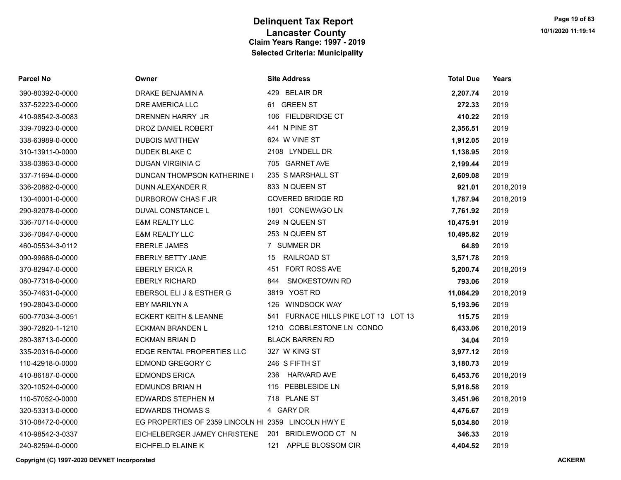| <b>Parcel No</b> | Owner                                               | <b>Site Address</b>                  | <b>Total Due</b> | Years     |
|------------------|-----------------------------------------------------|--------------------------------------|------------------|-----------|
| 390-80392-0-0000 | DRAKE BENJAMIN A                                    | 429 BELAIR DR                        | 2,207.74         | 2019      |
| 337-52223-0-0000 | DRE AMERICA LLC                                     | 61 GREEN ST                          | 272.33           | 2019      |
| 410-98542-3-0083 | DRENNEN HARRY JR                                    | 106 FIELDBRIDGE CT                   | 410.22           | 2019      |
| 339-70923-0-0000 | DROZ DANIEL ROBERT                                  | 441 N PINE ST                        | 2,356.51         | 2019      |
| 338-63989-0-0000 | <b>DUBOIS MATTHEW</b>                               | 624 W VINE ST                        | 1,912.05         | 2019      |
| 310-13911-0-0000 | DUDEK BLAKE C                                       | 2108 LYNDELL DR                      | 1,138.95         | 2019      |
| 338-03863-0-0000 | DUGAN VIRGINIA C                                    | 705 GARNET AVE                       | 2,199.44         | 2019      |
| 337-71694-0-0000 | <b>DUNCAN THOMPSON KATHERINE I</b>                  | 235 S MARSHALL ST                    | 2,609.08         | 2019      |
| 336-20882-0-0000 | DUNN ALEXANDER R                                    | 833 N QUEEN ST                       | 921.01           | 2018,2019 |
| 130-40001-0-0000 | DURBOROW CHAS F JR                                  | <b>COVERED BRIDGE RD</b>             | 1,787.94         | 2018,2019 |
| 290-92078-0-0000 | DUVAL CONSTANCE L                                   | 1801 CONEWAGO LN                     | 7,761.92         | 2019      |
| 336-70714-0-0000 | <b>E&amp;M REALTY LLC</b>                           | 249 N QUEEN ST                       | 10,475.91        | 2019      |
| 336-70847-0-0000 | <b>E&amp;M REALTY LLC</b>                           | 253 N QUEEN ST                       | 10,495.82        | 2019      |
| 460-05534-3-0112 | <b>EBERLE JAMES</b>                                 | 7 SUMMER DR                          | 64.89            | 2019      |
| 090-99686-0-0000 | <b>EBERLY BETTY JANE</b>                            | RAILROAD ST<br>15                    | 3,571.78         | 2019      |
| 370-82947-0-0000 | <b>EBERLY ERICA R</b>                               | 451 FORT ROSS AVE                    | 5,200.74         | 2018,2019 |
| 080-77316-0-0000 | <b>EBERLY RICHARD</b>                               | 844 SMOKESTOWN RD                    | 793.06           | 2019      |
| 350-74631-0-0000 | EBERSOL ELI J & ESTHER G                            | 3819 YOST RD                         | 11,084.29        | 2018,2019 |
| 190-28043-0-0000 | EBY MARILYN A                                       | 126 WINDSOCK WAY                     | 5,193.96         | 2019      |
| 600-77034-3-0051 | ECKERT KEITH & LEANNE                               | 541 FURNACE HILLS PIKE LOT 13 LOT 13 | 115.75           | 2019      |
| 390-72820-1-1210 | <b>ECKMAN BRANDEN L</b>                             | 1210 COBBLESTONE LN CONDO            | 6,433.06         | 2018,2019 |
| 280-38713-0-0000 | <b>ECKMAN BRIAN D</b>                               | <b>BLACK BARREN RD</b>               | 34.04            | 2019      |
| 335-20316-0-0000 | EDGE RENTAL PROPERTIES LLC                          | 327 W KING ST                        | 3,977.12         | 2019      |
| 110-42918-0-0000 | EDMOND GREGORY C                                    | 246 S FIFTH ST                       | 3,180.73         | 2019      |
| 410-86187-0-0000 | <b>EDMONDS ERICA</b>                                | 236<br>HARVARD AVE                   | 6,453.76         | 2018,2019 |
| 320-10524-0-0000 | <b>EDMUNDS BRIAN H</b>                              | 115 PEBBLESIDE LN                    | 5,918.58         | 2019      |
| 110-57052-0-0000 | EDWARDS STEPHEN M                                   | 718 PLANE ST                         | 3,451.96         | 2018,2019 |
| 320-53313-0-0000 | <b>EDWARDS THOMAS S</b>                             | 4 GARY DR                            | 4,476.67         | 2019      |
| 310-08472-0-0000 | EG PROPERTIES OF 2359 LINCOLN HI 2359 LINCOLN HWY E |                                      | 5,034.80         | 2019      |
| 410-98542-3-0337 | EICHELBERGER JAMEY CHRISTENE                        | 201 BRIDLEWOOD CT N                  | 346.33           | 2019      |
| 240-82594-0-0000 | EICHFELD ELAINE K                                   | 121 APPLE BLOSSOM CIR                | 4.404.52         | 2019      |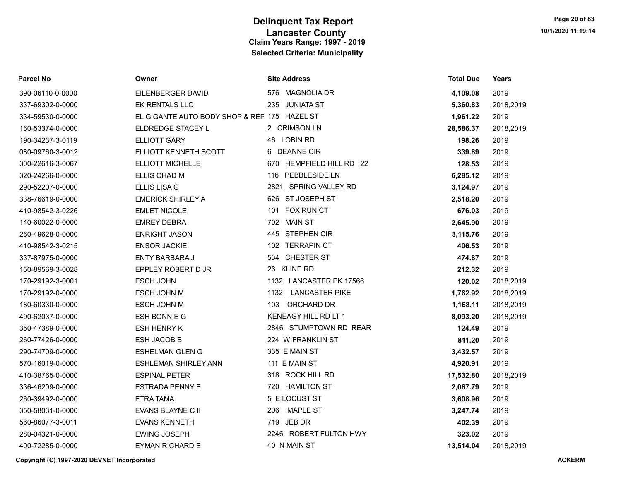| <b>Parcel No</b> | Owner                                        | <b>Site Address</b>      | <b>Total Due</b> | Years     |
|------------------|----------------------------------------------|--------------------------|------------------|-----------|
| 390-06110-0-0000 | EILENBERGER DAVID                            | 576 MAGNOLIA DR          | 4,109.08         | 2019      |
| 337-69302-0-0000 | <b>EK RENTALS LLC</b>                        | 235 JUNIATA ST           | 5,360.83         | 2018,2019 |
| 334-59530-0-0000 | EL GIGANTE AUTO BODY SHOP & REF 175 HAZEL ST |                          | 1,961.22         | 2019      |
| 160-53374-0-0000 | ELDREDGE STACEY L                            | 2 CRIMSON LN             | 28,586.37        | 2018,2019 |
| 190-34237-3-0119 | <b>ELLIOTT GARY</b>                          | 46 LOBIN RD              | 198.26           | 2019      |
| 080-09760-3-0012 | ELLIOTT KENNETH SCOTT                        | 6 DEANNE CIR             | 339.89           | 2019      |
| 300-22616-3-0067 | ELLIOTT MICHELLE                             | 670 HEMPFIELD HILL RD 22 | 128.53           | 2019      |
| 320-24266-0-0000 | ELLIS CHAD M                                 | 116 PEBBLESIDE LN        | 6,285.12         | 2019      |
| 290-52207-0-0000 | <b>ELLIS LISA G</b>                          | 2821 SPRING VALLEY RD    | 3,124.97         | 2019      |
| 338-76619-0-0000 | <b>EMERICK SHIRLEY A</b>                     | 626 ST JOSEPH ST         | 2,518.20         | 2019      |
| 410-98542-3-0226 | <b>EMLET NICOLE</b>                          | 101 FOX RUN CT           | 676.03           | 2019      |
| 140-60022-0-0000 | <b>EMREY DEBRA</b>                           | 702 MAIN ST              | 2,645.90         | 2019      |
| 260-49628-0-0000 | <b>ENRIGHT JASON</b>                         | 445 STEPHEN CIR          | 3,115.76         | 2019      |
| 410-98542-3-0215 | <b>ENSOR JACKIE</b>                          | 102 TERRAPIN CT          | 406.53           | 2019      |
| 337-87975-0-0000 | ENTY BARBARA J                               | CHESTER ST<br>534        | 474.87           | 2019      |
| 150-89569-3-0028 | EPPLEY ROBERT D JR                           | 26 KLINE RD              | 212.32           | 2019      |
| 170-29192-3-0001 | <b>ESCH JOHN</b>                             | 1132 LANCASTER PK 17566  | 120.02           | 2018,2019 |
| 170-29192-0-0000 | ESCH JOHN M                                  | 1132 LANCASTER PIKE      | 1,762.92         | 2018,2019 |
| 180-60330-0-0000 | ESCH JOHN M                                  | 103 ORCHARD DR           | 1,168.11         | 2018,2019 |
| 490-62037-0-0000 | <b>ESH BONNIE G</b>                          | KENEAGY HILL RD LT 1     | 8,093.20         | 2018,2019 |
| 350-47389-0-0000 | <b>ESH HENRY K</b>                           | 2846 STUMPTOWN RD REAR   | 124.49           | 2019      |
| 260-77426-0-0000 | ESH JACOB B                                  | 224 W FRANKLIN ST        | 811.20           | 2019      |
| 290-74709-0-0000 | <b>ESHELMAN GLEN G</b>                       | 335 E MAIN ST            | 3,432.57         | 2019      |
| 570-16019-0-0000 | <b>ESHLEMAN SHIRLEY ANN</b>                  | 111 E MAIN ST            | 4,920.91         | 2019      |
| 410-38765-0-0000 | <b>ESPINAL PETER</b>                         | 318 ROCK HILL RD         | 17,532.80        | 2018,2019 |
| 336-46209-0-0000 | <b>ESTRADA PENNY E</b>                       | 720 HAMILTON ST          | 2,067.79         | 2019      |
| 260-39492-0-0000 | ETRA TAMA                                    | 5 E LOCUST ST            | 3,608.96         | 2019      |
| 350-58031-0-0000 | EVANS BLAYNE C II                            | <b>MAPLE ST</b><br>206   | 3,247.74         | 2019      |
| 560-86077-3-0011 | <b>EVANS KENNETH</b>                         | 719 JEB DR               | 402.39           | 2019      |
| 280-04321-0-0000 | EWING JOSEPH                                 | 2246 ROBERT FULTON HWY   | 323.02           | 2019      |
| 400-72285-0-0000 | <b>EYMAN RICHARD E</b>                       | 40 N MAIN ST             | 13,514.04        | 2018,2019 |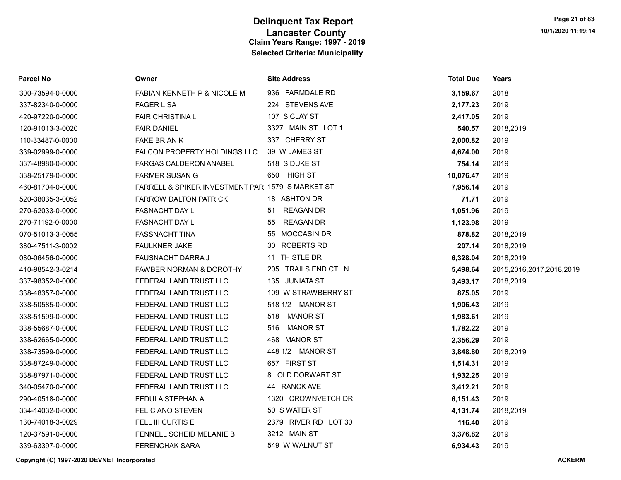| Parcel No        | Owner                                            | <b>Site Address</b>    | <b>Total Due</b> | Years                    |
|------------------|--------------------------------------------------|------------------------|------------------|--------------------------|
| 300-73594-0-0000 | FABIAN KENNETH P & NICOLE M                      | 936 FARMDALE RD        | 3,159.67         | 2018                     |
| 337-82340-0-0000 | <b>FAGER LISA</b>                                | 224 STEVENS AVE        | 2,177.23         | 2019                     |
| 420-97220-0-0000 | <b>FAIR CHRISTINAL</b>                           | 107 S CLAY ST          | 2,417.05         | 2019                     |
| 120-91013-3-0020 | <b>FAIR DANIEL</b>                               | 3327 MAIN ST LOT 1     | 540.57           | 2018,2019                |
| 110-33487-0-0000 | FAKE BRIAN K                                     | 337 CHERRY ST          | 2,000.82         | 2019                     |
| 339-02999-0-0000 | FALCON PROPERTY HOLDINGS LLC                     | 39 W JAMES ST          | 4,674.00         | 2019                     |
| 337-48980-0-0000 | <b>FARGAS CALDERON ANABEL</b>                    | 518 S DUKE ST          | 754.14           | 2019                     |
| 338-25179-0-0000 | <b>FARMER SUSAN G</b>                            | 650 HIGH ST            | 10,076.47        | 2019                     |
| 460-81704-0-0000 | FARRELL & SPIKER INVESTMENT PAR 1579 S MARKET ST |                        | 7,956.14         | 2019                     |
| 520-38035-3-0052 | <b>FARROW DALTON PATRICK</b>                     | 18 ASHTON DR           | 71.71            | 2019                     |
| 270-62033-0-0000 | FASNACHT DAY L                                   | 51 REAGAN DR           | 1,051.96         | 2019                     |
| 270-71192-0-0000 | FASNACHT DAY L                                   | <b>REAGAN DR</b><br>55 | 1,123.98         | 2019                     |
| 070-51013-3-0055 | <b>FASSNACHT TINA</b>                            | 55 MOCCASIN DR         | 878.82           | 2018,2019                |
| 380-47511-3-0002 | FAULKNER JAKE                                    | 30 ROBERTS RD          | 207.14           | 2018,2019                |
| 080-06456-0-0000 | FAUSNACHT DARRA J                                | 11 THISTLE DR          | 6,328.04         | 2018,2019                |
| 410-98542-3-0214 | <b>FAWBER NORMAN &amp; DOROTHY</b>               | 205 TRAILS END CT N    | 5,498.64         | 2015,2016,2017,2018,2019 |
| 337-98352-0-0000 | FEDERAL LAND TRUST LLC                           | 135 JUNIATA ST         | 3,493.17         | 2018,2019                |
| 338-48357-0-0000 | FEDERAL LAND TRUST LLC                           | 109 W STRAWBERRY ST    | 875.05           | 2019                     |
| 338-50585-0-0000 | FEDERAL LAND TRUST LLC                           | 518 1/2 MANOR ST       | 1,906.43         | 2019                     |
| 338-51599-0-0000 | FEDERAL LAND TRUST LLC                           | 518 MANOR ST           | 1,983.61         | 2019                     |
| 338-55687-0-0000 | FEDERAL LAND TRUST LLC                           | 516 MANOR ST           | 1,782.22         | 2019                     |
| 338-62665-0-0000 | FEDERAL LAND TRUST LLC                           | 468 MANOR ST           | 2,356.29         | 2019                     |
| 338-73599-0-0000 | FEDERAL LAND TRUST LLC                           | 448 1/2 MANOR ST       | 3,848.80         | 2018,2019                |
| 338-87249-0-0000 | FEDERAL LAND TRUST LLC                           | 657 FIRST ST           | 1,514.31         | 2019                     |
| 338-87971-0-0000 | FEDERAL LAND TRUST LLC                           | 8 OLD DORWART ST       | 1,932.25         | 2019                     |
| 340-05470-0-0000 | FEDERAL LAND TRUST LLC                           | 44 RANCK AVE           | 3,412.21         | 2019                     |
| 290-40518-0-0000 | FEDULA STEPHAN A                                 | 1320 CROWNVETCH DR     | 6,151.43         | 2019                     |
| 334-14032-0-0000 | <b>FELICIANO STEVEN</b>                          | 50 S WATER ST          | 4,131.74         | 2018,2019                |
| 130-74018-3-0029 | FELL III CURTIS E                                | 2379 RIVER RD LOT 30   | 116.40           | 2019                     |
| 120-37591-0-0000 | FENNELL SCHEID MELANIE B                         | 3212 MAIN ST           | 3,376.82         | 2019                     |
| 339-63397-0-0000 | <b>FERENCHAK SARA</b>                            | 549 W WALNUT ST        | 6,934.43         | 2019                     |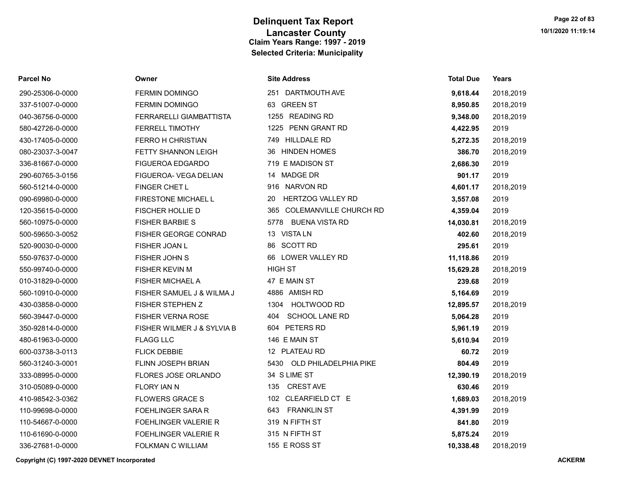| Parcel No        | Owner                       | <b>Site Address</b>            | <b>Total Due</b> | Years     |
|------------------|-----------------------------|--------------------------------|------------------|-----------|
| 290-25306-0-0000 | <b>FERMIN DOMINGO</b>       | 251 DARTMOUTH AVE              | 9,618.44         | 2018,2019 |
| 337-51007-0-0000 | <b>FERMIN DOMINGO</b>       | 63 GREEN ST                    | 8,950.85         | 2018,2019 |
| 040-36756-0-0000 | FERRARELLI GIAMBATTISTA     | 1255 READING RD                | 9,348.00         | 2018,2019 |
| 580-42726-0-0000 | <b>FERRELL TIMOTHY</b>      | 1225 PENN GRANT RD             | 4,422.95         | 2019      |
| 430-17405-0-0000 | <b>FERRO H CHRISTIAN</b>    | 749 HILLDALE RD                | 5,272.35         | 2018,2019 |
| 080-23037-3-0047 | FETTY SHANNON LEIGH         | 36 HINDEN HOMES                | 386.70           | 2018,2019 |
| 336-81667-0-0000 | <b>FIGUEROA EDGARDO</b>     | 719 E MADISON ST               | 2,686.30         | 2019      |
| 290-60765-3-0156 | FIGUEROA- VEGA DELIAN       | 14 MADGE DR                    | 901.17           | 2019      |
| 560-51214-0-0000 | FINGER CHET L               | 916 NARVON RD                  | 4,601.17         | 2018,2019 |
| 090-69980-0-0000 | FIRESTONE MICHAEL L         | <b>HERTZOG VALLEY RD</b><br>20 | 3,557.08         | 2019      |
| 120-35615-0-0000 | <b>FISCHER HOLLIE D</b>     | 365 COLEMANVILLE CHURCH RD     | 4,359.04         | 2019      |
| 560-10975-0-0000 | <b>FISHER BARBIE S</b>      | 5778 BUENA VISTA RD            | 14,030.81        | 2018,2019 |
| 500-59650-3-0052 | FISHER GEORGE CONRAD        | 13 VISTA LN                    | 402.60           | 2018,2019 |
| 520-90030-0-0000 | FISHER JOAN L               | 86 SCOTT RD                    | 295.61           | 2019      |
| 550-97637-0-0000 | FISHER JOHN S               | 66 LOWER VALLEY RD             | 11,118.86        | 2019      |
| 550-99740-0-0000 | <b>FISHER KEVIN M</b>       | <b>HIGH ST</b>                 | 15,629.28        | 2018,2019 |
| 010-31829-0-0000 | <b>FISHER MICHAEL A</b>     | 47 E MAIN ST                   | 239.68           | 2019      |
| 560-10910-0-0000 | FISHER SAMUEL J & WILMA J   | 4886 AMISH RD                  | 5,164.69         | 2019      |
| 430-03858-0-0000 | <b>FISHER STEPHEN Z</b>     | 1304<br>HOLTWOOD RD            | 12,895.57        | 2018,2019 |
| 560-39447-0-0000 | <b>FISHER VERNA ROSE</b>    | <b>SCHOOL LANE RD</b><br>404   | 5,064.28         | 2019      |
| 350-92814-0-0000 | FISHER WILMER J & SYLVIA B  | 604 PETERS RD                  | 5,961.19         | 2019      |
| 480-61963-0-0000 | <b>FLAGG LLC</b>            | 146 E MAIN ST                  | 5,610.94         | 2019      |
| 600-03738-3-0113 | <b>FLICK DEBBIE</b>         | 12 PLATEAU RD                  | 60.72            | 2019      |
| 560-31240-3-0001 | <b>FLINN JOSEPH BRIAN</b>   | 5430 OLD PHILADELPHIA PIKE     | 804.49           | 2019      |
| 333-08995-0-0000 | FLORES JOSE ORLANDO         | 34 S LIME ST                   | 12,390.19        | 2018,2019 |
| 310-05089-0-0000 | <b>FLORY JAN N</b>          | <b>CREST AVE</b><br>135        | 630.46           | 2019      |
| 410-98542-3-0362 | <b>FLOWERS GRACE S</b>      | 102 CLEARFIELD CT E            | 1,689.03         | 2018,2019 |
| 110-99698-0-0000 | <b>FOEHLINGER SARA R</b>    | <b>FRANKLIN ST</b><br>643      | 4,391.99         | 2019      |
| 110-54667-0-0000 | <b>FOEHLINGER VALERIE R</b> | 319 N FIFTH ST                 | 841.80           | 2019      |
| 110-61690-0-0000 | <b>FOEHLINGER VALERIE R</b> | 315 N FIFTH ST                 | 5,875.24         | 2019      |
| 336-27681-0-0000 | FOLKMAN C WILLIAM           | 155 E ROSS ST                  | 10.338.48        | 2018.2019 |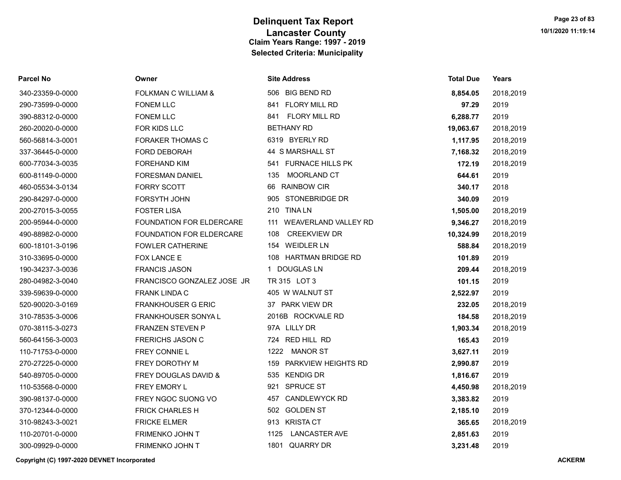| Parcel No        | Owner                          | <b>Site Address</b>                | <b>Total Due</b> | Years     |
|------------------|--------------------------------|------------------------------------|------------------|-----------|
| 340-23359-0-0000 | <b>FOLKMAN C WILLIAM &amp;</b> | 506 BIG BEND RD                    | 8,854.05         | 2018,2019 |
| 290-73599-0-0000 | <b>FONEM LLC</b>               | 841 FLORY MILL RD                  | 97.29            | 2019      |
| 390-88312-0-0000 | <b>FONEM LLC</b>               | <b>FLORY MILL RD</b><br>841        | 6,288.77         | 2019      |
| 260-20020-0-0000 | FOR KIDS LLC                   | <b>BETHANY RD</b>                  | 19,063.67        | 2018,2019 |
| 560-56814-3-0001 | <b>FORAKER THOMAS C</b>        | 6319 BYERLY RD                     | 1,117.95         | 2018,2019 |
| 337-36445-0-0000 | <b>FORD DEBORAH</b>            | 44 S MARSHALL ST                   | 7,168.32         | 2018,2019 |
| 600-77034-3-0035 | <b>FOREHAND KIM</b>            | 541 FURNACE HILLS PK               | 172.19           | 2018,2019 |
| 600-81149-0-0000 | <b>FORESMAN DANIEL</b>         | MOORLAND CT<br>135                 | 644.61           | 2019      |
| 460-05534-3-0134 | <b>FORRY SCOTT</b>             | <b>RAINBOW CIR</b><br>66           | 340.17           | 2018      |
| 290-84297-0-0000 | <b>FORSYTH JOHN</b>            | 905 STONEBRIDGE DR                 | 340.09           | 2019      |
| 200-27015-3-0055 | <b>FOSTER LISA</b>             | 210 TINA LN                        | 1,505.00         | 2018,2019 |
| 200-95944-0-0000 | FOUNDATION FOR ELDERCARE       | <b>WEAVERLAND VALLEY RD</b><br>111 | 9,346.27         | 2018,2019 |
| 490-88982-0-0000 | FOUNDATION FOR ELDERCARE       | <b>CREEKVIEW DR</b><br>108         | 10,324.99        | 2018,2019 |
| 600-18101-3-0196 | <b>FOWLER CATHERINE</b>        | 154 WEIDLER LN                     | 588.84           | 2018,2019 |
| 310-33695-0-0000 | FOX LANCE E                    | 108 HARTMAN BRIDGE RD              | 101.89           | 2019      |
| 190-34237-3-0036 | <b>FRANCIS JASON</b>           | 1 DOUGLAS LN                       | 209.44           | 2018,2019 |
| 280-04982-3-0040 | FRANCISCO GONZALEZ JOSE JR     | TR 315 LOT 3                       | 101.15           | 2019      |
| 339-59639-0-0000 | <b>FRANK LINDA C</b>           | 405 W WALNUT ST                    | 2,522.97         | 2019      |
| 520-90020-3-0169 | <b>FRANKHOUSER G ERIC</b>      | 37 PARK VIEW DR                    | 232.05           | 2018,2019 |
| 310-78535-3-0006 | FRANKHOUSER SONYA L            | 2016B ROCKVALE RD                  | 184.58           | 2018,2019 |
| 070-38115-3-0273 | <b>FRANZEN STEVEN P</b>        | 97A LILLY DR                       | 1,903.34         | 2018,2019 |
| 560-64156-3-0003 | <b>FRERICHS JASON C</b>        | 724 RED HILL RD                    | 165.43           | 2019      |
| 110-71753-0-0000 | FREY CONNIE L                  | 1222 MANOR ST                      | 3,627.11         | 2019      |
| 270-27225-0-0000 | FREY DOROTHY M                 | PARKVIEW HEIGHTS RD<br>159         | 2,990.87         | 2019      |
| 540-89705-0-0000 | FREY DOUGLAS DAVID &           | 535 KENDIG DR                      | 1,816.67         | 2019      |
| 110-53568-0-0000 | FREY EMORY L                   | 921 SPRUCE ST                      | 4,450.98         | 2018,2019 |
| 390-98137-0-0000 | FREY NGOC SUONG VO             | 457 CANDLEWYCK RD                  | 3,383.82         | 2019      |
| 370-12344-0-0000 | <b>FRICK CHARLES H</b>         | 502 GOLDEN ST                      | 2,185.10         | 2019      |
| 310-98243-3-0021 | <b>FRICKE ELMER</b>            | 913 KRISTA CT                      | 365.65           | 2018,2019 |
| 110-20701-0-0000 | FRIMENKO JOHN T                | 1125<br><b>LANCASTER AVE</b>       | 2,851.63         | 2019      |
| 300-09929-0-0000 | FRIMENKO JOHN T                | 1801 QUARRY DR                     | 3,231.48         | 2019      |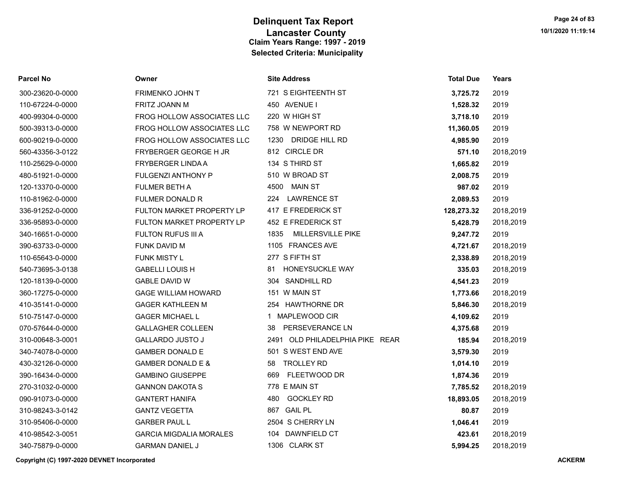| <b>Parcel No</b> | Owner                            | <b>Site Address</b>              | <b>Total Due</b> | Years     |
|------------------|----------------------------------|----------------------------------|------------------|-----------|
| 300-23620-0-0000 | FRIMENKO JOHN T                  | 721 S EIGHTEENTH ST              | 3,725.72         | 2019      |
| 110-67224-0-0000 | FRITZ JOANN M                    | 450 AVENUE I                     | 1,528.32         | 2019      |
| 400-99304-0-0000 | FROG HOLLOW ASSOCIATES LLC       | 220 W HIGH ST                    | 3,718.10         | 2019      |
| 500-39313-0-0000 | FROG HOLLOW ASSOCIATES LLC       | 758 W NEWPORT RD                 | 11,360.05        | 2019      |
| 600-90219-0-0000 | FROG HOLLOW ASSOCIATES LLC       | 1230 DRIDGE HILL RD              | 4,985.90         | 2019      |
| 560-43356-3-0122 | <b>FRYBERGER GEORGE H JR</b>     | 812 CIRCLE DR                    | 571.10           | 2018,2019 |
| 110-25629-0-0000 | FRYBERGER LINDA A                | 134 S THIRD ST                   | 1,665.82         | 2019      |
| 480-51921-0-0000 | <b>FULGENZI ANTHONY P</b>        | 510 W BROAD ST                   | 2,008.75         | 2019      |
| 120-13370-0-0000 | <b>FULMER BETH A</b>             | <b>MAIN ST</b><br>4500           | 987.02           | 2019      |
| 110-81962-0-0000 | <b>FULMER DONALD R</b>           | <b>LAWRENCE ST</b><br>224        | 2,089.53         | 2019      |
| 336-91252-0-0000 | FULTON MARKET PROPERTY LP        | 417 E FREDERICK ST               | 128,273.32       | 2018,2019 |
| 336-95893-0-0000 | <b>FULTON MARKET PROPERTY LP</b> | 452 E FREDERICK ST               | 5,428.79         | 2018,2019 |
| 340-16651-0-0000 | FULTON RUFUS III A               | 1835<br><b>MILLERSVILLE PIKE</b> | 9,247.72         | 2019      |
| 390-63733-0-0000 | FUNK DAVID M                     | 1105 FRANCES AVE                 | 4,721.67         | 2018,2019 |
| 110-65643-0-0000 | FUNK MISTY L                     | 277 S FIFTH ST                   | 2,338.89         | 2018,2019 |
| 540-73695-3-0138 | <b>GABELLI LOUIS H</b>           | <b>HONEYSUCKLE WAY</b><br>81     | 335.03           | 2018,2019 |
| 120-18139-0-0000 | <b>GABLE DAVID W</b>             | 304 SANDHILL RD                  | 4,541.23         | 2019      |
| 360-17275-0-0000 | <b>GAGE WILLIAM HOWARD</b>       | 151 W MAIN ST                    | 1,773.66         | 2018,2019 |
| 410-35141-0-0000 | <b>GAGER KATHLEEN M</b>          | 254 HAWTHORNE DR                 | 5,846.30         | 2018,2019 |
| 510-75147-0-0000 | <b>GAGER MICHAEL L</b>           | 1 MAPLEWOOD CIR                  | 4,109.62         | 2019      |
| 070-57644-0-0000 | <b>GALLAGHER COLLEEN</b>         | PERSEVERANCE LN<br>38            | 4,375.68         | 2019      |
| 310-00648-3-0001 | <b>GALLARDO JUSTO J</b>          | 2491 OLD PHILADELPHIA PIKE REAR  | 185.94           | 2018,2019 |
| 340-74078-0-0000 | <b>GAMBER DONALD E</b>           | 501 S WEST END AVE               | 3,579.30         | 2019      |
| 430-32126-0-0000 | <b>GAMBER DONALD E &amp;</b>     | <b>TROLLEY RD</b><br>58          | 1,014.10         | 2019      |
| 390-16434-0-0000 | <b>GAMBINO GIUSEPPE</b>          | <b>FLEETWOOD DR</b><br>669       | 1,874.36         | 2019      |
| 270-31032-0-0000 | <b>GANNON DAKOTA S</b>           | 778 E MAIN ST                    | 7,785.52         | 2018,2019 |
| 090-91073-0-0000 | <b>GANTERT HANIFA</b>            | <b>GOCKLEY RD</b><br>480         | 18,893.05        | 2018,2019 |
| 310-98243-3-0142 | <b>GANTZ VEGETTA</b>             | 867 GAIL PL                      | 80.87            | 2019      |
| 310-95406-0-0000 | <b>GARBER PAUL L</b>             | 2504 S CHERRY LN                 | 1,046.41         | 2019      |
| 410-98542-3-0051 | <b>GARCIA MIGDALIA MORALES</b>   | DAWNFIELD CT<br>104              | 423.61           | 2018,2019 |
| 340-75879-0-0000 | <b>GARMAN DANIEL J</b>           | 1306 CLARK ST                    | 5.994.25         | 2018,2019 |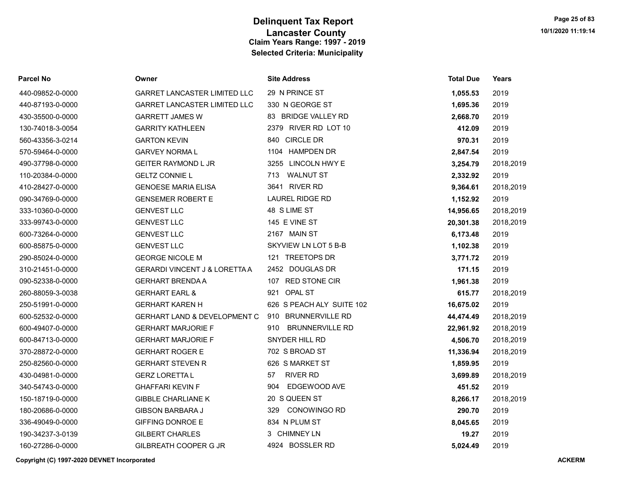| Parcel No        | Owner                                    | <b>Site Address</b>           | <b>Total Due</b> | Years     |
|------------------|------------------------------------------|-------------------------------|------------------|-----------|
| 440-09852-0-0000 | <b>GARRET LANCASTER LIMITED LLC</b>      | 29 N PRINCE ST                | 1,055.53         | 2019      |
| 440-87193-0-0000 | GARRET LANCASTER LIMITED LLC             | 330 N GEORGE ST               | 1,695.36         | 2019      |
| 430-35500-0-0000 | <b>GARRETT JAMES W</b>                   | 83 BRIDGE VALLEY RD           | 2,668.70         | 2019      |
| 130-74018-3-0054 | <b>GARRITY KATHLEEN</b>                  | 2379 RIVER RD LOT 10          | 412.09           | 2019      |
| 560-43356-3-0214 | <b>GARTON KEVIN</b>                      | 840 CIRCLE DR                 | 970.31           | 2019      |
| 570-59464-0-0000 | <b>GARVEY NORMAL</b>                     | 1104 HAMPDEN DR               | 2,847.54         | 2019      |
| 490-37798-0-0000 | <b>GEITER RAYMOND L JR</b>               | 3255 LINCOLN HWY E            | 3,254.79         | 2018,2019 |
| 110-20384-0-0000 | <b>GELTZ CONNIE L</b>                    | <b>WALNUT ST</b><br>713       | 2,332.92         | 2019      |
| 410-28427-0-0000 | <b>GENOESE MARIA ELISA</b>               | 3641 RIVER RD                 | 9,364.61         | 2018,2019 |
| 090-34769-0-0000 | <b>GENSEMER ROBERT E</b>                 | <b>LAUREL RIDGE RD</b>        | 1,152.92         | 2019      |
| 333-10360-0-0000 | <b>GENVEST LLC</b>                       | 48 S LIME ST                  | 14,956.65        | 2018,2019 |
| 333-99743-0-0000 | <b>GENVEST LLC</b>                       | 145 E VINE ST                 | 20,301.38        | 2018,2019 |
| 600-73264-0-0000 | <b>GENVEST LLC</b>                       | 2167 MAIN ST                  | 6,173.48         | 2019      |
| 600-85875-0-0000 | <b>GENVEST LLC</b>                       | SKYVIEW LN LOT 5 B-B          | 1,102.38         | 2019      |
| 290-85024-0-0000 | <b>GEORGE NICOLE M</b>                   | 121 TREETOPS DR               | 3,771.72         | 2019      |
| 310-21451-0-0000 | <b>GERARDI VINCENT J &amp; LORETTA A</b> | 2452 DOUGLAS DR               | 171.15           | 2019      |
| 090-52338-0-0000 | <b>GERHART BRENDA A</b>                  | 107 RED STONE CIR             | 1,961.38         | 2019      |
| 260-88059-3-0038 | <b>GERHART EARL &amp;</b>                | 921 OPAL ST                   | 615.77           | 2018,2019 |
| 250-51991-0-0000 | <b>GERHART KAREN H</b>                   | 626 S PEACH ALY SUITE 102     | 16,675.02        | 2019      |
| 600-52532-0-0000 | GERHART LAND & DEVELOPMENT C             | 910 BRUNNERVILLE RD           | 44,474.49        | 2018,2019 |
| 600-49407-0-0000 | <b>GERHART MARJORIE F</b>                | <b>BRUNNERVILLE RD</b><br>910 | 22,961.92        | 2018,2019 |
| 600-84713-0-0000 | <b>GERHART MARJORIE F</b>                | SNYDER HILL RD                | 4,506.70         | 2018,2019 |
| 370-28872-0-0000 | <b>GERHART ROGER E</b>                   | 702 S BROAD ST                | 11,336.94        | 2018,2019 |
| 250-82560-0-0000 | <b>GERHART STEVEN R</b>                  | 626 S MARKET ST               | 1,859.95         | 2019      |
| 430-04981-0-0000 | <b>GERZ LORETTA L</b>                    | <b>RIVER RD</b><br>57         | 3,699.89         | 2018,2019 |
| 340-54743-0-0000 | <b>GHAFFARI KEVIN F</b>                  | EDGEWOOD AVE<br>904           | 451.52           | 2019      |
| 150-18719-0-0000 | <b>GIBBLE CHARLIANE K</b>                | 20 S QUEEN ST                 | 8,266.17         | 2018,2019 |
| 180-20686-0-0000 | <b>GIBSON BARBARA J</b>                  | <b>CONOWINGO RD</b><br>329    | 290.70           | 2019      |
| 336-49049-0-0000 | <b>GIFFING DONROE E</b>                  | 834 N PLUM ST                 | 8,045.65         | 2019      |
| 190-34237-3-0139 | <b>GILBERT CHARLES</b>                   | 3 CHIMNEY LN                  | 19.27            | 2019      |
| 160-27286-0-0000 | GILBREATH COOPER G JR                    | 4924 BOSSLER RD               | 5.024.49         | 2019      |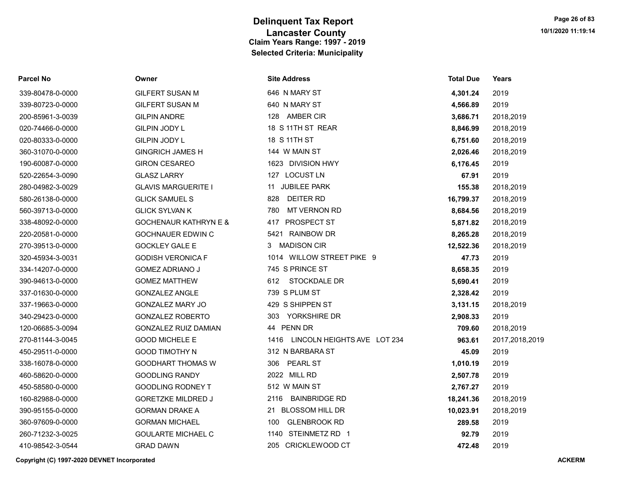| <b>Parcel No</b> | Owner                            | <b>Site Address</b>                 | <b>Total Due</b> | Years          |
|------------------|----------------------------------|-------------------------------------|------------------|----------------|
| 339-80478-0-0000 | <b>GILFERT SUSAN M</b>           | 646 N MARY ST                       | 4,301.24         | 2019           |
| 339-80723-0-0000 | <b>GILFERT SUSAN M</b>           | 640 N MARY ST                       | 4,566.89         | 2019           |
| 200-85961-3-0039 | <b>GILPIN ANDRE</b>              | 128 AMBER CIR                       | 3,686.71         | 2018,2019      |
| 020-74466-0-0000 | GILPIN JODY L                    | 18 S 11TH ST REAR                   | 8,846.99         | 2018,2019      |
| 020-80333-0-0000 | <b>GILPIN JODY L</b>             | 18 S 11TH ST                        | 6,751.60         | 2018,2019      |
| 360-31070-0-0000 | <b>GINGRICH JAMES H</b>          | 144 W MAIN ST                       | 2,026.46         | 2018,2019      |
| 190-60087-0-0000 | <b>GIRON CESAREO</b>             | 1623 DIVISION HWY                   | 6,176.45         | 2019           |
| 520-22654-3-0090 | <b>GLASZ LARRY</b>               | 127 LOCUST LN                       | 67.91            | 2019           |
| 280-04982-3-0029 | <b>GLAVIS MARGUERITE I</b>       | 11 JUBILEE PARK                     | 155.38           | 2018,2019      |
| 580-26138-0-0000 | <b>GLICK SAMUEL S</b>            | <b>DEITER RD</b><br>828             | 16,799.37        | 2018,2019      |
| 560-39713-0-0000 | <b>GLICK SYLVAN K</b>            | 780<br>MT VERNON RD                 | 8,684.56         | 2018,2019      |
| 338-48092-0-0000 | <b>GOCHENAUR KATHRYN E &amp;</b> | <b>PROSPECT ST</b><br>417           | 5,871.82         | 2018,2019      |
| 220-20581-0-0000 | <b>GOCHNAUER EDWIN C</b>         | <b>RAINBOW DR</b><br>5421           | 8,265.28         | 2018,2019      |
| 270-39513-0-0000 | <b>GOCKLEY GALE E</b>            | <b>MADISON CIR</b><br>3             | 12,522.36        | 2018,2019      |
| 320-45934-3-0031 | <b>GODISH VERONICA F</b>         | 1014 WILLOW STREET PIKE 9           | 47.73            | 2019           |
| 334-14207-0-0000 | <b>GOMEZ ADRIANO J</b>           | 745 S PRINCE ST                     | 8,658.35         | 2019           |
| 390-94613-0-0000 | <b>GOMEZ MATTHEW</b>             | 612<br>STOCKDALE DR                 | 5,690.41         | 2019           |
| 337-01630-0-0000 | <b>GONZALEZ ANGLE</b>            | 739 S PLUM ST                       | 2,328.42         | 2019           |
| 337-19663-0-0000 | <b>GONZALEZ MARY JO</b>          | 429 S SHIPPEN ST                    | 3,131.15         | 2018,2019      |
| 340-29423-0-0000 | <b>GONZALEZ ROBERTO</b>          | YORKSHIRE DR<br>303                 | 2,908.33         | 2019           |
| 120-06685-3-0094 | <b>GONZALEZ RUIZ DAMIAN</b>      | 44 PENN DR                          | 709.60           | 2018,2019      |
| 270-81144-3-0045 | <b>GOOD MICHELE E</b>            | 1416<br>LINCOLN HEIGHTS AVE LOT 234 | 963.61           | 2017,2018,2019 |
| 450-29511-0-0000 | <b>GOOD TIMOTHY N</b>            | 312 N BARBARA ST                    | 45.09            | 2019           |
| 338-16078-0-0000 | <b>GOODHART THOMAS W</b>         | <b>PEARL ST</b><br>306              | 1,010.19         | 2019           |
| 460-58620-0-0000 | <b>GOODLING RANDY</b>            | 2022 MILL RD                        | 2,507.78         | 2019           |
| 450-58580-0-0000 | <b>GOODLING RODNEY T</b>         | 512 W MAIN ST                       | 2,767.27         | 2019           |
| 160-82988-0-0000 | <b>GORETZKE MILDRED J</b>        | 2116 BAINBRIDGE RD                  | 18,241.36        | 2018,2019      |
| 390-95155-0-0000 | <b>GORMAN DRAKE A</b>            | 21 BLOSSOM HILL DR                  | 10,023.91        | 2018,2019      |
| 360-97609-0-0000 | <b>GORMAN MICHAEL</b>            | <b>GLENBROOK RD</b><br>100          | 289.58           | 2019           |
| 260-71232-3-0025 | <b>GOULARTE MICHAEL C</b>        | 1140 STEINMETZ RD 1                 | 92.79            | 2019           |
| 410-98542-3-0544 | <b>GRAD DAWN</b>                 | 205 CRICKLEWOOD CT                  | 472.48           | 2019           |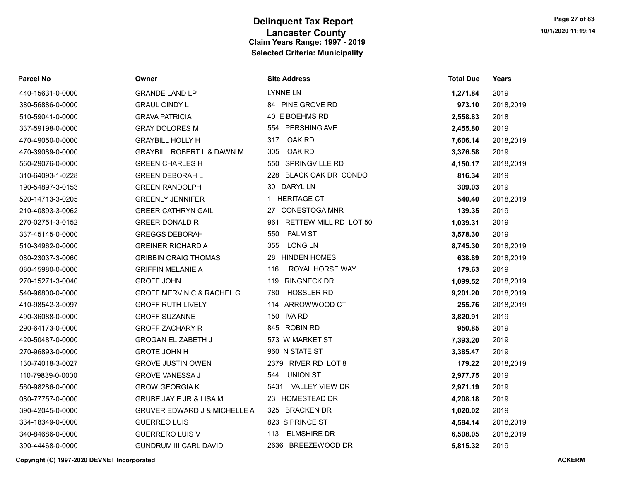| Parcel No        | Owner                                   | <b>Site Address</b>       | <b>Total Due</b> | Years     |
|------------------|-----------------------------------------|---------------------------|------------------|-----------|
| 440-15631-0-0000 | <b>GRANDE LAND LP</b>                   | LYNNE LN                  | 1,271.84         | 2019      |
| 380-56886-0-0000 | <b>GRAUL CINDY L</b>                    | 84 PINE GROVE RD          | 973.10           | 2018,2019 |
| 510-59041-0-0000 | <b>GRAVA PATRICIA</b>                   | 40 E BOEHMS RD            | 2,558.83         | 2018      |
| 337-59198-0-0000 | <b>GRAY DOLORES M</b>                   | 554 PERSHING AVE          | 2,455.80         | 2019      |
| 470-49050-0-0000 | <b>GRAYBILL HOLLY H</b>                 | OAK RD<br>317             | 7,606.14         | 2018,2019 |
| 470-39089-0-0000 | <b>GRAYBILL ROBERT L &amp; DAWN M</b>   | OAK RD<br>305             | 3,376.58         | 2019      |
| 560-29076-0-0000 | <b>GREEN CHARLES H</b>                  | 550 SPRINGVILLE RD        | 4,150.17         | 2018,2019 |
| 310-64093-1-0228 | <b>GREEN DEBORAH L</b>                  | 228 BLACK OAK DR CONDO    | 816.34           | 2019      |
| 190-54897-3-0153 | <b>GREEN RANDOLPH</b>                   | 30 DARYL LN               | 309.03           | 2019      |
| 520-14713-3-0205 | <b>GREENLY JENNIFER</b>                 | 1 HERITAGE CT             | 540.40           | 2018,2019 |
| 210-40893-3-0062 | <b>GREER CATHRYN GAIL</b>               | 27 CONESTOGA MNR          | 139.35           | 2019      |
| 270-02751-3-0152 | <b>GREER DONALD R</b>                   | 961 RETTEW MILL RD LOT 50 | 1,039.31         | 2019      |
| 337-45145-0-0000 | <b>GREGGS DEBORAH</b>                   | <b>PALM ST</b><br>550     | 3,578.30         | 2019      |
| 510-34962-0-0000 | <b>GREINER RICHARD A</b>                | <b>LONG LN</b><br>355     | 8,745.30         | 2018,2019 |
| 080-23037-3-0060 | <b>GRIBBIN CRAIG THOMAS</b>             | 28 HINDEN HOMES           | 638.89           | 2018,2019 |
| 080-15980-0-0000 | <b>GRIFFIN MELANIE A</b>                | ROYAL HORSE WAY<br>116    | 179.63           | 2019      |
| 270-15271-3-0040 | <b>GROFF JOHN</b>                       | <b>RINGNECK DR</b><br>119 | 1,099.52         | 2018,2019 |
| 540-96800-0-0000 | <b>GROFF MERVIN C &amp; RACHEL G</b>    | <b>HOSSLER RD</b><br>780  | 9,201.20         | 2018,2019 |
| 410-98542-3-0097 | <b>GROFF RUTH LIVELY</b>                | 114 ARROWWOOD CT          | 255.76           | 2018,2019 |
| 490-36088-0-0000 | <b>GROFF SUZANNE</b>                    | 150 IVA RD                | 3,820.91         | 2019      |
| 290-64173-0-0000 | <b>GROFF ZACHARY R</b>                  | 845 ROBIN RD              | 950.85           | 2019      |
| 420-50487-0-0000 | <b>GROGAN ELIZABETH J</b>               | 573 W MARKET ST           | 7,393.20         | 2019      |
| 270-96893-0-0000 | <b>GROTE JOHN H</b>                     | 960 N STATE ST            | 3,385.47         | 2019      |
| 130-74018-3-0027 | <b>GROVE JUSTIN OWEN</b>                | 2379 RIVER RD LOT 8       | 179.22           | 2018,2019 |
| 110-79839-0-0000 | <b>GROVE VANESSA J</b>                  | <b>UNION ST</b><br>544    | 2,977.75         | 2019      |
| 560-98286-0-0000 | <b>GROW GEORGIAK</b>                    | 5431 VALLEY VIEW DR       | 2,971.19         | 2019      |
| 080-77757-0-0000 | <b>GRUBE JAY E JR &amp; LISA M</b>      | 23 HOMESTEAD DR           | 4,208.18         | 2019      |
| 390-42045-0-0000 | <b>GRUVER EDWARD J &amp; MICHELLE A</b> | 325 BRACKEN DR            | 1,020.02         | 2019      |
| 334-18349-0-0000 | <b>GUERREO LUIS</b>                     | 823 S PRINCE ST           | 4,584.14         | 2018,2019 |
| 340-84686-0-0000 | <b>GUERRERO LUIS V</b>                  | <b>ELMSHIRE DR</b><br>113 | 6,508.05         | 2018,2019 |
| 390-44468-0-0000 | <b>GUNDRUM III CARL DAVID</b>           | 2636 BREEZEWOOD DR        | 5,815.32         | 2019      |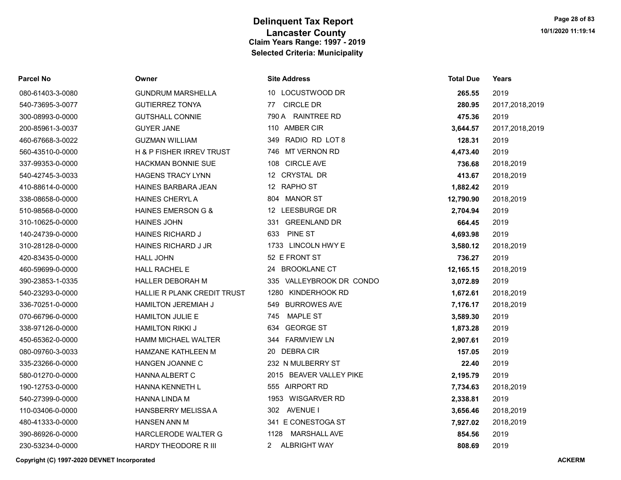| Parcel No        | Owner                               | <b>Site Address</b>         | <b>Total Due</b> | Years          |
|------------------|-------------------------------------|-----------------------------|------------------|----------------|
| 080-61403-3-0080 | <b>GUNDRUM MARSHELLA</b>            | 10 LOCUSTWOOD DR            | 265.55           | 2019           |
| 540-73695-3-0077 | <b>GUTIERREZ TONYA</b>              | <b>CIRCLE DR</b><br>77      | 280.95           | 2017,2018,2019 |
| 300-08993-0-0000 | <b>GUTSHALL CONNIE</b>              | 790 A RAINTREE RD           | 475.36           | 2019           |
| 200-85961-3-0037 | <b>GUYER JANE</b>                   | 110 AMBER CIR               | 3,644.57         | 2017,2018,2019 |
| 460-67668-3-0022 | <b>GUZMAN WILLIAM</b>               | RADIO RD LOT 8<br>349       | 128.31           | 2019           |
| 560-43510-0-0000 | <b>H &amp; P FISHER IRREV TRUST</b> | MT VERNON RD<br>746         | 4,473.40         | 2019           |
| 337-99353-0-0000 | <b>HACKMAN BONNIE SUE</b>           | 108 CIRCLE AVE              | 736.68           | 2018,2019      |
| 540-42745-3-0033 | <b>HAGENS TRACY LYNN</b>            | 12 CRYSTAL DR               | 413.67           | 2018,2019      |
| 410-88614-0-0000 | HAINES BARBARA JEAN                 | 12 RAPHO ST                 | 1,882.42         | 2019           |
| 338-08658-0-0000 | <b>HAINES CHERYLA</b>               | <b>MANOR ST</b><br>804      | 12,790.90        | 2018,2019      |
| 510-98568-0-0000 | <b>HAINES EMERSON G &amp;</b>       | 12 LEESBURGE DR             | 2,704.94         | 2019           |
| 310-10625-0-0000 | <b>HAINES JOHN</b>                  | 331 GREENLAND DR            | 664.45           | 2019           |
| 140-24739-0-0000 | <b>HAINES RICHARD J</b>             | <b>PINE ST</b><br>633       | 4,693.98         | 2019           |
| 310-28128-0-0000 | HAINES RICHARD J JR                 | 1733 LINCOLN HWY E          | 3,580.12         | 2018,2019      |
| 420-83435-0-0000 | <b>HALL JOHN</b>                    | 52 E FRONT ST               | 736.27           | 2019           |
| 460-59699-0-0000 | <b>HALL RACHEL E</b>                | <b>BROOKLANE CT</b><br>24   | 12,165.15        | 2018,2019      |
| 390-23853-1-0335 | <b>HALLER DEBORAH M</b>             | 335 VALLEYBROOK DR CONDO    | 3,072.89         | 2019           |
| 540-23293-0-0000 | HALLIE R PLANK CREDIT TRUST         | KINDERHOOK RD<br>1280       | 1,672.61         | 2018,2019      |
| 336-70251-0-0000 | <b>HAMILTON JEREMIAH J</b>          | <b>BURROWES AVE</b><br>549  | 7,176.17         | 2018,2019      |
| 070-66796-0-0000 | <b>HAMILTON JULIE E</b>             | <b>MAPLE ST</b><br>745      | 3,589.30         | 2019           |
| 338-97126-0-0000 | <b>HAMILTON RIKKI J</b>             | <b>GEORGE ST</b><br>634     | 1,873.28         | 2019           |
| 450-65362-0-0000 | <b>HAMM MICHAEL WALTER</b>          | 344 FARMVIEW LN             | 2,907.61         | 2019           |
| 080-09760-3-0033 | <b>HAMZANE KATHLEEN M</b>           | <b>DEBRACIR</b><br>20       | 157.05           | 2019           |
| 335-23266-0-0000 | HANGEN JOANNE C                     | 232 N MULBERRY ST           | 22.40            | 2019           |
| 580-01270-0-0000 | HANNA ALBERT C                      | 2015 BEAVER VALLEY PIKE     | 2,195.79         | 2019           |
| 190-12753-0-0000 | <b>HANNA KENNETH L</b>              | 555 AIRPORT RD              | 7,734.63         | 2018,2019      |
| 540-27399-0-0000 | <b>HANNA LINDA M</b>                | 1953 WISGARVER RD           | 2,338.81         | 2019           |
| 110-03406-0-0000 | <b>HANSBERRY MELISSA A</b>          | 302 AVENUE I                | 3,656.46         | 2018,2019      |
| 480-41333-0-0000 | <b>HANSEN ANN M</b>                 | 341 E CONESTOGA ST          | 7,927.02         | 2018,2019      |
| 390-86926-0-0000 | HARCLERODE WALTER G                 | <b>MARSHALL AVE</b><br>1128 | 854.56           | 2019           |
| 230-53234-0-0000 | HARDY THEODORE R III                | <b>ALBRIGHT WAY</b><br>2    | 808.69           | 2019           |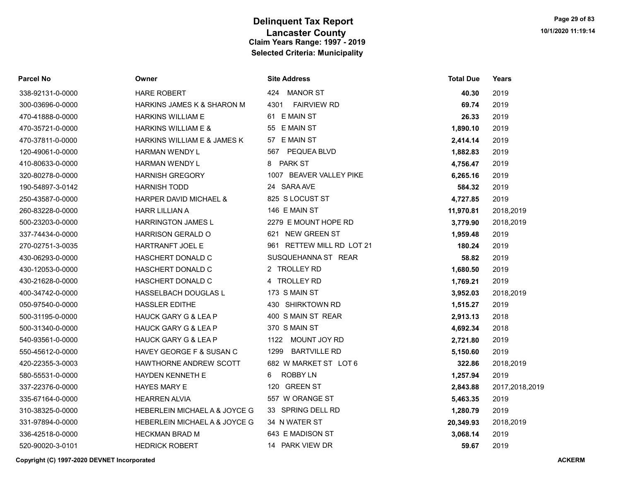| <b>Parcel No</b> | Owner                             | <b>Site Address</b>         | <b>Total Due</b> | <b>Years</b>   |
|------------------|-----------------------------------|-----------------------------|------------------|----------------|
| 338-92131-0-0000 | HARE ROBERT                       | 424 MANOR ST                | 40.30            | 2019           |
| 300-03696-0-0000 | HARKINS JAMES K & SHARON M        | <b>FAIRVIEW RD</b><br>4301  | 69.74            | 2019           |
| 470-41888-0-0000 | <b>HARKINS WILLIAM E</b>          | 61 E MAIN ST                | 26.33            | 2019           |
| 470-35721-0-0000 | <b>HARKINS WILLIAM E &amp;</b>    | 55 E MAIN ST                | 1,890.10         | 2019           |
| 470-37811-0-0000 | HARKINS WILLIAM E & JAMES K       | 57 E MAIN ST                | 2,414.14         | 2019           |
| 120-49061-0-0000 | <b>HARMAN WENDY L</b>             | 567 PEQUEA BLVD             | 1,882.83         | 2019           |
| 410-80633-0-0000 | <b>HARMAN WENDY L</b>             | 8 PARK ST                   | 4,756.47         | 2019           |
| 320-80278-0-0000 | <b>HARNISH GREGORY</b>            | 1007 BEAVER VALLEY PIKE     | 6,265.16         | 2019           |
| 190-54897-3-0142 | <b>HARNISH TODD</b>               | 24 SARA AVE                 | 584.32           | 2019           |
| 250-43587-0-0000 | <b>HARPER DAVID MICHAEL &amp;</b> | 825 S LOCUST ST             | 4,727.85         | 2019           |
| 260-83228-0-0000 | <b>HARR LILLIAN A</b>             | 146 E MAIN ST               | 11,970.81        | 2018,2019      |
| 500-23203-0-0000 | HARRINGTON JAMES L                | 2279 E MOUNT HOPE RD        | 3,779.90         | 2018,2019      |
| 337-74434-0-0000 | <b>HARRISON GERALD O</b>          | 621 NEW GREEN ST            | 1,959.48         | 2019           |
| 270-02751-3-0035 | HARTRANFT JOEL E                  | 961 RETTEW MILL RD LOT 21   | 180.24           | 2019           |
| 430-06293-0-0000 | HASCHERT DONALD C                 | SUSQUEHANNA ST REAR         | 58.82            | 2019           |
| 430-12053-0-0000 | <b>HASCHERT DONALD C</b>          | 2 TROLLEY RD                | 1,680.50         | 2019           |
| 430-21628-0-0000 | HASCHERT DONALD C                 | 4 TROLLEY RD                | 1,769.21         | 2019           |
| 400-34742-0-0000 | HASSELBACH DOUGLAS L              | 173 S MAIN ST               | 3,952.03         | 2018,2019      |
| 050-97540-0-0000 | <b>HASSLER EDITHE</b>             | 430 SHIRKTOWN RD            | 1,515.27         | 2019           |
| 500-31195-0-0000 | <b>HAUCK GARY G &amp; LEA P</b>   | 400 S MAIN ST REAR          | 2,913.13         | 2018           |
| 500-31340-0-0000 | <b>HAUCK GARY G &amp; LEA P</b>   | 370 S MAIN ST               | 4,692.34         | 2018           |
| 540-93561-0-0000 | HAUCK GARY G & LEA P              | 1122 MOUNT JOY RD           | 2,721.80         | 2019           |
| 550-45612-0-0000 | HAVEY GEORGE F & SUSAN C          | <b>BARTVILLE RD</b><br>1299 | 5,150.60         | 2019           |
| 420-22355-3-0003 | <b>HAWTHORNE ANDREW SCOTT</b>     | 682 W MARKET ST LOT 6       | 322.86           | 2018,2019      |
| 580-55531-0-0000 | HAYDEN KENNETH E                  | <b>ROBBY LN</b><br>6        | 1,257.94         | 2019           |
| 337-22376-0-0000 | <b>HAYES MARY E</b>               | 120 GREEN ST                | 2,843.88         | 2017,2018,2019 |
| 335-67164-0-0000 | <b>HEARREN ALVIA</b>              | 557 W ORANGE ST             | 5,463.35         | 2019           |
| 310-38325-0-0000 | HEBERLEIN MICHAEL A & JOYCE G     | 33 SPRING DELL RD           | 1,280.79         | 2019           |
| 331-97894-0-0000 | HEBERLEIN MICHAEL A & JOYCE G     | 34 N WATER ST               | 20,349.93        | 2018,2019      |
| 336-42518-0-0000 | <b>HECKMAN BRAD M</b>             | 643 E MADISON ST            | 3,068.14         | 2019           |
| 520-90020-3-0101 | <b>HEDRICK ROBERT</b>             | 14 PARK VIEW DR             | 59.67            | 2019           |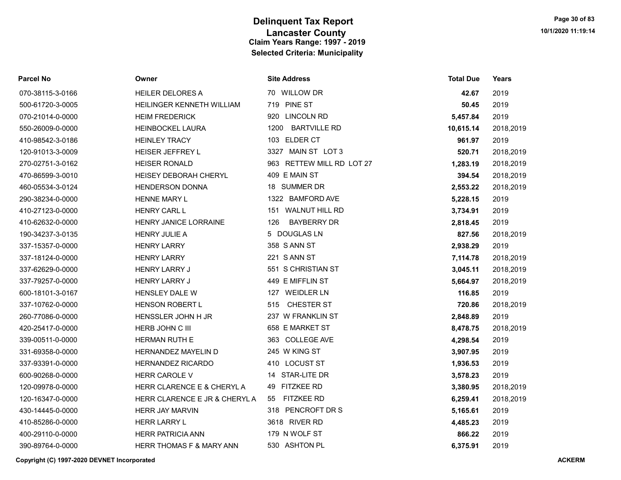| <b>Parcel No</b> | Owner                               | <b>Site Address</b>         | <b>Total Due</b> | Years     |
|------------------|-------------------------------------|-----------------------------|------------------|-----------|
| 070-38115-3-0166 | <b>HEILER DELORES A</b>             | 70 WILLOW DR                | 42.67            | 2019      |
| 500-61720-3-0005 | HEILINGER KENNETH WILLIAM           | 719 PINE ST                 | 50.45            | 2019      |
| 070-21014-0-0000 | <b>HEIM FREDERICK</b>               | 920 LINCOLN RD              | 5,457.84         | 2019      |
| 550-26009-0-0000 | <b>HEINBOCKEL LAURA</b>             | <b>BARTVILLE RD</b><br>1200 | 10,615.14        | 2018,2019 |
| 410-98542-3-0186 | <b>HEINLEY TRACY</b>                | 103 ELDER CT                | 961.97           | 2019      |
| 120-91013-3-0009 | HEISER JEFFREY L                    | 3327 MAIN ST LOT 3          | 520.71           | 2018,2019 |
| 270-02751-3-0162 | <b>HEISER RONALD</b>                | 963 RETTEW MILL RD LOT 27   | 1,283.19         | 2018,2019 |
| 470-86599-3-0010 | <b>HEISEY DEBORAH CHERYL</b>        | 409 E MAIN ST               | 394.54           | 2018,2019 |
| 460-05534-3-0124 | <b>HENDERSON DONNA</b>              | 18 SUMMER DR                | 2,553.22         | 2018,2019 |
| 290-38234-0-0000 | <b>HENNE MARY L</b>                 | 1322 BAMFORD AVE            | 5,228.15         | 2019      |
| 410-27123-0-0000 | <b>HENRY CARL L</b>                 | 151 WALNUT HILL RD          | 3,734.91         | 2019      |
| 410-62632-0-0000 | HENRY JANICE LORRAINE               | <b>BAYBERRY DR</b><br>126   | 2,818.45         | 2019      |
| 190-34237-3-0135 | <b>HENRY JULIE A</b>                | 5 DOUGLAS LN                | 827.56           | 2018,2019 |
| 337-15357-0-0000 | <b>HENRY LARRY</b>                  | 358 S ANN ST                | 2,938.29         | 2019      |
| 337-18124-0-0000 | <b>HENRY LARRY</b>                  | 221 S ANN ST                | 7,114.78         | 2018,2019 |
| 337-62629-0-0000 | <b>HENRY LARRY J</b>                | 551 S CHRISTIAN ST          | 3,045.11         | 2018,2019 |
| 337-79257-0-0000 | <b>HENRY LARRY J</b>                | 449 E MIFFLIN ST            | 5,664.97         | 2018,2019 |
| 600-18101-3-0167 | <b>HENSLEY DALE W</b>               | 127 WEIDLER LN              | 116.85           | 2019      |
| 337-10762-0-0000 | HENSON ROBERT L                     | 515 CHESTER ST              | 720.86           | 2018,2019 |
| 260-77086-0-0000 | HENSSLER JOHN H JR                  | 237 W FRANKLIN ST           | 2,848.89         | 2019      |
| 420-25417-0-0000 | HERB JOHN C III                     | 658 E MARKET ST             | 8,478.75         | 2018,2019 |
| 339-00511-0-0000 | HERMAN RUTH E                       | 363 COLLEGE AVE             | 4,298.54         | 2019      |
| 331-69358-0-0000 | <b>HERNANDEZ MAYELIN D</b>          | 245 W KING ST               | 3,907.95         | 2019      |
| 337-93391-0-0000 | <b>HERNANDEZ RICARDO</b>            | 410 LOCUST ST               | 1,936.53         | 2019      |
| 600-90268-0-0000 | <b>HERR CAROLE V</b>                | 14 STAR-LITE DR             | 3,578.23         | 2019      |
| 120-09978-0-0000 | HERR CLARENCE E & CHERYL A          | 49 FITZKEE RD               | 3,380.95         | 2018,2019 |
| 120-16347-0-0000 | HERR CLARENCE E JR & CHERYL A       | <b>FITZKEE RD</b><br>55     | 6,259.41         | 2018,2019 |
| 430-14445-0-0000 | <b>HERR JAY MARVIN</b>              | 318 PENCROFT DR S           | 5,165.61         | 2019      |
| 410-85286-0-0000 | <b>HERR LARRY L</b>                 | 3618 RIVER RD               | 4,485.23         | 2019      |
| 400-29110-0-0000 | <b>HERR PATRICIA ANN</b>            | 179 N WOLF ST               | 866.22           | 2019      |
| 390-89764-0-0000 | <b>HERR THOMAS F &amp; MARY ANN</b> | 530 ASHTON PL               | 6.375.91         | 2019      |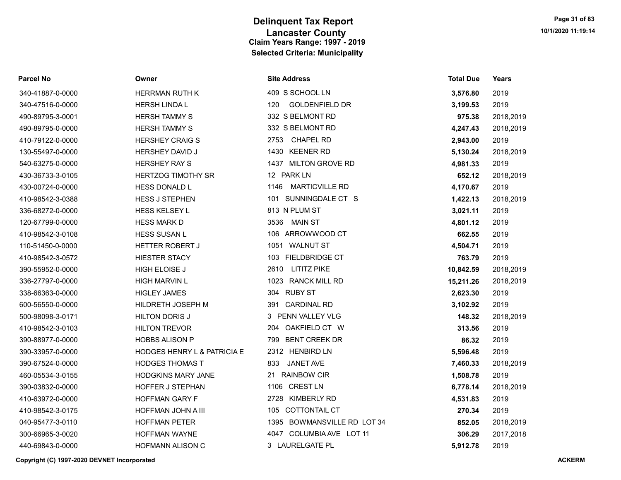| <b>Parcel No</b> | Owner                       | <b>Site Address</b>          | <b>Total Due</b> | Years     |
|------------------|-----------------------------|------------------------------|------------------|-----------|
| 340-41887-0-0000 | <b>HERRMAN RUTH K</b>       | 409 S SCHOOL LN              | 3,576.80         | 2019      |
| 340-47516-0-0000 | <b>HERSH LINDA L</b>        | <b>GOLDENFIELD DR</b><br>120 | 3,199.53         | 2019      |
| 490-89795-3-0001 | <b>HERSH TAMMY S</b>        | 332 S BELMONT RD             | 975.38           | 2018,2019 |
| 490-89795-0-0000 | <b>HERSH TAMMY S</b>        | 332 S BELMONT RD             | 4,247.43         | 2018,2019 |
| 410-79122-0-0000 | <b>HERSHEY CRAIG S</b>      | 2753 CHAPEL RD               | 2,943.00         | 2019      |
| 130-55497-0-0000 | <b>HERSHEY DAVID J</b>      | 1430 KEENER RD               | 5,130.24         | 2018,2019 |
| 540-63275-0-0000 | <b>HERSHEY RAY S</b>        | 1437 MILTON GROVE RD         | 4,981.33         | 2019      |
| 430-36733-3-0105 | <b>HERTZOG TIMOTHY SR</b>   | 12 PARK LN                   | 652.12           | 2018,2019 |
| 430-00724-0-0000 | <b>HESS DONALD L</b>        | 1146 MARTICVILLE RD          | 4,170.67         | 2019      |
| 410-98542-3-0388 | <b>HESS J STEPHEN</b>       | 101 SUNNINGDALE CT S         | 1,422.13         | 2018,2019 |
| 336-68272-0-0000 | <b>HESS KELSEY L</b>        | 813 N PLUM ST                | 3,021.11         | 2019      |
| 120-67799-0-0000 | <b>HESS MARK D</b>          | 3536 MAIN ST                 | 4,801.12         | 2019      |
| 410-98542-3-0108 | HESS SUSAN L                | 106 ARROWWOOD CT             | 662.55           | 2019      |
| 110-51450-0-0000 | HETTER ROBERT J             | 1051 WALNUT ST               | 4,504.71         | 2019      |
| 410-98542-3-0572 | <b>HIESTER STACY</b>        | 103 FIELDBRIDGE CT           | 763.79           | 2019      |
| 390-55952-0-0000 | HIGH ELOISE J               | 2610 LITITZ PIKE             | 10,842.59        | 2018,2019 |
| 336-27797-0-0000 | <b>HIGH MARVIN L</b>        | 1023 RANCK MILL RD           | 15,211.26        | 2018,2019 |
| 338-66363-0-0000 | <b>HIGLEY JAMES</b>         | 304 RUBY ST                  | 2,623.30         | 2019      |
| 600-56550-0-0000 | HILDRETH JOSEPH M           | 391 CARDINAL RD              | 3,102.92         | 2019      |
| 500-98098-3-0171 | <b>HILTON DORIS J</b>       | 3 PENN VALLEY VLG            | 148.32           | 2018,2019 |
| 410-98542-3-0103 | <b>HILTON TREVOR</b>        | 204 OAKFIELD CT W            | 313.56           | 2019      |
| 390-88977-0-0000 | <b>HOBBS ALISON P</b>       | 799 BENT CREEK DR            | 86.32            | 2019      |
| 390-33957-0-0000 | HODGES HENRY L & PATRICIA E | 2312 HENBIRD LN              | 5,596.48         | 2019      |
| 390-67524-0-0000 | <b>HODGES THOMAS T</b>      | 833<br>JANET AVE             | 7,460.33         | 2018,2019 |
| 460-05534-3-0155 | <b>HODGKINS MARY JANE</b>   | 21 RAINBOW CIR               | 1,508.78         | 2019      |
| 390-03832-0-0000 | HOFFER J STEPHAN            | 1106 CREST LN                | 6,778.14         | 2018,2019 |
| 410-63972-0-0000 | <b>HOFFMAN GARY F</b>       | 2728 KIMBERLY RD             | 4,531.83         | 2019      |
| 410-98542-3-0175 | HOFFMAN JOHN A III          | 105 COTTONTAIL CT            | 270.34           | 2019      |
| 040-95477-3-0110 | <b>HOFFMAN PETER</b>        | 1395 BOWMANSVILLE RD LOT 34  | 852.05           | 2018,2019 |
| 300-66965-3-0020 | HOFFMAN WAYNE               | 4047 COLUMBIA AVE LOT 11     | 306.29           | 2017,2018 |
| 440-69843-0-0000 | HOFMANN ALISON C            | 3 LAURELGATE PL              | 5,912.78         | 2019      |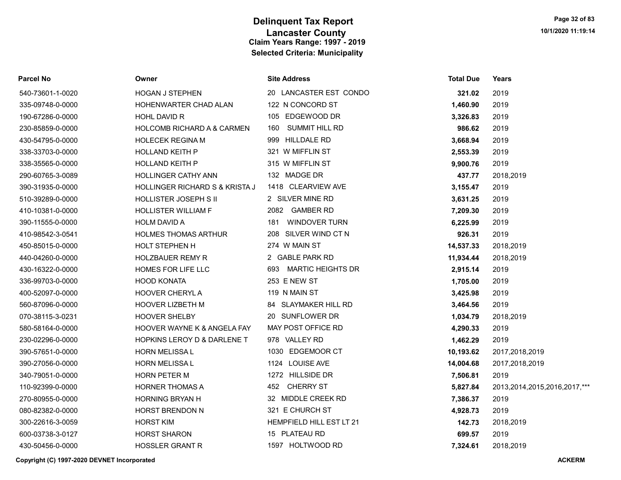| Parcel No        | Owner                                  | <b>Site Address</b>      | <b>Total Due</b> | Years                             |
|------------------|----------------------------------------|--------------------------|------------------|-----------------------------------|
| 540-73601-1-0020 | <b>HOGAN J STEPHEN</b>                 | 20 LANCASTER EST CONDO   | 321.02           | 2019                              |
| 335-09748-0-0000 | HOHENWARTER CHAD ALAN                  | 122 N CONCORD ST         | 1,460.90         | 2019                              |
| 190-67286-0-0000 | <b>HOHL DAVID R</b>                    | 105 EDGEWOOD DR          | 3,326.83         | 2019                              |
| 230-85859-0-0000 | <b>HOLCOMB RICHARD A &amp; CARMEN</b>  | 160 SUMMIT HILL RD       | 986.62           | 2019                              |
| 430-54795-0-0000 | <b>HOLECEK REGINA M</b>                | 999 HILLDALE RD          | 3,668.94         | 2019                              |
| 338-33703-0-0000 | <b>HOLLAND KEITH P</b>                 | 321 W MIFFLIN ST         | 2,553.39         | 2019                              |
| 338-35565-0-0000 | <b>HOLLAND KEITH P</b>                 | 315 W MIFFLIN ST         | 9,900.76         | 2019                              |
| 290-60765-3-0089 | <b>HOLLINGER CATHY ANN</b>             | 132 MADGE DR             | 437.77           | 2018,2019                         |
| 390-31935-0-0000 | HOLLINGER RICHARD S & KRISTA J         | 1418 CLEARVIEW AVE       | 3,155.47         | 2019                              |
| 510-39289-0-0000 | HOLLISTER JOSEPH S II                  | 2 SILVER MINE RD         | 3,631.25         | 2019                              |
| 410-10381-0-0000 | <b>HOLLISTER WILLIAM F</b>             | 2082 GAMBER RD           | 7,209.30         | 2019                              |
| 390-11555-0-0000 | <b>HOLM DAVID A</b>                    | WINDOVER TURN<br>181     | 6,225.99         | 2019                              |
| 410-98542-3-0541 | <b>HOLMES THOMAS ARTHUR</b>            | 208 SILVER WIND CT N     | 926.31           | 2019                              |
| 450-85015-0-0000 | HOLT STEPHEN H                         | 274 W MAIN ST            | 14,537.33        | 2018,2019                         |
| 440-04260-0-0000 | <b>HOLZBAUER REMY R</b>                | 2 GABLE PARK RD          | 11,934.44        | 2018,2019                         |
| 430-16322-0-0000 | HOMES FOR LIFE LLC                     | 693 MARTIC HEIGHTS DR    | 2,915.14         | 2019                              |
| 336-99703-0-0000 | <b>HOOD KONATA</b>                     | 253 E NEW ST             | 1,705.00         | 2019                              |
| 400-52097-0-0000 | HOOVER CHERYL A                        | 119 N MAIN ST            | 3,425.98         | 2019                              |
| 560-87096-0-0000 | HOOVER LIZBETH M                       | 84 SLAYMAKER HILL RD     | 3,464.56         | 2019                              |
| 070-38115-3-0231 | HOOVER SHELBY                          | 20 SUNFLOWER DR          | 1,034.79         | 2018,2019                         |
| 580-58164-0-0000 | <b>HOOVER WAYNE K &amp; ANGELA FAY</b> | MAY POST OFFICE RD       | 4,290.33         | 2019                              |
| 230-02296-0-0000 | HOPKINS LEROY D & DARLENE T            | 978 VALLEY RD            | 1,462.29         | 2019                              |
| 390-57651-0-0000 | <b>HORN MELISSA L</b>                  | 1030 EDGEMOOR CT         | 10,193.62        | 2017,2018,2019                    |
| 390-27056-0-0000 | HORN MELISSA L                         | 1124 LOUISE AVE          | 14,004.68        | 2017,2018,2019                    |
| 340-79051-0-0000 | <b>HORN PETER M</b>                    | 1272 HILLSIDE DR         | 7,506.81         | 2019                              |
| 110-92399-0-0000 | <b>HORNER THOMAS A</b>                 | 452 CHERRY ST            | 5,827.84         | 2013, 2014, 2015, 2016, 2017, *** |
| 270-80955-0-0000 | <b>HORNING BRYAN H</b>                 | 32 MIDDLE CREEK RD       | 7,386.37         | 2019                              |
| 080-82382-0-0000 | HORST BRENDON N                        | 321 E CHURCH ST          | 4,928.73         | 2019                              |
| 300-22616-3-0059 | <b>HORST KIM</b>                       | HEMPFIELD HILL EST LT 21 | 142.73           | 2018,2019                         |
| 600-03738-3-0127 | <b>HORST SHARON</b>                    | 15 PLATEAU RD            | 699.57           | 2019                              |
| 430-50456-0-0000 | <b>HOSSLER GRANT R</b>                 | 1597 HOLTWOOD RD         | 7,324.61         | 2018,2019                         |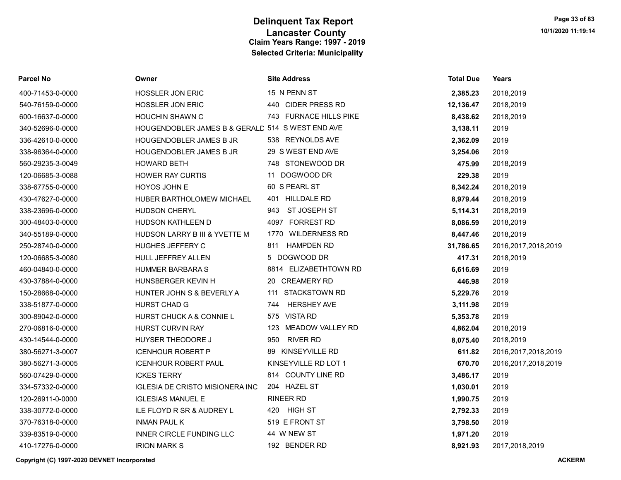| Parcel No        | Owner                                            | <b>Site Address</b>     | <b>Total Due</b> | <b>Years</b>           |
|------------------|--------------------------------------------------|-------------------------|------------------|------------------------|
| 400-71453-0-0000 | <b>HOSSLER JON ERIC</b>                          | 15 N PENN ST            | 2,385.23         | 2018,2019              |
| 540-76159-0-0000 | <b>HOSSLER JON ERIC</b>                          | 440 CIDER PRESS RD      | 12,136.47        | 2018,2019              |
| 600-16637-0-0000 | <b>HOUCHIN SHAWN C</b>                           | 743 FURNACE HILLS PIKE  | 8,438.62         | 2018,2019              |
| 340-52696-0-0000 | HOUGENDOBLER JAMES B & GERALD 514 S WEST END AVE |                         | 3,138.11         | 2019                   |
| 336-42610-0-0000 | HOUGENDOBLER JAMES B JR                          | 538 REYNOLDS AVE        | 2,362.09         | 2019                   |
| 338-96364-0-0000 | HOUGENDOBLER JAMES B JR                          | 29 S WEST END AVE       | 3,254.06         | 2019                   |
| 560-29235-3-0049 | <b>HOWARD BETH</b>                               | 748 STONEWOOD DR        | 475.99           | 2018,2019              |
| 120-06685-3-0088 | <b>HOWER RAY CURTIS</b>                          | 11 DOGWOOD DR           | 229.38           | 2019                   |
| 338-67755-0-0000 | HOYOS JOHN E                                     | 60 S PEARL ST           | 8,342.24         | 2018,2019              |
| 430-47627-0-0000 | HUBER BARTHOLOMEW MICHAEL                        | 401 HILLDALE RD         | 8,979.44         | 2018,2019              |
| 338-23696-0-0000 | <b>HUDSON CHERYL</b>                             | ST JOSEPH ST<br>943     | 5,114.31         | 2018,2019              |
| 300-48403-0-0000 | HUDSON KATHLEEN D                                | 4097 FORREST RD         | 8,086.59         | 2018,2019              |
| 340-55189-0-0000 | HUDSON LARRY B III & YVETTE M                    | 1770 WILDERNESS RD      | 8,447.46         | 2018,2019              |
| 250-28740-0-0000 | HUGHES JEFFERY C                                 | 811 HAMPDEN RD          | 31,786.65        | 2016, 2017, 2018, 2019 |
| 120-06685-3-0080 | HULL JEFFREY ALLEN                               | 5 DOGWOOD DR            | 417.31           | 2018,2019              |
| 460-04840-0-0000 | <b>HUMMER BARBARA S</b>                          | 8814 ELIZABETHTOWN RD   | 6,616.69         | 2019                   |
| 430-37884-0-0000 | HUNSBERGER KEVIN H                               | 20 CREAMERY RD          | 446.98           | 2019                   |
| 150-28668-0-0000 | HUNTER JOHN S & BEVERLY A                        | 111 STACKSTOWN RD       | 5,229.76         | 2019                   |
| 338-51877-0-0000 | <b>HURST CHAD G</b>                              | 744 HERSHEY AVE         | 3,111.98         | 2019                   |
| 300-89042-0-0000 | HURST CHUCK A & CONNIE L                         | 575 VISTA RD            | 5,353.78         | 2019                   |
| 270-06816-0-0000 | <b>HURST CURVIN RAY</b>                          | MEADOW VALLEY RD<br>123 | 4,862.04         | 2018,2019              |
| 430-14544-0-0000 | HUYSER THEODORE J                                | 950 RIVER RD            | 8,075.40         | 2018,2019              |
| 380-56271-3-0007 | <b>ICENHOUR ROBERT P</b>                         | 89 KINSEYVILLE RD       | 611.82           | 2016, 2017, 2018, 2019 |
| 380-56271-3-0005 | <b>ICENHOUR ROBERT PAUL</b>                      | KINSEYVILLE RD LOT 1    | 670.70           | 2016, 2017, 2018, 2019 |
| 560-07429-0-0000 | <b>ICKES TERRY</b>                               | 814 COUNTY LINE RD      | 3,486.17         | 2019                   |
| 334-57332-0-0000 | <b>IGLESIA DE CRISTO MISIONERA INC</b>           | 204 HAZEL ST            | 1,030.01         | 2019                   |
| 120-26911-0-0000 | <b>IGLESIAS MANUEL E</b>                         | <b>RINEER RD</b>        | 1,990.75         | 2019                   |
| 338-30772-0-0000 | ILE FLOYD R SR & AUDREY L                        | 420 HIGH ST             | 2,792.33         | 2019                   |
| 370-76318-0-0000 | <b>INMAN PAUL K</b>                              | 519 E FRONT ST          | 3,798.50         | 2019                   |
| 339-83519-0-0000 | INNER CIRCLE FUNDING LLC                         | 44 W NEW ST             | 1,971.20         | 2019                   |
| 410-17276-0-0000 | <b>IRION MARK S</b>                              | 192 BENDER RD           | 8,921.93         | 2017,2018,2019         |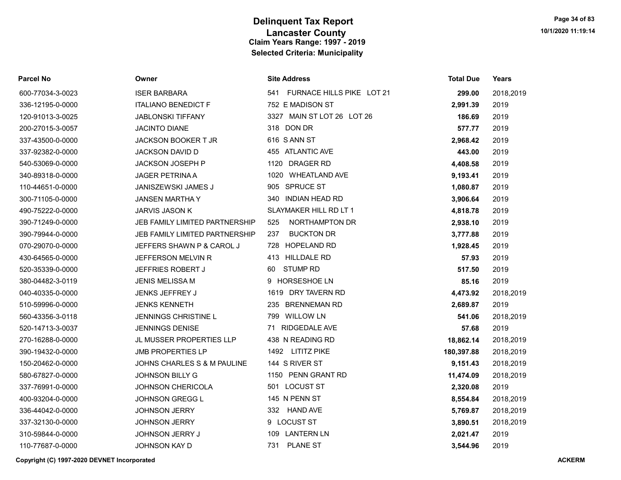| Parcel No        | Owner                           | <b>Site Address</b>              | <b>Total Due</b> | Years     |
|------------------|---------------------------------|----------------------------------|------------------|-----------|
| 600-77034-3-0023 | <b>ISER BARBARA</b>             | FURNACE HILLS PIKE LOT 21<br>541 | 299.00           | 2018,2019 |
| 336-12195-0-0000 | <b>ITALIANO BENEDICT F</b>      | 752 E MADISON ST                 | 2,991.39         | 2019      |
| 120-91013-3-0025 | <b>JABLONSKI TIFFANY</b>        | 3327 MAIN ST LOT 26 LOT 26       | 186.69           | 2019      |
| 200-27015-3-0057 | <b>JACINTO DIANE</b>            | 318 DON DR                       | 577.77           | 2019      |
| 337-43500-0-0000 | JACKSON BOOKER T JR             | 616 SANN ST                      | 2,968.42         | 2019      |
| 337-92382-0-0000 | JACKSON DAVID D                 | 455 ATLANTIC AVE                 | 443.00           | 2019      |
| 540-53069-0-0000 | JACKSON JOSEPH P                | 1120 DRAGER RD                   | 4,408.58         | 2019      |
| 340-89318-0-0000 | <b>JAGER PETRINA A</b>          | 1020 WHEATLAND AVE               | 9,193.41         | 2019      |
| 110-44651-0-0000 | JANISZEWSKI JAMES J             | 905 SPRUCE ST                    | 1,080.87         | 2019      |
| 300-71105-0-0000 | <b>JANSEN MARTHA Y</b>          | 340 INDIAN HEAD RD               | 3,906.64         | 2019      |
| 490-75222-0-0000 | JARVIS JASON K                  | SLAYMAKER HILL RD LT 1           | 4,818.78         | 2019      |
| 390-71249-0-0000 | JEB FAMILY LIMITED PARTNERSHIP  | NORTHAMPTON DR<br>525            | 2,938.10         | 2019      |
| 390-79944-0-0000 | JEB FAMILY LIMITED PARTNERSHIP  | <b>BUCKTON DR</b><br>237         | 3,777.88         | 2019      |
| 070-29070-0-0000 | JEFFERS SHAWN P & CAROL J       | HOPELAND RD<br>728               | 1,928.45         | 2019      |
| 430-64565-0-0000 | JEFFERSON MELVIN R              | <b>HILLDALE RD</b><br>413        | 57.93            | 2019      |
| 520-35339-0-0000 | <b>JEFFRIES ROBERT J</b>        | <b>STUMP RD</b><br>60            | 517.50           | 2019      |
| 380-04482-3-0119 | <b>JENIS MELISSA M</b>          | 9 HORSESHOE LN                   | 85.16            | 2019      |
| 040-40335-0-0000 | JENKS JEFFREY J                 | 1619 DRY TAVERN RD               | 4,473.92         | 2018,2019 |
| 510-59996-0-0000 | <b>JENKS KENNETH</b>            | 235 BRENNEMAN RD                 | 2,689.87         | 2019      |
| 560-43356-3-0118 | JENNINGS CHRISTINE L            | 799 WILLOW LN                    | 541.06           | 2018,2019 |
| 520-14713-3-0037 | <b>JENNINGS DENISE</b>          | <b>RIDGEDALE AVE</b><br>71       | 57.68            | 2019      |
| 270-16288-0-0000 | <b>JL MUSSER PROPERTIES LLP</b> | 438 N READING RD                 | 18,862.14        | 2018,2019 |
| 390-19432-0-0000 | <b>JMB PROPERTIES LP</b>        | 1492 LITITZ PIKE                 | 180,397.88       | 2018,2019 |
| 150-20462-0-0000 | JOHNS CHARLES S & M PAULINE     | 144 S RIVER ST                   | 9,151.43         | 2018,2019 |
| 580-67827-0-0000 | <b>JOHNSON BILLY G</b>          | 1150 PENN GRANT RD               | 11,474.09        | 2018,2019 |
| 337-76991-0-0000 | <b>JOHNSON CHERICOLA</b>        | 501 LOCUST ST                    | 2,320.08         | 2019      |
| 400-93204-0-0000 | JOHNSON GREGG L                 | 145 N PENN ST                    | 8,554.84         | 2018,2019 |
| 336-44042-0-0000 | <b>JOHNSON JERRY</b>            | 332 HAND AVE                     | 5,769.87         | 2018,2019 |
| 337-32130-0-0000 | <b>JOHNSON JERRY</b>            | 9 LOCUST ST                      | 3,890.51         | 2018,2019 |
| 310-59844-0-0000 | JOHNSON JERRY J                 | <b>LANTERN LN</b><br>109         | 2,021.47         | 2019      |
| 110-77687-0-0000 | JOHNSON KAY D                   | <b>PLANE ST</b><br>731           | 3,544.96         | 2019      |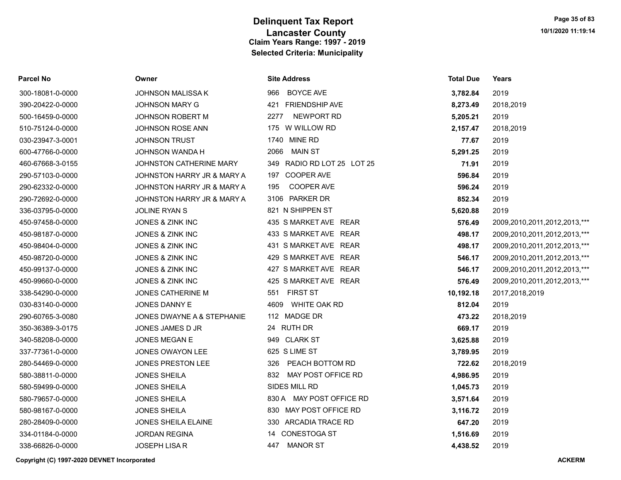| <b>Parcel No</b> | Owner                      | <b>Site Address</b>        | <b>Total Due</b> | Years                        |
|------------------|----------------------------|----------------------------|------------------|------------------------------|
| 300-18081-0-0000 | <b>JOHNSON MALISSA K</b>   | <b>BOYCE AVE</b><br>966    | 3,782.84         | 2019                         |
| 390-20422-0-0000 | <b>JOHNSON MARY G</b>      | 421 FRIENDSHIP AVE         | 8,273.49         | 2018,2019                    |
| 500-16459-0-0000 | <b>JOHNSON ROBERT M</b>    | NEWPORT RD<br>2277         | 5,205.21         | 2019                         |
| 510-75124-0-0000 | JOHNSON ROSE ANN           | 175 W WILLOW RD            | 2,157.47         | 2018,2019                    |
| 030-23947-3-0001 | <b>JOHNSON TRUST</b>       | 1740 MINE RD               | 77.67            | 2019                         |
| 600-47766-0-0000 | JOHNSON WANDA H            | MAIN ST<br>2066            | 5,291.25         | 2019                         |
| 460-67668-3-0155 | JOHNSTON CATHERINE MARY    | 349 RADIO RD LOT 25 LOT 25 | 71.91            | 2019                         |
| 290-57103-0-0000 | JOHNSTON HARRY JR & MARY A | 197 COOPER AVE             | 596.84           | 2019                         |
| 290-62332-0-0000 | JOHNSTON HARRY JR & MARY A | COOPER AVE<br>195          | 596.24           | 2019                         |
| 290-72692-0-0000 | JOHNSTON HARRY JR & MARY A | 3106 PARKER DR             | 852.34           | 2019                         |
| 336-03795-0-0000 | <b>JOLINE RYAN S</b>       | 821 N SHIPPEN ST           | 5,620.88         | 2019                         |
| 450-97458-0-0000 | JONES & ZINK INC           | 435 S MARKET AVE REAR      | 576.49           | 2009,2010,2011,2012,2013,*** |
| 450-98187-0-0000 | JONES & ZINK INC           | 433 S MARKET AVE REAR      | 498.17           | 2009,2010,2011,2012,2013,*** |
| 450-98404-0-0000 | JONES & ZINK INC           | 431 S MARKET AVE REAR      | 498.17           | 2009,2010,2011,2012,2013,*** |
| 450-98720-0-0000 | JONES & ZINK INC           | 429 S MARKET AVE REAR      | 546.17           | 2009,2010,2011,2012,2013,*** |
| 450-99137-0-0000 | JONES & ZINK INC           | 427 S MARKET AVE REAR      | 546.17           | 2009,2010,2011,2012,2013,*** |
| 450-99660-0-0000 | JONES & ZINK INC           | 425 S MARKET AVE REAR      | 576.49           | 2009,2010,2011,2012,2013,*** |
| 338-54290-0-0000 | JONES CATHERINE M          | 551 FIRST ST               | 10,192.18        | 2017,2018,2019               |
| 030-83140-0-0000 | JONES DANNY E              | 4609 WHITE OAK RD          | 812.04           | 2019                         |
| 290-60765-3-0080 | JONES DWAYNE A & STEPHANIE | 112 MADGE DR               | 473.22           | 2018,2019                    |
| 350-36389-3-0175 | JONES JAMES D JR           | 24 RUTH DR                 | 669.17           | 2019                         |
| 340-58208-0-0000 | <b>JONES MEGAN E</b>       | 949 CLARK ST               | 3,625.88         | 2019                         |
| 337-77361-0-0000 | JONES OWAYON LEE           | 625 S LIME ST              | 3,789.95         | 2019                         |
| 280-54469-0-0000 | JONES PRESTON LEE          | 326 PEACH BOTTOM RD        | 722.62           | 2018,2019                    |
| 580-38811-0-0000 | <b>JONES SHEILA</b>        | 832 MAY POST OFFICE RD     | 4,986.95         | 2019                         |
| 580-59499-0-0000 | <b>JONES SHEILA</b>        | SIDES MILL RD              | 1,045.73         | 2019                         |
| 580-79657-0-0000 | <b>JONES SHEILA</b>        | 830 A MAY POST OFFICE RD   | 3,571.64         | 2019                         |
| 580-98167-0-0000 | <b>JONES SHEILA</b>        | 830 MAY POST OFFICE RD     | 3,116.72         | 2019                         |
| 280-28409-0-0000 | <b>JONES SHEILA ELAINE</b> | 330 ARCADIA TRACE RD       | 647.20           | 2019                         |
| 334-01184-0-0000 | <b>JORDAN REGINA</b>       | 14 CONESTOGA ST            | 1,516.69         | 2019                         |
| 338-66826-0-0000 | JOSEPH LISA R              | 447<br><b>MANOR ST</b>     | 4,438.52         | 2019                         |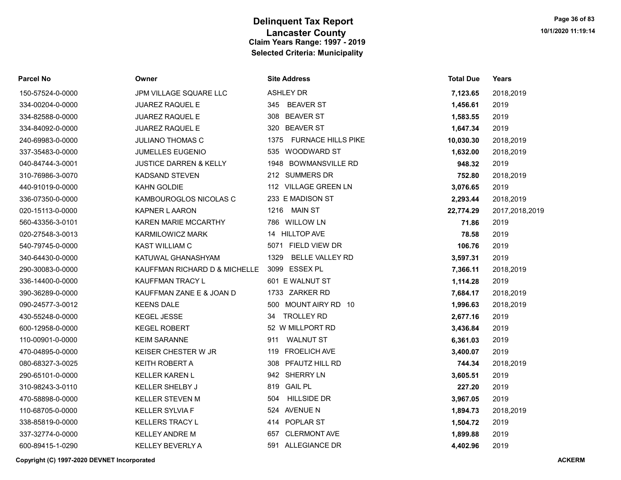| Parcel No        | Owner                                       | <b>Site Address</b>               | <b>Total Due</b> | Years          |
|------------------|---------------------------------------------|-----------------------------------|------------------|----------------|
| 150-57524-0-0000 | JPM VILLAGE SQUARE LLC                      | <b>ASHLEY DR</b>                  | 7,123.65         | 2018,2019      |
| 334-00204-0-0000 | <b>JUAREZ RAQUEL E</b>                      | 345 BEAVER ST                     | 1,456.61         | 2019           |
| 334-82588-0-0000 | <b>JUAREZ RAQUEL E</b>                      | 308 BEAVER ST                     | 1,583.55         | 2019           |
| 334-84092-0-0000 | <b>JUAREZ RAQUEL E</b>                      | 320 BEAVER ST                     | 1,647.34         | 2019           |
| 240-69983-0-0000 | <b>JULIANO THOMAS C</b>                     | 1375<br><b>FURNACE HILLS PIKE</b> | 10,030.30        | 2018,2019      |
| 337-35483-0-0000 | <b>JUMELLES EUGENIO</b>                     | 535 WOODWARD ST                   | 1,632.00         | 2018,2019      |
| 040-84744-3-0001 | <b>JUSTICE DARREN &amp; KELLY</b>           | 1948 BOWMANSVILLE RD              | 948.32           | 2019           |
| 310-76986-3-0070 | <b>KADSAND STEVEN</b>                       | 212 SUMMERS DR                    | 752.80           | 2018,2019      |
| 440-91019-0-0000 | KAHN GOLDIE                                 | 112 VILLAGE GREEN LN              | 3,076.65         | 2019           |
| 336-07350-0-0000 | KAMBOUROGLOS NICOLAS C                      | 233 E MADISON ST                  | 2,293.44         | 2018,2019      |
| 020-15113-0-0000 | <b>KAPNER L AARON</b>                       | <b>MAIN ST</b><br>1216            | 22,774.29        | 2017,2018,2019 |
| 560-43356-3-0101 | KAREN MARIE MCCARTHY                        | 786 WILLOW LN                     | 71.86            | 2019           |
| 020-27548-3-0013 | KARMILOWICZ MARK                            | 14 HILLTOP AVE                    | 78.58            | 2019           |
| 540-79745-0-0000 | <b>KAST WILLIAM C</b>                       | 5071 FIELD VIEW DR                | 106.76           | 2019           |
| 340-64430-0-0000 | KATUWAL GHANASHYAM                          | <b>BELLE VALLEY RD</b><br>1329    | 3,597.31         | 2019           |
| 290-30083-0-0000 | KAUFFMAN RICHARD D & MICHELLE 3099 ESSEX PL |                                   | 7,366.11         | 2018,2019      |
| 336-14400-0-0000 | KAUFFMAN TRACY L                            | 601 E WALNUT ST                   | 1,114.28         | 2019           |
| 390-36289-0-0000 | KAUFFMAN ZANE E & JOAN D                    | 1733 ZARKER RD                    | 7,684.17         | 2018,2019      |
| 090-24577-3-0012 | <b>KEENS DALE</b>                           | 500 MOUNT AIRY RD 10              | 1,996.63         | 2018,2019      |
| 430-55248-0-0000 | <b>KEGEL JESSE</b>                          | <b>TROLLEY RD</b><br>34           | 2,677.16         | 2019           |
| 600-12958-0-0000 | <b>KEGEL ROBERT</b>                         | 52 W MILLPORT RD                  | 3,436.84         | 2019           |
| 110-00901-0-0000 | <b>KEIM SARANNE</b>                         | <b>WALNUT ST</b><br>911           | 6,361.03         | 2019           |
| 470-04895-0-0000 | KEISER CHESTER W JR                         | <b>FROELICH AVE</b><br>119        | 3,400.07         | 2019           |
| 080-68327-3-0025 | <b>KEITH ROBERT A</b>                       | PFAUTZ HILL RD<br>308             | 744.34           | 2018,2019      |
| 290-65101-0-0000 | <b>KELLER KAREN L</b>                       | 942 SHERRY LN                     | 3,605.51         | 2019           |
| 310-98243-3-0110 | <b>KELLER SHELBY J</b>                      | 819 GAIL PL                       | 227.20           | 2019           |
| 470-58898-0-0000 | <b>KELLER STEVEN M</b>                      | <b>HILLSIDE DR</b><br>504         | 3,967.05         | 2019           |
| 110-68705-0-0000 | <b>KELLER SYLVIA F</b>                      | 524 AVENUE N                      | 1,894.73         | 2018,2019      |
| 338-85819-0-0000 | <b>KELLERS TRACY L</b>                      | 414 POPLAR ST                     | 1,504.72         | 2019           |
| 337-32774-0-0000 | <b>KELLEY ANDRE M</b>                       | <b>CLERMONT AVE</b><br>657        | 1,899.88         | 2019           |
| 600-89415-1-0290 | <b>KELLEY BEVERLY A</b>                     | 591 ALLEGIANCE DR                 | 4.402.96         | 2019           |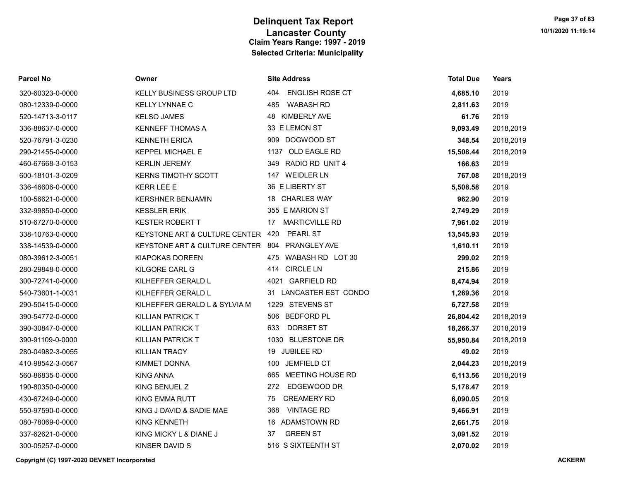| Parcel No        | Owner                                          | <b>Site Address</b>         | <b>Total Due</b> | Years     |
|------------------|------------------------------------------------|-----------------------------|------------------|-----------|
| 320-60323-0-0000 | KELLY BUSINESS GROUP LTD                       | 404 ENGLISH ROSE CT         | 4,685.10         | 2019      |
| 080-12339-0-0000 | <b>KELLY LYNNAE C</b>                          | <b>WABASH RD</b><br>485     | 2,811.63         | 2019      |
| 520-14713-3-0117 | <b>KELSO JAMES</b>                             | 48 KIMBERLY AVE             | 61.76            | 2019      |
| 336-88637-0-0000 | <b>KENNEFF THOMAS A</b>                        | 33 E LEMON ST               | 9,093.49         | 2018,2019 |
| 520-76791-3-0230 | <b>KENNETH ERICA</b>                           | 909 DOGWOOD ST              | 348.54           | 2018,2019 |
| 290-21455-0-0000 | KEPPEL MICHAEL E                               | 1137 OLD EAGLE RD           | 15,508.44        | 2018,2019 |
| 460-67668-3-0153 | <b>KERLIN JEREMY</b>                           | 349 RADIO RD UNIT 4         | 166.63           | 2019      |
| 600-18101-3-0209 | <b>KERNS TIMOTHY SCOTT</b>                     | 147 WEIDLER LN              | 767.08           | 2018,2019 |
| 336-46606-0-0000 | <b>KERR LEE E</b>                              | 36 E LIBERTY ST             | 5,508.58         | 2019      |
| 100-56621-0-0000 | <b>KERSHNER BENJAMIN</b>                       | 18 CHARLES WAY              | 962.90           | 2019      |
| 332-99850-0-0000 | <b>KESSLER ERIK</b>                            | 355 E MARION ST             | 2,749.29         | 2019      |
| 510-67270-0-0000 | <b>KESTER ROBERT T</b>                         | <b>MARTICVILLE RD</b><br>17 | 7,961.02         | 2019      |
| 338-10763-0-0000 | KEYSTONE ART & CULTURE CENTER 420              | <b>PEARL ST</b>             | 13,545.93        | 2019      |
| 338-14539-0-0000 | KEYSTONE ART & CULTURE CENTER 804 PRANGLEY AVE |                             | 1,610.11         | 2019      |
| 080-39612-3-0051 | <b>KIAPOKAS DOREEN</b>                         | WABASH RD LOT 30<br>475     | 299.02           | 2019      |
| 280-29848-0-0000 | KILGORE CARL G                                 | 414 CIRCLE LN               | 215.86           | 2019      |
| 300-72741-0-0000 | KILHEFFER GERALD L                             | 4021 GARFIELD RD            | 8,474.94         | 2019      |
| 540-73601-1-0031 | KILHEFFER GERALD L                             | 31 LANCASTER EST CONDO      | 1,269.36         | 2019      |
| 290-50415-0-0000 | KILHEFFER GERALD L & SYLVIA M                  | 1229 STEVENS ST             | 6,727.58         | 2019      |
| 390-54772-0-0000 | KILLIAN PATRICK T                              | 506 BEDFORD PL              | 26,804.42        | 2018,2019 |
| 390-30847-0-0000 | <b>KILLIAN PATRICK T</b>                       | 633<br>DORSET ST            | 18,266.37        | 2018,2019 |
| 390-91109-0-0000 | KILLIAN PATRICK T                              | 1030 BLUESTONE DR           | 55,950.84        | 2018,2019 |
| 280-04982-3-0055 | <b>KILLIAN TRACY</b>                           | 19 JUBILEE RD               | 49.02            | 2019      |
| 410-98542-3-0567 | <b>KIMMET DONNA</b>                            | <b>JEMFIELD CT</b><br>100   | 2,044.23         | 2018,2019 |
| 560-86835-0-0000 | <b>KING ANNA</b>                               | MEETING HOUSE RD<br>665     | 6,113.56         | 2018,2019 |
| 190-80350-0-0000 | KING BENUEL Z                                  | EDGEWOOD DR<br>272          | 5,178.47         | 2019      |
| 430-67249-0-0000 | <b>KING EMMA RUTT</b>                          | <b>CREAMERY RD</b><br>75    | 6,090.05         | 2019      |
| 550-97590-0-0000 | KING J DAVID & SADIE MAE                       | <b>VINTAGE RD</b><br>368    | 9,466.91         | 2019      |
| 080-78069-0-0000 | <b>KING KENNETH</b>                            | 16 ADAMSTOWN RD             | 2,661.75         | 2019      |
| 337-62621-0-0000 | KING MICKY L & DIANE J                         | <b>GREEN ST</b><br>37       | 3,091.52         | 2019      |
| 300-05257-0-0000 | KINSER DAVID S                                 | 516 S SIXTEENTH ST          | 2,070.02         | 2019      |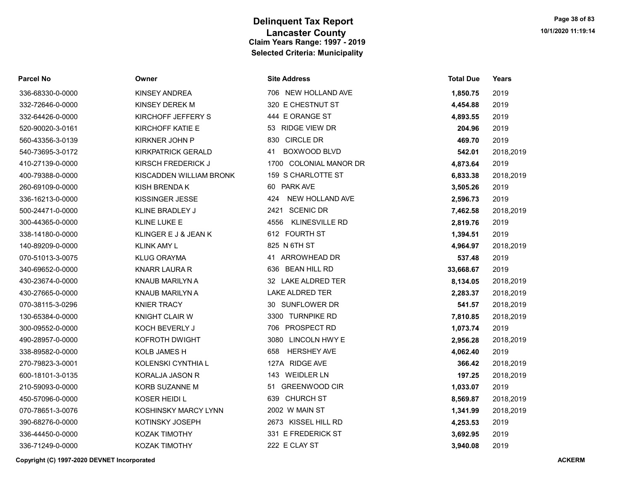| <b>Parcel No</b> | Owner                     | <b>Site Address</b>           | <b>Total Due</b> | Years     |
|------------------|---------------------------|-------------------------------|------------------|-----------|
| 336-68330-0-0000 | KINSEY ANDREA             | 706 NEW HOLLAND AVE           | 1,850.75         | 2019      |
| 332-72646-0-0000 | KINSEY DEREK M            | 320 E CHESTNUT ST             | 4,454.88         | 2019      |
| 332-64426-0-0000 | KIRCHOFF JEFFERY S        | 444 E ORANGE ST               | 4,893.55         | 2019      |
| 520-90020-3-0161 | KIRCHOFF KATIE E          | 53 RIDGE VIEW DR              | 204.96           | 2019      |
| 560-43356-3-0139 | KIRKNER JOHN P            | 830 CIRCLE DR                 | 469.70           | 2019      |
| 540-73695-3-0172 | <b>KIRKPATRICK GERALD</b> | <b>BOXWOOD BLVD</b><br>41     | 542.01           | 2018,2019 |
| 410-27139-0-0000 | KIRSCH FREDERICK J        | 1700 COLONIAL MANOR DR        | 4,873.64         | 2019      |
| 400-79388-0-0000 | KISCADDEN WILLIAM BRONK   | 159 S CHARLOTTE ST            | 6,833.38         | 2018,2019 |
| 260-69109-0-0000 | KISH BRENDA K             | 60 PARK AVE                   | 3,505.26         | 2019      |
| 336-16213-0-0000 | KISSINGER JESSE           | NEW HOLLAND AVE<br>424        | 2,596.73         | 2019      |
| 500-24471-0-0000 | KLINE BRADLEY J           | 2421 SCENIC DR                | 7,462.58         | 2018,2019 |
| 300-44365-0-0000 | <b>KLINE LUKE E</b>       | <b>KLINESVILLE RD</b><br>4556 | 2,819.76         | 2019      |
| 338-14180-0-0000 | KLINGER E J & JEAN K      | 612 FOURTH ST                 | 1,394.51         | 2019      |
| 140-89209-0-0000 | <b>KLINK AMY L</b>        | 825 N 6TH ST                  | 4,964.97         | 2018,2019 |
| 070-51013-3-0075 | <b>KLUG ORAYMA</b>        | ARROWHEAD DR<br>41            | 537.48           | 2019      |
| 340-69652-0-0000 | KNARR LAURA R             | 636 BEAN HILL RD              | 33,668.67        | 2019      |
| 430-23674-0-0000 | KNAUB MARILYN A           | 32 LAKE ALDRED TER            | 8,134.05         | 2018,2019 |
| 430-27665-0-0000 | KNAUB MARILYN A           | <b>LAKE ALDRED TER</b>        | 2,283.37         | 2018,2019 |
| 070-38115-3-0296 | <b>KNIER TRACY</b>        | 30 SUNFLOWER DR               | 541.57           | 2018,2019 |
| 130-65384-0-0000 | <b>KNIGHT CLAIR W</b>     | 3300 TURNPIKE RD              | 7,810.85         | 2018,2019 |
| 300-09552-0-0000 | KOCH BEVERLY J            | 706 PROSPECT RD               | 1,073.74         | 2019      |
| 490-28957-0-0000 | KOFROTH DWIGHT            | 3080 LINCOLN HWY E            | 2,956.28         | 2018,2019 |
| 338-89582-0-0000 | KOLB JAMES H              | <b>HERSHEY AVE</b><br>658     | 4,062.40         | 2019      |
| 270-79823-3-0001 | KOLENSKI CYNTHIA L        | 127A RIDGE AVE                | 366.42           | 2018,2019 |
| 600-18101-3-0135 | <b>KORALJA JASON R</b>    | 143 WEIDLER LN                | 197.25           | 2018,2019 |
| 210-59093-0-0000 | KORB SUZANNE M            | 51 GREENWOOD CIR              | 1,033.07         | 2019      |
| 450-57096-0-0000 | KOSER HEIDI L             | 639 CHURCH ST                 | 8,569.87         | 2018,2019 |
| 070-78651-3-0076 | KOSHINSKY MARCY LYNN      | 2002 W MAIN ST                | 1,341.99         | 2018,2019 |
| 390-68276-0-0000 | KOTINSKY JOSEPH           | 2673 KISSEL HILL RD           | 4,253.53         | 2019      |
| 336-44450-0-0000 | KOZAK TIMOTHY             | 331 E FREDERICK ST            | 3,692.95         | 2019      |
| 336-71249-0-0000 | <b>KOZAK TIMOTHY</b>      | 222 E CLAY ST                 | 3.940.08         | 2019      |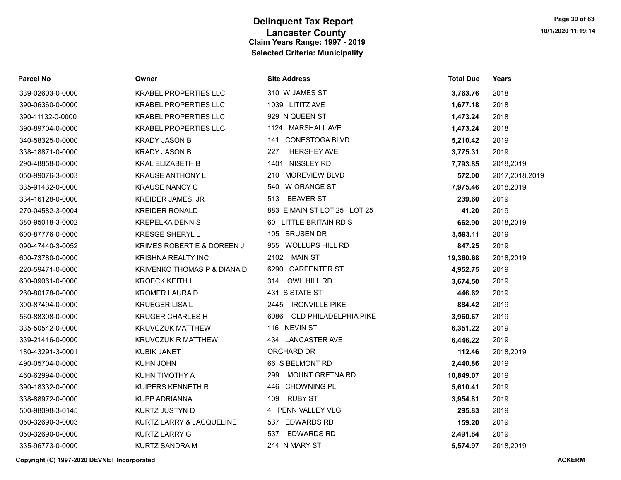| <b>Parcel No</b> | Owner                        | <b>Site Address</b>           | <b>Total Due</b> | <b>Years</b>   |
|------------------|------------------------------|-------------------------------|------------------|----------------|
| 339-02603-0-0000 | <b>KRABEL PROPERTIES LLC</b> | 310 W JAMES ST                | 3,763.76         | 2018           |
| 390-06360-0-0000 | <b>KRABEL PROPERTIES LLC</b> | 1039 LITITZ AVE               | 1,677.18         | 2018           |
| 390-11132-0-0000 | <b>KRABEL PROPERTIES LLC</b> | 929 N QUEEN ST                | 1,473.24         | 2018           |
| 390-89704-0-0000 | <b>KRABEL PROPERTIES LLC</b> | 1124 MARSHALL AVE             | 1,473.24         | 2018           |
| 340-58325-0-0000 | <b>KRADY JASON B</b>         | <b>CONESTOGA BLVD</b><br>141  | 5,210.42         | 2019           |
| 338-18871-0-0000 | <b>KRADY JASON B</b>         | <b>HERSHEY AVE</b><br>227     | 3,775.31         | 2019           |
| 290-48858-0-0000 | <b>KRAL ELIZABETH B</b>      | 1401 NISSLEY RD               | 7,793.85         | 2018,2019      |
| 050-99076-3-0003 | <b>KRAUSE ANTHONY L</b>      | 210 MOREVIEW BLVD             | 572.00           | 2017,2018,2019 |
| 335-91432-0-0000 | <b>KRAUSE NANCY C</b>        | 540 W ORANGE ST               | 7,975.46         | 2018,2019      |
| 334-16128-0-0000 | <b>KREIDER JAMES JR</b>      | <b>BEAVER ST</b><br>513       | 239.60           | 2019           |
| 270-04582-3-0004 | <b>KREIDER RONALD</b>        | 883 E MAIN ST LOT 25 LOT 25   | 41.20            | 2019           |
| 380-95018-3-0002 | <b>KREPELKA DENNIS</b>       | 60 LITTLE BRITAIN RD S        | 662.90           | 2018,2019      |
| 600-87776-0-0000 | <b>KRESGE SHERYL L</b>       | 105 BRUSEN DR                 | 3,593.11         | 2019           |
| 090-47440-3-0052 | KRIMES ROBERT E & DOREEN J   | 955 WOLLUPS HILL RD           | 847.25           | 2019           |
| 600-73780-0-0000 | <b>KRISHNA REALTY INC</b>    | 2102 MAIN ST                  | 19,360.68        | 2018,2019      |
| 220-59471-0-0000 | KRIVENKO THOMAS P & DIANA D  | 6290 CARPENTER ST             | 4,952.75         | 2019           |
| 600-09061-0-0000 | <b>KROECK KEITH L</b>        | 314<br>OWL HILL RD            | 3,674.50         | 2019           |
| 260-80178-0-0000 | <b>KROMER LAURA D</b>        | 431 S STATE ST                | 446.62           | 2019           |
| 300-87494-0-0000 | <b>KRUEGER LISA L</b>        | 2445 IRONVILLE PIKE           | 884.42           | 2019           |
| 560-88308-0-0000 | <b>KRUGER CHARLES H</b>      | 6086<br>OLD PHILADELPHIA PIKE | 3,960.67         | 2019           |
| 335-50542-0-0000 | <b>KRUVCZUK MATTHEW</b>      | 116 NEVIN ST                  | 6,351.22         | 2019           |
| 339-21416-0-0000 | <b>KRUVCZUK R MATTHEW</b>    | 434 LANCASTER AVE             | 6,446.22         | 2019           |
| 180-43291-3-0001 | <b>KUBIK JANET</b>           | ORCHARD DR                    | 112.46           | 2018,2019      |
| 490-05704-0-0000 | KUHN JOHN                    | 66 S BELMONT RD               | 2,440.86         | 2019           |
| 460-62994-0-0000 | KUHN TIMOTHY A               | <b>MOUNT GRETNA RD</b><br>299 | 10,849.07        | 2019           |
| 390-18332-0-0000 | KUIPERS KENNETH R            | <b>CHOWNING PL</b><br>446     | 5,610.41         | 2019           |
| 338-88972-0-0000 | KUPP ADRIANNA I              | <b>RUBY ST</b><br>109         | 3,954.81         | 2019           |
| 500-98098-3-0145 | KURTZ JUSTYN D               | 4 PENN VALLEY VLG             | 295.83           | 2019           |
| 050-32690-3-0003 | KURTZ LARRY & JACQUELINE     | <b>EDWARDS RD</b><br>537      | 159.20           | 2019           |
| 050-32690-0-0000 | <b>KURTZ LARRY G</b>         | <b>EDWARDS RD</b><br>537      | 2,491.84         | 2019           |
| 335-96773-0-0000 | KURTZ SANDRA M               | 244 N MARY ST                 | 5,574.97         | 2018,2019      |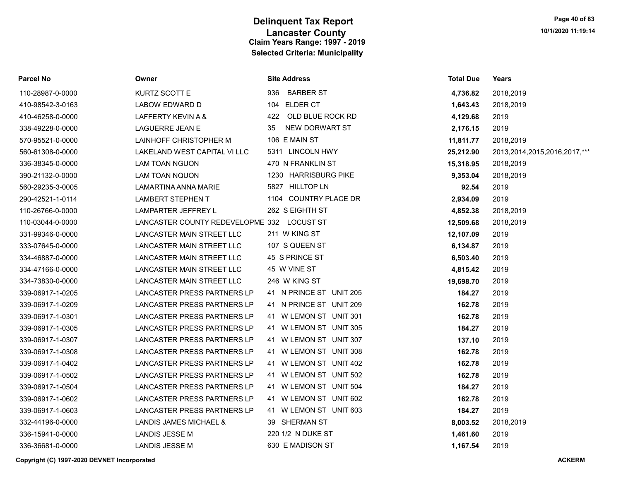| <b>Parcel No</b> | Owner                                      | <b>Site Address</b>     | <b>Total Due</b> | Years                             |
|------------------|--------------------------------------------|-------------------------|------------------|-----------------------------------|
| 110-28987-0-0000 | KURTZ SCOTT E                              | 936 BARBER ST           | 4,736.82         | 2018,2019                         |
| 410-98542-3-0163 | LABOW EDWARD D                             | 104 ELDER CT            | 1,643.43         | 2018,2019                         |
| 410-46258-0-0000 | LAFFERTY KEVIN A &                         | 422 OLD BLUE ROCK RD    | 4,129.68         | 2019                              |
| 338-49228-0-0000 | <b>LAGUERRE JEAN E</b>                     | NEW DORWART ST<br>35    | 2,176.15         | 2019                              |
| 570-95521-0-0000 | LAINHOFF CHRISTOPHER M                     | 106 E MAIN ST           | 11,811.77        | 2018,2019                         |
| 560-61308-0-0000 | LAKELAND WEST CAPITAL VI LLC               | 5311 LINCOLN HWY        | 25,212.90        | 2013, 2014, 2015, 2016, 2017, *** |
| 336-38345-0-0000 | <b>LAM TOAN NGUON</b>                      | 470 N FRANKLIN ST       | 15,318.95        | 2018,2019                         |
| 390-21132-0-0000 | <b>LAM TOAN NQUON</b>                      | 1230 HARRISBURG PIKE    | 9,353.04         | 2018,2019                         |
| 560-29235-3-0005 | LAMARTINA ANNA MARIE                       | 5827 HILLTOP LN         | 92.54            | 2019                              |
| 290-42521-1-0114 | <b>LAMBERT STEPHEN T</b>                   | 1104 COUNTRY PLACE DR   | 2,934.09         | 2019                              |
| 110-26766-0-0000 | LAMPARTER JEFFREY L                        | 262 S EIGHTH ST         | 4,852.38         | 2018,2019                         |
| 110-03044-0-0000 | LANCASTER COUNTY REDEVELOPME 332 LOCUST ST |                         | 12,509.68        | 2018,2019                         |
| 331-99346-0-0000 | LANCASTER MAIN STREET LLC                  | 211 W KING ST           | 12,107.09        | 2019                              |
| 333-07645-0-0000 | LANCASTER MAIN STREET LLC                  | 107 S QUEEN ST          | 6,134.87         | 2019                              |
| 334-46887-0-0000 | LANCASTER MAIN STREET LLC                  | 45 S PRINCE ST          | 6,503.40         | 2019                              |
| 334-47166-0-0000 | LANCASTER MAIN STREET LLC                  | 45 W VINE ST            | 4,815.42         | 2019                              |
| 334-73830-0-0000 | LANCASTER MAIN STREET LLC                  | 246 W KING ST           | 19,698.70        | 2019                              |
| 339-06917-1-0205 | <b>LANCASTER PRESS PARTNERS LP</b>         | 41 N PRINCE ST UNIT 205 | 184.27           | 2019                              |
| 339-06917-1-0209 | LANCASTER PRESS PARTNERS LP                | 41 N PRINCE ST UNIT 209 | 162.78           | 2019                              |
| 339-06917-1-0301 | LANCASTER PRESS PARTNERS LP                | 41 W LEMON ST UNIT 301  | 162.78           | 2019                              |
| 339-06917-1-0305 | <b>LANCASTER PRESS PARTNERS LP</b>         | 41 W LEMON ST UNIT 305  | 184.27           | 2019                              |
| 339-06917-1-0307 | LANCASTER PRESS PARTNERS LP                | 41 W LEMON ST UNIT 307  | 137.10           | 2019                              |
| 339-06917-1-0308 | LANCASTER PRESS PARTNERS LP                | 41 W LEMON ST UNIT 308  | 162.78           | 2019                              |
| 339-06917-1-0402 | LANCASTER PRESS PARTNERS LP                | 41 W LEMON ST UNIT 402  | 162.78           | 2019                              |
| 339-06917-1-0502 | LANCASTER PRESS PARTNERS LP                | 41 W LEMON ST UNIT 502  | 162.78           | 2019                              |
| 339-06917-1-0504 | LANCASTER PRESS PARTNERS LP                | 41 W LEMON ST UNIT 504  | 184.27           | 2019                              |
| 339-06917-1-0602 | LANCASTER PRESS PARTNERS LP                | 41 W LEMON ST UNIT 602  | 162.78           | 2019                              |
| 339-06917-1-0603 | LANCASTER PRESS PARTNERS LP                | 41 W LEMON ST UNIT 603  | 184.27           | 2019                              |
| 332-44196-0-0000 | LANDIS JAMES MICHAEL &                     | 39 SHERMAN ST           | 8,003.52         | 2018,2019                         |
| 336-15941-0-0000 | LANDIS JESSE M                             | 220 1/2 N DUKE ST       | 1,461.60         | 2019                              |
| 336-36681-0-0000 | LANDIS JESSE M                             | 630 E MADISON ST        | 1,167.54         | 2019                              |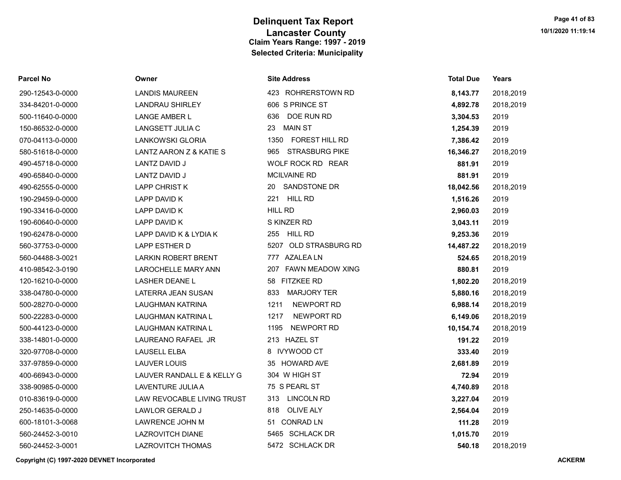|  | Parcel No |  |
|--|-----------|--|
|  |           |  |

# 150-86532-0-0000 LANGSETT JULIA C 070-04113-0-0000 LANKOWSKI GLORIA 190-62478-0-0000 LAPP DAVID K & LYDIA K 410-98542-3-0190 LAROCHELLE MARY ANN 338-14801-0-0000 LAUREANO RAFAEL JR 400-66943-0-0000 LAUVER RANDALL E & KELLY G 338-90985-0-0000 LAVENTURE JULIA A 010-83619-0-0000 LAW REVOCABLE LIVING TRUST 250-14635-0-0000 LAWLOR GERALD J 600-18101-3-0068 LAWRENCE JOHN M 560-24452-3-0010 LAZROVITCH DIANE

| Parcel No        | Owner                      | <b>Site Address</b>          | <b>Total Due</b> | Years     |
|------------------|----------------------------|------------------------------|------------------|-----------|
| 290-12543-0-0000 | <b>LANDIS MAUREEN</b>      | 423 ROHRERSTOWN RD           | 8,143.77         | 2018,2019 |
| 334-84201-0-0000 | <b>LANDRAU SHIRLEY</b>     | 606 S PRINCE ST              | 4,892.78         | 2018,2019 |
| 500-11640-0-0000 | <b>LANGE AMBER L</b>       | DOE RUN RD<br>636            | 3,304.53         | 2019      |
| 150-86532-0-0000 | LANGSETT JULIA C           | <b>MAIN ST</b><br>23         | 1,254.39         | 2019      |
| 070-04113-0-0000 | LANKOWSKI GLORIA           | FOREST HILL RD<br>1350       | 7,386.42         | 2019      |
| 580-51618-0-0000 | LANTZ AARON Z & KATIE S    | <b>STRASBURG PIKE</b><br>965 | 16,346.27        | 2018,2019 |
| 490-45718-0-0000 | LANTZ DAVID J              | WOLF ROCK RD REAR            | 881.91           | 2019      |
| 490-65840-0-0000 | LANTZ DAVID J              | <b>MCILVAINE RD</b>          | 881.91           | 2019      |
| 490-62555-0-0000 | <b>LAPP CHRIST K</b>       | SANDSTONE DR<br>20           | 18,042.56        | 2018,2019 |
| 190-29459-0-0000 | LAPP DAVID K               | 221 HILL RD                  | 1,516.26         | 2019      |
| 190-33416-0-0000 | LAPP DAVID K               | <b>HILL RD</b>               | 2,960.03         | 2019      |
| 190-60640-0-0000 | LAPP DAVID K               | S KINZER RD                  | 3,043.11         | 2019      |
| 190-62478-0-0000 | LAPP DAVID K & LYDIA K     | 255 HILL RD                  | 9,253.36         | 2019      |
| 560-37753-0-0000 | LAPP ESTHER D              | 5207 OLD STRASBURG RD        | 14,487.22        | 2018,2019 |
| 560-04488-3-0021 | <b>LARKIN ROBERT BRENT</b> | 777 AZALEA LN                | 524.65           | 2018,2019 |
| 410-98542-3-0190 | <b>LAROCHELLE MARY ANN</b> | 207 FAWN MEADOW XING         | 880.81           | 2019      |
| 120-16210-0-0000 | <b>LASHER DEANE L</b>      | 58 FITZKEE RD                | 1,802.20         | 2018,2019 |
| 338-04780-0-0000 | LATERRA JEAN SUSAN         | 833<br><b>MARJORY TER</b>    | 5,880.16         | 2018,2019 |
| 500-28270-0-0000 | <b>LAUGHMAN KATRINA</b>    | NEWPORT RD<br>1211           | 6,988.14         | 2018,2019 |
| 500-22283-0-0000 | LAUGHMAN KATRINA L         | 1217<br>NEWPORT RD           | 6,149.06         | 2018,2019 |
| 500-44123-0-0000 | LAUGHMAN KATRINA L         | NEWPORT RD<br>1195           | 10,154.74        | 2018,2019 |
| 338-14801-0-0000 | LAUREANO RAFAEL JR         | 213 HAZEL ST                 | 191.22           | 2019      |
| 320-97708-0-0000 | <b>LAUSELL ELBA</b>        | 8 IVYWOOD CT                 | 333.40           | 2019      |
| 337-97859-0-0000 | <b>LAUVER LOUIS</b>        | 35 HOWARD AVE                | 2,681.89         | 2019      |
| 400-66943-0-0000 | LAUVER RANDALL E & KELLY G | 304 W HIGH ST                | 72.94            | 2019      |
| 338-90985-0-0000 | <b>LAVENTURE JULIA A</b>   | 75 S PEARL ST                | 4,740.89         | 2018      |
| 010-83619-0-0000 | LAW REVOCABLE LIVING TRUST | <b>LINCOLN RD</b><br>313     | 3,227.04         | 2019      |
| 250-14635-0-0000 | <b>LAWLOR GERALD J</b>     | <b>OLIVE ALY</b><br>818      | 2,564.04         | 2019      |
| 600-18101-3-0068 | LAWRENCE JOHN M            | <b>CONRAD LN</b><br>51       | 111.28           | 2019      |
| 560-24452-3-0010 | <b>LAZROVITCH DIANE</b>    | 5465 SCHLACK DR              | 1,015.70         | 2019      |
| 560-24452-3-0001 | <b>LAZROVITCH THOMAS</b>   | 5472 SCHLACK DR              | 540.18           | 2018,2019 |
|                  |                            |                              |                  |           |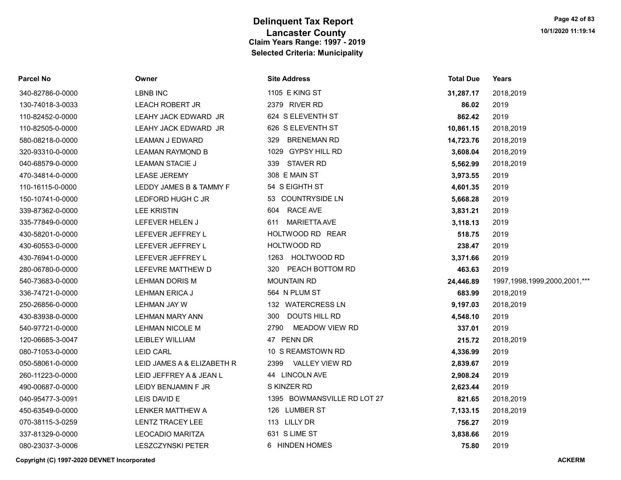| Parcel No        | Owner                      | <b>Site Address</b>         | <b>Total Due</b> | Years                             |
|------------------|----------------------------|-----------------------------|------------------|-----------------------------------|
| 340-82786-0-0000 | <b>LBNB INC</b>            | 1105 E KING ST              | 31,287.17        | 2018,2019                         |
| 130-74018-3-0033 | <b>LEACH ROBERT JR</b>     | 2379 RIVER RD               | 86.02            | 2019                              |
| 110-82452-0-0000 | LEAHY JACK EDWARD JR       | 624 S ELEVENTH ST           | 862.42           | 2019                              |
| 110-82505-0-0000 | LEAHY JACK EDWARD JR       | 626 S ELEVENTH ST           | 10,861.15        | 2018,2019                         |
| 580-08218-0-0000 | <b>LEAMAN J EDWARD</b>     | BRENEMAN RD<br>329          | 14,723.76        | 2018,2019                         |
| 320-93310-0-0000 | <b>LEAMAN RAYMOND B</b>    | 1029 GYPSY HILL RD          | 3,608.04         | 2018,2019                         |
| 040-68579-0-0000 | <b>LEAMAN STACIE J</b>     | <b>STAVER RD</b><br>339     | 5,562.99         | 2018,2019                         |
| 470-34814-0-0000 | <b>LEASE JEREMY</b>        | 308 E MAIN ST               | 3,973.55         | 2019                              |
| 110-16115-0-0000 | LEDDY JAMES B & TAMMY F    | 54 S EIGHTH ST              | 4,601.35         | 2019                              |
| 150-10741-0-0000 | LEDFORD HUGH C JR          | 53 COUNTRYSIDE LN           | 5,668.28         | 2019                              |
| 339-87362-0-0000 | <b>LEE KRISTIN</b>         | 604 RACE AVE                | 3,831.21         | 2019                              |
| 335-77849-0-0000 | LEFEVER HELEN J            | 611 MARIETTA AVE            | 3,118.13         | 2019                              |
| 430-58201-0-0000 | LEFEVER JEFFREY L          | HOLTWOOD RD REAR            | 518.75           | 2019                              |
| 430-60553-0-0000 | LEFEVER JEFFREY L          | HOLTWOOD RD                 | 238.47           | 2019                              |
| 430-76941-0-0000 | LEFEVER JEFFREY L          | 1263 HOLTWOOD RD            | 3,371.66         | 2019                              |
| 280-06780-0-0000 | LEFEVRE MATTHEW D          | 320 PEACH BOTTOM RD         | 463.63           | 2019                              |
| 540-73683-0-0000 | LEHMAN DORIS M             | <b>MOUNTAIN RD</b>          | 24,446.89        | 1997, 1998, 1999, 2000, 2001, *** |
| 336-74721-0-0000 | <b>LEHMAN ERICA J</b>      | 564 N PLUM ST               | 683.99           | 2018,2019                         |
| 250-26856-0-0000 | <b>LEHMAN JAY W</b>        | 132 WATERCRESS LN           | 9,197.03         | 2018,2019                         |
| 430-83938-0-0000 | <b>LEHMAN MARY ANN</b>     | <b>DOUTS HILL RD</b><br>300 | 4,548.10         | 2019                              |
| 540-97721-0-0000 | LEHMAN NICOLE M            | MEADOW VIEW RD<br>2790      | 337.01           | 2019                              |
| 120-06685-3-0047 | LEIBLEY WILLIAM            | 47 PENN DR                  | 215.72           | 2018,2019                         |
| 080-71053-0-0000 | <b>LEID CARL</b>           | 10 S REAMSTOWN RD           | 4,336.99         | 2019                              |
| 050-58061-0-0000 | LEID JAMES A & ELIZABETH R | 2399 VALLEY VIEW RD         | 2,839.67         | 2019                              |
| 260-11223-0-0000 | LEID JEFFREY A & JEAN L    | 44 LINCOLN AVE              | 2,908.24         | 2019                              |
| 490-00687-0-0000 | LEIDY BENJAMIN F JR        | S KINZER RD                 | 2,623.44         | 2019                              |
| 040-95477-3-0091 | LEIS DAVID E               | 1395 BOWMANSVILLE RD LOT 27 | 821.65           | 2018,2019                         |
| 450-63549-0-0000 | LENKER MATTHEW A           | 126 LUMBER ST               | 7,133.15         | 2018,2019                         |
| 070-38115-3-0259 | LENTZ TRACEY LEE           | 113 LILLY DR                | 756.27           | 2019                              |
| 337-81329-0-0000 | <b>LEOCADIO MARITZA</b>    | 631 S LIME ST               | 3,838.66         | 2019                              |
| 080-23037-3-0006 | <b>LESZCZYNSKI PETER</b>   | 6 HINDEN HOMES              | 75.80            | 2019                              |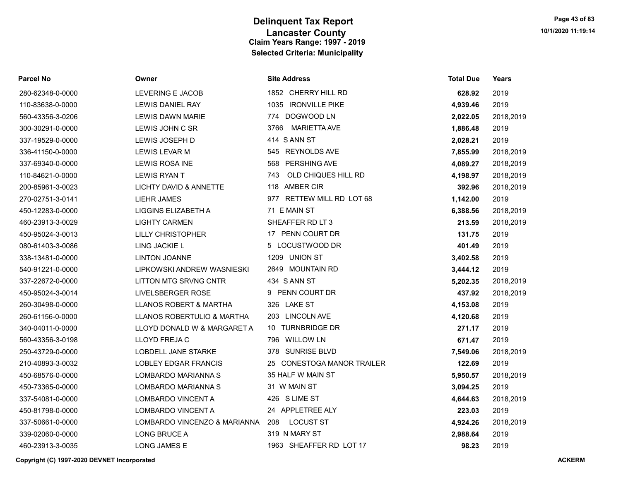| <b>Parcel No</b> | Owner                        | <b>Site Address</b>        | <b>Total Due</b> | Years     |
|------------------|------------------------------|----------------------------|------------------|-----------|
| 280-62348-0-0000 | <b>LEVERING E JACOB</b>      | 1852 CHERRY HILL RD        | 628.92           | 2019      |
| 110-83638-0-0000 | <b>LEWIS DANIEL RAY</b>      | 1035 IRONVILLE PIKE        | 4,939.46         | 2019      |
| 560-43356-3-0206 | <b>LEWIS DAWN MARIE</b>      | 774 DOGWOOD LN             | 2,022.05         | 2018,2019 |
| 300-30291-0-0000 | LEWIS JOHN C SR              | MARIETTA AVE<br>3766       | 1,886.48         | 2019      |
| 337-19529-0-0000 | LEWIS JOSEPH D               | 414 S ANN ST               | 2,028.21         | 2019      |
| 336-41150-0-0000 | <b>LEWIS LEVAR M</b>         | 545 REYNOLDS AVE           | 7,855.99         | 2018,2019 |
| 337-69340-0-0000 | LEWIS ROSA INE               | 568 PERSHING AVE           | 4,089.27         | 2018,2019 |
| 110-84621-0-0000 | <b>LEWIS RYAN T</b>          | OLD CHIQUES HILL RD<br>743 | 4,198.97         | 2018,2019 |
| 200-85961-3-0023 | LICHTY DAVID & ANNETTE       | 118 AMBER CIR              | 392.96           | 2018,2019 |
| 270-02751-3-0141 | <b>LIEHR JAMES</b>           | 977 RETTEW MILL RD LOT 68  | 1,142.00         | 2019      |
| 450-12283-0-0000 | LIGGINS ELIZABETH A          | 71 E MAIN ST               | 6,388.56         | 2018,2019 |
| 460-23913-3-0029 | <b>LIGHTY CARMEN</b>         | SHEAFFER RD LT 3           | 213.59           | 2018,2019 |
| 450-95024-3-0013 | <b>LILLY CHRISTOPHER</b>     | 17 PENN COURT DR           | 131.75           | 2019      |
| 080-61403-3-0086 | <b>LING JACKIE L</b>         | 5 LOCUSTWOOD DR            | 401.49           | 2019      |
| 338-13481-0-0000 | <b>LINTON JOANNE</b>         | 1209 UNION ST              | 3,402.58         | 2019      |
| 540-91221-0-0000 | LIPKOWSKI ANDREW WASNIESKI   | 2649 MOUNTAIN RD           | 3,444.12         | 2019      |
| 337-22672-0-0000 | <b>LITTON MTG SRVNG CNTR</b> | 434 S ANN ST               | 5,202.35         | 2018,2019 |
| 450-95024-3-0014 | LIVELSBERGER ROSE            | 9 PENN COURT DR            | 437.92           | 2018,2019 |
| 260-30498-0-0000 | LLANOS ROBERT & MARTHA       | 326 LAKE ST                | 4,153.08         | 2019      |
| 260-61156-0-0000 | LLANOS ROBERTULIO & MARTHA   | 203 LINCOLN AVE            | 4,120.68         | 2019      |
| 340-04011-0-0000 | LLOYD DONALD W & MARGARET A  | 10 TURNBRIDGE DR           | 271.17           | 2019      |
| 560-43356-3-0198 | LLOYD FREJA C                | 796 WILLOW LN              | 671.47           | 2019      |
| 250-43729-0-0000 | <b>LOBDELL JANE STARKE</b>   | 378 SUNRISE BLVD           | 7,549.06         | 2018,2019 |
| 210-40893-3-0032 | <b>LOBLEY EDGAR FRANCIS</b>  | 25 CONESTOGA MANOR TRAILER | 122.69           | 2019      |
| 450-68576-0-0000 | LOMBARDO MARIANNA S          | 35 HALF W MAIN ST          | 5,950.57         | 2018,2019 |
| 450-73365-0-0000 | LOMBARDO MARIANNA S          | 31 W MAIN ST               | 3,094.25         | 2019      |
| 337-54081-0-0000 | LOMBARDO VINCENT A           | 426 S LIME ST              | 4,644.63         | 2018,2019 |
| 450-81798-0-0000 | LOMBARDO VINCENT A           | 24 APPLETREE ALY           | 223.03           | 2019      |
| 337-50661-0-0000 | LOMBARDO VINCENZO & MARIANNA | <b>LOCUST ST</b><br>208    | 4,924.26         | 2018,2019 |
| 339-02060-0-0000 | <b>LONG BRUCE A</b>          | 319 N MARY ST              | 2,988.64         | 2019      |
| 460-23913-3-0035 | <b>LONG JAMES E</b>          | 1963 SHEAFFER RD LOT 17    | 98.23            | 2019      |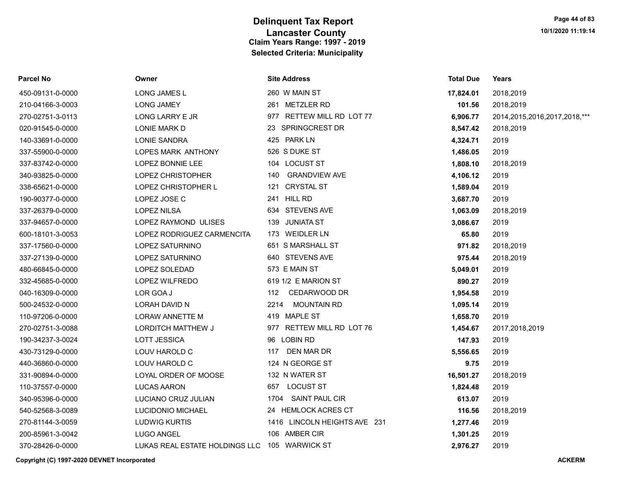| <b>Parcel No</b> | Owner                                         | <b>Site Address</b>          | <b>Total Due</b> | Years                             |
|------------------|-----------------------------------------------|------------------------------|------------------|-----------------------------------|
| 450-09131-0-0000 | LONG JAMES L                                  | 260 W MAIN ST                | 17,824.01        | 2018,2019                         |
| 210-04166-3-0003 | <b>LONG JAMEY</b>                             | 261 METZLER RD               | 101.56           | 2018,2019                         |
| 270-02751-3-0113 | LONG LARRY E JR                               | 977 RETTEW MILL RD LOT 77    | 6,906.77         | 2014, 2015, 2016, 2017, 2018, *** |
| 020-91545-0-0000 | LONIE MARK D                                  | 23 SPRINGCREST DR            | 8,547.42         | 2018,2019                         |
| 140-33691-0-0000 | <b>LONIE SANDRA</b>                           | 425 PARK LN                  | 4,324.71         | 2019                              |
| 337-55900-0-0000 | LOPES MARK ANTHONY                            | 526 S DUKE ST                | 1,486.05         | 2019                              |
| 337-83742-0-0000 | LOPEZ BONNIE LEE                              | 104 LOCUST ST                | 1,808.10         | 2018,2019                         |
| 340-93825-0-0000 | LOPEZ CHRISTOPHER                             | <b>GRANDVIEW AVE</b><br>140  | 4,106.12         | 2019                              |
| 338-65621-0-0000 | LOPEZ CHRISTOPHER L                           | 121 CRYSTAL ST               | 1,589.04         | 2019                              |
| 190-90377-0-0000 | LOPEZ JOSE C                                  | 241 HILL RD                  | 3,687.70         | 2019                              |
| 337-26379-0-0000 | <b>LOPEZ NILSA</b>                            | 634 STEVENS AVE              | 1,063.09         | 2018,2019                         |
| 337-94657-0-0000 | LOPEZ RAYMOND ULISES                          | 139 JUNIATA ST               | 3,086.67         | 2019                              |
| 600-18101-3-0053 | LOPEZ RODRIGUEZ CARMENCITA                    | 173 WEIDLER LN               | 65.80            | 2019                              |
| 337-17560-0-0000 | LOPEZ SATURNINO                               | 651 S MARSHALL ST            | 971.82           | 2018,2019                         |
| 337-27139-0-0000 | LOPEZ SATURNINO                               | 640 STEVENS AVE              | 975.44           | 2018,2019                         |
| 480-66845-0-0000 | LOPEZ SOLEDAD                                 | 573 E MAIN ST                | 5,049.01         | 2019                              |
| 332-45685-0-0000 | LOPEZ WILFREDO                                | 619 1/2 E MARION ST          | 890.27           | 2019                              |
| 040-16309-0-0000 | LOR GOA J                                     | CEDARWOOD DR<br>112          | 1,954.58         | 2019                              |
| 500-24532-0-0000 | LORAH DAVID N                                 | <b>MOUNTAIN RD</b><br>2214   | 1,095.14         | 2019                              |
| 110-97206-0-0000 | LORAW ANNETTE M                               | 419 MAPLE ST                 | 1,658.70         | 2019                              |
| 270-02751-3-0088 | LORDITCH MATTHEW J                            | 977 RETTEW MILL RD LOT 76    | 1,454.67         | 2017,2018,2019                    |
| 190-34237-3-0024 | <b>LOTT JESSICA</b>                           | 96 LOBIN RD                  | 147.93           | 2019                              |
| 430-73129-0-0000 | LOUV HAROLD C                                 | 117 DEN MAR DR               | 5,556.65         | 2019                              |
| 440-36860-0-0000 | LOUV HAROLD C                                 | 124 N GEORGE ST              | 9.75             | 2019                              |
| 331-90894-0-0000 | LOYAL ORDER OF MOOSE                          | 132 N WATER ST               | 16,501.27        | 2018,2019                         |
| 110-37557-0-0000 | <b>LUCAS AARON</b>                            | 657 LOCUST ST                | 1,824.48         | 2019                              |
| 340-95396-0-0000 | LUCIANO CRUZ JULIAN                           | 1704 SAINT PAUL CIR          | 613.07           | 2019                              |
| 540-52568-3-0089 | LUCIDONIO MICHAEL                             | 24 HEMLOCK ACRES CT          | 116.56           | 2018,2019                         |
| 270-81144-3-0059 | <b>LUDWIG KURTIS</b>                          | 1416 LINCOLN HEIGHTS AVE 231 | 1,277.46         | 2019                              |
| 200-85961-3-0042 | <b>LUGO ANGEL</b>                             | 106 AMBER CIR                | 1,301.25         | 2019                              |
| 370-28426-0-0000 | LUKAS REAL ESTATE HOLDINGS LLC 105 WARWICK ST |                              | 2,976.27         | 2019                              |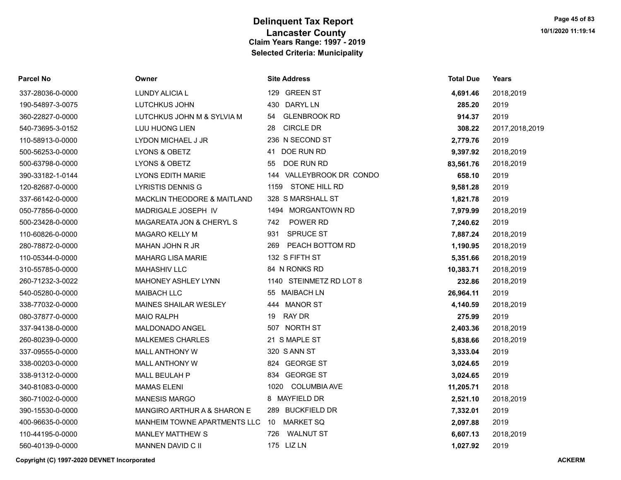| Parcel No        | Owner                        | <b>Site Address</b>         | <b>Total Due</b> | Years          |
|------------------|------------------------------|-----------------------------|------------------|----------------|
| 337-28036-0-0000 | <b>LUNDY ALICIA L</b>        | 129 GREEN ST                | 4,691.46         | 2018,2019      |
| 190-54897-3-0075 | LUTCHKUS JOHN                | <b>DARYL LN</b><br>430      | 285.20           | 2019           |
| 360-22827-0-0000 | LUTCHKUS JOHN M & SYLVIA M   | <b>GLENBROOK RD</b><br>54   | 914.37           | 2019           |
| 540-73695-3-0152 | LUU HUONG LIEN               | <b>CIRCLE DR</b><br>28      | 308.22           | 2017,2018,2019 |
| 110-58913-0-0000 | LYDON MICHAEL J JR           | 236 N SECOND ST             | 2,779.76         | 2019           |
| 500-56253-0-0000 | LYONS & OBETZ                | DOE RUN RD<br>41            | 9,397.92         | 2018,2019      |
| 500-63798-0-0000 | LYONS & OBETZ                | DOE RUN RD<br>55            | 83,561.76        | 2018,2019      |
| 390-33182-1-0144 | <b>LYONS EDITH MARIE</b>     | VALLEYBROOK DR CONDO<br>144 | 658.10           | 2019           |
| 120-82687-0-0000 | <b>LYRISTIS DENNIS G</b>     | STONE HILL RD<br>1159       | 9,581.28         | 2019           |
| 337-66142-0-0000 | MACKLIN THEODORE & MAITLAND  | 328 S MARSHALL ST           | 1,821.78         | 2019           |
| 050-77856-0-0000 | MADRIGALE JOSEPH IV          | 1494 MORGANTOWN RD          | 7,979.99         | 2018,2019      |
| 500-23428-0-0000 | MAGAREATA JON & CHERYL S     | POWER RD<br>742             | 7,240.62         | 2019           |
| 110-60826-0-0000 | MAGARO KELLY M               | 931<br><b>SPRUCE ST</b>     | 7,887.24         | 2018,2019      |
| 280-78872-0-0000 | MAHAN JOHN R JR              | PEACH BOTTOM RD<br>269      | 1,190.95         | 2018,2019      |
| 110-05344-0-0000 | <b>MAHARG LISA MARIE</b>     | 132 S FIFTH ST              | 5,351.66         | 2018,2019      |
| 310-55785-0-0000 | <b>MAHASHIV LLC</b>          | 84 N RONKS RD               | 10,383.71        | 2018,2019      |
| 260-71232-3-0022 | MAHONEY ASHLEY LYNN          | 1140 STEINMETZ RD LOT 8     | 232.86           | 2018,2019      |
| 540-05280-0-0000 | <b>MAIBACH LLC</b>           | 55 MAIBACH LN               | 26,964.11        | 2019           |
| 338-77032-0-0000 | MAINES SHAILAR WESLEY        | <b>MANOR ST</b><br>444      | 4,140.59         | 2018,2019      |
| 080-37877-0-0000 | <b>MAIO RALPH</b>            | <b>RAY DR</b><br>19         | 275.99           | 2019           |
| 337-94138-0-0000 | MALDONADO ANGEL              | NORTH ST<br>507             | 2,403.36         | 2018,2019      |
| 260-80239-0-0000 | <b>MALKEMES CHARLES</b>      | 21 S MAPLE ST               | 5,838.66         | 2018,2019      |
| 337-09555-0-0000 | MALL ANTHONY W               | 320 S ANN ST                | 3,333.04         | 2019           |
| 338-00203-0-0000 | MALL ANTHONY W               | 824 GEORGE ST               | 3,024.65         | 2019           |
| 338-91312-0-0000 | MALL BEULAH P                | 834<br><b>GEORGE ST</b>     | 3,024.65         | 2019           |
| 340-81083-0-0000 | <b>MAMAS ELENI</b>           | <b>COLUMBIA AVE</b><br>1020 | 11,205.71        | 2018           |
| 360-71002-0-0000 | <b>MANESIS MARGO</b>         | 8 MAYFIELD DR               | 2,521.10         | 2018,2019      |
| 390-15530-0-0000 | MANGIRO ARTHUR A & SHARON E  | 289 BUCKFIELD DR            | 7,332.01         | 2019           |
| 400-96635-0-0000 | MANHEIM TOWNE APARTMENTS LLC | <b>MARKET SQ</b><br>10      | 2,097.88         | 2019           |
| 110-44195-0-0000 | <b>MANLEY MATTHEW S</b>      | 726 WALNUT ST               | 6,607.13         | 2018,2019      |
| 560-40139-0-0000 | <b>MANNEN DAVID C II</b>     | 175 LIZ LN                  | 1,027.92         | 2019           |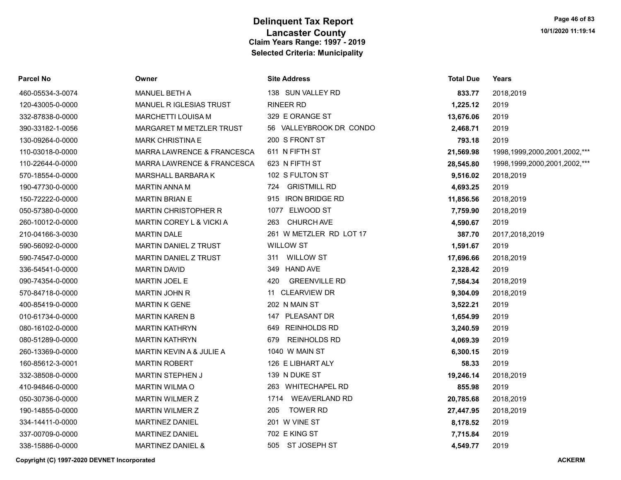| Parcel No        | Owner                          | <b>Site Address</b>         | <b>Total Due</b> | Years                             |
|------------------|--------------------------------|-----------------------------|------------------|-----------------------------------|
| 460-05534-3-0074 | <b>MANUEL BETH A</b>           | 138 SUN VALLEY RD           | 833.77           | 2018,2019                         |
| 120-43005-0-0000 | <b>MANUEL R IGLESIAS TRUST</b> | <b>RINEER RD</b>            | 1,225.12         | 2019                              |
| 332-87838-0-0000 | MARCHETTI LOUISA M             | 329 E ORANGE ST             | 13,676.06        | 2019                              |
| 390-33182-1-0056 | MARGARET M METZLER TRUST       | 56 VALLEYBROOK DR CONDO     | 2,468.71         | 2019                              |
| 130-09264-0-0000 | <b>MARK CHRISTINA E</b>        | 200 S FRONT ST              | 793.18           | 2019                              |
| 110-03018-0-0000 | MARRA LAWRENCE & FRANCESCA     | 611 N FIFTH ST              | 21,569.98        | 1998, 1999, 2000, 2001, 2002, *** |
| 110-22644-0-0000 | MARRA LAWRENCE & FRANCESCA     | 623 N FIFTH ST              | 28,545.80        | 1998, 1999, 2000, 2001, 2002, *** |
| 570-18554-0-0000 | MARSHALL BARBARA K             | 102 S FULTON ST             | 9,516.02         | 2018,2019                         |
| 190-47730-0-0000 | <b>MARTIN ANNA M</b>           | 724 GRISTMILL RD            | 4,693.25         | 2019                              |
| 150-72222-0-0000 | <b>MARTIN BRIAN E</b>          | 915 IRON BRIDGE RD          | 11,856.56        | 2018,2019                         |
| 050-57380-0-0000 | <b>MARTIN CHRISTOPHER R</b>    | 1077 ELWOOD ST              | 7,759.90         | 2018,2019                         |
| 260-10012-0-0000 | MARTIN COREY L & VICKI A       | <b>CHURCH AVE</b><br>263    | 4,590.67         | 2019                              |
| 210-04166-3-0030 | <b>MARTIN DALE</b>             | 261 W METZLER RD LOT 17     | 387.70           | 2017,2018,2019                    |
| 590-56092-0-0000 | MARTIN DANIEL Z TRUST          | <b>WILLOW ST</b>            | 1,591.67         | 2019                              |
| 590-74547-0-0000 | <b>MARTIN DANIEL Z TRUST</b>   | 311 WILLOW ST               | 17,696.66        | 2018,2019                         |
| 336-54541-0-0000 | <b>MARTIN DAVID</b>            | 349 HAND AVE                | 2,328.42         | 2019                              |
| 090-74354-0-0000 | MARTIN JOEL E                  | <b>GREENVILLE RD</b><br>420 | 7,584.34         | 2018,2019                         |
| 570-84718-0-0000 | <b>MARTIN JOHN R</b>           | 11 CLEARVIEW DR             | 9,304.09         | 2018,2019                         |
| 400-85419-0-0000 | <b>MARTIN K GENE</b>           | 202 N MAIN ST               | 3,522.21         | 2019                              |
| 010-61734-0-0000 | <b>MARTIN KAREN B</b>          | 147 PLEASANT DR             | 1,654.99         | 2019                              |
| 080-16102-0-0000 | <b>MARTIN KATHRYN</b>          | 649 REINHOLDS RD            | 3,240.59         | 2019                              |
| 080-51289-0-0000 | <b>MARTIN KATHRYN</b>          | <b>REINHOLDS RD</b><br>679  | 4,069.39         | 2019                              |
| 260-13369-0-0000 | MARTIN KEVIN A & JULIE A       | 1040 W MAIN ST              | 6,300.15         | 2019                              |
| 160-85612-3-0001 | <b>MARTIN ROBERT</b>           | 126 E LIBHART ALY           | 58.33            | 2019                              |
| 332-38508-0-0000 | <b>MARTIN STEPHEN J</b>        | 139 N DUKE ST               | 19,246.14        | 2018,2019                         |
| 410-94846-0-0000 | <b>MARTIN WILMA O</b>          | 263 WHITECHAPEL RD          | 855.98           | 2019                              |
| 050-30736-0-0000 | <b>MARTIN WILMER Z</b>         | 1714 WEAVERLAND RD          | 20,785.68        | 2018,2019                         |
| 190-14855-0-0000 | MARTIN WILMER Z                | <b>TOWER RD</b><br>205      | 27,447.95        | 2018,2019                         |
| 334-14411-0-0000 | <b>MARTINEZ DANIEL</b>         | 201 W VINE ST               | 8,178.52         | 2019                              |
| 337-00709-0-0000 | MARTINEZ DANIEL                | 702 E KING ST               | 7,715.84         | 2019                              |
| 338-15886-0-0000 | <b>MARTINEZ DANIEL &amp;</b>   | 505 ST JOSEPH ST            | 4,549.77         | 2019                              |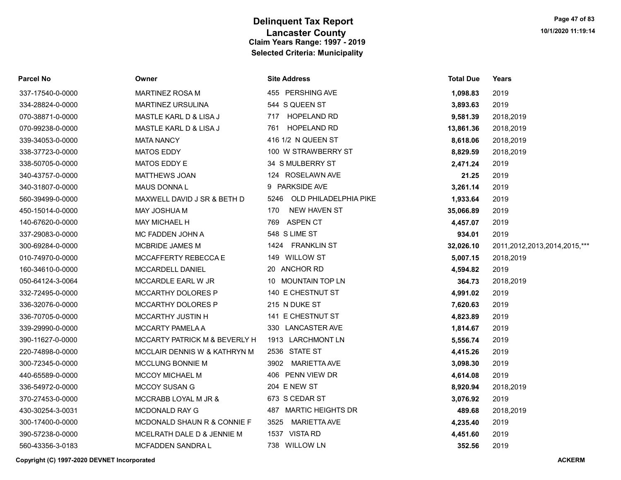| Parcel No        | Owner                                    | <b>Site Address</b>         | Total Due | Years                        |
|------------------|------------------------------------------|-----------------------------|-----------|------------------------------|
| 337-17540-0-0000 | <b>MARTINEZ ROSA M</b>                   | 455 PERSHING AVE            | 1,098.83  | 2019                         |
| 334-28824-0-0000 | <b>MARTINEZ URSULINA</b>                 | 544 S QUEEN ST              | 3,893.63  | 2019                         |
| 070-38871-0-0000 | MASTLE KARL D & LISA J                   | 717 HOPELAND RD             | 9,581.39  | 2018,2019                    |
| 070-99238-0-0000 | MASTLE KARL D & LISA J                   | <b>HOPELAND RD</b><br>761   | 13,861.36 | 2018,2019                    |
| 339-34053-0-0000 | <b>MATA NANCY</b>                        | 416 1/2 N QUEEN ST          | 8,618.06  | 2018,2019                    |
| 338-37723-0-0000 | <b>MATOS EDDY</b>                        | 100 W STRAWBERRY ST         | 8,829.59  | 2018,2019                    |
| 338-50705-0-0000 | MATOS EDDY E                             | 34 S MULBERRY ST            | 2,471.24  | 2019                         |
| 340-43757-0-0000 | <b>MATTHEWS JOAN</b>                     | 124 ROSELAWN AVE            | 21.25     | 2019                         |
| 340-31807-0-0000 | <b>MAUS DONNAL</b>                       | 9 PARKSIDE AVE              | 3,261.14  | 2019                         |
| 560-39499-0-0000 | MAXWELL DAVID J SR & BETH D              | 5246 OLD PHILADELPHIA PIKE  | 1,933.64  | 2019                         |
| 450-15014-0-0000 | <b>MAY JOSHUA M</b>                      | NEW HAVEN ST<br>170         | 35,066.89 | 2019                         |
| 140-67620-0-0000 | <b>MAY MICHAEL H</b>                     | 769 ASPEN CT                | 4,457.07  | 2019                         |
| 337-29083-0-0000 | MC FADDEN JOHN A                         | 548 S LIME ST               | 934.01    | 2019                         |
| 300-69284-0-0000 | <b>MCBRIDE JAMES M</b>                   | 1424 FRANKLIN ST            | 32,026.10 | 2011,2012,2013,2014,2015,*** |
| 010-74970-0-0000 | MCCAFFERTY REBECCA E                     | <b>WILLOW ST</b><br>149     | 5,007.15  | 2018,2019                    |
| 160-34610-0-0000 | MCCARDELL DANIEL                         | 20 ANCHOR RD                | 4,594.82  | 2019                         |
| 050-64124-3-0064 | MCCARDLE EARL W JR                       | 10 MOUNTAIN TOP LN          | 364.73    | 2018,2019                    |
| 332-72495-0-0000 | MCCARTHY DOLORES P                       | 140 E CHESTNUT ST           | 4,991.02  | 2019                         |
| 336-32076-0-0000 | MCCARTHY DOLORES P                       | 215 N DUKE ST               | 7,620.63  | 2019                         |
| 336-70705-0-0000 | MCCARTHY JUSTIN H                        | 141 E CHESTNUT ST           | 4,823.89  | 2019                         |
| 339-29990-0-0000 | MCCARTY PAMELA A                         | 330 LANCASTER AVE           | 1,814.67  | 2019                         |
| 390-11627-0-0000 | <b>MCCARTY PATRICK M &amp; BEVERLY H</b> | 1913 LARCHMONT LN           | 5,556.74  | 2019                         |
| 220-74898-0-0000 | MCCLAIR DENNIS W & KATHRYN M             | 2536 STATE ST               | 4,415.26  | 2019                         |
| 300-72345-0-0000 | MCCLUNG BONNIE M                         | 3902 MARIETTA AVE           | 3,098.30  | 2019                         |
| 440-65589-0-0000 | <b>MCCOY MICHAEL M</b>                   | 406 PENN VIEW DR            | 4,614.08  | 2019                         |
| 336-54972-0-0000 | MCCOY SUSAN G                            | 204 E NEW ST                | 8,920.94  | 2018,2019                    |
| 370-27453-0-0000 | MCCRABB LOYAL M JR &                     | 673 S CEDAR ST              | 3,076.92  | 2019                         |
| 430-30254-3-0031 | <b>MCDONALD RAY G</b>                    | 487 MARTIC HEIGHTS DR       | 489.68    | 2018,2019                    |
| 300-17400-0-0000 | MCDONALD SHAUN R & CONNIE F              | <b>MARIETTA AVE</b><br>3525 | 4,235.40  | 2019                         |
| 390-57238-0-0000 | MCELRATH DALE D & JENNIE M               | 1537 VISTA RD               | 4,451.60  | 2019                         |
| 560-43356-3-0183 | MCFADDEN SANDRA L                        | 738 WILLOW LN               | 352.56    | 2019                         |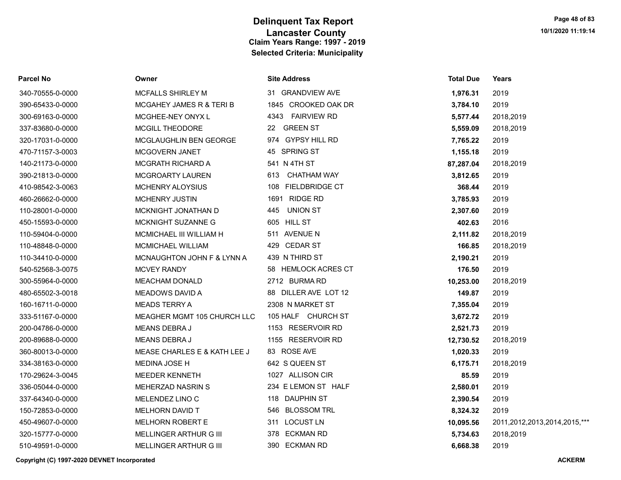| Parcel No        | Owner                        | <b>Site Address</b>  | <b>Total Due</b> | Years                        |
|------------------|------------------------------|----------------------|------------------|------------------------------|
| 340-70555-0-0000 | <b>MCFALLS SHIRLEY M</b>     | 31 GRANDVIEW AVE     | 1,976.31         | 2019                         |
| 390-65433-0-0000 | MCGAHEY JAMES R & TERI B     | 1845 CROOKED OAK DR  | 3,784.10         | 2019                         |
| 300-69163-0-0000 | MCGHEE-NEY ONYX L            | 4343 FAIRVIEW RD     | 5,577.44         | 2018,2019                    |
| 337-83680-0-0000 | <b>MCGILL THEODORE</b>       | 22 GREEN ST          | 5,559.09         | 2018,2019                    |
| 320-17031-0-0000 | MCGLAUGHLIN BEN GEORGE       | 974 GYPSY HILL RD    | 7,765.22         | 2019                         |
| 470-71157-3-0003 | MCGOVERN JANET               | 45 SPRING ST         | 1,155.18         | 2019                         |
| 140-21173-0-0000 | <b>MCGRATH RICHARD A</b>     | 541 N 4TH ST         | 87,287.04        | 2018,2019                    |
| 390-21813-0-0000 | MCGROARTY LAUREN             | CHATHAM WAY<br>613   | 3,812.65         | 2019                         |
| 410-98542-3-0063 | MCHENRY ALOYSIUS             | 108 FIELDBRIDGE CT   | 368.44           | 2019                         |
| 460-26662-0-0000 | <b>MCHENRY JUSTIN</b>        | 1691 RIDGE RD        | 3,785.93         | 2019                         |
| 110-28001-0-0000 | MCKNIGHT JONATHAN D          | 445 UNION ST         | 2,307.60         | 2019                         |
| 450-15593-0-0000 | MCKNIGHT SUZANNE G           | 605 HILL ST          | 402.63           | 2016                         |
| 110-59404-0-0000 | MCMICHAEL III WILLIAM H      | 511 AVENUE N         | 2,111.82         | 2018,2019                    |
| 110-48848-0-0000 | MCMICHAEL WILLIAM            | 429 CEDAR ST         | 166.85           | 2018,2019                    |
| 110-34410-0-0000 | MCNAUGHTON JOHN F & LYNN A   | 439 N THIRD ST       | 2,190.21         | 2019                         |
| 540-52568-3-0075 | <b>MCVEY RANDY</b>           | 58 HEMLOCK ACRES CT  | 176.50           | 2019                         |
| 300-55964-0-0000 | <b>MEACHAM DONALD</b>        | 2712 BURMA RD        | 10,253.00        | 2018,2019                    |
| 480-65502-3-0018 | <b>MEADOWS DAVID A</b>       | 88 DILLER AVE LOT 12 | 149.87           | 2019                         |
| 160-16711-0-0000 | <b>MEADS TERRY A</b>         | 2308 N MARKET ST     | 7,355.04         | 2019                         |
| 333-51167-0-0000 | MEAGHER MGMT 105 CHURCH LLC  | 105 HALF CHURCH ST   | 3,672.72         | 2019                         |
| 200-04786-0-0000 | MEANS DEBRA J                | 1153 RESERVOIR RD    | 2,521.73         | 2019                         |
| 200-89688-0-0000 | <b>MEANS DEBRAJ</b>          | 1155 RESERVOIR RD    | 12,730.52        | 2018,2019                    |
| 360-80013-0-0000 | MEASE CHARLES E & KATH LEE J | 83 ROSE AVE          | 1,020.33         | 2019                         |
| 334-38163-0-0000 | <b>MEDINA JOSE H</b>         | 642 S QUEEN ST       | 6,175.71         | 2018,2019                    |
| 170-29624-3-0045 | MEEDER KENNETH               | 1027 ALLISON CIR     | 85.59            | 2019                         |
| 336-05044-0-0000 | <b>MEHERZAD NASRIN S</b>     | 234 E LEMON ST HALF  | 2,580.01         | 2019                         |
| 337-64340-0-0000 | MELENDEZ LINO C              | 118 DAUPHIN ST       | 2,390.54         | 2019                         |
| 150-72853-0-0000 | MELHORN DAVID T              | 546 BLOSSOM TRL      | 8,324.32         | 2019                         |
| 450-49607-0-0000 | <b>MELHORN ROBERT E</b>      | 311 LOCUST LN        | 10,095.56        | 2011,2012,2013,2014,2015,*** |
| 320-15777-0-0000 | MELLINGER ARTHUR G III       | ECKMAN RD<br>378     | 5,734.63         | 2018,2019                    |
| 510-49591-0-0000 | MELLINGER ARTHUR G III       | 390 ECKMAN RD        | 6,668.38         | 2019                         |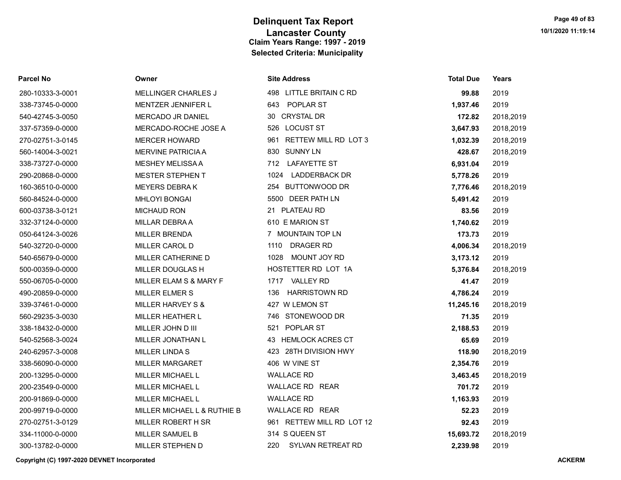| Parcel No |  |
|-----------|--|
|-----------|--|

## 280-10333-3-0001 MELLINGER CHARLES J 338-73745-0-0000 MENTZER JENNIFER L 338-73727-0-0000 MESHEY MELISSA A 290-20868-0-0000 MESTER STEPHEN T 540-65679-0-0000 MILLER CATHERINE D 550-06705-0-0000 MILLER FLAM S & MARY F 490-20859-0-0000 MILLER ELMER S 560-29235-3-0030 MILLER HEATHER L 338-18432-0-0000 MILLER JOHN D III 540-52568-3-0024 MILLER JONATHAN L 338-56090-0-0000 MILLER MARGARET 200-23549-0-0000 MILLER MICHAEL L 200-91869-0-0000 MILLER MICHAEL L 200-99719-0-0000 MILLER MICHAEL L & RUTHIE B 270-02751-3-0129 MILLER ROBERT H SR 300-13782-0-0000 MILLER STEPHEN D

| Parcel No        | Owner                        | <b>Site Address</b>          | <b>Total Due</b> | Years     |
|------------------|------------------------------|------------------------------|------------------|-----------|
| 280-10333-3-0001 | <b>MELLINGER CHARLES J</b>   | 498 LITTLE BRITAIN C RD      | 99.88            | 2019      |
| 338-73745-0-0000 | MENTZER JENNIFER L           | POPLAR ST<br>643             | 1,937.46         | 2019      |
| 540-42745-3-0050 | MERCADO JR DANIEL            | 30 CRYSTAL DR                | 172.82           | 2018,2019 |
| 337-57359-0-0000 | MERCADO-ROCHE JOSE A         | 526 LOCUST ST                | 3,647.93         | 2018,2019 |
| 270-02751-3-0145 | <b>MERCER HOWARD</b>         | 961 RETTEW MILL RD LOT 3     | 1,032.39         | 2018,2019 |
| 560-14004-3-0021 | <b>MERVINE PATRICIA A</b>    | 830 SUNNY LN                 | 428.67           | 2018,2019 |
| 338-73727-0-0000 | <b>MESHEY MELISSA A</b>      | 712 LAFAYETTE ST             | 6,931.04         | 2019      |
| 290-20868-0-0000 | <b>MESTER STEPHEN T</b>      | <b>LADDERBACK DR</b><br>1024 | 5,778.26         | 2019      |
| 160-36510-0-0000 | <b>MEYERS DEBRAK</b>         | 254 BUTTONWOOD DR            | 7,776.46         | 2018,2019 |
| 560-84524-0-0000 | <b>MHLOYI BONGAI</b>         | 5500 DEER PATH LN            | 5,491.42         | 2019      |
| 600-03738-3-0121 | <b>MICHAUD RON</b>           | 21 PLATEAU RD                | 83.56            | 2019      |
| 332-37124-0-0000 | <b>MILLAR DEBRAA</b>         | 610 E MARION ST              | 1,740.62         | 2019      |
| 050-64124-3-0026 | <b>MILLER BRENDA</b>         | 7 MOUNTAIN TOP LN            | 173.73           | 2019      |
| 540-32720-0-0000 | MILLER CAROL D               | 1110<br><b>DRAGER RD</b>     | 4,006.34         | 2018,2019 |
| 540-65679-0-0000 | MILLER CATHERINE D           | MOUNT JOY RD<br>1028         | 3,173.12         | 2019      |
| 500-00359-0-0000 | MILLER DOUGLAS H             | HOSTETTER RD LOT 1A          | 5,376.84         | 2018,2019 |
| 550-06705-0-0000 | MILLER ELAM S & MARY F       | 1717 VALLEY RD               | 41.47            | 2019      |
| 490-20859-0-0000 | <b>MILLER ELMER S</b>        | <b>HARRISTOWN RD</b><br>136  | 4,786.24         | 2019      |
| 339-37461-0-0000 | <b>MILLER HARVEY S &amp;</b> | 427 W LEMON ST               | 11,245.16        | 2018,2019 |
| 560-29235-3-0030 | MILLER HEATHER L             | 746 STONEWOOD DR             | 71.35            | 2019      |
| 338-18432-0-0000 | MILLER JOHN D III            | 521 POPLAR ST                | 2,188.53         | 2019      |
| 540-52568-3-0024 | MILLER JONATHAN L            | 43 HEMLOCK ACRES CT          | 65.69            | 2019      |
| 240-62957-3-0008 | MILLER LINDA S               | 423 28TH DIVISION HWY        | 118.90           | 2018,2019 |
| 338-56090-0-0000 | <b>MILLER MARGARET</b>       | 406 W VINE ST                | 2,354.76         | 2019      |
| 200-13295-0-0000 | <b>MILLER MICHAEL L</b>      | <b>WALLACE RD</b>            | 3,463.45         | 2018,2019 |
| 200-23549-0-0000 | MILLER MICHAEL L             | WALLACE RD REAR              | 701.72           | 2019      |
| 200-91869-0-0000 | MILLER MICHAEL L             | <b>WALLACE RD</b>            | 1,163.93         | 2019      |
| 200-99719-0-0000 | MILLER MICHAEL L & RUTHIE B  | WALLACE RD REAR              | 52.23            | 2019      |
| 270-02751-3-0129 | MILLER ROBERT H SR           | 961 RETTEW MILL RD LOT 12    | 92.43            | 2019      |
| 334-11000-0-0000 | MILLER SAMUEL B              | 314 S QUEEN ST               | 15,693.72        | 2018,2019 |
| 300-13782-0-0000 | MILLER STEPHEN D             | 220<br>SYLVAN RETREAT RD     | 2,239.98         | 2019      |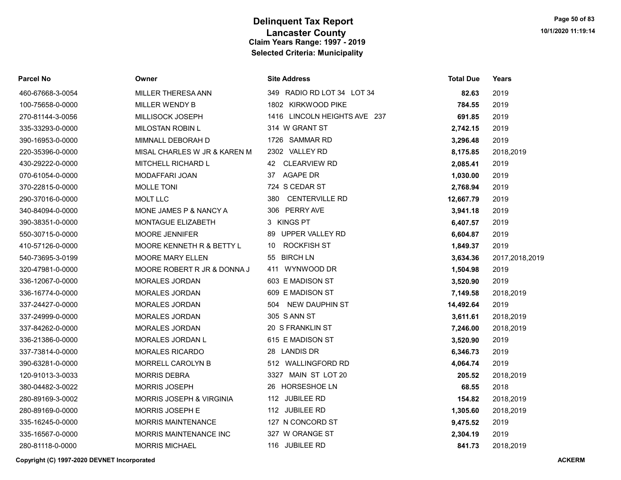| <b>Parcel No</b> | Owner                        | <b>Site Address</b>          | <b>Total Due</b> | Years          |
|------------------|------------------------------|------------------------------|------------------|----------------|
| 460-67668-3-0054 | MILLER THERESA ANN           | 349 RADIO RD LOT 34 LOT 34   | 82.63            | 2019           |
| 100-75658-0-0000 | <b>MILLER WENDY B</b>        | 1802 KIRKWOOD PIKE           | 784.55           | 2019           |
| 270-81144-3-0056 | <b>MILLISOCK JOSEPH</b>      | 1416 LINCOLN HEIGHTS AVE 237 | 691.85           | 2019           |
| 335-33293-0-0000 | MILOSTAN ROBIN L             | 314 W GRANT ST               | 2,742.15         | 2019           |
| 390-16953-0-0000 | MIMNALL DEBORAH D            | 1726 SAMMAR RD               | 3,296.48         | 2019           |
| 220-35396-0-0000 | MISAL CHARLES W JR & KAREN M | 2302 VALLEY RD               | 8,175.85         | 2018,2019      |
| 430-29222-0-0000 | MITCHELL RICHARD L           | 42 CLEARVIEW RD              | 2,085.41         | 2019           |
| 070-61054-0-0000 | MODAFFARI JOAN               | 37 AGAPE DR                  | 1,030.00         | 2019           |
| 370-22815-0-0000 | <b>MOLLE TONI</b>            | 724 S CEDAR ST               | 2,768.94         | 2019           |
| 290-37016-0-0000 | <b>MOLT LLC</b>              | <b>CENTERVILLE RD</b><br>380 | 12,667.79        | 2019           |
| 340-84094-0-0000 | MONE JAMES P & NANCY A       | 306 PERRY AVE                | 3,941.18         | 2019           |
| 390-38351-0-0000 | <b>MONTAGUE ELIZABETH</b>    | 3 KINGS PT                   | 6,407.57         | 2019           |
| 550-30715-0-0000 | MOORE JENNIFER               | 89 UPPER VALLEY RD           | 6,604.87         | 2019           |
| 410-57126-0-0000 | MOORE KENNETH R & BETTY L    | <b>ROCKFISH ST</b><br>10     | 1,849.37         | 2019           |
| 540-73695-3-0199 | <b>MOORE MARY ELLEN</b>      | <b>BIRCH LN</b><br>55        | 3,634.36         | 2017,2018,2019 |
| 320-47981-0-0000 | MOORE ROBERT R JR & DONNA J  | 411 WYNWOOD DR               | 1,504.98         | 2019           |
| 336-12067-0-0000 | <b>MORALES JORDAN</b>        | 603 E MADISON ST             | 3,520.90         | 2019           |
| 336-16774-0-0000 | MORALES JORDAN               | 609 E MADISON ST             | 7,149.58         | 2018,2019      |
| 337-24427-0-0000 | MORALES JORDAN               | <b>NEW DAUPHIN ST</b><br>504 | 14,492.64        | 2019           |
| 337-24999-0-0000 | <b>MORALES JORDAN</b>        | 305 S ANN ST                 | 3,611.61         | 2018,2019      |
| 337-84262-0-0000 | <b>MORALES JORDAN</b>        | 20 S FRANKLIN ST             | 7,246.00         | 2018,2019      |
| 336-21386-0-0000 | MORALES JORDAN L             | 615 E MADISON ST             | 3,520.90         | 2019           |
| 337-73814-0-0000 | MORALES RICARDO              | 28 LANDIS DR                 | 6,346.73         | 2019           |
| 390-63281-0-0000 | MORRELL CAROLYN B            | 512 WALLINGFORD RD           | 4,064.74         | 2019           |
| 120-91013-3-0033 | <b>MORRIS DEBRA</b>          | 3327 MAIN ST LOT 20          | 205.52           | 2018,2019      |
| 380-04482-3-0022 | <b>MORRIS JOSEPH</b>         | 26 HORSESHOE LN              | 68.55            | 2018           |
| 280-89169-3-0002 | MORRIS JOSEPH & VIRGINIA     | 112 JUBILEE RD               | 154.82           | 2018,2019      |
| 280-89169-0-0000 | MORRIS JOSEPH E              | 112 JUBILEE RD               | 1,305.60         | 2018,2019      |
| 335-16245-0-0000 | <b>MORRIS MAINTENANCE</b>    | 127 N CONCORD ST             | 9,475.52         | 2019           |
| 335-16567-0-0000 | MORRIS MAINTENANCE INC       | 327 W ORANGE ST              | 2,304.19         | 2019           |
| 280-81118-0-0000 | <b>MORRIS MICHAEL</b>        | 116 JUBILEE RD               | 841.73           | 2018,2019      |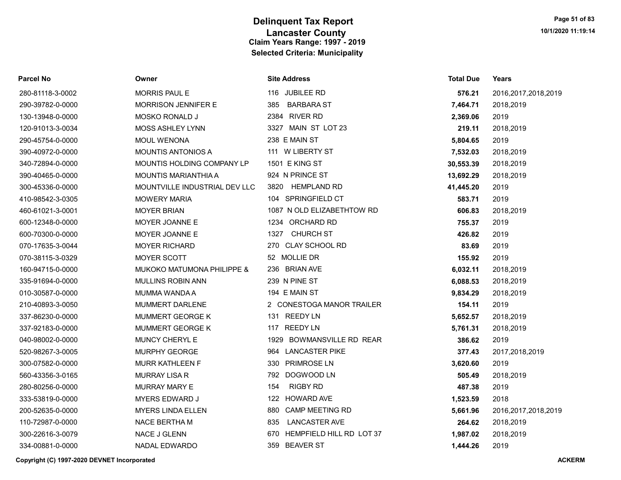| Parcel No        | Owner                                 | <b>Site Address</b>             | <b>Total Due</b> | Years                  |
|------------------|---------------------------------------|---------------------------------|------------------|------------------------|
| 280-81118-3-0002 | MORRIS PAUL E                         | 116 JUBILEE RD                  | 576.21           | 2016, 2017, 2018, 2019 |
| 290-39782-0-0000 | MORRISON JENNIFER E                   | 385<br><b>BARBARA ST</b>        | 7,464.71         | 2018,2019              |
| 130-13948-0-0000 | <b>MOSKO RONALD J</b>                 | 2384 RIVER RD                   | 2,369.06         | 2019                   |
| 120-91013-3-0034 | <b>MOSS ASHLEY LYNN</b>               | 3327 MAIN ST LOT 23             | 219.11           | 2018,2019              |
| 290-45754-0-0000 | <b>MOUL WENONA</b>                    | 238 E MAIN ST                   | 5,804.65         | 2019                   |
| 390-40972-0-0000 | <b>MOUNTIS ANTONIOS A</b>             | 111 W LIBERTY ST                | 7,532.03         | 2018,2019              |
| 340-72894-0-0000 | MOUNTIS HOLDING COMPANY LP            | <b>1501 E KING ST</b>           | 30,553.39        | 2018,2019              |
| 390-40465-0-0000 | <b>MOUNTIS MARIANTHIA A</b>           | 924 N PRINCE ST                 | 13,692.29        | 2018,2019              |
| 300-45336-0-0000 | MOUNTVILLE INDUSTRIAL DEV LLC         | <b>HEMPLAND RD</b><br>3820      | 41,445.20        | 2019                   |
| 410-98542-3-0305 | <b>MOWERY MARIA</b>                   | 104 SPRINGFIELD CT              | 583.71           | 2019                   |
| 460-61021-3-0001 | <b>MOYER BRIAN</b>                    | 1087 N OLD ELIZABETHTOW RD      | 606.83           | 2018,2019              |
| 600-12348-0-0000 | MOYER JOANNE E                        | 1234 ORCHARD RD                 | 755.37           | 2019                   |
| 600-70300-0-0000 | MOYER JOANNE E                        | <b>CHURCH ST</b><br>1327        | 426.82           | 2019                   |
| 070-17635-3-0044 | <b>MOYER RICHARD</b>                  | 270 CLAY SCHOOL RD              | 83.69            | 2019                   |
| 070-38115-3-0329 | MOYER SCOTT                           | 52 MOLLIE DR                    | 155.92           | 2019                   |
| 160-94715-0-0000 | <b>MUKOKO MATUMONA PHILIPPE &amp;</b> | 236 BRIAN AVE                   | 6,032.11         | 2018,2019              |
| 335-91694-0-0000 | MULLINS ROBIN ANN                     | 239 N PINE ST                   | 6,088.53         | 2018,2019              |
| 010-30587-0-0000 | <b>MUMMA WANDA A</b>                  | 194 E MAIN ST                   | 9,834.29         | 2018,2019              |
| 210-40893-3-0050 | MUMMERT DARLENE                       | 2 CONESTOGA MANOR TRAILER       | 154.11           | 2019                   |
| 337-86230-0-0000 | MUMMERT GEORGE K                      | 131 REEDY LN                    | 5,652.57         | 2018,2019              |
| 337-92183-0-0000 | MUMMERT GEORGE K                      | 117 REEDY LN                    | 5,761.31         | 2018,2019              |
| 040-98002-0-0000 | MUNCY CHERYL E                        | 1929 BOWMANSVILLE RD REAR       | 386.62           | 2019                   |
| 520-98267-3-0005 | <b>MURPHY GEORGE</b>                  | 964 LANCASTER PIKE              | 377.43           | 2017,2018,2019         |
| 300-07582-0-0000 | <b>MURR KATHLEEN F</b>                | 330 PRIMROSE LN                 | 3,620.60         | 2019                   |
| 560-43356-3-0165 | <b>MURRAY LISA R</b>                  | 792 DOGWOOD LN                  | 505.49           | 2018,2019              |
| 280-80256-0-0000 | MURRAY MARY E                         | 154<br><b>RIGBY RD</b>          | 487.38           | 2019                   |
| 333-53819-0-0000 | <b>MYERS EDWARD J</b>                 | <b>HOWARD AVE</b><br>122        | 1,523.59         | 2018                   |
| 200-52635-0-0000 | <b>MYERS LINDA ELLEN</b>              | 880 CAMP MEETING RD             | 5,661.96         | 2016, 2017, 2018, 2019 |
| 110-72987-0-0000 | <b>NACE BERTHAM</b>                   | <b>LANCASTER AVE</b><br>835     | 264.62           | 2018,2019              |
| 300-22616-3-0079 | NACE J GLENN                          | HEMPFIELD HILL RD LOT 37<br>670 | 1,987.02         | 2018,2019              |
| 334-00881-0-0000 | <b>NADAL EDWARDO</b>                  | 359 BEAVER ST                   | 1.444.26         | 2019                   |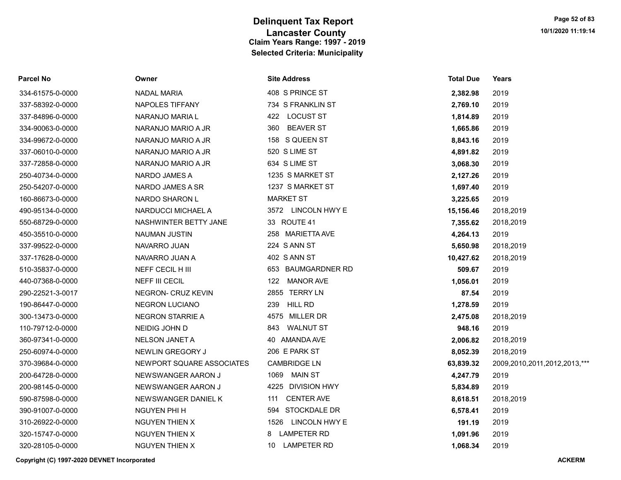| <b>Parcel No</b> | Owner                     | <b>Site Address</b>     | <b>Total Due</b> | Years                        |
|------------------|---------------------------|-------------------------|------------------|------------------------------|
| 334-61575-0-0000 | <b>NADAL MARIA</b>        | 408 S PRINCE ST         | 2,382.98         | 2019                         |
| 337-58392-0-0000 | <b>NAPOLES TIFFANY</b>    | 734 S FRANKLIN ST       | 2,769.10         | 2019                         |
| 337-84896-0-0000 | NARANJO MARIA L           | 422 LOCUST ST           | 1,814.89         | 2019                         |
| 334-90063-0-0000 | NARANJO MARIO A JR        | 360 BEAVER ST           | 1,665.86         | 2019                         |
| 334-99672-0-0000 | NARANJO MARIO A JR        | 158 S QUEEN ST          | 8,843.16         | 2019                         |
| 337-06010-0-0000 | NARANJO MARIO A JR        | 520 S LIME ST           | 4,891.82         | 2019                         |
| 337-72858-0-0000 | NARANJO MARIO A JR        | 634 S LIME ST           | 3,068.30         | 2019                         |
| 250-40734-0-0000 | NARDO JAMES A             | 1235 S MARKET ST        | 2,127.26         | 2019                         |
| 250-54207-0-0000 | NARDO JAMES A SR          | 1237 S MARKET ST        | 1,697.40         | 2019                         |
| 160-86673-0-0000 | NARDO SHARON L            | <b>MARKET ST</b>        | 3,225.65         | 2019                         |
| 490-95134-0-0000 | NARDUCCI MICHAEL A        | 3572 LINCOLN HWY E      | 15,156.46        | 2018,2019                    |
| 550-68729-0-0000 | NASHWINTER BETTY JANE     | 33 ROUTE 41             | 7,355.62         | 2018,2019                    |
| 450-35510-0-0000 | <b>NAUMAN JUSTIN</b>      | 258 MARIETTA AVE        | 4,264.13         | 2019                         |
| 337-99522-0-0000 | NAVARRO JUAN              | 224 S ANN ST            | 5,650.98         | 2018,2019                    |
| 337-17628-0-0000 | NAVARRO JUAN A            | 402 S ANN ST            | 10,427.62        | 2018,2019                    |
| 510-35837-0-0000 | NEFF CECIL H III          | 653 BAUMGARDNER RD      | 509.67           | 2019                         |
| 440-07368-0-0000 | NEFF III CECIL            | 122 MANOR AVE           | 1,056.01         | 2019                         |
| 290-22521-3-0017 | NEGRON- CRUZ KEVIN        | 2855 TERRY LN           | 87.54            | 2019                         |
| 190-86447-0-0000 | <b>NEGRON LUCIANO</b>     | 239 HILL RD             | 1,278.59         | 2019                         |
| 300-13473-0-0000 | NEGRON STARRIE A          | 4575 MILLER DR          | 2,475.08         | 2018,2019                    |
| 110-79712-0-0000 | NEIDIG JOHN D             | 843 WALNUT ST           | 948.16           | 2019                         |
| 360-97341-0-0000 | <b>NELSON JANET A</b>     | 40 AMANDA AVE           | 2,006.82         | 2018,2019                    |
| 250-60974-0-0000 | NEWLIN GREGORY J          | 206 E PARK ST           | 8,052.39         | 2018,2019                    |
| 370-39684-0-0000 | NEWPORT SQUARE ASSOCIATES | <b>CAMBRIDGE LN</b>     | 63,839.32        | 2009,2010,2011,2012,2013,*** |
| 200-64728-0-0000 | NEWSWANGER AARON J        | 1069 MAIN ST            | 4,247.79         | 2019                         |
| 200-98145-0-0000 | NEWSWANGER AARON J        | 4225 DIVISION HWY       | 5,834.89         | 2019                         |
| 590-87598-0-0000 | NEWSWANGER DANIEL K       | 111 CENTER AVE          | 8,618.51         | 2018,2019                    |
| 390-91007-0-0000 | NGUYEN PHI H              | 594 STOCKDALE DR        | 6,578.41         | 2019                         |
| 310-26922-0-0000 | NGUYEN THIEN X            | 1526 LINCOLN HWY E      | 191.19           | 2019                         |
| 320-15747-0-0000 | <b>NGUYEN THIEN X</b>     | <b>LAMPETER RD</b><br>8 | 1,091.96         | 2019                         |
| 320-28105-0-0000 | NGUYEN THIEN X            | 10 LAMPETER RD          | 1,068.34         | 2019                         |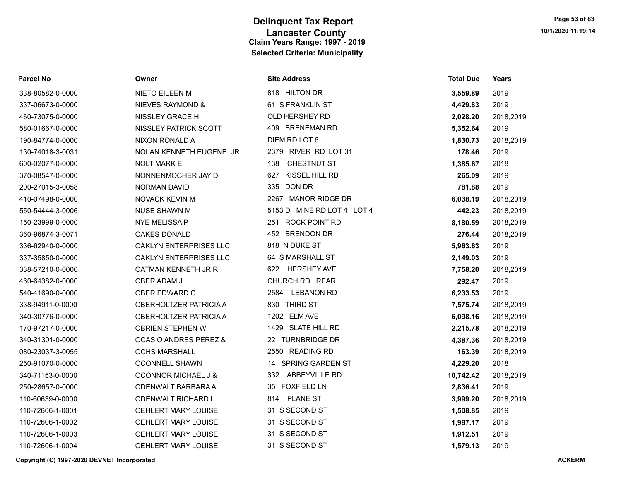| Parcel No        | Owner                            | <b>Site Address</b>        | <b>Total Due</b> | Years     |
|------------------|----------------------------------|----------------------------|------------------|-----------|
| 338-80582-0-0000 | <b>NIETO EILEEN M</b>            | 818 HILTON DR              | 3,559.89         | 2019      |
| 337-06673-0-0000 | NIEVES RAYMOND &                 | 61 S FRANKLIN ST           | 4,429.83         | 2019      |
| 460-73075-0-0000 | NISSLEY GRACE H                  | OLD HERSHEY RD             | 2,028.20         | 2018,2019 |
| 580-01667-0-0000 | NISSLEY PATRICK SCOTT            | 409 BRENEMAN RD            | 5,352.64         | 2019      |
| 190-84774-0-0000 | NIXON RONALD A                   | DIEM RD LOT 6              | 1,830.73         | 2018,2019 |
| 130-74018-3-0031 | NOLAN KENNETH EUGENE JR          | 2379 RIVER RD LOT 31       | 178.46           | 2019      |
| 600-02077-0-0000 | <b>NOLT MARK E</b>               | CHESTNUT ST<br>138         | 1,385.67         | 2018      |
| 370-08547-0-0000 | NONNENMOCHER JAY D               | 627 KISSEL HILL RD         | 265.09           | 2019      |
| 200-27015-3-0058 | <b>NORMAN DAVID</b>              | 335 DON DR                 | 781.88           | 2019      |
| 410-07498-0-0000 | NOVACK KEVIN M                   | 2267 MANOR RIDGE DR        | 6,038.19         | 2018,2019 |
| 550-54444-3-0006 | <b>NUSE SHAWN M</b>              | 5153 D MINE RD LOT 4 LOT 4 | 442.23           | 2018,2019 |
| 150-23999-0-0000 | NYE MELISSA P                    | 251 ROCK POINT RD          | 8,180.59         | 2018,2019 |
| 360-96874-3-0071 | <b>OAKES DONALD</b>              | 452 BRENDON DR             | 276.44           | 2018,2019 |
| 336-62940-0-0000 | OAKLYN ENTERPRISES LLC           | 818 N DUKE ST              | 5,963.63         | 2019      |
| 337-35850-0-0000 | OAKLYN ENTERPRISES LLC           | 64 S MARSHALL ST           | 2,149.03         | 2019      |
| 338-57210-0-0000 | OATMAN KENNETH JR R              | 622 HERSHEY AVE            | 7,758.20         | 2018,2019 |
| 460-64382-0-0000 | OBER ADAM J                      | CHURCH RD REAR             | 292.47           | 2019      |
| 540-41690-0-0000 | OBER EDWARD C                    | 2584 LEBANON RD            | 6,233.53         | 2019      |
| 338-94911-0-0000 | OBERHOLTZER PATRICIA A           | 830 THIRD ST               | 7,575.74         | 2018,2019 |
| 340-30776-0-0000 | OBERHOLTZER PATRICIA A           | 1202 ELM AVE               | 6,098.16         | 2018,2019 |
| 170-97217-0-0000 | OBRIEN STEPHEN W                 | 1429 SLATE HILL RD         | 2,215.78         | 2018,2019 |
| 340-31301-0-0000 | <b>OCASIO ANDRES PEREZ &amp;</b> | 22 TURNBRIDGE DR           | 4,387.36         | 2018,2019 |
| 080-23037-3-0055 | <b>OCHS MARSHALL</b>             | 2550 READING RD            | 163.39           | 2018,2019 |
| 250-91070-0-0000 | <b>OCONNELL SHAWN</b>            | 14 SPRING GARDEN ST        | 4,229.20         | 2018      |
| 340-71153-0-0000 | <b>OCONNOR MICHAEL J &amp;</b>   | 332 ABBEYVILLE RD          | 10,742.42        | 2018,2019 |
| 250-28657-0-0000 | ODENWALT BARBARA A               | 35 FOXFIELD LN             | 2,836.41         | 2019      |
| 110-60639-0-0000 | ODENWALT RICHARD L               | 814 PLANE ST               | 3,999.20         | 2018,2019 |
| 110-72606-1-0001 | OEHLERT MARY LOUISE              | 31 S SECOND ST             | 1,508.85         | 2019      |
| 110-72606-1-0002 | OEHLERT MARY LOUISE              | 31 S SECOND ST             | 1,987.17         | 2019      |
| 110-72606-1-0003 | OEHLERT MARY LOUISE              | 31 S SECOND ST             | 1,912.51         | 2019      |
| 110-72606-1-0004 | OEHLERT MARY LOUISE              | 31 S SECOND ST             | 1,579.13         | 2019      |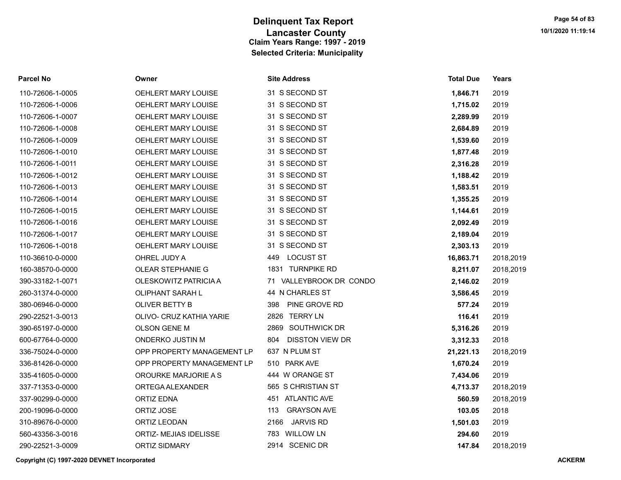| <b>Parcel No</b> | Owner                      | <b>Site Address</b>           | <b>Total Due</b> | Years     |
|------------------|----------------------------|-------------------------------|------------------|-----------|
| 110-72606-1-0005 | <b>OEHLERT MARY LOUISE</b> | 31 S SECOND ST                | 1,846.71         | 2019      |
| 110-72606-1-0006 | <b>OEHLERT MARY LOUISE</b> | 31 S SECOND ST                | 1,715.02         | 2019      |
| 110-72606-1-0007 | OEHLERT MARY LOUISE        | 31 S SECOND ST                | 2,289.99         | 2019      |
| 110-72606-1-0008 | <b>OEHLERT MARY LOUISE</b> | 31 S SECOND ST                | 2,684.89         | 2019      |
| 110-72606-1-0009 | OEHLERT MARY LOUISE        | 31 S SECOND ST                | 1,539.60         | 2019      |
| 110-72606-1-0010 | OEHLERT MARY LOUISE        | 31 S SECOND ST                | 1,877.48         | 2019      |
| 110-72606-1-0011 | OEHLERT MARY LOUISE        | 31 S SECOND ST                | 2,316.28         | 2019      |
| 110-72606-1-0012 | OEHLERT MARY LOUISE        | 31 S SECOND ST                | 1,188.42         | 2019      |
| 110-72606-1-0013 | <b>OEHLERT MARY LOUISE</b> | 31 S SECOND ST                | 1,583.51         | 2019      |
| 110-72606-1-0014 | OEHLERT MARY LOUISE        | 31 S SECOND ST                | 1,355.25         | 2019      |
| 110-72606-1-0015 | <b>OEHLERT MARY LOUISE</b> | 31 S SECOND ST                | 1,144.61         | 2019      |
| 110-72606-1-0016 | OEHLERT MARY LOUISE        | 31 S SECOND ST                | 2,092.49         | 2019      |
| 110-72606-1-0017 | OEHLERT MARY LOUISE        | 31 S SECOND ST                | 2,189.04         | 2019      |
| 110-72606-1-0018 | OEHLERT MARY LOUISE        | 31 S SECOND ST                | 2,303.13         | 2019      |
| 110-36610-0-0000 | OHREL JUDY A               | <b>LOCUST ST</b><br>449       | 16,863.71        | 2018,2019 |
| 160-38570-0-0000 | OLEAR STEPHANIE G          | 1831 TURNPIKE RD              | 8,211.07         | 2018,2019 |
| 390-33182-1-0071 | OLESKOWITZ PATRICIA A      | 71 VALLEYBROOK DR CONDO       | 2,146.02         | 2019      |
| 260-31374-0-0000 | <b>OLIPHANT SARAH L</b>    | 44 N CHARLES ST               | 3,586.45         | 2019      |
| 380-06946-0-0000 | <b>OLIVER BETTY B</b>      | PINE GROVE RD<br>398          | 577.24           | 2019      |
| 290-22521-3-0013 | OLIVO- CRUZ KATHIA YARIE   | 2826 TERRY LN                 | 116.41           | 2019      |
| 390-65197-0-0000 | OLSON GENE M               | 2869 SOUTHWICK DR             | 5,316.26         | 2019      |
| 600-67764-0-0000 | <b>ONDERKO JUSTIN M</b>    | <b>DISSTON VIEW DR</b><br>804 | 3,312.33         | 2018      |
| 336-75024-0-0000 | OPP PROPERTY MANAGEMENT LP | 637 N PLUM ST                 | 21,221.13        | 2018,2019 |
| 336-81426-0-0000 | OPP PROPERTY MANAGEMENT LP | 510 PARK AVE                  | 1,670.24         | 2019      |
| 335-41605-0-0000 | OROURKE MARJORIE A S       | 444 W ORANGE ST               | 7,434.06         | 2019      |
| 337-71353-0-0000 | ORTEGA ALEXANDER           | 565 S CHRISTIAN ST            | 4,713.37         | 2018,2019 |
| 337-90299-0-0000 | <b>ORTIZ EDNA</b>          | 451 ATLANTIC AVE              | 560.59           | 2018,2019 |
| 200-19096-0-0000 | ORTIZ JOSE                 | <b>GRAYSON AVE</b><br>113     | 103.05           | 2018      |
| 310-89676-0-0000 | ORTIZ LEODAN               | 2166 JARVIS RD                | 1,501.03         | 2019      |
| 560-43356-3-0016 | ORTIZ- MEJIAS IDELISSE     | 783 WILLOW LN                 | 294.60           | 2019      |
| 290-22521-3-0009 | <b>ORTIZ SIDMARY</b>       | 2914 SCENIC DR                | 147.84           | 2018.2019 |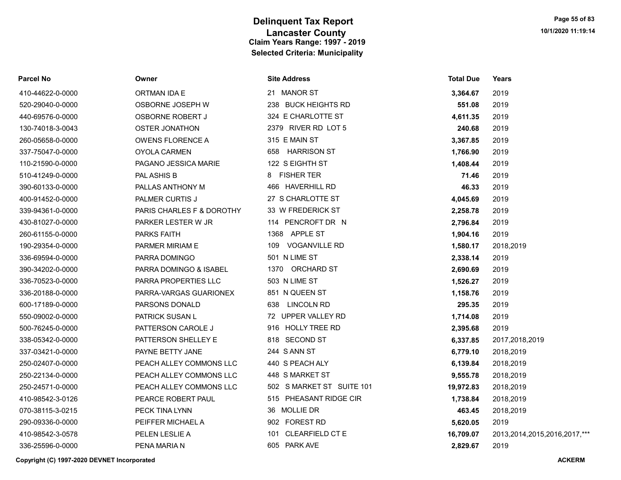| Parcel No        | Owner                     | <b>Site Address</b>           | <b>Total Due</b> | Years                             |
|------------------|---------------------------|-------------------------------|------------------|-----------------------------------|
| 410-44622-0-0000 | ORTMAN IDA E              | 21 MANOR ST                   | 3,364.67         | 2019                              |
| 520-29040-0-0000 | OSBORNE JOSEPH W          | 238 BUCK HEIGHTS RD           | 551.08           | 2019                              |
| 440-69576-0-0000 | <b>OSBORNE ROBERT J</b>   | 324 E CHARLOTTE ST            | 4,611.35         | 2019                              |
| 130-74018-3-0043 | <b>OSTER JONATHON</b>     | 2379 RIVER RD LOT 5           | 240.68           | 2019                              |
| 260-05658-0-0000 | <b>OWENS FLORENCE A</b>   | 315 E MAIN ST                 | 3,367.85         | 2019                              |
| 337-75047-0-0000 | <b>OYOLA CARMEN</b>       | 658 HARRISON ST               | 1,766.90         | 2019                              |
| 110-21590-0-0000 | PAGANO JESSICA MARIE      | 122 S EIGHTH ST               | 1,408.44         | 2019                              |
| 510-41249-0-0000 | PAL ASHIS B               | 8 FISHER TER                  | 71.46            | 2019                              |
| 390-60133-0-0000 | PALLAS ANTHONY M          | 466 HAVERHILL RD              | 46.33            | 2019                              |
| 400-91452-0-0000 | PALMER CURTIS J           | 27 S CHARLOTTE ST             | 4,045.69         | 2019                              |
| 339-94361-0-0000 | PARIS CHARLES F & DOROTHY | 33 W FREDERICK ST             | 2,258.78         | 2019                              |
| 430-81027-0-0000 | PARKER LESTER W JR        | 114 PENCROFT DR N             | 2,796.84         | 2019                              |
| 260-61155-0-0000 | <b>PARKS FAITH</b>        | 1368 APPLE ST                 | 1,904.16         | 2019                              |
| 190-29354-0-0000 | PARMER MIRIAM E           | 109 VOGANVILLE RD             | 1,580.17         | 2018,2019                         |
| 336-69594-0-0000 | PARRA DOMINGO             | 501 N LIME ST                 | 2,338.14         | 2019                              |
| 390-34202-0-0000 | PARRA DOMINGO & ISABEL    | 1370 ORCHARD ST               | 2,690.69         | 2019                              |
| 336-70523-0-0000 | PARRA PROPERTIES LLC      | 503 N LIME ST                 | 1,526.27         | 2019                              |
| 336-20188-0-0000 | PARRA-VARGAS GUARIONEX    | 851 N QUEEN ST                | 1,158.76         | 2019                              |
| 600-17189-0-0000 | PARSONS DONALD            | <b>LINCOLN RD</b><br>638      | 295.35           | 2019                              |
| 550-09002-0-0000 | PATRICK SUSAN L           | 72 UPPER VALLEY RD            | 1,714.08         | 2019                              |
| 500-76245-0-0000 | PATTERSON CAROLE J        | 916 HOLLY TREE RD             | 2,395.68         | 2019                              |
| 338-05342-0-0000 | PATTERSON SHELLEY E       | 818 SECOND ST                 | 6,337.85         | 2017,2018,2019                    |
| 337-03421-0-0000 | PAYNE BETTY JANE          | 244 S ANN ST                  | 6,779.10         | 2018,2019                         |
| 250-02407-0-0000 | PEACH ALLEY COMMONS LLC   | 440 S PEACH ALY               | 6,139.84         | 2018,2019                         |
| 250-22134-0-0000 | PEACH ALLEY COMMONS LLC   | 448 S MARKET ST               | 9,555.78         | 2018,2019                         |
| 250-24571-0-0000 | PEACH ALLEY COMMONS LLC   | 502 S MARKET ST SUITE 101     | 19,972.83        | 2018,2019                         |
| 410-98542-3-0126 | PEARCE ROBERT PAUL        | 515 PHEASANT RIDGE CIR        | 1,738.84         | 2018,2019                         |
| 070-38115-3-0215 | PECK TINA LYNN            | 36 MOLLIE DR                  | 463.45           | 2018,2019                         |
| 290-09336-0-0000 | PEIFFER MICHAEL A         | 902 FOREST RD                 | 5,620.05         | 2019                              |
| 410-98542-3-0578 | PELEN LESLIE A            | <b>CLEARFIELD CT E</b><br>101 | 16,709.07        | 2013, 2014, 2015, 2016, 2017, *** |
| 336-25596-0-0000 | PENA MARIA N              | 605 PARK AVE                  | 2,829.67         | 2019                              |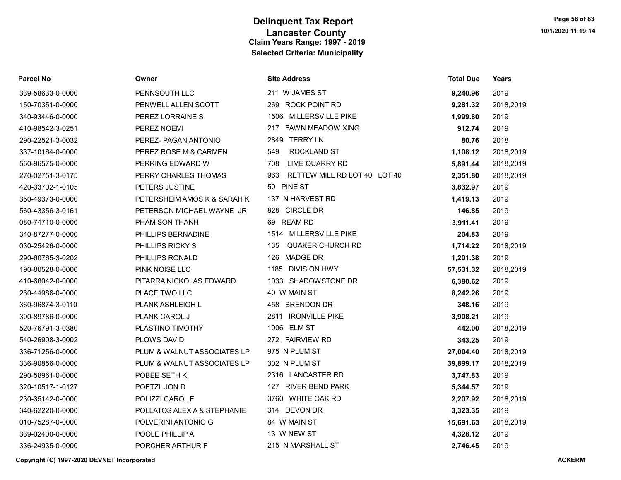| Parcel No        | Owner                       | <b>Site Address</b>                 | <b>Total Due</b> | Years     |
|------------------|-----------------------------|-------------------------------------|------------------|-----------|
| 339-58633-0-0000 | PENNSOUTH LLC               | 211 W JAMES ST                      | 9,240.96         | 2019      |
| 150-70351-0-0000 | PENWELL ALLEN SCOTT         | 269 ROCK POINT RD                   | 9,281.32         | 2018,2019 |
| 340-93446-0-0000 | PEREZ LORRAINE S            | 1506 MILLERSVILLE PIKE              | 1,999.80         | 2019      |
| 410-98542-3-0251 | PEREZ NOEMI                 | 217 FAWN MEADOW XING                | 912.74           | 2019      |
| 290-22521-3-0032 | PEREZ- PAGAN ANTONIO        | 2849 TERRY LN                       | 80.76            | 2018      |
| 337-10164-0-0000 | PEREZ ROSE M & CARMEN       | <b>ROCKLAND ST</b><br>549           | 1,108.12         | 2018,2019 |
| 560-96575-0-0000 | PERRING EDWARD W            | <b>LIME QUARRY RD</b><br>708        | 5,891.44         | 2018,2019 |
| 270-02751-3-0175 | PERRY CHARLES THOMAS        | RETTEW MILL RD LOT 40 LOT 40<br>963 | 2,351.80         | 2018,2019 |
| 420-33702-1-0105 | PETERS JUSTINE              | 50 PINE ST                          | 3,832.97         | 2019      |
| 350-49373-0-0000 | PETERSHEIM AMOS K & SARAH K | 137 N HARVEST RD                    | 1,419.13         | 2019      |
| 560-43356-3-0161 | PETERSON MICHAEL WAYNE JR   | 828 CIRCLE DR                       | 146.85           | 2019      |
| 080-74710-0-0000 | PHAM SON THANH              | 69 REAM RD                          | 3,911.41         | 2019      |
| 340-87277-0-0000 | PHILLIPS BERNADINE          | 1514 MILLERSVILLE PIKE              | 204.83           | 2019      |
| 030-25426-0-0000 | PHILLIPS RICKY S            | <b>QUAKER CHURCH RD</b><br>135      | 1,714.22         | 2018,2019 |
| 290-60765-3-0202 | PHILLIPS RONALD             | 126<br>MADGE DR                     | 1,201.38         | 2019      |
| 190-80528-0-0000 | <b>PINK NOISE LLC</b>       | 1185 DIVISION HWY                   | 57,531.32        | 2018,2019 |
| 410-68042-0-0000 | PITARRA NICKOLAS EDWARD     | 1033 SHADOWSTONE DR                 | 6,380.62         | 2019      |
| 260-44986-0-0000 | PLACE TWO LLC               | 40 W MAIN ST                        | 8,242.26         | 2019      |
| 360-96874-3-0110 | <b>PLANK ASHLEIGH L</b>     | 458 BRENDON DR                      | 348.16           | 2019      |
| 300-89786-0-0000 | PLANK CAROL J               | 2811 IRONVILLE PIKE                 | 3,908.21         | 2019      |
| 520-76791-3-0380 | PLASTINO TIMOTHY            | 1006 ELM ST                         | 442.00           | 2018,2019 |
| 540-26908-3-0002 | PLOWS DAVID                 | 272 FAIRVIEW RD                     | 343.25           | 2019      |
| 336-71256-0-0000 | PLUM & WALNUT ASSOCIATES LP | 975 N PLUM ST                       | 27,004.40        | 2018,2019 |
| 336-90856-0-0000 | PLUM & WALNUT ASSOCIATES LP | 302 N PLUM ST                       | 39,899.17        | 2018,2019 |
| 290-58961-0-0000 | POBEE SETH K                | 2316 LANCASTER RD                   | 3,747.83         | 2019      |
| 320-10517-1-0127 | POETZL JON D                | 127 RIVER BEND PARK                 | 5,344.57         | 2019      |
| 230-35142-0-0000 | POLIZZI CAROL F             | 3760 WHITE OAK RD                   | 2,207.92         | 2018,2019 |
| 340-62220-0-0000 | POLLATOS ALEX A & STEPHANIE | 314 DEVON DR                        | 3,323.35         | 2019      |
| 010-75287-0-0000 | POLVERINI ANTONIO G         | 84 W MAIN ST                        | 15,691.63        | 2018,2019 |
| 339-02400-0-0000 | POOLE PHILLIP A             | 13 W NEW ST                         | 4,328.12         | 2019      |
| 336-24935-0-0000 | PORCHER ARTHUR F            | 215 N MARSHALL ST                   | 2,746.45         | 2019      |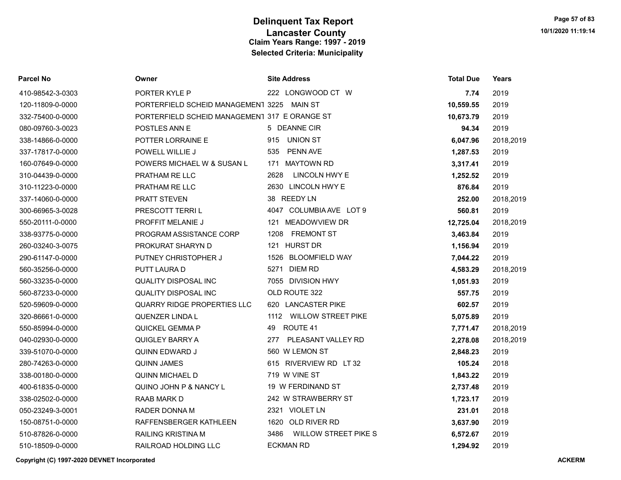| Parcel No        | Owner                                         | <b>Site Address</b>                 | <b>Total Due</b> | Years     |
|------------------|-----------------------------------------------|-------------------------------------|------------------|-----------|
| 410-98542-3-0303 | PORTER KYLE P                                 | 222 LONGWOOD CT W                   | 7.74             | 2019      |
| 120-11809-0-0000 | PORTERFIELD SCHEID MANAGEMENT 3225 MAIN ST    |                                     | 10,559.55        | 2019      |
| 332-75400-0-0000 | PORTERFIELD SCHEID MANAGEMENT 317 E ORANGE ST |                                     | 10,673.79        | 2019      |
| 080-09760-3-0023 | POSTLES ANN E                                 | 5 DEANNE CIR                        | 94.34            | 2019      |
| 338-14866-0-0000 | <b>POTTER LORRAINE E</b>                      | 915 UNION ST                        | 6,047.96         | 2018,2019 |
| 337-17817-0-0000 | POWELL WILLIE J                               | 535<br>PENN AVE                     | 1,287.53         | 2019      |
| 160-07649-0-0000 | POWERS MICHAEL W & SUSAN L                    | 171 MAYTOWN RD                      | 3,317.41         | 2019      |
| 310-04439-0-0000 | PRATHAM RE LLC                                | 2628<br>LINCOLN HWY E               | 1,252.52         | 2019      |
| 310-11223-0-0000 | PRATHAM RE LLC                                | 2630 LINCOLN HWY E                  | 876.84           | 2019      |
| 337-14060-0-0000 | <b>PRATT STEVEN</b>                           | 38 REEDY LN                         | 252.00           | 2018,2019 |
| 300-66965-3-0028 | PRESCOTT TERRIL                               | 4047 COLUMBIA AVE LOT 9             | 560.81           | 2019      |
| 550-20111-0-0000 | PROFFIT MELANIE J                             | 121 MEADOWVIEW DR                   | 12,725.04        | 2018,2019 |
| 338-93775-0-0000 | PROGRAM ASSISTANCE CORP                       | 1208 FREMONT ST                     | 3,463.84         | 2019      |
| 260-03240-3-0075 | PROKURAT SHARYN D                             | 121 HURST DR                        | 1,156.94         | 2019      |
| 290-61147-0-0000 | PUTNEY CHRISTOPHER J                          | 1526 BLOOMFIELD WAY                 | 7,044.22         | 2019      |
| 560-35256-0-0000 | PUTT LAURA D                                  | 5271 DIEM RD                        | 4,583.29         | 2018,2019 |
| 560-33235-0-0000 | <b>QUALITY DISPOSAL INC</b>                   | 7055 DIVISION HWY                   | 1,051.93         | 2019      |
| 560-87233-0-0000 | <b>QUALITY DISPOSAL INC</b>                   | OLD ROUTE 322                       | 557.75           | 2019      |
| 520-59609-0-0000 | QUARRY RIDGE PROPERTIES LLC                   | 620 LANCASTER PIKE                  | 602.57           | 2019      |
| 320-86661-0-0000 | QUENZER LINDA L                               | 1112 WILLOW STREET PIKE             | 5,075.89         | 2019      |
| 550-85994-0-0000 | QUICKEL GEMMA P                               | ROUTE 41<br>49                      | 7,771.47         | 2018,2019 |
| 040-02930-0-0000 | QUIGLEY BARRY A                               | 277 PLEASANT VALLEY RD              | 2,278.08         | 2018,2019 |
| 339-51070-0-0000 | QUINN EDWARD J                                | 560 W LEMON ST                      | 2,848.23         | 2019      |
| 280-74263-0-0000 | <b>QUINN JAMES</b>                            | 615 RIVERVIEW RD LT 32              | 105.24           | 2018      |
| 338-00180-0-0000 | <b>QUINN MICHAEL D</b>                        | 719 W VINE ST                       | 1,843.22         | 2019      |
| 400-61835-0-0000 | QUINO JOHN P & NANCY L                        | 19 W FERDINAND ST                   | 2,737.48         | 2019      |
| 338-02502-0-0000 | RAAB MARK D                                   | 242 W STRAWBERRY ST                 | 1,723.17         | 2019      |
| 050-23249-3-0001 | RADER DONNA M                                 | 2321 VIOLET LN                      | 231.01           | 2018      |
| 150-08751-0-0000 | RAFFENSBERGER KATHLEEN                        | 1620 OLD RIVER RD                   | 3,637.90         | 2019      |
| 510-87826-0-0000 | <b>RAILING KRISTINA M</b>                     | <b>WILLOW STREET PIKE S</b><br>3486 | 6,572.67         | 2019      |
| 510-18509-0-0000 | RAILROAD HOLDING LLC                          | <b>ECKMAN RD</b>                    | 1,294.92         | 2019      |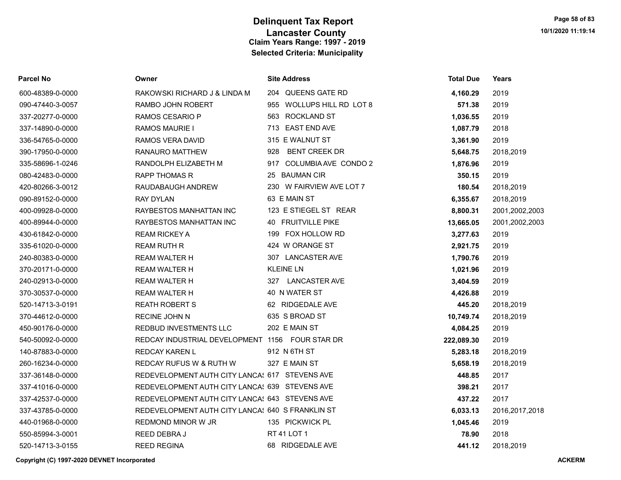| Parcel No        | Owner                                            | <b>Site Address</b>         | <b>Total Due</b> | Years          |
|------------------|--------------------------------------------------|-----------------------------|------------------|----------------|
| 600-48389-0-0000 | RAKOWSKI RICHARD J & LINDA M                     | 204 QUEENS GATE RD          | 4,160.29         | 2019           |
| 090-47440-3-0057 | RAMBO JOHN ROBERT                                | 955 WOLLUPS HILL RD LOT 8   | 571.38           | 2019           |
| 337-20277-0-0000 | <b>RAMOS CESARIO P</b>                           | 563 ROCKLAND ST             | 1,036.55         | 2019           |
| 337-14890-0-0000 | <b>RAMOS MAURIE I</b>                            | 713 EAST END AVE            | 1,087.79         | 2018           |
| 336-54765-0-0000 | RAMOS VERA DAVID                                 | 315 E WALNUT ST             | 3,361.90         | 2019           |
| 390-17950-0-0000 | RANAURO MATTHEW                                  | 928<br><b>BENT CREEK DR</b> | 5,648.75         | 2018,2019      |
| 335-58696-1-0246 | RANDOLPH ELIZABETH M                             | 917 COLUMBIA AVE CONDO 2    | 1,876.96         | 2019           |
| 080-42483-0-0000 | <b>RAPP THOMAS R</b>                             | 25 BAUMAN CIR               | 350.15           | 2019           |
| 420-80266-3-0012 | RAUDABAUGH ANDREW                                | 230 W FAIRVIEW AVE LOT 7    | 180.54           | 2018,2019      |
| 090-89152-0-0000 | <b>RAY DYLAN</b>                                 | 63 E MAIN ST                | 6,355.67         | 2018,2019      |
| 400-09928-0-0000 | RAYBESTOS MANHATTAN INC                          | 123 E STIEGEL ST REAR       | 8,800.31         | 2001,2002,2003 |
| 400-89944-0-0000 | RAYBESTOS MANHATTAN INC                          | 40 FRUITVILLE PIKE          | 13,665.05        | 2001,2002,2003 |
| 430-61842-0-0000 | <b>REAM RICKEY A</b>                             | 199 FOX HOLLOW RD           | 3,277.63         | 2019           |
| 335-61020-0-0000 | <b>REAM RUTH R</b>                               | 424 W ORANGE ST             | 2,921.75         | 2019           |
| 240-80383-0-0000 | <b>REAM WALTER H</b>                             | 307 LANCASTER AVE           | 1,790.76         | 2019           |
| 370-20171-0-0000 | <b>REAM WALTER H</b>                             | <b>KLEINE LN</b>            | 1,021.96         | 2019           |
| 240-02913-0-0000 | <b>REAM WALTER H</b>                             | 327 LANCASTER AVE           | 3,404.59         | 2019           |
| 370-30537-0-0000 | <b>REAM WALTER H</b>                             | 40 N WATER ST               | 4,426.88         | 2019           |
| 520-14713-3-0191 | <b>REATH ROBERT S</b>                            | 62 RIDGEDALE AVE            | 445.20           | 2018,2019      |
| 370-44612-0-0000 | <b>RECINE JOHN N</b>                             | 635 S BROAD ST              | 10,749.74        | 2018,2019      |
| 450-90176-0-0000 | REDBUD INVESTMENTS LLC                           | 202 E MAIN ST               | 4,084.25         | 2019           |
| 540-50092-0-0000 | REDCAY INDUSTRIAL DEVELOPMENT 1156 FOUR STAR DR  |                             | 222,089.30       | 2019           |
| 140-87883-0-0000 | <b>REDCAY KAREN L</b>                            | 912 N 6TH ST                | 5,283.18         | 2018,2019      |
| 260-16234-0-0000 | <b>REDCAY RUFUS W &amp; RUTH W</b>               | 327 E MAIN ST               | 5,658.19         | 2018,2019      |
| 337-36148-0-0000 | REDEVELOPMENT AUTH CITY LANCA! 617 STEVENS AVE   |                             | 448.85           | 2017           |
| 337-41016-0-0000 | REDEVELOPMENT AUTH CITY LANCA! 639 STEVENS AVE   |                             | 398.21           | 2017           |
| 337-42537-0-0000 | REDEVELOPMENT AUTH CITY LANCA! 643 STEVENS AVE   |                             | 437.22           | 2017           |
| 337-43785-0-0000 | REDEVELOPMENT AUTH CITY LANCA! 640 S FRANKLIN ST |                             | 6,033.13         | 2016,2017,2018 |
| 440-01968-0-0000 | REDMOND MINOR W JR                               | 135 PICKWICK PL             | 1,045.46         | 2019           |
| 550-85994-3-0001 | REED DEBRAJ                                      | RT 41 LOT 1                 | 78.90            | 2018           |
| 520-14713-3-0155 | <b>REED REGINA</b>                               | 68 RIDGEDALE AVE            | 441.12           | 2018.2019      |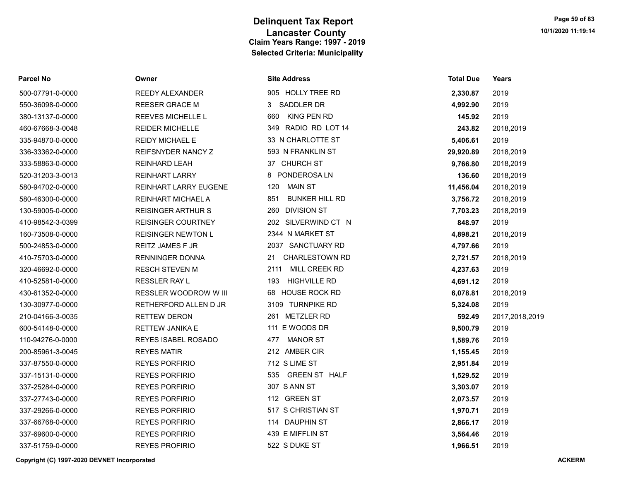| Parcel No |  |  |
|-----------|--|--|
|-----------|--|--|

Parcel No Owner Site Address Total Due Years

| 500-07791-0-0000 | <b>REEDY ALEXANDER</b>    | 905 HOLLY TREE RD            | 2,330.87  | 2019           |
|------------------|---------------------------|------------------------------|-----------|----------------|
| 550-36098-0-0000 | REESER GRACE M            | <b>SADDLER DR</b><br>3       | 4,992.90  | 2019           |
| 380-13137-0-0000 | <b>REEVES MICHELLE L</b>  | KING PEN RD<br>660           | 145.92    | 2019           |
| 460-67668-3-0048 | <b>REIDER MICHELLE</b>    | RADIO RD LOT 14<br>349       | 243.82    | 2018,2019      |
| 335-94870-0-0000 | <b>REIDY MICHAEL E</b>    | 33 N CHARLOTTE ST            | 5,406.61  | 2019           |
| 336-33362-0-0000 | REIFSNYDER NANCY Z        | 593 N FRANKLIN ST            | 29,920.89 | 2018,2019      |
| 333-58863-0-0000 | <b>REINHARD LEAH</b>      | 37 CHURCH ST                 | 9,766.80  | 2018,2019      |
| 520-31203-3-0013 | <b>REINHART LARRY</b>     | PONDEROSA LN<br>8            | 136.60    | 2018,2019      |
| 580-94702-0-0000 | REINHART LARRY EUGENE     | <b>MAIN ST</b><br>120        | 11,456.04 | 2018,2019      |
| 580-46300-0-0000 | <b>REINHART MICHAEL A</b> | 851<br><b>BUNKER HILL RD</b> | 3,756.72  | 2018,2019      |
| 130-59005-0-0000 | <b>REISINGER ARTHUR S</b> | <b>DIVISION ST</b><br>260    | 7,703.23  | 2018,2019      |
| 410-98542-3-0399 | <b>REISINGER COURTNEY</b> | 202 SILVERWIND CT N          | 848.97    | 2019           |
| 160-73508-0-0000 | <b>REISINGER NEWTON L</b> | 2344 N MARKET ST             | 4,898.21  | 2018,2019      |
| 500-24853-0-0000 | <b>REITZ JAMES F JR</b>   | 2037 SANCTUARY RD            | 4,797.66  | 2019           |
| 410-75703-0-0000 | <b>RENNINGER DONNA</b>    | <b>CHARLESTOWN RD</b><br>21  | 2,721.57  | 2018,2019      |
| 320-46692-0-0000 | <b>RESCH STEVEN M</b>     | 2111<br><b>MILL CREEK RD</b> | 4,237.63  | 2019           |
| 410-52581-0-0000 | <b>RESSLER RAY L</b>      | <b>HIGHVILLE RD</b><br>193   | 4,691.12  | 2019           |
| 430-61352-0-0000 | RESSLER WOODROW W III     | <b>HOUSE ROCK RD</b><br>68   | 6,078.81  | 2018,2019      |
| 130-30977-0-0000 | RETHERFORD ALLEN D JR     | 3109 TURNPIKE RD             | 5,324.08  | 2019           |
| 210-04166-3-0035 | <b>RETTEW DERON</b>       | 261 METZLER RD               | 592.49    | 2017,2018,2019 |
| 600-54148-0-0000 | <b>RETTEW JANIKA E</b>    | 111 E WOODS DR               | 9,500.79  | 2019           |
| 110-94276-0-0000 | REYES ISABEL ROSADO       | <b>MANOR ST</b><br>477       | 1,589.76  | 2019           |
| 200-85961-3-0045 | <b>REYES MATIR</b>        | 212 AMBER CIR                | 1,155.45  | 2019           |
| 337-87550-0-0000 | <b>REYES PORFIRIO</b>     | 712 S LIME ST                | 2,951.84  | 2019           |
| 337-15131-0-0000 | <b>REYES PORFIRIO</b>     | 535 GREEN ST HALF            | 1,529.52  | 2019           |
| 337-25284-0-0000 | <b>REYES PORFIRIO</b>     | 307 S ANN ST                 | 3,303.07  | 2019           |
| 337-27743-0-0000 | <b>REYES PORFIRIO</b>     | 112 GREEN ST                 | 2,073.57  | 2019           |
| 337-29266-0-0000 | <b>REYES PORFIRIO</b>     | 517 S CHRISTIAN ST           | 1,970.71  | 2019           |
| 337-66768-0-0000 | <b>REYES PORFIRIO</b>     | 114 DAUPHIN ST               | 2,866.17  | 2019           |
| 337-69600-0-0000 | <b>REYES PORFIRIO</b>     | 439 E MIFFLIN ST             | 3,564.46  | 2019           |
| 337-51759-0-0000 | <b>REYES PROFIRIO</b>     | 522 S DUKE ST                | 1,966.51  | 2019           |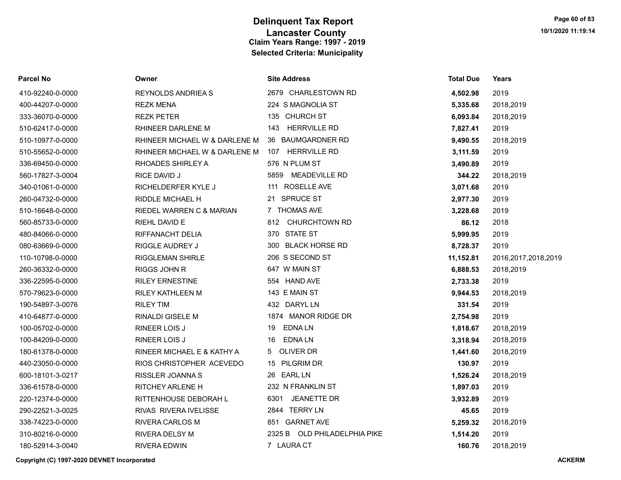| Parcel No        | Owner                         | <b>Site Address</b>          | Total Due | Years                  |
|------------------|-------------------------------|------------------------------|-----------|------------------------|
| 410-92240-0-0000 | <b>REYNOLDS ANDRIEA S</b>     | 2679 CHARLESTOWN RD          | 4,502.98  | 2019                   |
| 400-44207-0-0000 | <b>REZK MENA</b>              | 224 S MAGNOLIA ST            | 5,335.68  | 2018,2019              |
| 333-36070-0-0000 | <b>REZK PETER</b>             | 135 CHURCH ST                | 6,093.84  | 2018,2019              |
| 510-62417-0-0000 | RHINEER DARLENE M             | 143 HERRVILLE RD             | 7,827.41  | 2019                   |
| 510-10977-0-0000 | RHINEER MICHAEL W & DARLENE M | 36 BAUMGARDNER RD            | 9,490.55  | 2018,2019              |
| 510-55652-0-0000 | RHINEER MICHAEL W & DARLENE M | 107 HERRVILLE RD             | 3,111.59  | 2019                   |
| 336-69450-0-0000 | RHOADES SHIRLEY A             | 576 N PLUM ST                | 3,490.89  | 2019                   |
| 560-17827-3-0004 | RICE DAVID J                  | 5859 MEADEVILLE RD           | 344.22    | 2018,2019              |
| 340-01061-0-0000 | RICHELDERFER KYLE J           | 111 ROSELLE AVE              | 3,071.68  | 2019                   |
| 260-04732-0-0000 | RIDDLE MICHAEL H              | 21 SPRUCE ST                 | 2,977.30  | 2019                   |
| 510-16648-0-0000 | RIEDEL WARREN C & MARIAN      | 7 THOMAS AVE                 | 3,228.68  | 2019                   |
| 560-85733-0-0000 | RIEHL DAVID E                 | 812 CHURCHTOWN RD            | 86.12     | 2018                   |
| 480-84066-0-0000 | RIFFANACHT DELIA              | 370 STATE ST                 | 5,999.95  | 2019                   |
| 080-63669-0-0000 | RIGGLE AUDREY J               | 300 BLACK HORSE RD           | 8,728.37  | 2019                   |
| 110-10798-0-0000 | <b>RIGGLEMAN SHIRLE</b>       | 206 S SECOND ST              | 11,152.81 | 2016, 2017, 2018, 2019 |
| 260-36332-0-0000 | RIGGS JOHN R                  | 647 W MAIN ST                | 6,888.53  | 2018,2019              |
| 336-22595-0-0000 | <b>RILEY ERNESTINE</b>        | 554 HAND AVE                 | 2,733.38  | 2019                   |
| 570-79623-0-0000 | <b>RILEY KATHLEEN M</b>       | 143 E MAIN ST                | 9,944.53  | 2018,2019              |
| 190-54897-3-0076 | <b>RILEY TIM</b>              | 432 DARYL LN                 | 331.54    | 2019                   |
| 410-64877-0-0000 | RINALDI GISELE M              | 1874 MANOR RIDGE DR          | 2,754.98  | 2019                   |
| 100-05702-0-0000 | RINEER LOIS J                 | <b>EDNALN</b><br>19          | 1,818.67  | 2018,2019              |
| 100-84209-0-0000 | <b>RINEER LOIS J</b>          | EDNA LN<br>16                | 3,318.94  | 2018,2019              |
| 180-61378-0-0000 | RINEER MICHAEL E & KATHY A    | 5 OLIVER DR                  | 1,441.60  | 2018,2019              |
| 440-23050-0-0000 | RIOS CHRISTOPHER ACEVEDO      | 15 PILGRIM DR                | 130.97    | 2019                   |
| 600-18101-3-0217 | RISSLER JOANNA S              | 26 EARL LN                   | 1,526.24  | 2018,2019              |
| 336-61578-0-0000 | <b>RITCHEY ARLENE H</b>       | 232 N FRANKLIN ST            | 1,897.03  | 2019                   |
| 220-12374-0-0000 | RITTENHOUSE DEBORAH L         | 6301 JEANETTE DR             | 3,932.89  | 2019                   |
| 290-22521-3-0025 | RIVAS RIVERA IVELISSE         | 2844 TERRY LN                | 45.65     | 2019                   |
| 338-74223-0-0000 | <b>RIVERA CARLOS M</b>        | 851 GARNET AVE               | 5,259.32  | 2018,2019              |
| 310-80216-0-0000 | <b>RIVERA DELSY M</b>         | 2325 B OLD PHILADELPHIA PIKE | 1,514.20  | 2019                   |
| 180-52914-3-0040 | <b>RIVERA EDWIN</b>           | 7 LAURA CT                   | 160.76    | 2018.2019              |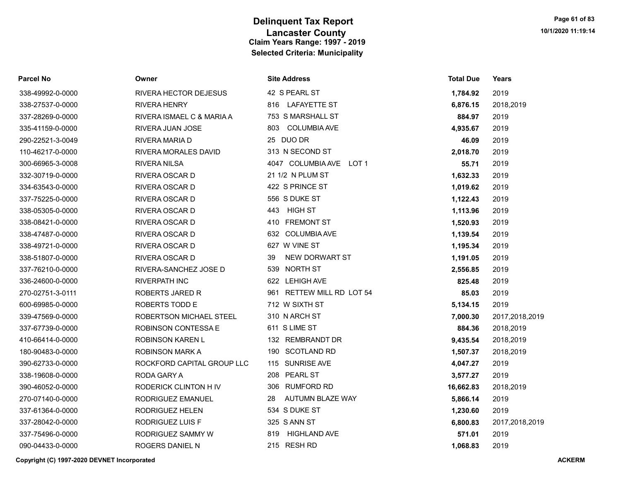| <b>Parcel No</b> | Owner                      | <b>Site Address</b>           | <b>Total Due</b> | Years          |
|------------------|----------------------------|-------------------------------|------------------|----------------|
| 338-49992-0-0000 | RIVERA HECTOR DEJESUS      | 42 S PEARL ST                 | 1,784.92         | 2019           |
| 338-27537-0-0000 | <b>RIVERA HENRY</b>        | 816 LAFAYETTE ST              | 6,876.15         | 2018,2019      |
| 337-28269-0-0000 | RIVERA ISMAEL C & MARIA A  | 753 S MARSHALL ST             | 884.97           | 2019           |
| 335-41159-0-0000 | RIVERA JUAN JOSE           | <b>COLUMBIA AVE</b><br>803    | 4,935.67         | 2019           |
| 290-22521-3-0049 | RIVERA MARIA D             | 25 DUO DR                     | 46.09            | 2019           |
| 110-46217-0-0000 | RIVERA MORALES DAVID       | 313 N SECOND ST               | 2,018.70         | 2019           |
| 300-66965-3-0008 | <b>RIVERA NILSA</b>        | 4047 COLUMBIA AVE LOT 1       | 55.71            | 2019           |
| 332-30719-0-0000 | RIVERA OSCAR D             | 21 1/2 N PLUM ST              | 1,632.33         | 2019           |
| 334-63543-0-0000 | RIVERA OSCAR D             | 422 S PRINCE ST               | 1,019.62         | 2019           |
| 337-75225-0-0000 | RIVERA OSCAR D             | 556 S DUKE ST                 | 1,122.43         | 2019           |
| 338-05305-0-0000 | RIVERA OSCAR D             | 443 HIGH ST                   | 1,113.96         | 2019           |
| 338-08421-0-0000 | RIVERA OSCAR D             | 410 FREMONT ST                | 1,520.93         | 2019           |
| 338-47487-0-0000 | RIVERA OSCAR D             | 632 COLUMBIA AVE              | 1,139.54         | 2019           |
| 338-49721-0-0000 | RIVERA OSCAR D             | 627 W VINE ST                 | 1,195.34         | 2019           |
| 338-51807-0-0000 | RIVERA OSCAR D             | NEW DORWART ST<br>39          | 1,191.05         | 2019           |
| 337-76210-0-0000 | RIVERA-SANCHEZ JOSE D      | 539 NORTH ST                  | 2,556.85         | 2019           |
| 336-24600-0-0000 | <b>RIVERPATH INC</b>       | 622 LEHIGH AVE                | 825.48           | 2019           |
| 270-02751-3-0111 | ROBERTS JARED R            | 961 RETTEW MILL RD LOT 54     | 85.03            | 2019           |
| 600-69985-0-0000 | ROBERTS TODD E             | 712 W SIXTH ST                | 5,134.15         | 2019           |
| 339-47569-0-0000 | ROBERTSON MICHAEL STEEL    | 310 N ARCH ST                 | 7,000.30         | 2017,2018,2019 |
| 337-67739-0-0000 | ROBINSON CONTESSA E        | 611 S LIME ST                 | 884.36           | 2018,2019      |
| 410-66414-0-0000 | ROBINSON KAREN L           | 132 REMBRANDT DR              | 9,435.54         | 2018,2019      |
| 180-90483-0-0000 | ROBINSON MARK A            | 190 SCOTLAND RD               | 1,507.37         | 2018,2019      |
| 390-62733-0-0000 | ROCKFORD CAPITAL GROUP LLC | 115 SUNRISE AVE               | 4,047.27         | 2019           |
| 338-19608-0-0000 | RODA GARY A                | 208 PEARL ST                  | 3,577.27         | 2019           |
| 390-46052-0-0000 | RODERICK CLINTON H IV      | <b>RUMFORD RD</b><br>306      | 16,662.83        | 2018,2019      |
| 270-07140-0-0000 | RODRIGUEZ EMANUEL          | <b>AUTUMN BLAZE WAY</b><br>28 | 5,866.14         | 2019           |
| 337-61364-0-0000 | RODRIGUEZ HELEN            | 534 S DUKE ST                 | 1,230.60         | 2019           |
| 337-28042-0-0000 | RODRIGUEZ LUIS F           | 325 S ANN ST                  | 6,800.83         | 2017,2018,2019 |
| 337-75496-0-0000 | RODRIGUEZ SAMMY W          | <b>HIGHLAND AVE</b><br>819    | 571.01           | 2019           |
| 090-04433-0-0000 | ROGERS DANIEL N            | 215 RESH RD                   | 1.068.83         | 2019           |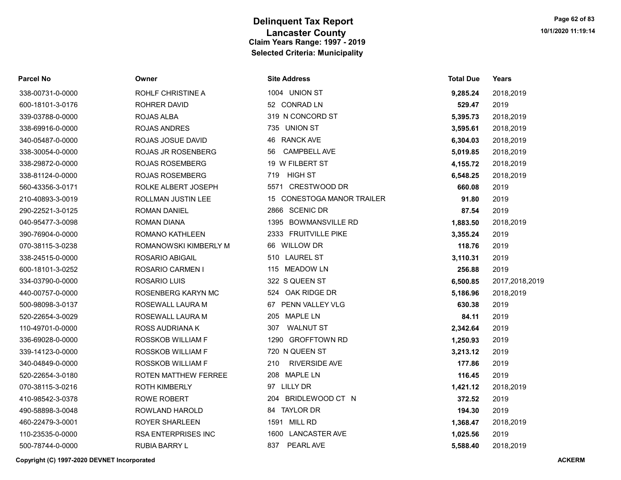| <b>Parcel No</b> | Owner                      | <b>Site Address</b>            | Total Due | Years          |
|------------------|----------------------------|--------------------------------|-----------|----------------|
| 338-00731-0-0000 | ROHLF CHRISTINE A          | 1004 UNION ST                  | 9,285.24  | 2018,2019      |
| 600-18101-3-0176 | <b>ROHRER DAVID</b>        | 52 CONRAD LN                   | 529.47    | 2019           |
| 339-03788-0-0000 | ROJAS ALBA                 | 319 N CONCORD ST               | 5,395.73  | 2018,2019      |
| 338-69916-0-0000 | ROJAS ANDRES               | 735 UNION ST                   | 3,595.61  | 2018,2019      |
| 340-05487-0-0000 | ROJAS JOSUE DAVID          | 46 RANCK AVE                   | 6,304.03  | 2018,2019      |
| 338-30054-0-0000 | <b>ROJAS JR ROSENBERG</b>  | <b>CAMPBELL AVE</b><br>56      | 5,019.85  | 2018,2019      |
| 338-29872-0-0000 | <b>ROJAS ROSEMBERG</b>     | 19 W FILBERT ST                | 4,155.72  | 2018,2019      |
| 338-81124-0-0000 | <b>ROJAS ROSEMBERG</b>     | <b>HIGH ST</b><br>719          | 6,548.25  | 2018,2019      |
| 560-43356-3-0171 | ROLKE ALBERT JOSEPH        | 5571 CRESTWOOD DR              | 660.08    | 2019           |
| 210-40893-3-0019 | ROLLMAN JUSTIN LEE         | 15 CONESTOGA MANOR TRAILER     | 91.80     | 2019           |
| 290-22521-3-0125 | ROMAN DANIEL               | 2866 SCENIC DR                 | 87.54     | 2019           |
| 040-95477-3-0098 | <b>ROMAN DIANA</b>         | 1395<br><b>BOWMANSVILLE RD</b> | 1,883.50  | 2018,2019      |
| 390-76904-0-0000 | ROMANO KATHLEEN            | 2333 FRUITVILLE PIKE           | 3,355.24  | 2019           |
| 070-38115-3-0238 | ROMANOWSKI KIMBERLY M      | 66 WILLOW DR                   | 118.76    | 2019           |
| 338-24515-0-0000 | ROSARIO ABIGAIL            | 510 LAUREL ST                  | 3,110.31  | 2019           |
| 600-18101-3-0252 | <b>ROSARIO CARMEN I</b>    | 115 MEADOW LN                  | 256.88    | 2019           |
| 334-03790-0-0000 | ROSARIO LUIS               | 322 S QUEEN ST                 | 6,500.85  | 2017,2018,2019 |
| 440-00757-0-0000 | ROSENBERG KARYN MC         | 524 OAK RIDGE DR               | 5,186.96  | 2018,2019      |
| 500-98098-3-0137 | ROSEWALL LAURA M           | 67 PENN VALLEY VLG             | 630.38    | 2019           |
| 520-22654-3-0029 | ROSEWALL LAURA M           | 205 MAPLE LN                   | 84.11     | 2019           |
| 110-49701-0-0000 | ROSS AUDRIANA K            | <b>WALNUT ST</b><br>307        | 2,342.64  | 2019           |
| 336-69028-0-0000 | ROSSKOB WILLIAM F          | 1290 GROFFTOWN RD              | 1,250.93  | 2019           |
| 339-14123-0-0000 | ROSSKOB WILLIAM F          | 720 N QUEEN ST                 | 3,213.12  | 2019           |
| 340-04849-0-0000 | ROSSKOB WILLIAM F          | <b>RIVERSIDE AVE</b><br>210    | 177.86    | 2019           |
| 520-22654-3-0180 | ROTEN MATTHEW FERREE       | 208 MAPLE LN                   | 116.45    | 2019           |
| 070-38115-3-0216 | <b>ROTH KIMBERLY</b>       | 97 LILLY DR                    | 1,421.12  | 2018,2019      |
| 410-98542-3-0378 | ROWE ROBERT                | 204 BRIDLEWOOD CT N            | 372.52    | 2019           |
| 490-58898-3-0048 | ROWLAND HAROLD             | 84 TAYLOR DR                   | 194.30    | 2019           |
| 460-22479-3-0001 | <b>ROYER SHARLEEN</b>      | 1591 MILL RD                   | 1,368.47  | 2018,2019      |
| 110-23535-0-0000 | <b>RSA ENTERPRISES INC</b> | 1600 LANCASTER AVE             | 1,025.56  | 2019           |
| 500-78744-0-0000 | <b>RUBIA BARRY L</b>       | PEARL AVE<br>837               | 5.588.40  | 2018.2019      |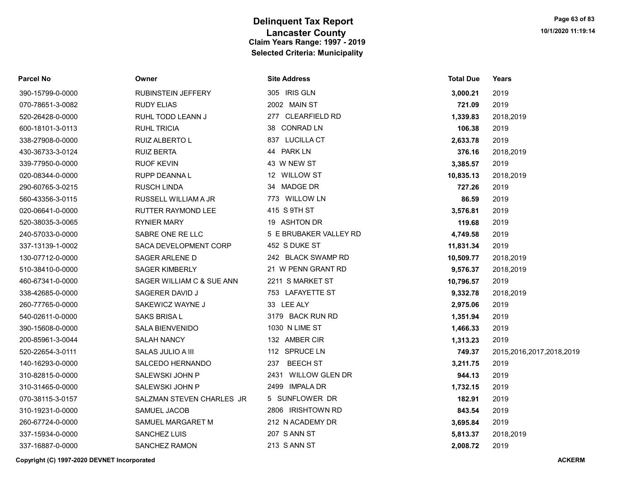| Parcel No        | Owner                     | <b>Site Address</b>    | <b>Total Due</b> | Years                    |
|------------------|---------------------------|------------------------|------------------|--------------------------|
| 390-15799-0-0000 | RUBINSTEIN JEFFERY        | 305 IRIS GLN           | 3,000.21         | 2019                     |
| 070-78651-3-0082 | <b>RUDY ELIAS</b>         | 2002 MAIN ST           | 721.09           | 2019                     |
| 520-26428-0-0000 | RUHL TODD LEANN J         | 277 CLEARFIELD RD      | 1,339.83         | 2018,2019                |
| 600-18101-3-0113 | <b>RUHL TRICIA</b>        | 38 CONRAD LN           | 106.38           | 2019                     |
| 338-27908-0-0000 | RUIZ ALBERTO L            | 837 LUCILLA CT         | 2,633.78         | 2019                     |
| 430-36733-3-0124 | <b>RUIZ BERTA</b>         | 44 PARK LN             | 376.16           | 2018,2019                |
| 339-77950-0-0000 | <b>RUOF KEVIN</b>         | 43 W NEW ST            | 3,385.57         | 2019                     |
| 020-08344-0-0000 | RUPP DEANNA L             | 12 WILLOW ST           | 10,835.13        | 2018,2019                |
| 290-60765-3-0215 | RUSCH LINDA               | 34 MADGE DR            | 727.26           | 2019                     |
| 560-43356-3-0115 | RUSSELL WILLIAM A JR      | 773 WILLOW LN          | 86.59            | 2019                     |
| 020-06641-0-0000 | <b>RUTTER RAYMOND LEE</b> | 415 S 9TH ST           | 3,576.81         | 2019                     |
| 520-38035-3-0065 | <b>RYNIER MARY</b>        | 19 ASHTON DR           | 119.68           | 2019                     |
| 240-57033-0-0000 | SABRE ONE RE LLC          | 5 E BRUBAKER VALLEY RD | 4,749.58         | 2019                     |
| 337-13139-1-0002 | SACA DEVELOPMENT CORP     | 452 S DUKE ST          | 11,831.34        | 2019                     |
| 130-07712-0-0000 | SAGER ARLENE D            | 242 BLACK SWAMP RD     | 10,509.77        | 2018,2019                |
| 510-38410-0-0000 | <b>SAGER KIMBERLY</b>     | 21 W PENN GRANT RD     | 9,576.37         | 2018,2019                |
| 460-67341-0-0000 | SAGER WILLIAM C & SUE ANN | 2211 S MARKET ST       | 10,796.57        | 2019                     |
| 338-42685-0-0000 | SAGERER DAVID J           | 753 LAFAYETTE ST       | 9,332.78         | 2018,2019                |
| 260-77765-0-0000 | SAKEWICZ WAYNE J          | 33 LEE ALY             | 2,975.06         | 2019                     |
| 540-02611-0-0000 | SAKS BRISA L              | 3179 BACK RUN RD       | 1,351.94         | 2019                     |
| 390-15608-0-0000 | <b>SALA BIENVENIDO</b>    | 1030 N LIME ST         | 1,466.33         | 2019                     |
| 200-85961-3-0044 | <b>SALAH NANCY</b>        | 132 AMBER CIR          | 1,313.23         | 2019                     |
| 520-22654-3-0111 | SALAS JULIO A III         | 112 SPRUCE LN          | 749.37           | 2015,2016,2017,2018,2019 |
| 140-16293-0-0000 | SALCEDO HERNANDO          | <b>BEECH ST</b><br>237 | 3,211.75         | 2019                     |
| 310-82815-0-0000 | SALEWSKI JOHN P           | 2431 WILLOW GLEN DR    | 944.13           | 2019                     |
| 310-31465-0-0000 | SALEWSKI JOHN P           | 2499 IMPALA DR         | 1,732.15         | 2019                     |
| 070-38115-3-0157 | SALZMAN STEVEN CHARLES JR | 5 SUNFLOWER DR         | 182.91           | 2019                     |
| 310-19231-0-0000 | SAMUEL JACOB              | 2806 IRISHTOWN RD      | 843.54           | 2019                     |
| 260-67724-0-0000 | SAMUEL MARGARET M         | 212 N ACADEMY DR       | 3,695.84         | 2019                     |
| 337-15934-0-0000 | SANCHEZ LUIS              | 207 S ANN ST           | 5,813.37         | 2018,2019                |
| 337-16887-0-0000 | <b>SANCHEZ RAMON</b>      | 213 S ANN ST           | 2,008.72         | 2019                     |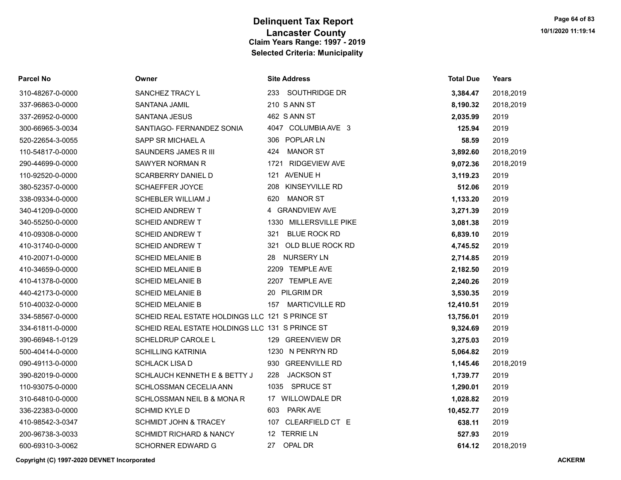| <b>Parcel No</b> | Owner                                           | <b>Site Address</b>              | <b>Total Due</b> | Years     |
|------------------|-------------------------------------------------|----------------------------------|------------------|-----------|
| 310-48267-0-0000 | SANCHEZ TRACY L                                 | 233 SOUTHRIDGE DR                | 3,384.47         | 2018,2019 |
| 337-96863-0-0000 | SANTANA JAMIL                                   | 210 S ANN ST                     | 8,190.32         | 2018,2019 |
| 337-26952-0-0000 | <b>SANTANA JESUS</b>                            | 462 S ANN ST                     | 2,035.99         | 2019      |
| 300-66965-3-0034 | SANTIAGO- FERNANDEZ SONIA                       | 4047 COLUMBIA AVE 3              | 125.94           | 2019      |
| 520-22654-3-0055 | SAPP SR MICHAEL A                               | 306 POPLAR LN                    | 58.59            | 2019      |
| 110-54817-0-0000 | SAUNDERS JAMES R III                            | <b>MANOR ST</b><br>424           | 3,892.60         | 2018,2019 |
| 290-44699-0-0000 | SAWYER NORMAN R                                 | 1721 RIDGEVIEW AVE               | 9,072.36         | 2018,2019 |
| 110-92520-0-0000 | <b>SCARBERRY DANIEL D</b>                       | 121 AVENUE H                     | 3,119.23         | 2019      |
| 380-52357-0-0000 | SCHAEFFER JOYCE                                 | KINSEYVILLE RD<br>208            | 512.06           | 2019      |
| 338-09334-0-0000 | <b>SCHEBLER WILLIAM J</b>                       | 620<br><b>MANOR ST</b>           | 1,133.20         | 2019      |
| 340-41209-0-0000 | <b>SCHEID ANDREW T</b>                          | 4 GRANDVIEW AVE                  | 3,271.39         | 2019      |
| 340-55250-0-0000 | <b>SCHEID ANDREW T</b>                          | <b>MILLERSVILLE PIKE</b><br>1330 | 3,081.38         | 2019      |
| 410-09308-0-0000 | <b>SCHEID ANDREW T</b>                          | <b>BLUE ROCK RD</b><br>321       | 6,839.10         | 2019      |
| 410-31740-0-0000 | <b>SCHEID ANDREW T</b>                          | OLD BLUE ROCK RD<br>321          | 4,745.52         | 2019      |
| 410-20071-0-0000 | <b>SCHEID MELANIE B</b>                         | <b>NURSERY LN</b><br>28          | 2,714.85         | 2019      |
| 410-34659-0-0000 | <b>SCHEID MELANIE B</b>                         | 2209 TEMPLE AVE                  | 2,182.50         | 2019      |
| 410-41378-0-0000 | <b>SCHEID MELANIE B</b>                         | 2207 TEMPLE AVE                  | 2,240.26         | 2019      |
| 440-42173-0-0000 | <b>SCHEID MELANIE B</b>                         | 20 PILGRIM DR                    | 3,530.35         | 2019      |
| 510-40032-0-0000 | <b>SCHEID MELANIE B</b>                         | <b>MARTICVILLE RD</b><br>157     | 12,410.51        | 2019      |
| 334-58567-0-0000 | SCHEID REAL ESTATE HOLDINGS LLC 121 S PRINCE ST |                                  | 13,756.01        | 2019      |
| 334-61811-0-0000 | SCHEID REAL ESTATE HOLDINGS LLC 131 S PRINCE ST |                                  | 9,324.69         | 2019      |
| 390-66948-1-0129 | SCHELDRUP CAROLE L                              | 129 GREENVIEW DR                 | 3,275.03         | 2019      |
| 500-40414-0-0000 | <b>SCHILLING KATRINIA</b>                       | 1230 N PENRYN RD                 | 5,064.82         | 2019      |
| 090-49113-0-0000 | <b>SCHLACK LISA D</b>                           | <b>GREENVILLE RD</b><br>930      | 1,145.46         | 2018,2019 |
| 390-82019-0-0000 | SCHLAUCH KENNETH E & BETTY J                    | <b>JACKSON ST</b><br>228         | 1,739.77         | 2019      |
| 110-93075-0-0000 | SCHLOSSMAN CECELIA ANN                          | SPRUCE ST<br>1035                | 1,290.01         | 2019      |
| 310-64810-0-0000 | SCHLOSSMAN NEIL B & MONA R                      | 17 WILLOWDALE DR                 | 1,028.82         | 2019      |
| 336-22383-0-0000 | <b>SCHMID KYLE D</b>                            | PARK AVE<br>603                  | 10,452.77        | 2019      |
| 410-98542-3-0347 | <b>SCHMIDT JOHN &amp; TRACEY</b>                | 107 CLEARFIELD CT E              | 638.11           | 2019      |
| 200-96738-3-0033 | <b>SCHMIDT RICHARD &amp; NANCY</b>              | 12 TERRIE LN                     | 527.93           | 2019      |
| 600-69310-3-0062 | <b>SCHORNER EDWARD G</b>                        | 27<br>OPAL DR                    | 614.12           | 2018.2019 |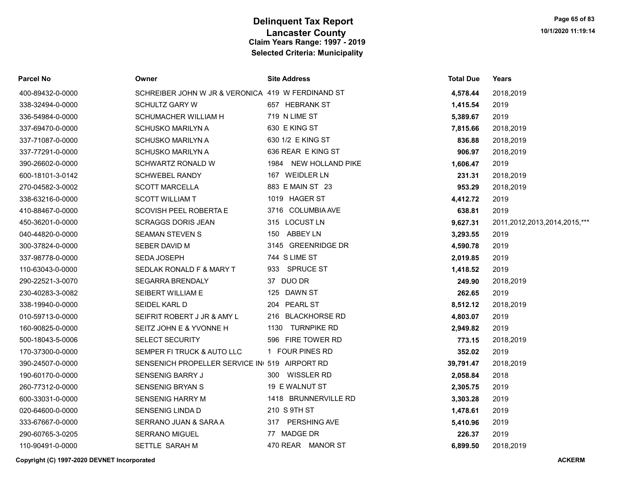| <b>Parcel No</b> | Owner                                             | <b>Site Address</b>   | <b>Total Due</b> | Years                        |
|------------------|---------------------------------------------------|-----------------------|------------------|------------------------------|
| 400-89432-0-0000 | SCHREIBER JOHN W JR & VERONICA 419 W FERDINAND ST |                       | 4,578.44         | 2018,2019                    |
| 338-32494-0-0000 | <b>SCHULTZ GARY W</b>                             | 657 HEBRANK ST        | 1,415.54         | 2019                         |
| 336-54984-0-0000 | SCHUMACHER WILLIAM H                              | 719 N LIME ST         | 5,389.67         | 2019                         |
| 337-69470-0-0000 | <b>SCHUSKO MARILYN A</b>                          | 630 E KING ST         | 7,815.66         | 2018,2019                    |
| 337-71087-0-0000 | SCHUSKO MARILYN A                                 | 630 1/2 E KING ST     | 836.88           | 2018,2019                    |
| 337-77291-0-0000 | <b>SCHUSKO MARILYN A</b>                          | 636 REAR E KING ST    | 906.97           | 2018,2019                    |
| 390-26602-0-0000 | SCHWARTZ RONALD W                                 | 1984 NEW HOLLAND PIKE | 1,606.47         | 2019                         |
| 600-18101-3-0142 | <b>SCHWEBEL RANDY</b>                             | 167 WEIDLER LN        | 231.31           | 2018,2019                    |
| 270-04582-3-0002 | <b>SCOTT MARCELLA</b>                             | 883 E MAIN ST 23      | 953.29           | 2018,2019                    |
| 338-63216-0-0000 | <b>SCOTT WILLIAM T</b>                            | 1019 HAGER ST         | 4,412.72         | 2019                         |
| 410-88467-0-0000 | SCOVISH PEEL ROBERTA E                            | 3716 COLUMBIA AVE     | 638.81           | 2019                         |
| 450-36201-0-0000 | <b>SCRAGGS DORIS JEAN</b>                         | 315 LOCUST LN         | 9,627.31         | 2011,2012,2013,2014,2015,*** |
| 040-44820-0-0000 | <b>SEAMAN STEVEN S</b>                            | 150 ABBEY LN          | 3,293.55         | 2019                         |
| 300-37824-0-0000 | SEBER DAVID M                                     | 3145 GREENRIDGE DR    | 4,590.78         | 2019                         |
| 337-98778-0-0000 | <b>SEDA JOSEPH</b>                                | 744 S LIME ST         | 2,019.85         | 2019                         |
| 110-63043-0-0000 | SEDLAK RONALD F & MARY T                          | 933 SPRUCE ST         | 1,418.52         | 2019                         |
| 290-22521-3-0070 | <b>SEGARRA BRENDALY</b>                           | 37 DUO DR             | 249.90           | 2018,2019                    |
| 230-40283-3-0082 | SEIBERT WILLIAM E                                 | 125 DAWN ST           | 262.65           | 2019                         |
| 338-19940-0-0000 | SEIDEL KARL D                                     | 204 PEARL ST          | 8,512.12         | 2018,2019                    |
| 010-59713-0-0000 | SEIFRIT ROBERT J JR & AMY L                       | 216 BLACKHORSE RD     | 4,803.07         | 2019                         |
| 160-90825-0-0000 | SEITZ JOHN E & YVONNE H                           | 1130 TURNPIKE RD      | 2,949.82         | 2019                         |
| 500-18043-5-0006 | <b>SELECT SECURITY</b>                            | 596 FIRE TOWER RD     | 773.15           | 2018,2019                    |
| 170-37300-0-0000 | SEMPER FI TRUCK & AUTO LLC                        | 1 FOUR PINES RD       | 352.02           | 2019                         |
| 390-24507-0-0000 | SENSENICH PROPELLER SERVICE IN 519 AIRPORT RD     |                       | 39,791.47        | 2018,2019                    |
| 190-60170-0-0000 | SENSENIG BARRY J                                  | 300 WISSLER RD        | 2,058.84         | 2018                         |
| 260-77312-0-0000 | <b>SENSENIG BRYAN S</b>                           | 19 E WALNUT ST        | 2,305.75         | 2019                         |
| 600-33031-0-0000 | <b>SENSENIG HARRY M</b>                           | 1418 BRUNNERVILLE RD  | 3,303.28         | 2019                         |
| 020-64600-0-0000 | <b>SENSENIG LINDA D</b>                           | 210 S 9TH ST          | 1,478.61         | 2019                         |
| 333-67667-0-0000 | SERRANO JUAN & SARA A                             | 317 PERSHING AVE      | 5,410.96         | 2019                         |
| 290-60765-3-0205 | <b>SERRANO MIGUEL</b>                             | 77 MADGE DR           | 226.37           | 2019                         |
| 110-90491-0-0000 | SETTLE SARAH M                                    | 470 REAR MANOR ST     | 6,899.50         | 2018.2019                    |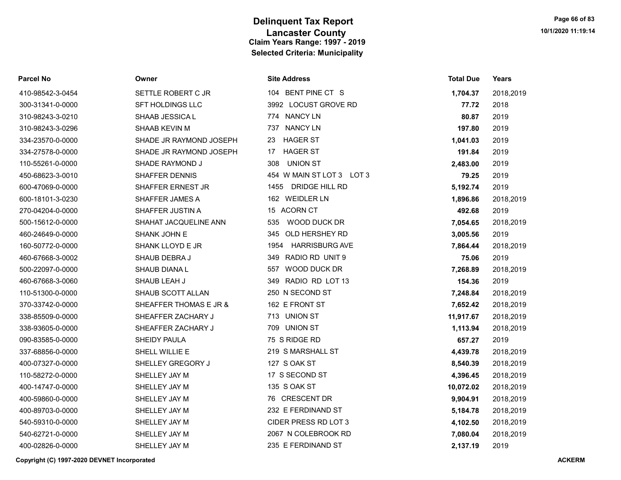| Parcel No        | Owner                   | <b>Site Address</b>           | <b>Total Due</b> | Years     |
|------------------|-------------------------|-------------------------------|------------------|-----------|
| 410-98542-3-0454 | SETTLE ROBERT C JR      | 104 BENT PINE CT S            | 1,704.37         | 2018,2019 |
| 300-31341-0-0000 | SFT HOLDINGS LLC        | 3992 LOCUST GROVE RD          | 77.72            | 2018      |
| 310-98243-3-0210 | SHAAB JESSICA L         | 774 NANCY LN                  | 80.87            | 2019      |
| 310-98243-3-0296 | SHAAB KEVIN M           | 737 NANCY LN                  | 197.80           | 2019      |
| 334-23570-0-0000 | SHADE JR RAYMOND JOSEPH | <b>HAGER ST</b><br>23         | 1,041.03         | 2019      |
| 334-27578-0-0000 | SHADE JR RAYMOND JOSEPH | <b>HAGER ST</b><br>17         | 191.84           | 2019      |
| 110-55261-0-0000 | SHADE RAYMOND J         | <b>UNION ST</b><br>308        | 2,483.00         | 2019      |
| 450-68623-3-0010 | <b>SHAFFER DENNIS</b>   | 454 W MAIN ST LOT 3 LOT 3     | 79.25            | 2019      |
| 600-47069-0-0000 | SHAFFER ERNEST JR       | 1455 DRIDGE HILL RD           | 5,192.74         | 2019      |
| 600-18101-3-0230 | <b>SHAFFER JAMES A</b>  | 162 WEIDLER LN                | 1,896.86         | 2018,2019 |
| 270-04204-0-0000 | SHAFFER JUSTIN A        | 15 ACORN CT                   | 492.68           | 2019      |
| 500-15612-0-0000 | SHAHAT JACQUELINE ANN   | WOOD DUCK DR<br>535           | 7,054.65         | 2018,2019 |
| 460-24649-0-0000 | SHANK JOHN E            | 345<br>OLD HERSHEY RD         | 3,005.56         | 2019      |
| 160-50772-0-0000 | SHANK LLOYD E JR        | <b>HARRISBURG AVE</b><br>1954 | 7,864.44         | 2018,2019 |
| 460-67668-3-0002 | SHAUB DEBRA J           | 349 RADIO RD UNIT 9           | 75.06            | 2019      |
| 500-22097-0-0000 | SHAUB DIANA L           | WOOD DUCK DR<br>557           | 7,268.89         | 2018,2019 |
| 460-67668-3-0060 | SHAUB LEAH J            | 349 RADIO RD LOT 13           | 154.36           | 2019      |
| 110-51300-0-0000 | SHAUB SCOTT ALLAN       | 250 N SECOND ST               | 7,248.84         | 2018,2019 |
| 370-33742-0-0000 | SHEAFFER THOMAS E JR &  | 162 E FRONT ST                | 7,652.42         | 2018,2019 |
| 338-85509-0-0000 | SHEAFFER ZACHARY J      | 713 UNION ST                  | 11,917.67        | 2018,2019 |
| 338-93605-0-0000 | SHEAFFER ZACHARY J      | 709 UNION ST                  | 1,113.94         | 2018,2019 |
| 090-83585-0-0000 | SHEIDY PAULA            | 75 S RIDGE RD                 | 657.27           | 2019      |
| 337-68856-0-0000 | SHELL WILLIE E          | 219 S MARSHALL ST             | 4,439.78         | 2018,2019 |
| 400-07327-0-0000 | SHELLEY GREGORY J       | 127 S OAK ST                  | 8,540.39         | 2018,2019 |
| 110-58272-0-0000 | SHELLEY JAY M           | 17 S SECOND ST                | 4,396.45         | 2018,2019 |
| 400-14747-0-0000 | SHELLEY JAY M           | 135 S OAK ST                  | 10,072.02        | 2018,2019 |
| 400-59860-0-0000 | SHELLEY JAY M           | 76 CRESCENT DR                | 9,904.91         | 2018,2019 |
| 400-89703-0-0000 | SHELLEY JAY M           | 232 E FERDINAND ST            | 5,184.78         | 2018,2019 |
| 540-59310-0-0000 | SHELLEY JAY M           | CIDER PRESS RD LOT 3          | 4,102.50         | 2018,2019 |
| 540-62721-0-0000 | SHELLEY JAY M           | 2067 N COLEBROOK RD           | 7,080.04         | 2018,2019 |
| 400-02826-0-0000 | SHELLEY JAY M           | 235 E FERDINAND ST            | 2.137.19         | 2019      |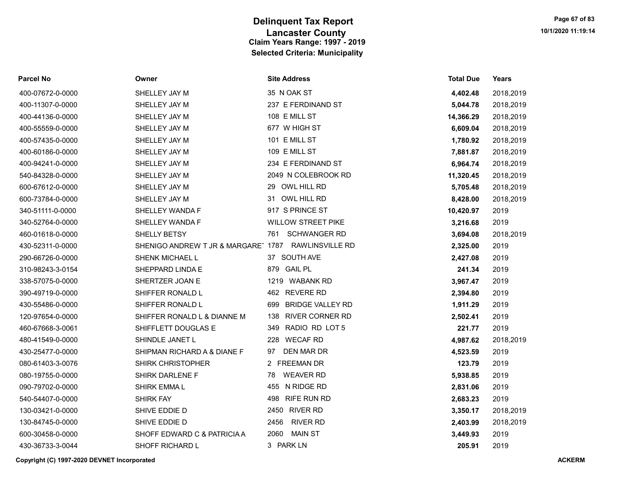| <b>Parcel No</b> | Owner                                               | <b>Site Address</b>            | <b>Total Due</b> | Years     |
|------------------|-----------------------------------------------------|--------------------------------|------------------|-----------|
| 400-07672-0-0000 | SHELLEY JAY M                                       | 35 N OAK ST                    | 4,402.48         | 2018,2019 |
| 400-11307-0-0000 | SHELLEY JAY M                                       | 237 E FERDINAND ST             | 5,044.78         | 2018,2019 |
| 400-44136-0-0000 | SHELLEY JAY M                                       | 108 E MILL ST                  | 14,366.29        | 2018,2019 |
| 400-55559-0-0000 | SHELLEY JAY M                                       | 677 W HIGH ST                  | 6,609.04         | 2018,2019 |
| 400-57435-0-0000 | SHELLEY JAY M                                       | 101 E MILL ST                  | 1,780.92         | 2018,2019 |
| 400-60186-0-0000 | SHELLEY JAY M                                       | 109 E MILL ST                  | 7,881.87         | 2018,2019 |
| 400-94241-0-0000 | SHELLEY JAY M                                       | 234 E FERDINAND ST             | 6,964.74         | 2018,2019 |
| 540-84328-0-0000 | SHELLEY JAY M                                       | 2049 N COLEBROOK RD            | 11,320.45        | 2018,2019 |
| 600-67612-0-0000 | SHELLEY JAY M                                       | OWL HILL RD<br>29              | 5,705.48         | 2018,2019 |
| 600-73784-0-0000 | SHELLEY JAY M                                       | 31 OWL HILL RD                 | 8,428.00         | 2018,2019 |
| 340-51111-0-0000 | SHELLEY WANDA F                                     | 917 S PRINCE ST                | 10,420.97        | 2019      |
| 340-52764-0-0000 | SHELLEY WANDA F                                     | <b>WILLOW STREET PIKE</b>      | 3,216.68         | 2019      |
| 460-01618-0-0000 | SHELLY BETSY                                        | <b>SCHWANGER RD</b><br>761     | 3,694.08         | 2018,2019 |
| 430-52311-0-0000 | SHENIGO ANDREW T JR & MARGARE' 1787 RAWLINSVILLE RD |                                | 2,325.00         | 2019      |
| 290-66726-0-0000 | SHENK MICHAEL L                                     | 37 SOUTH AVE                   | 2,427.08         | 2019      |
| 310-98243-3-0154 | SHEPPARD LINDA E                                    | 879 GAIL PL                    | 241.34           | 2019      |
| 338-57075-0-0000 | SHERTZER JOAN E                                     | 1219 WABANK RD                 | 3,967.47         | 2019      |
| 390-49719-0-0000 | SHIFFER RONALD L                                    | 462 REVERE RD                  | 2,394.80         | 2019      |
| 430-55486-0-0000 | SHIFFER RONALD L                                    | <b>BRIDGE VALLEY RD</b><br>699 | 1,911.29         | 2019      |
| 120-97654-0-0000 | SHIFFER RONALD L & DIANNE M                         | <b>RIVER CORNER RD</b><br>138  | 2,502.41         | 2019      |
| 460-67668-3-0061 | SHIFFLETT DOUGLAS E                                 | RADIO RD LOT 5<br>349          | 221.77           | 2019      |
| 480-41549-0-0000 | SHINDLE JANET L                                     | 228 WECAF RD                   | 4,987.62         | 2018,2019 |
| 430-25477-0-0000 | SHIPMAN RICHARD A & DIANE F                         | DEN MAR DR<br>97               | 4,523.59         | 2019      |
| 080-61403-3-0076 | <b>SHIRK CHRISTOPHER</b>                            | 2 FREEMAN DR                   | 123.79           | 2019      |
| 080-19755-0-0000 | SHIRK DARLENE F                                     | <b>WEAVER RD</b><br>78         | 5,938.85         | 2019      |
| 090-79702-0-0000 | <b>SHIRK EMMAL</b>                                  | N RIDGE RD<br>455              | 2,831.06         | 2019      |
| 540-54407-0-0000 | <b>SHIRK FAY</b>                                    | <b>RIFE RUN RD</b><br>498      | 2,683.23         | 2019      |
| 130-03421-0-0000 | SHIVE EDDIE D                                       | 2450 RIVER RD                  | 3,350.17         | 2018,2019 |
| 130-84745-0-0000 | SHIVE EDDIE D                                       | 2456<br><b>RIVER RD</b>        | 2,403.99         | 2018,2019 |
| 600-30458-0-0000 | SHOFF EDWARD C & PATRICIA A                         | 2060<br><b>MAIN ST</b>         | 3,449.93         | 2019      |
| 430-36733-3-0044 | SHOFF RICHARD L                                     | 3 PARK LN                      | 205.91           | 2019      |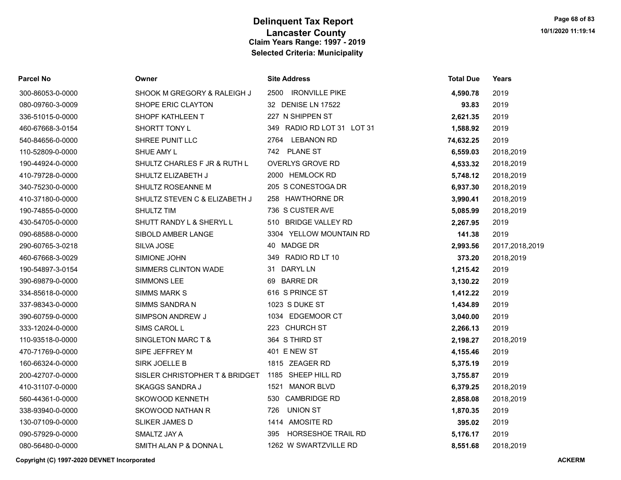| Parcel No        | Owner                          | <b>Site Address</b>              | <b>Total Due</b> | Years          |
|------------------|--------------------------------|----------------------------------|------------------|----------------|
| 300-86053-0-0000 | SHOOK M GREGORY & RALEIGH J    | 2500 IRONVILLE PIKE              | 4,590.78         | 2019           |
| 080-09760-3-0009 | SHOPE ERIC CLAYTON             | 32 DENISE LN 17522               | 93.83            | 2019           |
| 336-51015-0-0000 | SHOPF KATHLEEN T               | 227 N SHIPPEN ST                 | 2,621.35         | 2019           |
| 460-67668-3-0154 | SHORTT TONY L                  | 349 RADIO RD LOT 31 LOT 31       | 1,588.92         | 2019           |
| 540-84656-0-0000 | SHREE PUNIT LLC                | 2764 LEBANON RD                  | 74,632.25        | 2019           |
| 110-52809-0-0000 | SHUE AMY L                     | 742 PLANE ST                     | 6,559.03         | 2018,2019      |
| 190-44924-0-0000 | SHULTZ CHARLES F JR & RUTH L   | <b>OVERLYS GROVE RD</b>          | 4,533.32         | 2018,2019      |
| 410-79728-0-0000 | SHULTZ ELIZABETH J             | 2000 HEMLOCK RD                  | 5,748.12         | 2018,2019      |
| 340-75230-0-0000 | SHULTZ ROSEANNE M              | 205 S CONESTOGA DR               | 6,937.30         | 2018,2019      |
| 410-37180-0-0000 | SHULTZ STEVEN C & ELIZABETH J  | 258 HAWTHORNE DR                 | 3,990.41         | 2018,2019      |
| 190-74855-0-0000 | <b>SHULTZ TIM</b>              | 736 S CUSTER AVE                 | 5,085.99         | 2018,2019      |
| 430-54705-0-0000 | SHUTT RANDY L & SHERYL L       | 510 BRIDGE VALLEY RD             | 2,267.95         | 2019           |
| 090-68588-0-0000 | SIBOLD AMBER LANGE             | 3304 YELLOW MOUNTAIN RD          | 141.38           | 2019           |
| 290-60765-3-0218 | SILVA JOSE                     | 40 MADGE DR                      | 2,993.56         | 2017,2018,2019 |
| 460-67668-3-0029 | SIMIONE JOHN                   | 349 RADIO RD LT 10               | 373.20           | 2018,2019      |
| 190-54897-3-0154 | SIMMERS CLINTON WADE           | 31 DARYL LN                      | 1,215.42         | 2019           |
| 390-69879-0-0000 | SIMMONS LEE                    | 69 BARRE DR                      | 3,130.22         | 2019           |
| 334-85618-0-0000 | SIMMS MARK S                   | 616 S PRINCE ST                  | 1,412.22         | 2019           |
| 337-98343-0-0000 | SIMMS SANDRA N                 | 1023 S DUKE ST                   | 1,434.89         | 2019           |
| 390-60759-0-0000 | SIMPSON ANDREW J               | 1034 EDGEMOOR CT                 | 3,040.00         | 2019           |
| 333-12024-0-0000 | SIMS CAROL L                   | 223 CHURCH ST                    | 2,266.13         | 2019           |
| 110-93518-0-0000 | SINGLETON MARC T &             | 364 S THIRD ST                   | 2,198.27         | 2018,2019      |
| 470-71769-0-0000 | SIPE JEFFREY M                 | 401 E NEW ST                     | 4,155.46         | 2019           |
| 160-66324-0-0000 | SIRK JOELLE B                  | 1815 ZEAGER RD                   | 5,375.19         | 2019           |
| 200-42707-0-0000 | SISLER CHRISTOPHER T & BRIDGET | 1185 SHEEP HILL RD               | 3,755.87         | 2019           |
| 410-31107-0-0000 | <b>SKAGGS SANDRA J</b>         | 1521 MANOR BLVD                  | 6,379.25         | 2018,2019      |
| 560-44361-0-0000 | SKOWOOD KENNETH                | 530 CAMBRIDGE RD                 | 2,858.08         | 2018,2019      |
| 338-93940-0-0000 | SKOWOOD NATHAN R               | UNION ST<br>726                  | 1,870.35         | 2019           |
| 130-07109-0-0000 | <b>SLIKER JAMES D</b>          | 1414 AMOSITE RD                  | 395.02           | 2019           |
| 090-57929-0-0000 | SMALTZ JAY A                   | <b>HORSESHOE TRAIL RD</b><br>395 | 5,176.17         | 2019           |
| 080-56480-0-0000 | SMITH ALAN P & DONNA L         | 1262 W SWARTZVILLE RD            | 8,551.68         | 2018.2019      |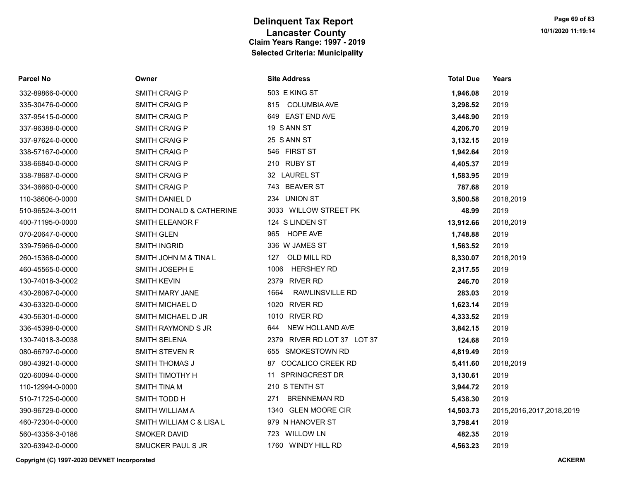| <b>Parcel No</b> | Owner                    | <b>Site Address</b>            | <b>Total Due</b> | Years                    |
|------------------|--------------------------|--------------------------------|------------------|--------------------------|
| 332-89866-0-0000 | <b>SMITH CRAIG P</b>     | 503 E KING ST                  | 1,946.08         | 2019                     |
| 335-30476-0-0000 | <b>SMITH CRAIG P</b>     | 815 COLUMBIA AVE               | 3,298.52         | 2019                     |
| 337-95415-0-0000 | SMITH CRAIG P            | 649 EAST END AVE               | 3,448.90         | 2019                     |
| 337-96388-0-0000 | SMITH CRAIG P            | 19 S ANN ST                    | 4,206.70         | 2019                     |
| 337-97624-0-0000 | <b>SMITH CRAIG P</b>     | 25 S ANN ST                    | 3,132.15         | 2019                     |
| 338-57167-0-0000 | <b>SMITH CRAIG P</b>     | 546 FIRST ST                   | 1,942.64         | 2019                     |
| 338-66840-0-0000 | <b>SMITH CRAIG P</b>     | 210 RUBY ST                    | 4,405.37         | 2019                     |
| 338-78687-0-0000 | <b>SMITH CRAIG P</b>     | 32 LAUREL ST                   | 1,583.95         | 2019                     |
| 334-36660-0-0000 | <b>SMITH CRAIG P</b>     | 743 BEAVER ST                  | 787.68           | 2019                     |
| 110-38606-0-0000 | SMITH DANIEL D           | 234 UNION ST                   | 3,500.58         | 2018,2019                |
| 510-96524-3-0011 | SMITH DONALD & CATHERINE | 3033 WILLOW STREET PK          | 48.99            | 2019                     |
| 400-71195-0-0000 | SMITH ELEANOR F          | 124 S LINDEN ST                | 13,912.66        | 2018,2019                |
| 070-20647-0-0000 | <b>SMITH GLEN</b>        | 965 HOPE AVE                   | 1,748.88         | 2019                     |
| 339-75966-0-0000 | <b>SMITH INGRID</b>      | 336 W JAMES ST                 | 1,563.52         | 2019                     |
| 260-15368-0-0000 | SMITH JOHN M & TINA L    | OLD MILL RD<br>127             | 8,330.07         | 2018,2019                |
| 460-45565-0-0000 | SMITH JOSEPH E           | <b>HERSHEY RD</b><br>1006      | 2,317.55         | 2019                     |
| 130-74018-3-0002 | <b>SMITH KEVIN</b>       | 2379 RIVER RD                  | 246.70           | 2019                     |
| 430-28067-0-0000 | SMITH MARY JANE          | 1664<br><b>RAWLINSVILLE RD</b> | 283.03           | 2019                     |
| 430-63320-0-0000 | SMITH MICHAEL D          | 1020 RIVER RD                  | 1,623.14         | 2019                     |
| 430-56301-0-0000 | SMITH MICHAEL D JR       | 1010 RIVER RD                  | 4,333.52         | 2019                     |
| 336-45398-0-0000 | SMITH RAYMOND S JR       | NEW HOLLAND AVE<br>644         | 3,842.15         | 2019                     |
| 130-74018-3-0038 | SMITH SELENA             | 2379 RIVER RD LOT 37 LOT 37    | 124.68           | 2019                     |
| 080-66797-0-0000 | SMITH STEVEN R           | 655 SMOKESTOWN RD              | 4,819.49         | 2019                     |
| 080-43921-0-0000 | SMITH THOMAS J           | 87 COCALICO CREEK RD           | 5,411.60         | 2018,2019                |
| 020-60094-0-0000 | SMITH TIMOTHY H          | SPRINGCREST DR<br>11           | 3,130.61         | 2019                     |
| 110-12994-0-0000 | <b>SMITH TINA M</b>      | 210 S TENTH ST                 | 3,944.72         | 2019                     |
| 510-71725-0-0000 | SMITH TODD H             | <b>BRENNEMAN RD</b><br>271     | 5,438.30         | 2019                     |
| 390-96729-0-0000 | SMITH WILLIAM A          | 1340 GLEN MOORE CIR            | 14,503.73        | 2015,2016,2017,2018,2019 |
| 460-72304-0-0000 | SMITH WILLIAM C & LISA L | 979 N HANOVER ST               | 3,798.41         | 2019                     |
| 560-43356-3-0186 | <b>SMOKER DAVID</b>      | 723 WILLOW LN                  | 482.35           | 2019                     |
| 320-63942-0-0000 | SMUCKER PAUL S JR        | 1760 WINDY HILL RD             | 4,563.23         | 2019                     |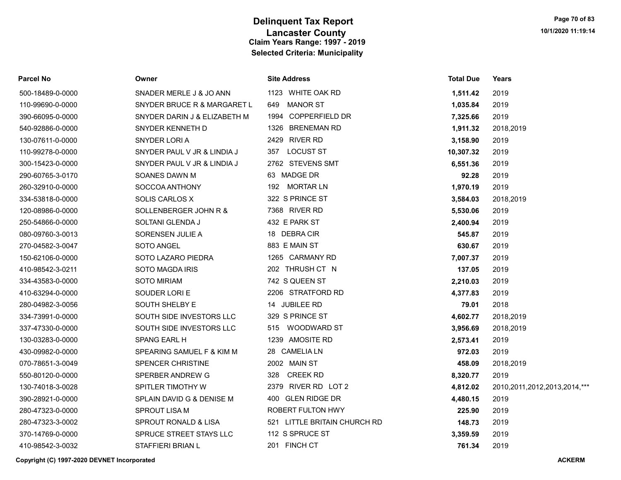| Parcel No        | Owner                        | <b>Site Address</b>          | <b>Total Due</b> | Years                             |
|------------------|------------------------------|------------------------------|------------------|-----------------------------------|
| 500-18489-0-0000 | SNADER MERLE J & JO ANN      | 1123 WHITE OAK RD            | 1,511.42         | 2019                              |
| 110-99690-0-0000 | SNYDER BRUCE R & MARGARET L  | <b>MANOR ST</b><br>649       | 1,035.84         | 2019                              |
| 390-66095-0-0000 | SNYDER DARIN J & ELIZABETH M | 1994 COPPERFIELD DR          | 7,325.66         | 2019                              |
| 540-92886-0-0000 | SNYDER KENNETH D             | 1326 BRENEMAN RD             | 1,911.32         | 2018,2019                         |
| 130-07611-0-0000 | SNYDER LORI A                | 2429 RIVER RD                | 3,158.90         | 2019                              |
| 110-99278-0-0000 | SNYDER PAUL V JR & LINDIA J  | 357 LOCUST ST                | 10,307.32        | 2019                              |
| 300-15423-0-0000 | SNYDER PAUL V JR & LINDIA J  | 2762 STEVENS SMT             | 6,551.36         | 2019                              |
| 290-60765-3-0170 | SOANES DAWN M                | 63 MADGE DR                  | 92.28            | 2019                              |
| 260-32910-0-0000 | SOCCOA ANTHONY               | 192 MORTAR LN                | 1,970.19         | 2019                              |
| 334-53818-0-0000 | SOLIS CARLOS X               | 322 S PRINCE ST              | 3,584.03         | 2018,2019                         |
| 120-08986-0-0000 | SOLLENBERGER JOHN R &        | 7368 RIVER RD                | 5,530.06         | 2019                              |
| 250-54866-0-0000 | SOLTANI GLENDA J             | 432 E PARK ST                | 2,400.94         | 2019                              |
| 080-09760-3-0013 | SORENSEN JULIE A             | 18 DEBRACIR                  | 545.87           | 2019                              |
| 270-04582-3-0047 | SOTO ANGEL                   | 883 E MAIN ST                | 630.67           | 2019                              |
| 150-62106-0-0000 | SOTO LAZARO PIEDRA           | 1265 CARMANY RD              | 7,007.37         | 2019                              |
| 410-98542-3-0211 | SOTO MAGDA IRIS              | 202 THRUSH CT N              | 137.05           | 2019                              |
| 334-43583-0-0000 | <b>SOTO MIRIAM</b>           | 742 S QUEEN ST               | 2,210.03         | 2019                              |
| 410-63294-0-0000 | SOUDER LORI E                | 2206 STRATFORD RD            | 4,377.83         | 2019                              |
| 280-04982-3-0056 | SOUTH SHELBY E               | 14 JUBILEE RD                | 79.01            | 2018                              |
| 334-73991-0-0000 | SOUTH SIDE INVESTORS LLC     | 329 S PRINCE ST              | 4,602.77         | 2018,2019                         |
| 337-47330-0-0000 | SOUTH SIDE INVESTORS LLC     | 515 WOODWARD ST              | 3,956.69         | 2018,2019                         |
| 130-03283-0-0000 | SPANG EARL H                 | 1239 AMOSITE RD              | 2,573.41         | 2019                              |
| 430-09982-0-0000 | SPEARING SAMUEL F & KIM M    | 28 CAMELIA LN                | 972.03           | 2019                              |
| 070-78651-3-0049 | SPENCER CHRISTINE            | 2002 MAIN ST                 | 458.09           | 2018,2019                         |
| 550-80120-0-0000 | SPERBER ANDREW G             | 328 CREEK RD                 | 8,320.77         | 2019                              |
| 130-74018-3-0028 | SPITLER TIMOTHY W            | 2379 RIVER RD LOT 2          | 4,812.02         | 2010, 2011, 2012, 2013, 2014, *** |
| 390-28921-0-0000 | SPLAIN DAVID G & DENISE M    | 400 GLEN RIDGE DR            | 4,480.15         | 2019                              |
| 280-47323-0-0000 | SPROUT LISA M                | ROBERT FULTON HWY            | 225.90           | 2019                              |
| 280-47323-3-0002 | SPROUT RONALD & LISA         | 521 LITTLE BRITAIN CHURCH RD | 148.73           | 2019                              |
| 370-14769-0-0000 | SPRUCE STREET STAYS LLC      | 112 S SPRUCE ST              | 3,359.59         | 2019                              |
| 410-98542-3-0032 | STAFFIERI BRIAN L            | 201 FINCH CT                 | 761.34           | 2019                              |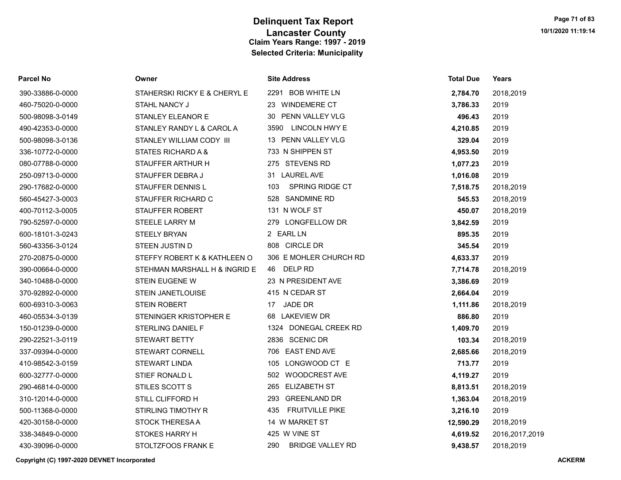| Parcel No        | Owner                         | <b>Site Address</b>            | <b>Total Due</b> | Years          |
|------------------|-------------------------------|--------------------------------|------------------|----------------|
| 390-33886-0-0000 | STAHERSKI RICKY E & CHERYL E  | 2291 BOB WHITE LN              | 2,784.70         | 2018,2019      |
| 460-75020-0-0000 | STAHL NANCY J                 | 23 WINDEMERE CT                | 3,786.33         | 2019           |
| 500-98098-3-0149 | STANLEY ELEANOR E             | PENN VALLEY VLG<br>30          | 496.43           | 2019           |
| 490-42353-0-0000 | STANLEY RANDY L & CAROL A     | <b>LINCOLN HWY E</b><br>3590   | 4,210.85         | 2019           |
| 500-98098-3-0136 | STANLEY WILLIAM CODY III      | 13 PENN VALLEY VLG             | 329.04           | 2019           |
| 336-10772-0-0000 | <b>STATES RICHARD A &amp;</b> | 733 N SHIPPEN ST               | 4,953.50         | 2019           |
| 080-07788-0-0000 | STAUFFER ARTHUR H             | 275 STEVENS RD                 | 1,077.23         | 2019           |
| 250-09713-0-0000 | STAUFFER DEBRA J              | 31 LAUREL AVE                  | 1,016.08         | 2019           |
| 290-17682-0-0000 | STAUFFER DENNIS L             | SPRING RIDGE CT<br>103         | 7,518.75         | 2018,2019      |
| 560-45427-3-0003 | STAUFFER RICHARD C            | 528 SANDMINE RD                | 545.53           | 2018,2019      |
| 400-70112-3-0005 | STAUFFER ROBERT               | 131 N WOLF ST                  | 450.07           | 2018,2019      |
| 790-52597-0-0000 | <b>STEELE LARRY M</b>         | 279 LONGFELLOW DR              | 3,842.59         | 2019           |
| 600-18101-3-0243 | <b>STEELY BRYAN</b>           | 2 EARL LN                      | 895.35           | 2019           |
| 560-43356-3-0124 | STEEN JUSTIN D                | 808 CIRCLE DR                  | 345.54           | 2019           |
| 270-20875-0-0000 | STEFFY ROBERT K & KATHLEEN O  | 306 E MOHLER CHURCH RD         | 4,633.37         | 2019           |
| 390-00664-0-0000 | STEHMAN MARSHALL H & INGRID E | 46 DELP RD                     | 7,714.78         | 2018,2019      |
| 340-10488-0-0000 | <b>STEIN EUGENE W</b>         | 23 N PRESIDENT AVE             | 3,386.69         | 2019           |
| 370-92892-0-0000 | <b>STEIN JANETLOUISE</b>      | 415 N CEDAR ST                 | 2,664.04         | 2019           |
| 600-69310-3-0063 | <b>STEIN ROBERT</b>           | JADE DR<br>17                  | 1,111.86         | 2018,2019      |
| 460-05534-3-0139 | STENINGER KRISTOPHER E        | <b>LAKEVIEW DR</b><br>68       | 886.80           | 2019           |
| 150-01239-0-0000 | STERLING DANIEL F             | 1324 DONEGAL CREEK RD          | 1,409.70         | 2019           |
| 290-22521-3-0119 | <b>STEWART BETTY</b>          | 2836 SCENIC DR                 | 103.34           | 2018,2019      |
| 337-09394-0-0000 | <b>STEWART CORNELL</b>        | 706 EAST END AVE               | 2,685.66         | 2018,2019      |
| 410-98542-3-0159 | <b>STEWART LINDA</b>          | LONGWOOD CT E<br>105           | 713.77           | 2019           |
| 600-32777-0-0000 | STIEF RONALD L                | 502 WOODCREST AVE              | 4,119.27         | 2019           |
| 290-46814-0-0000 | STILES SCOTT S                | <b>ELIZABETH ST</b><br>265     | 8,813.51         | 2018,2019      |
| 310-12014-0-0000 | STILL CLIFFORD H              | <b>GREENLAND DR</b><br>293     | 1,363.04         | 2018,2019      |
| 500-11368-0-0000 | <b>STIRLING TIMOTHY R</b>     | 435<br><b>FRUITVILLE PIKE</b>  | 3,216.10         | 2019           |
| 420-30158-0-0000 | <b>STOCK THERESA A</b>        | 14 W MARKET ST                 | 12,590.29        | 2018,2019      |
| 338-34849-0-0000 | <b>STOKES HARRY H</b>         | 425 W VINE ST                  | 4,619.52         | 2016,2017,2019 |
| 430-39096-0-0000 | STOLTZFOOS FRANK E            | <b>BRIDGE VALLEY RD</b><br>290 | 9,438.57         | 2018,2019      |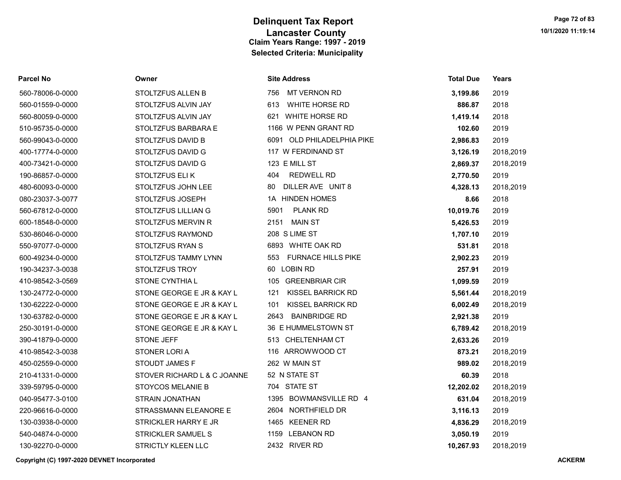| <b>Parcel No</b> | Owner                       | <b>Site Address</b>             | <b>Total Due</b> | Years     |
|------------------|-----------------------------|---------------------------------|------------------|-----------|
| 560-78006-0-0000 | STOLTZFUS ALLEN B           | 756<br><b>MT VERNON RD</b>      | 3,199.86         | 2019      |
| 560-01559-0-0000 | STOLTZFUS ALVIN JAY         | 613<br>WHITE HORSE RD           | 886.87           | 2018      |
| 560-80059-0-0000 | STOLTZFUS ALVIN JAY         | 621 WHITE HORSE RD              | 1,419.14         | 2018      |
| 510-95735-0-0000 | STOLTZFUS BARBARA E         | 1166 W PENN GRANT RD            | 102.60           | 2019      |
| 560-99043-0-0000 | STOLTZFUS DAVID B           | 6091 OLD PHILADELPHIA PIKE      | 2,986.83         | 2019      |
| 400-17774-0-0000 | STOLTZFUS DAVID G           | 117 W FERDINAND ST              | 3,126.19         | 2018,2019 |
| 400-73421-0-0000 | STOLTZFUS DAVID G           | 123 E MILL ST                   | 2,869.37         | 2018,2019 |
| 190-86857-0-0000 | STOLTZFUS ELIK              | <b>REDWELL RD</b><br>404        | 2,770.50         | 2019      |
| 480-60093-0-0000 | STOLTZFUS JOHN LEE          | DILLER AVE UNIT 8<br>80         | 4,328.13         | 2018,2019 |
| 080-23037-3-0077 | STOLTZFUS JOSEPH            | 1A HINDEN HOMES                 | 8.66             | 2018      |
| 560-67812-0-0000 | STOLTZFUS LILLIAN G         | <b>PLANK RD</b><br>5901         | 10,019.76        | 2019      |
| 600-18548-0-0000 | STOLTZFUS MERVIN R          | 2151<br>MAIN ST                 | 5,426.53         | 2019      |
| 530-86046-0-0000 | STOLTZFUS RAYMOND           | 208 S LIME ST                   | 1,707.10         | 2019      |
| 550-97077-0-0000 | STOLTZFUS RYAN S            | 6893 WHITE OAK RD               | 531.81           | 2018      |
| 600-49234-0-0000 | STOLTZFUS TAMMY LYNN        | 553 FURNACE HILLS PIKE          | 2,902.23         | 2019      |
| 190-34237-3-0038 | STOLTZFUS TROY              | 60 LOBIN RD                     | 257.91           | 2019      |
| 410-98542-3-0569 | STONE CYNTHIA L             | 105 GREENBRIAR CIR              | 1,099.59         | 2019      |
| 130-24772-0-0000 | STONE GEORGE E JR & KAY L   | 121<br>KISSEL BARRICK RD        | 5,561.44         | 2018,2019 |
| 130-62222-0-0000 | STONE GEORGE E JR & KAY L   | <b>KISSEL BARRICK RD</b><br>101 | 6,002.49         | 2018,2019 |
| 130-63782-0-0000 | STONE GEORGE E JR & KAY L   | <b>BAINBRIDGE RD</b><br>2643    | 2,921.38         | 2019      |
| 250-30191-0-0000 | STONE GEORGE E JR & KAY L   | 36 E HUMMELSTOWN ST             | 6,789.42         | 2018,2019 |
| 390-41879-0-0000 | <b>STONE JEFF</b>           | 513 CHELTENHAM CT               | 2,633.26         | 2019      |
| 410-98542-3-0038 | STONER LORIA                | 116 ARROWWOOD CT                | 873.21           | 2018,2019 |
| 450-02559-0-0000 | STOUDT JAMES F              | 262 W MAIN ST                   | 989.02           | 2018,2019 |
| 210-41331-0-0000 | STOVER RICHARD L & C JOANNE | 52 N STATE ST                   | 60.39            | 2018      |
| 339-59795-0-0000 | <b>STOYCOS MELANIE B</b>    | 704 STATE ST                    | 12,202.02        | 2018,2019 |
| 040-95477-3-0100 | STRAIN JONATHAN             | 1395 BOWMANSVILLE RD 4          | 631.04           | 2018,2019 |
| 220-96616-0-0000 | STRASSMANN ELEANORE E       | 2604 NORTHFIELD DR              | 3,116.13         | 2019      |
| 130-03938-0-0000 | STRICKLER HARRY E JR        | 1465 KEENER RD                  | 4,836.29         | 2018,2019 |
| 540-04874-0-0000 | <b>STRICKLER SAMUEL S</b>   | 1159 LEBANON RD                 | 3,050.19         | 2019      |
| 130-92270-0-0000 | STRICTLY KLEEN LLC          | 2432 RIVER RD                   | 10,267.93        | 2018,2019 |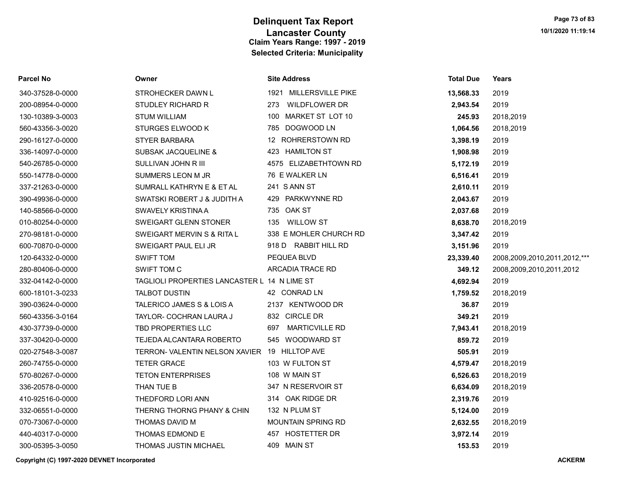| <b>Parcel No</b> | Owner                                         | <b>Site Address</b>       | <b>Total Due</b> | <b>Years</b>                 |
|------------------|-----------------------------------------------|---------------------------|------------------|------------------------------|
| 340-37528-0-0000 | STROHECKER DAWN L                             | 1921 MILLERSVILLE PIKE    | 13,568.33        | 2019                         |
| 200-08954-0-0000 | STUDLEY RICHARD R                             | 273 WILDFLOWER DR         | 2,943.54         | 2019                         |
| 130-10389-3-0003 | <b>STUM WILLIAM</b>                           | MARKET ST LOT 10<br>100   | 245.93           | 2018,2019                    |
| 560-43356-3-0020 | <b>STURGES ELWOOD K</b>                       | 785 DOGWOOD LN            | 1,064.56         | 2018,2019                    |
| 290-16127-0-0000 | <b>STYER BARBARA</b>                          | 12 ROHRERSTOWN RD         | 3,398.19         | 2019                         |
| 336-14097-0-0000 | <b>SUBSAK JACQUELINE &amp;</b>                | 423 HAMILTON ST           | 1,908.98         | 2019                         |
| 540-26785-0-0000 | SULLIVAN JOHN R III                           | 4575 ELIZABETHTOWN RD     | 5,172.19         | 2019                         |
| 550-14778-0-0000 | SUMMERS LEON M JR                             | 76 E WALKER LN            | 6,516.41         | 2019                         |
| 337-21263-0-0000 | SUMRALL KATHRYN E & ET AL                     | 241 S ANN ST              | 2,610.11         | 2019                         |
| 390-49936-0-0000 | SWATSKI ROBERT J & JUDITH A                   | 429 PARKWYNNE RD          | 2,043.67         | 2019                         |
| 140-58566-0-0000 | SWAVELY KRISTINA A                            | 735 OAK ST                | 2,037.68         | 2019                         |
| 010-80254-0-0000 | SWEIGART GLENN STONER                         | 135 WILLOW ST             | 8,638.70         | 2018,2019                    |
| 270-98181-0-0000 | SWEIGART MERVIN S & RITA L                    | 338 E MOHLER CHURCH RD    | 3,347.42         | 2019                         |
| 600-70870-0-0000 | SWEIGART PAUL ELI JR                          | 918 D RABBIT HILL RD      | 3,151.96         | 2019                         |
| 120-64332-0-0000 | <b>SWIFT TOM</b>                              | PEQUEA BLVD               | 23,339.40        | 2008,2009,2010,2011,2012,*** |
| 280-80406-0-0000 | SWIFT TOM C                                   | ARCADIA TRACE RD          | 349.12           | 2008,2009,2010,2011,2012     |
| 332-04142-0-0000 | TAGLIOLI PROPERTIES LANCASTER L 14 N LIME ST  |                           | 4,692.94         | 2019                         |
| 600-18101-3-0233 | <b>TALBOT DUSTIN</b>                          | 42 CONRAD LN              | 1,759.52         | 2018,2019                    |
| 390-03624-0-0000 | TALERICO JAMES S & LOIS A                     | 2137 KENTWOOD DR          | 36.87            | 2019                         |
| 560-43356-3-0164 | TAYLOR- COCHRAN LAURA J                       | 832 CIRCLE DR             | 349.21           | 2019                         |
| 430-37739-0-0000 | TBD PROPERTIES LLC                            | 697 MARTICVILLE RD        | 7,943.41         | 2018,2019                    |
| 337-30420-0-0000 | TEJEDA ALCANTARA ROBERTO                      | 545 WOODWARD ST           | 859.72           | 2019                         |
| 020-27548-3-0087 | TERRON- VALENTIN NELSON XAVIER 19 HILLTOP AVE |                           | 505.91           | 2019                         |
| 260-74755-0-0000 | <b>TETER GRACE</b>                            | 103 W FULTON ST           | 4,579.47         | 2018,2019                    |
| 570-80267-0-0000 | <b>TETON ENTERPRISES</b>                      | 108 W MAIN ST             | 6,526.63         | 2018,2019                    |
| 336-20578-0-0000 | THAN TUE B                                    | 347 N RESERVOIR ST        | 6,634.09         | 2018,2019                    |
| 410-92516-0-0000 | THEDFORD LORI ANN                             | 314 OAK RIDGE DR          | 2,319.76         | 2019                         |
| 332-06551-0-0000 | THERNG THORNG PHANY & CHIN                    | 132 N PLUM ST             | 5,124.00         | 2019                         |
| 070-73067-0-0000 | THOMAS DAVID M                                | <b>MOUNTAIN SPRING RD</b> | 2,632.55         | 2018,2019                    |
| 440-40317-0-0000 | THOMAS EDMOND E                               | 457 HOSTETTER DR          | 3,972.14         | 2019                         |
| 300-05395-3-0050 | THOMAS JUSTIN MICHAEL                         | 409 MAIN ST               | 153.53           | 2019                         |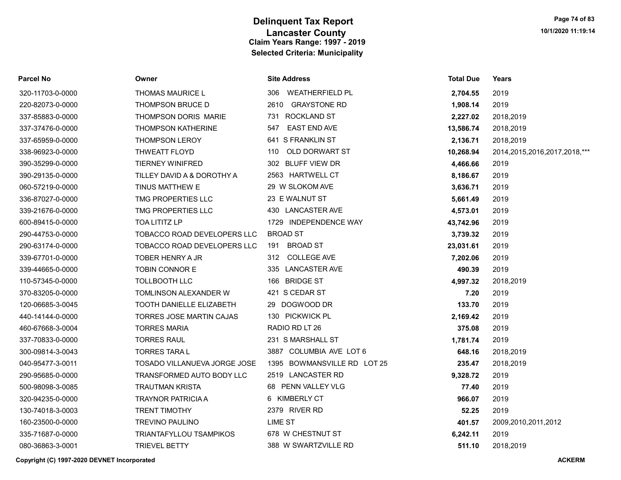| Parcel No        | Owner                               | <b>Site Address</b>         | <b>Total Due</b> | Years                             |
|------------------|-------------------------------------|-----------------------------|------------------|-----------------------------------|
| 320-11703-0-0000 | <b>THOMAS MAURICE L</b>             | WEATHERFIELD PL<br>306      | 2,704.55         | 2019                              |
| 220-82073-0-0000 | <b>THOMPSON BRUCE D</b>             | 2610 GRAYSTONE RD           | 1,908.14         | 2019                              |
| 337-85883-0-0000 | THOMPSON DORIS MARIE                | 731 ROCKLAND ST             | 2,227.02         | 2018,2019                         |
| 337-37476-0-0000 | <b>THOMPSON KATHERINE</b>           | <b>EAST END AVE</b><br>547  | 13,586.74        | 2018,2019                         |
| 337-65959-0-0000 | <b>THOMPSON LEROY</b>               | 641 S FRANKLIN ST           | 2,136.71         | 2018,2019                         |
| 338-96923-0-0000 | THWEATT FLOYD                       | OLD DORWART ST<br>110       | 10,268.94        | 2014, 2015, 2016, 2017, 2018, *** |
| 390-35299-0-0000 | <b>TIERNEY WINIFRED</b>             | 302 BLUFF VIEW DR           | 4,466.66         | 2019                              |
| 390-29135-0-0000 | TILLEY DAVID A & DOROTHY A          | 2563 HARTWELL CT            | 8,186.67         | 2019                              |
| 060-57219-0-0000 | TINUS MATTHEW E                     | 29 W SLOKOM AVE             | 3,636.71         | 2019                              |
| 336-87027-0-0000 | TMG PROPERTIES LLC                  | 23 E WALNUT ST              | 5,661.49         | 2019                              |
| 339-21676-0-0000 | TMG PROPERTIES LLC                  | 430 LANCASTER AVE           | 4,573.01         | 2019                              |
| 600-89415-0-0000 | TOA LITITZ LP                       | 1729 INDEPENDENCE WAY       | 43,742.96        | 2019                              |
| 290-44753-0-0000 | TOBACCO ROAD DEVELOPERS LLC         | <b>BROAD ST</b>             | 3,739.32         | 2019                              |
| 290-63174-0-0000 | TOBACCO ROAD DEVELOPERS LLC         | 191 BROAD ST                | 23,031.61        | 2019                              |
| 339-67701-0-0000 | TOBER HENRY A JR                    | 312 COLLEGE AVE             | 7,202.06         | 2019                              |
| 339-44665-0-0000 | TOBIN CONNOR E                      | 335 LANCASTER AVE           | 490.39           | 2019                              |
| 110-57345-0-0000 | TOLLBOOTH LLC                       | 166 BRIDGE ST               | 4,997.32         | 2018,2019                         |
| 370-83205-0-0000 | TOMLINSON ALEXANDER W               | 421 S CEDAR ST              | 7.20             | 2019                              |
| 120-06685-3-0045 | TOOTH DANIELLE ELIZABETH            | 29 DOGWOOD DR               | 133.70           | 2019                              |
| 440-14144-0-0000 | TORRES JOSE MARTIN CAJAS            | 130 PICKWICK PL             | 2,169.42         | 2019                              |
| 460-67668-3-0004 | <b>TORRES MARIA</b>                 | RADIO RD LT 26              | 375.08           | 2019                              |
| 337-70833-0-0000 | <b>TORRES RAUL</b>                  | 231 S MARSHALL ST           | 1,781.74         | 2019                              |
| 300-09814-3-0043 | <b>TORRES TARA L</b>                | 3887 COLUMBIA AVE LOT 6     | 648.16           | 2018,2019                         |
| 040-95477-3-0011 | <b>TOSADO VILLANUEVA JORGE JOSE</b> | 1395 BOWMANSVILLE RD LOT 25 | 235.47           | 2018,2019                         |
| 290-95685-0-0000 | TRANSFORMED AUTO BODY LLC           | 2519 LANCASTER RD           | 9,328.72         | 2019                              |
| 500-98098-3-0085 | <b>TRAUTMAN KRISTA</b>              | 68 PENN VALLEY VLG          | 77.40            | 2019                              |
| 320-94235-0-0000 | <b>TRAYNOR PATRICIA A</b>           | 6 KIMBERLY CT               | 966.07           | 2019                              |
| 130-74018-3-0003 | <b>TRENT TIMOTHY</b>                | 2379 RIVER RD               | 52.25            | 2019                              |
| 160-23500-0-0000 | <b>TREVINO PAULINO</b>              | <b>LIME ST</b>              | 401.57           | 2009,2010,2011,2012               |
| 335-71687-0-0000 | <b>TRIANTAFYLLOU TSAMPIKOS</b>      | 678 W CHESTNUT ST           | 6,242.11         | 2019                              |
| 080-36863-3-0001 | <b>TRIEVEL BETTY</b>                | 388 W SWARTZVILLE RD        | 511.10           | 2018,2019                         |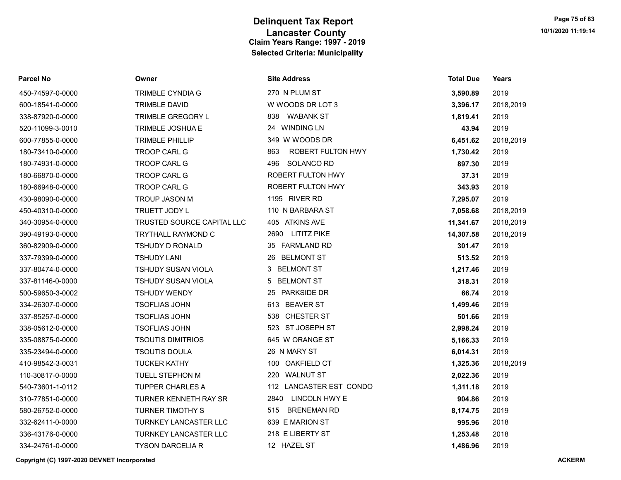| <b>Parcel No</b> | Owner                        | <b>Site Address</b>       | <b>Total Due</b> | Years     |
|------------------|------------------------------|---------------------------|------------------|-----------|
| 450-74597-0-0000 | <b>TRIMBLE CYNDIA G</b>      | 270 N PLUM ST             | 3,590.89         | 2019      |
| 600-18541-0-0000 | <b>TRIMBLE DAVID</b>         | W WOODS DR LOT 3          | 3,396.17         | 2018,2019 |
| 338-87920-0-0000 | TRIMBLE GREGORY L            | <b>WABANK ST</b><br>838   | 1,819.41         | 2019      |
| 520-11099-3-0010 | <b>TRIMBLE JOSHUA E</b>      | 24 WINDING LN             | 43.94            | 2019      |
| 600-77855-0-0000 | <b>TRIMBLE PHILLIP</b>       | 349 W WOODS DR            | 6,451.62         | 2018,2019 |
| 180-73410-0-0000 | TROOP CARL G                 | ROBERT FULTON HWY<br>863  | 1,730.42         | 2019      |
| 180-74931-0-0000 | <b>TROOP CARL G</b>          | <b>SOLANCO RD</b><br>496  | 897.30           | 2019      |
| 180-66870-0-0000 | <b>TROOP CARL G</b>          | <b>ROBERT FULTON HWY</b>  | 37.31            | 2019      |
| 180-66948-0-0000 | TROOP CARL G                 | ROBERT FULTON HWY         | 343.93           | 2019      |
| 430-98090-0-0000 | <b>TROUP JASON M</b>         | 1195 RIVER RD             | 7,295.07         | 2019      |
| 450-40310-0-0000 | TRUETT JODY L                | 110 N BARBARA ST          | 7,058.68         | 2018,2019 |
| 340-30954-0-0000 | TRUSTED SOURCE CAPITAL LLC   | 405 ATKINS AVE            | 11,341.67        | 2018,2019 |
| 390-49193-0-0000 | <b>TRYTHALL RAYMOND C</b>    | 2690 LITITZ PIKE          | 14,307.58        | 2018,2019 |
| 360-82909-0-0000 | <b>TSHUDY D RONALD</b>       | 35 FARMLAND RD            | 301.47           | 2019      |
| 337-79399-0-0000 | <b>TSHUDY LANI</b>           | <b>BELMONT ST</b><br>26   | 513.52           | 2019      |
| 337-80474-0-0000 | TSHUDY SUSAN VIOLA           | 3 BELMONT ST              | 1,217.46         | 2019      |
| 337-81146-0-0000 | <b>TSHUDY SUSAN VIOLA</b>    | 5 BELMONT ST              | 318.31           | 2019      |
| 500-59650-3-0002 | <b>TSHUDY WENDY</b>          | <b>PARKSIDE DR</b><br>25  | 66.74            | 2019      |
| 334-26307-0-0000 | <b>TSOFLIAS JOHN</b>         | 613 BEAVER ST             | 1,499.46         | 2019      |
| 337-85257-0-0000 | <b>TSOFLIAS JOHN</b>         | 538 CHESTER ST            | 501.66           | 2019      |
| 338-05612-0-0000 | <b>TSOFLIAS JOHN</b>         | 523 ST JOSEPH ST          | 2,998.24         | 2019      |
| 335-08875-0-0000 | <b>TSOUTIS DIMITRIOS</b>     | 645 W ORANGE ST           | 5,166.33         | 2019      |
| 335-23494-0-0000 | <b>TSOUTIS DOULA</b>         | 26 N MARY ST              | 6,014.31         | 2019      |
| 410-98542-3-0031 | <b>TUCKER KATHY</b>          | 100 OAKFIELD CT           | 1,325.36         | 2018,2019 |
| 110-30817-0-0000 | TUELL STEPHON M              | 220 WALNUT ST             | 2,022.36         | 2019      |
| 540-73601-1-0112 | <b>TUPPER CHARLES A</b>      | 112 LANCASTER EST CONDO   | 1,311.18         | 2019      |
| 310-77851-0-0000 | <b>TURNER KENNETH RAY SR</b> | LINCOLN HWY E<br>2840     | 904.86           | 2019      |
| 580-26752-0-0000 | <b>TURNER TIMOTHY S</b>      | <b>BRENEMAN RD</b><br>515 | 8,174.75         | 2019      |
| 332-62411-0-0000 | <b>TURNKEY LANCASTER LLC</b> | 639 E MARION ST           | 995.96           | 2018      |
| 336-43176-0-0000 | <b>TURNKEY LANCASTER LLC</b> | 218 E LIBERTY ST          | 1,253.48         | 2018      |
| 334-24761-0-0000 | <b>TYSON DARCELIA R</b>      | 12 HAZEL ST               | 1,486.96         | 2019      |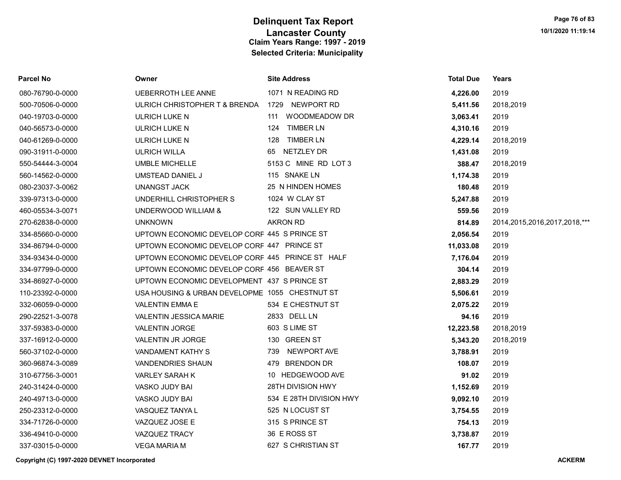| Parcel No        | Owner                                           | <b>Site Address</b>      | <b>Total Due</b> | Years                             |
|------------------|-------------------------------------------------|--------------------------|------------------|-----------------------------------|
| 080-76790-0-0000 | <b>UEBERROTH LEE ANNE</b>                       | 1071 N READING RD        | 4,226.00         | 2019                              |
| 500-70506-0-0000 | ULRICH CHRISTOPHER T & BRENDA                   | NEWPORT RD<br>1729       | 5,411.56         | 2018,2019                         |
| 040-19703-0-0000 | ULRICH LUKE N                                   | WOODMEADOW DR<br>111     | 3,063.41         | 2019                              |
| 040-56573-0-0000 | ULRICH LUKE N                                   | <b>TIMBER LN</b><br>124  | 4,310.16         | 2019                              |
| 040-61269-0-0000 | ULRICH LUKE N                                   | 128 TIMBER LN            | 4,229.14         | 2018,2019                         |
| 090-31911-0-0000 | <b>ULRICH WILLA</b>                             | 65 NETZLEY DR            | 1,431.08         | 2019                              |
| 550-54444-3-0004 | <b>UMBLE MICHELLE</b>                           | 5153 C MINE RD LOT 3     | 388.47           | 2018,2019                         |
| 560-14562-0-0000 | UMSTEAD DANIEL J                                | 115 SNAKE LN             | 1,174.38         | 2019                              |
| 080-23037-3-0062 | <b>UNANGST JACK</b>                             | 25 N HINDEN HOMES        | 180.48           | 2019                              |
| 339-97313-0-0000 | UNDERHILL CHRISTOPHER S                         | 1024 W CLAY ST           | 5,247.88         | 2019                              |
| 460-05534-3-0071 | UNDERWOOD WILLIAM &                             | 122 SUN VALLEY RD        | 559.56           | 2019                              |
| 270-62838-0-0000 | <b>UNKNOWN</b>                                  | <b>AKRON RD</b>          | 814.89           | 2014, 2015, 2016, 2017, 2018, *** |
| 334-85660-0-0000 | UPTOWN ECONOMIC DEVELOP CORF 445 S PRINCE ST    |                          | 2,056.54         | 2019                              |
| 334-86794-0-0000 | UPTOWN ECONOMIC DEVELOP CORF 447 PRINCE ST      |                          | 11,033.08        | 2019                              |
| 334-93434-0-0000 | UPTOWN ECONOMIC DEVELOP CORF 445 PRINCE ST HALF |                          | 7,176.04         | 2019                              |
| 334-97799-0-0000 | UPTOWN ECONOMIC DEVELOP CORF 456 BEAVER ST      |                          | 304.14           | 2019                              |
| 334-86927-0-0000 | UPTOWN ECONOMIC DEVELOPMENT 437 S PRINCE ST     |                          | 2,883.29         | 2019                              |
| 110-23392-0-0000 | USA HOUSING & URBAN DEVELOPME 1055 CHESTNUT ST  |                          | 5,506.61         | 2019                              |
| 332-06059-0-0000 | <b>VALENTIN EMMA E</b>                          | 534 E CHESTNUT ST        | 2,075.22         | 2019                              |
| 290-22521-3-0078 | VALENTIN JESSICA MARIE                          | 2833 DELL LN             | 94.16            | 2019                              |
| 337-59383-0-0000 | <b>VALENTIN JORGE</b>                           | 603 S LIME ST            | 12,223.58        | 2018,2019                         |
| 337-16912-0-0000 | VALENTIN JR JORGE                               | 130 GREEN ST             | 5,343.20         | 2018,2019                         |
| 560-37102-0-0000 | VANDAMENT KATHY S                               | 739 NEWPORT AVE          | 3,788.91         | 2019                              |
| 360-96874-3-0089 | <b>VANDENDRIES SHAUN</b>                        | 479 BRENDON DR           | 108.07           | 2019                              |
| 310-67756-3-0001 | VARLEY SARAH K                                  | 10 HEDGEWOOD AVE         | 91.02            | 2019                              |
| 240-31424-0-0000 | VASKO JUDY BAI                                  | <b>28TH DIVISION HWY</b> | 1,152.69         | 2019                              |
| 240-49713-0-0000 | VASKO JUDY BAI                                  | 534 E 28TH DIVISION HWY  | 9,092.10         | 2019                              |
| 250-23312-0-0000 | VASQUEZ TANYA L                                 | 525 N LOCUST ST          | 3,754.55         | 2019                              |
| 334-71726-0-0000 | VAZQUEZ JOSE E                                  | 315 S PRINCE ST          | 754.13           | 2019                              |
| 336-49410-0-0000 | <b>VAZQUEZ TRACY</b>                            | 36 E ROSS ST             | 3,738.87         | 2019                              |
| 337-03015-0-0000 | <b>VEGA MARIA M</b>                             | 627 S CHRISTIAN ST       | 167.77           | 2019                              |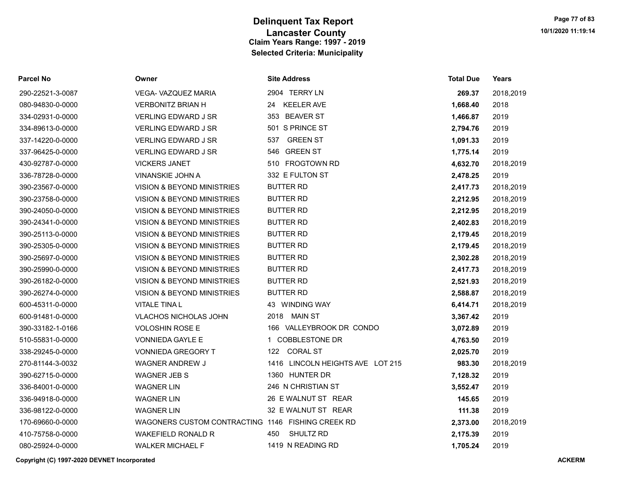| <b>Parcel No</b> | Owner                                             | <b>Site Address</b>              | <b>Total Due</b> | Years     |
|------------------|---------------------------------------------------|----------------------------------|------------------|-----------|
| 290-22521-3-0087 | VEGA- VAZQUEZ MARIA                               | 2904 TERRY LN                    | 269.37           | 2018,2019 |
| 080-94830-0-0000 | <b>VERBONITZ BRIAN H</b>                          | <b>KEELER AVE</b><br>24          | 1,668.40         | 2018      |
| 334-02931-0-0000 | <b>VERLING EDWARD J SR</b>                        | <b>BEAVER ST</b><br>353          | 1,466.87         | 2019      |
| 334-89613-0-0000 | <b>VERLING EDWARD J SR</b>                        | 501 S PRINCE ST                  | 2,794.76         | 2019      |
| 337-14220-0-0000 | <b>VERLING EDWARD J SR</b>                        | 537 GREEN ST                     | 1,091.33         | 2019      |
| 337-96425-0-0000 | VERLING EDWARD J SR                               | 546 GREEN ST                     | 1,775.14         | 2019      |
| 430-92787-0-0000 | <b>VICKERS JANET</b>                              | 510 FROGTOWN RD                  | 4,632.70         | 2018,2019 |
| 336-78728-0-0000 | VINANSKIE JOHN A                                  | 332 E FULTON ST                  | 2,478.25         | 2019      |
| 390-23567-0-0000 | <b>VISION &amp; BEYOND MINISTRIES</b>             | <b>BUTTER RD</b>                 | 2,417.73         | 2018,2019 |
| 390-23758-0-0000 | VISION & BEYOND MINISTRIES                        | BUTTER RD                        | 2,212.95         | 2018,2019 |
| 390-24050-0-0000 | VISION & BEYOND MINISTRIES                        | <b>BUTTER RD</b>                 | 2,212.95         | 2018,2019 |
| 390-24341-0-0000 | <b>VISION &amp; BEYOND MINISTRIES</b>             | <b>BUTTER RD</b>                 | 2,402.83         | 2018,2019 |
| 390-25113-0-0000 | VISION & BEYOND MINISTRIES                        | <b>BUTTER RD</b>                 | 2,179.45         | 2018,2019 |
| 390-25305-0-0000 | <b>VISION &amp; BEYOND MINISTRIES</b>             | <b>BUTTER RD</b>                 | 2,179.45         | 2018,2019 |
| 390-25697-0-0000 | VISION & BEYOND MINISTRIES                        | <b>BUTTER RD</b>                 | 2,302.28         | 2018,2019 |
| 390-25990-0-0000 | VISION & BEYOND MINISTRIES                        | <b>BUTTER RD</b>                 | 2,417.73         | 2018,2019 |
| 390-26182-0-0000 | VISION & BEYOND MINISTRIES                        | <b>BUTTER RD</b>                 | 2,521.93         | 2018,2019 |
| 390-26274-0-0000 | VISION & BEYOND MINISTRIES                        | <b>BUTTER RD</b>                 | 2,588.87         | 2018,2019 |
| 600-45311-0-0000 | <b>VITALE TINA L</b>                              | 43 WINDING WAY                   | 6,414.71         | 2018,2019 |
| 600-91481-0-0000 | <b>VLACHOS NICHOLAS JOHN</b>                      | 2018 MAIN ST                     | 3,367.42         | 2019      |
| 390-33182-1-0166 | <b>VOLOSHIN ROSE E</b>                            | 166 VALLEYBROOK DR CONDO         | 3,072.89         | 2019      |
| 510-55831-0-0000 | <b>VONNIEDA GAYLE E</b>                           | 1 COBBLESTONE DR                 | 4,763.50         | 2019      |
| 338-29245-0-0000 | <b>VONNIEDA GREGORY T</b>                         | 122 CORAL ST                     | 2,025.70         | 2019      |
| 270-81144-3-0032 | WAGNER ANDREW J                                   | 1416 LINCOLN HEIGHTS AVE LOT 215 | 983.30           | 2018,2019 |
| 390-62715-0-0000 | <b>WAGNER JEB S</b>                               | 1360 HUNTER DR                   | 7,128.32         | 2019      |
| 336-84001-0-0000 | <b>WAGNER LIN</b>                                 | 246 N CHRISTIAN ST               | 3,552.47         | 2019      |
| 336-94918-0-0000 | <b>WAGNER LIN</b>                                 | 26 E WALNUT ST REAR              | 145.65           | 2019      |
| 336-98122-0-0000 | <b>WAGNER LIN</b>                                 | 32 E WALNUT ST REAR              | 111.38           | 2019      |
| 170-69660-0-0000 | WAGONERS CUSTOM CONTRACTING 1146 FISHING CREEK RD |                                  | 2,373.00         | 2018,2019 |
| 410-75758-0-0000 | <b>WAKEFIELD RONALD R</b>                         | SHULTZ RD<br>450                 | 2,175.39         | 2019      |
| 080-25924-0-0000 | <b>WALKER MICHAEL F</b>                           | 1419 N READING RD                | 1,705.24         | 2019      |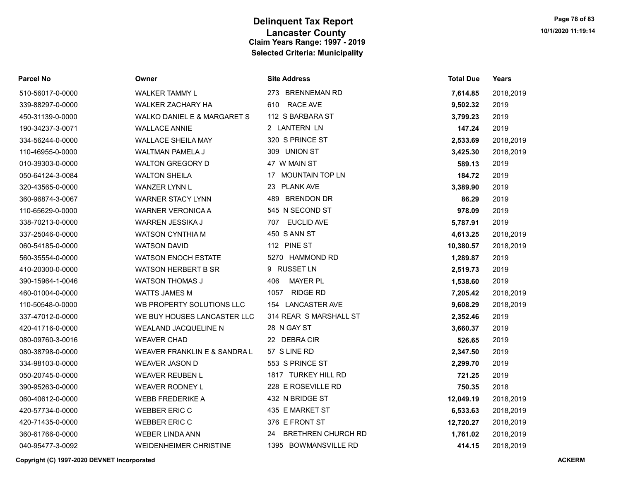| <b>Parcel No</b> | Owner                                  | <b>Site Address</b>             | <b>Total Due</b> | Years     |
|------------------|----------------------------------------|---------------------------------|------------------|-----------|
| 510-56017-0-0000 | WALKER TAMMY L                         | 273 BRENNEMAN RD                | 7,614.85         | 2018,2019 |
| 339-88297-0-0000 | WALKER ZACHARY HA                      | 610 RACE AVE                    | 9,502.32         | 2019      |
| 450-31139-0-0000 | <b>WALKO DANIEL E &amp; MARGARET S</b> | 112 S BARBARA ST                | 3,799.23         | 2019      |
| 190-34237-3-0071 | <b>WALLACE ANNIE</b>                   | 2 LANTERN LN                    | 147.24           | 2019      |
| 334-56244-0-0000 | <b>WALLACE SHEILA MAY</b>              | 320 S PRINCE ST                 | 2,533.69         | 2018,2019 |
| 110-46955-0-0000 | <b>WALTMAN PAMELA J</b>                | 309 UNION ST                    | 3,425.30         | 2018,2019 |
| 010-39303-0-0000 | <b>WALTON GREGORY D</b>                | 47 W MAIN ST                    | 589.13           | 2019      |
| 050-64124-3-0084 | <b>WALTON SHEILA</b>                   | 17 MOUNTAIN TOP LN              | 184.72           | 2019      |
| 320-43565-0-0000 | <b>WANZER LYNN L</b>                   | <b>PLANK AVE</b><br>23          | 3,389.90         | 2019      |
| 360-96874-3-0067 | <b>WARNER STACY LYNN</b>               | 489 BRENDON DR                  | 86.29            | 2019      |
| 110-65629-0-0000 | <b>WARNER VERONICA A</b>               | 545 N SECOND ST                 | 978.09           | 2019      |
| 338-70213-0-0000 | WARREN JESSIKA J                       | <b>EUCLID AVE</b><br>707        | 5,787.91         | 2019      |
| 337-25046-0-0000 | <b>WATSON CYNTHIA M</b>                | 450 S ANN ST                    | 4,613.25         | 2018,2019 |
| 060-54185-0-0000 | <b>WATSON DAVID</b>                    | 112 PINE ST                     | 10,380.57        | 2018,2019 |
| 560-35554-0-0000 | <b>WATSON ENOCH ESTATE</b>             | 5270 HAMMOND RD                 | 1,289.87         | 2019      |
| 410-20300-0-0000 | <b>WATSON HERBERT B SR</b>             | 9 RUSSET LN                     | 2,519.73         | 2019      |
| 390-15964-1-0046 | <b>WATSON THOMAS J</b>                 | 406<br><b>MAYER PL</b>          | 1,538.60         | 2019      |
| 460-01004-0-0000 | <b>WATTS JAMES M</b>                   | <b>RIDGE RD</b><br>1057         | 7,205.42         | 2018,2019 |
| 110-50548-0-0000 | WB PROPERTY SOLUTIONS LLC              | 154 LANCASTER AVE               | 9,608.29         | 2018,2019 |
| 337-47012-0-0000 | WE BUY HOUSES LANCASTER LLC            | 314 REAR S MARSHALL ST          | 2,352.46         | 2019      |
| 420-41716-0-0000 | <b>WEALAND JACQUELINE N</b>            | 28 N GAY ST                     | 3,660.37         | 2019      |
| 080-09760-3-0016 | <b>WEAVER CHAD</b>                     | 22 DEBRACIR                     | 526.65           | 2019      |
| 080-38798-0-0000 | WEAVER FRANKLIN E & SANDRA L           | 57 S LINE RD                    | 2,347.50         | 2019      |
| 334-98103-0-0000 | <b>WEAVER JASON D</b>                  | 553 S PRINCE ST                 | 2,299.70         | 2019      |
| 050-20745-0-0000 | <b>WEAVER REUBEN L</b>                 | 1817 TURKEY HILL RD             | 721.25           | 2019      |
| 390-95263-0-0000 | <b>WEAVER RODNEY L</b>                 | 228 E ROSEVILLE RD              | 750.35           | 2018      |
| 060-40612-0-0000 | <b>WEBB FREDERIKE A</b>                | 432 N BRIDGE ST                 | 12,049.19        | 2018,2019 |
| 420-57734-0-0000 | <b>WEBBER ERIC C</b>                   | 435 E MARKET ST                 | 6,533.63         | 2018,2019 |
| 420-71435-0-0000 | <b>WEBBER ERIC C</b>                   | 376 E FRONT ST                  | 12,720.27        | 2018,2019 |
| 360-61766-0-0000 | <b>WEBER LINDA ANN</b>                 | <b>BRETHREN CHURCH RD</b><br>24 | 1,761.02         | 2018,2019 |
| 040-95477-3-0092 | <b>WEIDENHEIMER CHRISTINE</b>          | 1395 BOWMANSVILLE RD            | 414.15           | 2018,2019 |

Copyright (C) 1997-2020 DEVNET Incorporated ACKERM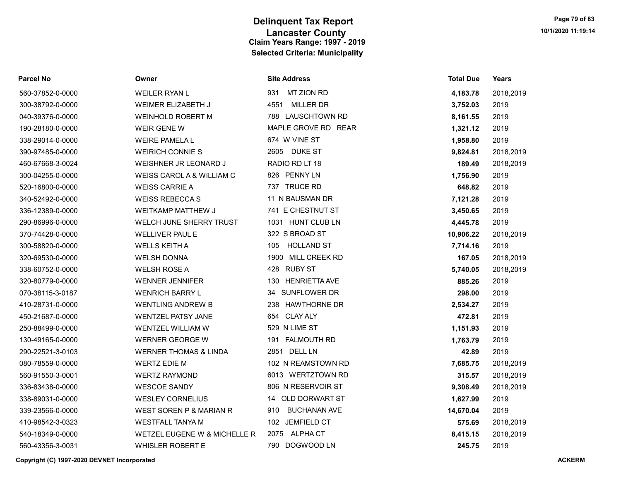| <b>Parcel No</b> | Owner                              | <b>Site Address</b>        | <b>Total Due</b> | Years     |
|------------------|------------------------------------|----------------------------|------------------|-----------|
| 560-37852-0-0000 | <b>WEILER RYAN L</b>               | <b>MT ZION RD</b><br>931   | 4,183.78         | 2018,2019 |
| 300-38792-0-0000 | WEIMER ELIZABETH J                 | <b>MILLER DR</b><br>4551   | 3,752.03         | 2019      |
| 040-39376-0-0000 | <b>WEINHOLD ROBERT M</b>           | 788 LAUSCHTOWN RD          | 8,161.55         | 2019      |
| 190-28180-0-0000 | <b>WEIR GENE W</b>                 | MAPLE GROVE RD REAR        | 1,321.12         | 2019      |
| 338-29014-0-0000 | <b>WEIRE PAMELA L</b>              | 674 W VINE ST              | 1,958.80         | 2019      |
| 390-97485-0-0000 | <b>WEIRICH CONNIE S</b>            | 2605 DUKE ST               | 9,824.81         | 2018,2019 |
| 460-67668-3-0024 | WEISHNER JR LEONARD J              | RADIO RD LT 18             | 189.49           | 2018,2019 |
| 300-04255-0-0000 | WEISS CAROL A & WILLIAM C          | 826 PENNY LN               | 1,756.90         | 2019      |
| 520-16800-0-0000 | <b>WEISS CARRIE A</b>              | 737 TRUCE RD               | 648.82           | 2019      |
| 340-52492-0-0000 | <b>WEISS REBECCAS</b>              | 11 N BAUSMAN DR            | 7,121.28         | 2019      |
| 336-12389-0-0000 | <b>WEITKAMP MATTHEW J</b>          | 741 E CHESTNUT ST          | 3,450.65         | 2019      |
| 290-86996-0-0000 | WELCH JUNE SHERRY TRUST            | 1031 HUNT CLUB LN          | 4,445.78         | 2019      |
| 370-74428-0-0000 | <b>WELLIVER PAUL E</b>             | 322 S BROAD ST             | 10,906.22        | 2018,2019 |
| 300-58820-0-0000 | <b>WELLS KEITH A</b>               | <b>HOLLAND ST</b><br>105   | 7,714.16         | 2019      |
| 320-69530-0-0000 | <b>WELSH DONNA</b>                 | 1900 MILL CREEK RD         | 167.05           | 2018,2019 |
| 338-60752-0-0000 | <b>WELSH ROSE A</b>                | 428 RUBY ST                | 5,740.05         | 2018,2019 |
| 320-80779-0-0000 | <b>WENNER JENNIFER</b>             | 130 HENRIETTA AVE          | 885.26           | 2019      |
| 070-38115-3-0187 | <b>WENRICH BARRY L</b>             | 34 SUNFLOWER DR            | 298.00           | 2019      |
| 410-28731-0-0000 | <b>WENTLING ANDREW B</b>           | 238 HAWTHORNE DR           | 2,534.27         | 2019      |
| 450-21687-0-0000 | <b>WENTZEL PATSY JANE</b>          | 654 CLAY ALY               | 472.81           | 2019      |
| 250-88499-0-0000 | WENTZEL WILLIAM W                  | 529 N LIME ST              | 1,151.93         | 2019      |
| 130-49165-0-0000 | <b>WERNER GEORGE W</b>             | 191 FALMOUTH RD            | 1,763.79         | 2019      |
| 290-22521-3-0103 | <b>WERNER THOMAS &amp; LINDA</b>   | 2851 DELL LN               | 42.89            | 2019      |
| 080-78559-0-0000 | <b>WERTZ EDIE M</b>                | 102 N REAMSTOWN RD         | 7,685.75         | 2018,2019 |
| 560-91550-3-0001 | <b>WERTZ RAYMOND</b>               | 6013 WERTZTOWN RD          | 315.57           | 2018,2019 |
| 336-83438-0-0000 | <b>WESCOE SANDY</b>                | 806 N RESERVOIR ST         | 9,308.49         | 2018,2019 |
| 338-89031-0-0000 | <b>WESLEY CORNELIUS</b>            | 14 OLD DORWART ST          | 1,627.99         | 2019      |
| 339-23566-0-0000 | <b>WEST SOREN P &amp; MARIAN R</b> | <b>BUCHANAN AVE</b><br>910 | 14,670.04        | 2019      |
| 410-98542-3-0323 | <b>WESTFALL TANYA M</b>            | 102 JEMFIELD CT            | 575.69           | 2018,2019 |
| 540-18349-0-0000 | WETZEL EUGENE W & MICHELLE R       | 2075 ALPHACT               | 8,415.15         | 2018,2019 |
| 560-43356-3-0031 | <b>WHISLER ROBERT E</b>            | 790 DOGWOOD LN             | 245.75           | 2019      |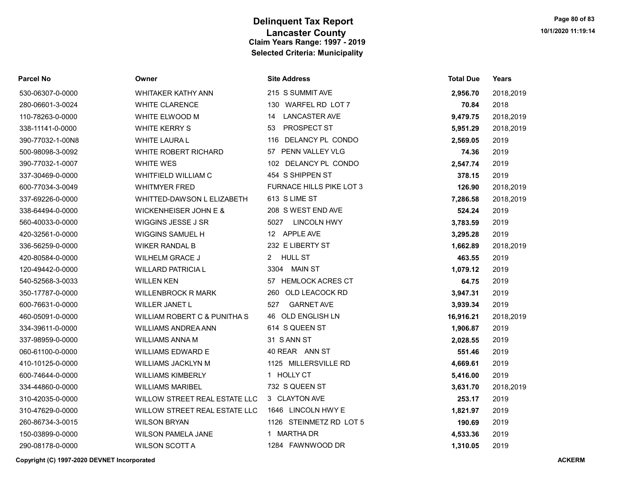| Parcel No        | Owner                                   | <b>Site Address</b>             | <b>Total Due</b> | Years     |
|------------------|-----------------------------------------|---------------------------------|------------------|-----------|
| 530-06307-0-0000 | <b>WHITAKER KATHY ANN</b>               | 215 S SUMMIT AVE                | 2,956.70         | 2018,2019 |
| 280-06601-3-0024 | <b>WHITE CLARENCE</b>                   | 130 WARFEL RD LOT 7             | 70.84            | 2018      |
| 110-78263-0-0000 | WHITE ELWOOD M                          | <b>LANCASTER AVE</b><br>14      | 9,479.75         | 2018,2019 |
| 338-11141-0-0000 | <b>WHITE KERRY S</b>                    | PROSPECT ST<br>53               | 5,951.29         | 2018,2019 |
| 390-77032-1-00N8 | <b>WHITE LAURA L</b>                    | 116 DELANCY PL CONDO            | 2,569.05         | 2019      |
| 500-98098-3-0092 | WHITE ROBERT RICHARD                    | 57 PENN VALLEY VLG              | 74.36            | 2019      |
| 390-77032-1-0007 | <b>WHITE WES</b>                        | 102 DELANCY PL CONDO            | 2,547.74         | 2019      |
| 337-30469-0-0000 | <b>WHITFIELD WILLIAM C</b>              | 454 S SHIPPEN ST                | 378.15           | 2019      |
| 600-77034-3-0049 | <b>WHITMYER FRED</b>                    | <b>FURNACE HILLS PIKE LOT 3</b> | 126.90           | 2018,2019 |
| 337-69226-0-0000 | WHITTED-DAWSON L ELIZABETH              | 613 S LIME ST                   | 7,286.58         | 2018,2019 |
| 338-64494-0-0000 | WICKENHEISER JOHN E &                   | 208 S WEST END AVE              | 524.24           | 2019      |
| 560-40033-0-0000 | WIGGINS JESSE J SR                      | <b>LINCOLN HWY</b><br>5027      | 3,783.59         | 2019      |
| 420-32561-0-0000 | WIGGINS SAMUEL H                        | 12 APPLE AVE                    | 3,295.28         | 2019      |
| 336-56259-0-0000 | <b>WIKER RANDAL B</b>                   | 232 E LIBERTY ST                | 1,662.89         | 2018,2019 |
| 420-80584-0-0000 | <b>WILHELM GRACE J</b>                  | <b>HULL ST</b><br>2             | 463.55           | 2019      |
| 120-49442-0-0000 | <b>WILLARD PATRICIA L</b>               | 3304 MAIN ST                    | 1,079.12         | 2019      |
| 540-52568-3-0033 | <b>WILLEN KEN</b>                       | 57 HEMLOCK ACRES CT             | 64.75            | 2019      |
| 350-17787-0-0000 | <b>WILLENBROCK R MARK</b>               | 260 OLD LEACOCK RD              | 3,947.31         | 2019      |
| 600-76631-0-0000 | WILLER JANET L                          | <b>GARNET AVE</b><br>527        | 3,939.34         | 2019      |
| 460-05091-0-0000 | <b>WILLIAM ROBERT C &amp; PUNITHA S</b> | 46 OLD ENGLISH LN               | 16,916.21        | 2018,2019 |
| 334-39611-0-0000 | <b>WILLIAMS ANDREA ANN</b>              | 614 S QUEEN ST                  | 1,906.87         | 2019      |
| 337-98959-0-0000 | WILLIAMS ANNA M                         | 31 SANN ST                      | 2,028.55         | 2019      |
| 060-61100-0-0000 | <b>WILLIAMS EDWARD E</b>                | 40 REAR ANN ST                  | 551.46           | 2019      |
| 410-10125-0-0000 | WILLIAMS JACKLYN M                      | 1125 MILLERSVILLE RD            | 4,669.61         | 2019      |
| 600-74644-0-0000 | <b>WILLIAMS KIMBERLY</b>                | 1 HOLLY CT                      | 5,416.00         | 2019      |
| 334-44860-0-0000 | <b>WILLIAMS MARIBEL</b>                 | 732 S QUEEN ST                  | 3,631.70         | 2018,2019 |
| 310-42035-0-0000 | WILLOW STREET REAL ESTATE LLC           | 3 CLAYTON AVE                   | 253.17           | 2019      |
| 310-47629-0-0000 | WILLOW STREET REAL ESTATE LLC           | 1646 LINCOLN HWY E              | 1,821.97         | 2019      |
| 260-86734-3-0015 | <b>WILSON BRYAN</b>                     | 1126 STEINMETZ RD LOT 5         | 190.69           | 2019      |
| 150-03899-0-0000 | <b>WILSON PAMELA JANE</b>               | 1 MARTHA DR                     | 4,533.36         | 2019      |
| 290-08178-0-0000 | <b>WILSON SCOTT A</b>                   | 1284 FAWNWOOD DR                | 1,310.05         | 2019      |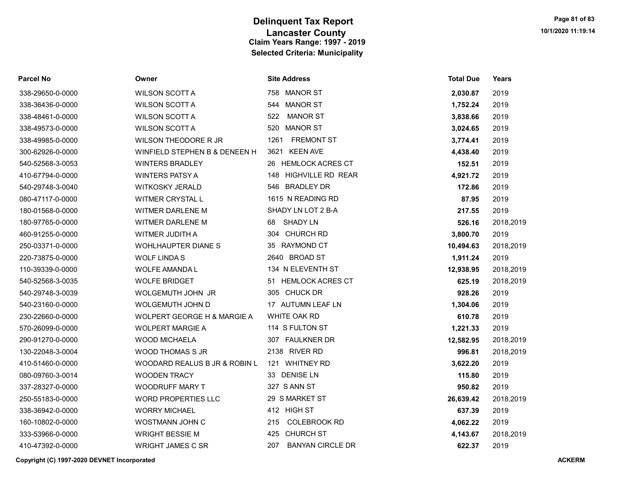| <b>Parcel No</b> | Owner                         | <b>Site Address</b>            | <b>Total Due</b> | Years     |
|------------------|-------------------------------|--------------------------------|------------------|-----------|
| 338-29650-0-0000 | <b>WILSON SCOTT A</b>         | 758 MANOR ST                   | 2,030.87         | 2019      |
| 338-36436-0-0000 | <b>WILSON SCOTT A</b>         | 544 MANOR ST                   | 1,752.24         | 2019      |
| 338-48461-0-0000 | <b>WILSON SCOTT A</b>         | 522<br><b>MANOR ST</b>         | 3,838.66         | 2019      |
| 338-49573-0-0000 | <b>WILSON SCOTT A</b>         | MANOR ST<br>520                | 3,024.65         | 2019      |
| 338-49985-0-0000 | WILSON THEODORE R JR          | <b>FREMONT ST</b><br>1261      | 3,774.41         | 2019      |
| 300-62926-0-0000 | WINFIELD STEPHEN B & DENEEN H | 3621 KEEN AVE                  | 4,438.40         | 2019      |
| 540-52568-3-0053 | <b>WINTERS BRADLEY</b>        | 26 HEMLOCK ACRES CT            | 152.51           | 2019      |
| 410-67794-0-0000 | <b>WINTERS PATSY A</b>        | 148 HIGHVILLE RD REAR          | 4,921.72         | 2019      |
| 540-29748-3-0040 | <b>WITKOSKY JERALD</b>        | 546 BRADLEY DR                 | 172.86           | 2019      |
| 080-47117-0-0000 | WITMER CRYSTAL L              | 1615 N READING RD              | 87.95            | 2019      |
| 180-01568-0-0000 | WITMER DARLENE M              | SHADY LN LOT 2 B-A             | 217.55           | 2019      |
| 180-97765-0-0000 | <b>WITMER DARLENE M</b>       | 68 SHADY LN                    | 526.16           | 2018,2019 |
| 460-91255-0-0000 | WITMER JUDITH A               | 304 CHURCH RD                  | 3,800.70         | 2019      |
| 250-03371-0-0000 | WOHLHAUPTER DIANE S           | 35 RAYMOND CT                  | 10,494.63        | 2018,2019 |
| 220-73875-0-0000 | <b>WOLF LINDAS</b>            | 2640 BROAD ST                  | 1,911.24         | 2019      |
| 110-39339-0-0000 | <b>WOLFE AMANDA L</b>         | 134 N ELEVENTH ST              | 12,938.95        | 2018,2019 |
| 540-52568-3-0035 | <b>WOLFE BRIDGET</b>          | 51 HEMLOCK ACRES CT            | 625.19           | 2018,2019 |
| 540-29748-3-0039 | WOLGEMUTH JOHN JR             | 305 CHUCK DR                   | 928.26           | 2019      |
| 540-23160-0-0000 | WOLGEMUTH JOHN D              | 17 AUTUMN LEAF LN              | 1,304.06         | 2019      |
| 230-22660-0-0000 | WOLPERT GEORGE H & MARGIE A   | WHITE OAK RD                   | 610.78           | 2019      |
| 570-26099-0-0000 | <b>WOLPERT MARGIE A</b>       | 114 S FULTON ST                | 1,221.33         | 2019      |
| 290-91270-0-0000 | <b>WOOD MICHAELA</b>          | 307 FAULKNER DR                | 12,582.95        | 2018,2019 |
| 130-22048-3-0004 | WOOD THOMAS S JR              | 2138 RIVER RD                  | 996.81           | 2018,2019 |
| 410-51460-0-0000 | WOODARD REALUS B JR & ROBIN L | 121 WHITNEY RD                 | 3,622.20         | 2019      |
| 080-09760-3-0014 | <b>WOODEN TRACY</b>           | 33 DENISE LN                   | 115.80           | 2019      |
| 337-28327-0-0000 | <b>WOODRUFF MARY T</b>        | 327 S ANN ST                   | 950.82           | 2019      |
| 250-55183-0-0000 | <b>WORD PROPERTIES LLC</b>    | 29 S MARKET ST                 | 26,639.42        | 2018,2019 |
| 338-36942-0-0000 | <b>WORRY MICHAEL</b>          | 412 HIGH ST                    | 637.39           | 2019      |
| 160-10802-0-0000 | WOSTMANN JOHN C               | <b>COLEBROOK RD</b><br>215     | 4,062.22         | 2019      |
| 333-53966-0-0000 | <b>WRIGHT BESSIE M</b>        | 425 CHURCH ST                  | 4,143.67         | 2018,2019 |
| 410-47392-0-0000 | <b>WRIGHT JAMES C SR</b>      | 207<br><b>BANYAN CIRCLE DR</b> | 622.37           | 2019      |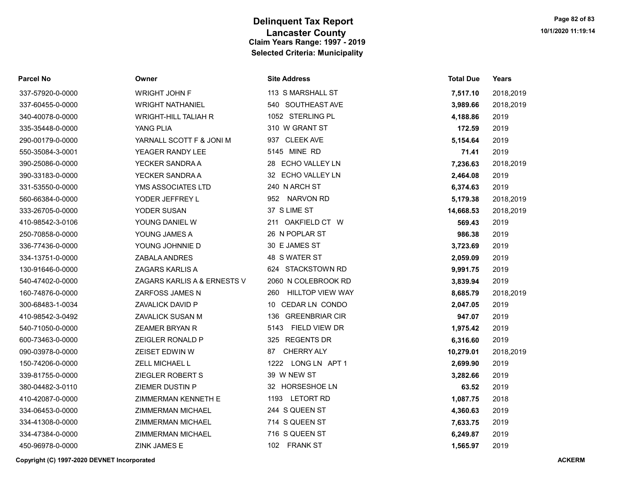| <b>Parcel No</b> | Owner                       | <b>Site Address</b>            | <b>Total Due</b> | <b>Years</b> |
|------------------|-----------------------------|--------------------------------|------------------|--------------|
| 337-57920-0-0000 | WRIGHT JOHN F               | 113 S MARSHALL ST              | 7,517.10         | 2018,2019    |
| 337-60455-0-0000 | <b>WRIGHT NATHANIEL</b>     | 540 SOUTHEAST AVE              | 3,989.66         | 2018,2019    |
| 340-40078-0-0000 | <b>WRIGHT-HILL TALIAH R</b> | 1052 STERLING PL               | 4,188.86         | 2019         |
| 335-35448-0-0000 | YANG PLIA                   | 310 W GRANT ST                 | 172.59           | 2019         |
| 290-00179-0-0000 | YARNALL SCOTT F & JONI M    | 937 CLEEK AVE                  | 5,154.64         | 2019         |
| 550-35084-3-0001 | YEAGER RANDY LEE            | 5145 MINE RD                   | 71.41            | 2019         |
| 390-25086-0-0000 | YECKER SANDRA A             | 28 ECHO VALLEY LN              | 7,236.63         | 2018,2019    |
| 390-33183-0-0000 | YECKER SANDRA A             | 32 ECHO VALLEY LN              | 2,464.08         | 2019         |
| 331-53550-0-0000 | YMS ASSOCIATES LTD          | 240 N ARCH ST                  | 6,374.63         | 2019         |
| 560-66384-0-0000 | YODER JEFFREY L             | 952 NARVON RD                  | 5,179.38         | 2018,2019    |
| 333-26705-0-0000 | YODER SUSAN                 | 37 S LIME ST                   | 14,668.53        | 2018,2019    |
| 410-98542-3-0106 | YOUNG DANIEL W              | 211 OAKFIELD CT W              | 569.43           | 2019         |
| 250-70858-0-0000 | YOUNG JAMES A               | 26 N POPLAR ST                 | 986.38           | 2019         |
| 336-77436-0-0000 | YOUNG JOHNNIE D             | 30 E JAMES ST                  | 3,723.69         | 2019         |
| 334-13751-0-0000 | ZABALA ANDRES               | 48 S WATER ST                  | 2,059.09         | 2019         |
| 130-91646-0-0000 | <b>ZAGARS KARLIS A</b>      | 624 STACKSTOWN RD              | 9,991.75         | 2019         |
| 540-47402-0-0000 | ZAGARS KARLIS A & ERNESTS V | 2060 N COLEBROOK RD            | 3,839.94         | 2019         |
| 160-74876-0-0000 | ZARFOSS JAMES N             | <b>HILLTOP VIEW WAY</b><br>260 | 8,685.79         | 2018,2019    |
| 300-68483-1-0034 | ZAVALICK DAVID P            | 10 CEDAR LN CONDO              | 2,047.05         | 2019         |
| 410-98542-3-0492 | ZAVALICK SUSAN M            | 136 GREENBRIAR CIR             | 947.07           | 2019         |
| 540-71050-0-0000 | <b>ZEAMER BRYAN R</b>       | 5143 FIELD VIEW DR             | 1,975.42         | 2019         |
| 600-73463-0-0000 | ZEIGLER RONALD P            | 325 REGENTS DR                 | 6,316.60         | 2019         |
| 090-03978-0-0000 | <b>ZEISET EDWIN W</b>       | <b>CHERRY ALY</b><br>87        | 10,279.01        | 2018,2019    |
| 150-74206-0-0000 | ZELL MICHAEL L              | 1222 LONG LN APT 1             | 2,699.90         | 2019         |
| 339-81755-0-0000 | ZIEGLER ROBERT S            | 39 W NEW ST                    | 3,282.66         | 2019         |
| 380-04482-3-0110 | ZIEMER DUSTIN P             | 32 HORSESHOE LN                | 63.52            | 2019         |
| 410-42087-0-0000 | <b>ZIMMERMAN KENNETH E</b>  | 1193 LETORT RD                 | 1,087.75         | 2018         |
| 334-06453-0-0000 | ZIMMERMAN MICHAEL           | 244 S QUEEN ST                 | 4,360.63         | 2019         |
| 334-41308-0-0000 | ZIMMERMAN MICHAEL           | 714 S QUEEN ST                 | 7,633.75         | 2019         |
| 334-47384-0-0000 | ZIMMERMAN MICHAEL           | 716 S QUEEN ST                 | 6,249.87         | 2019         |
| 450-96978-0-0000 | ZINK JAMES E                | 102 FRANK ST                   | 1,565.97         | 2019         |